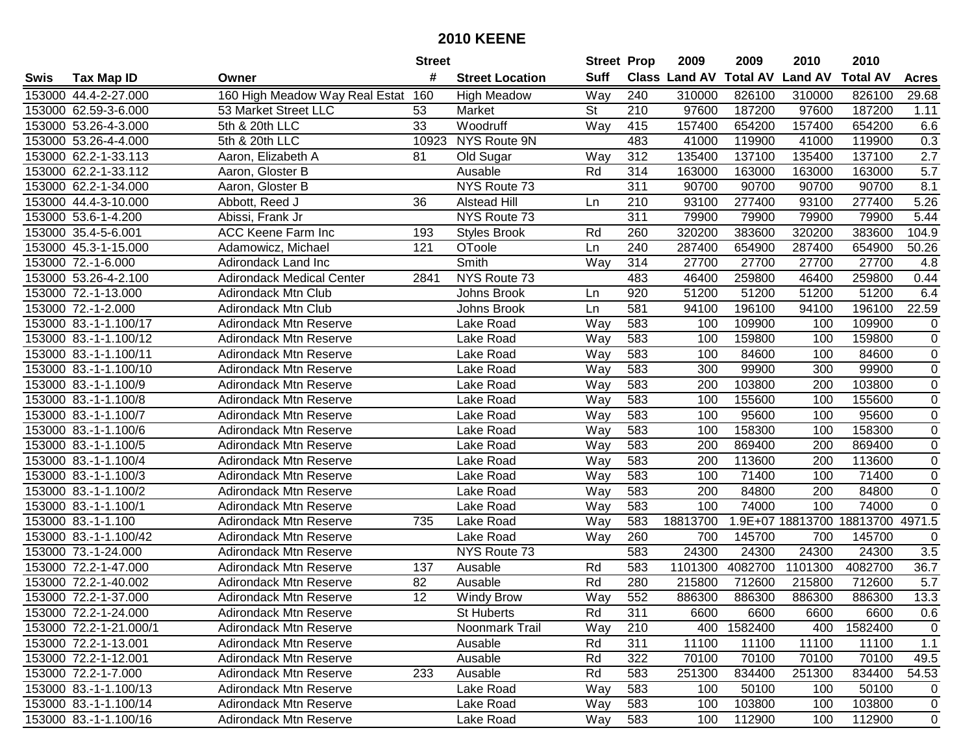|      |                        |                                    | <b>Street</b> |                        | <b>Street Prop</b> |     | 2009                 | 2009            | 2010                      | 2010            |                  |
|------|------------------------|------------------------------------|---------------|------------------------|--------------------|-----|----------------------|-----------------|---------------------------|-----------------|------------------|
| Swis | <b>Tax Map ID</b>      | Owner                              | #             | <b>Street Location</b> | <b>Suff</b>        |     | <b>Class Land AV</b> | <b>Total AV</b> | <b>Land AV</b>            | <b>Total AV</b> | <b>Acres</b>     |
|      | 153000 44.4-2-27.000   | 160 High Meadow Way Real Estat 160 |               | <b>High Meadow</b>     | Way                | 240 | 310000               | 826100          | 310000                    | 826100          | 29.68            |
|      | 153000 62.59-3-6.000   | 53 Market Street LLC               | 53            | Market                 | <b>St</b>          | 210 | 97600                | 187200          | 97600                     | 187200          | 1.11             |
|      | 153000 53.26-4-3.000   | 5th & 20th LLC                     | 33            | Woodruff               | Way                | 415 | 157400               | 654200          | 157400                    | 654200          | 6.6              |
|      | 153000 53.26-4-4.000   | 5th & 20th LLC                     | 10923         | NYS Route 9N           |                    | 483 | 41000                | 119900          | 41000                     | 119900          | 0.3              |
|      | 153000 62.2-1-33.113   | Aaron, Elizabeth A                 | 81            | Old Sugar              | Way                | 312 | 135400               | 137100          | 135400                    | 137100          | $\overline{2.7}$ |
|      | 153000 62.2-1-33.112   | Aaron, Gloster B                   |               | Ausable                | Rd                 | 314 | 163000               | 163000          | 163000                    | 163000          | 5.7              |
|      | 153000 62.2-1-34.000   | Aaron, Gloster B                   |               | NYS Route 73           |                    | 311 | 90700                | 90700           | 90700                     | 90700           | 8.1              |
|      | 153000 44.4-3-10.000   | Abbott, Reed J                     | 36            | <b>Alstead Hill</b>    | Ln                 | 210 | 93100                | 277400          | 93100                     | 277400          | 5.26             |
|      | 153000 53.6-1-4.200    | Abissi, Frank Jr                   |               | NYS Route 73           |                    | 311 | 79900                | 79900           | 79900                     | 79900           | 5.44             |
|      | 153000 35.4-5-6.001    | <b>ACC Keene Farm Inc</b>          | 193           | <b>Styles Brook</b>    | Rd                 | 260 | 320200               | 383600          | 320200                    | 383600          | 104.9            |
|      | 153000 45.3-1-15.000   | Adamowicz, Michael                 | 121           | OToole                 | Ln                 | 240 | 287400               | 654900          | 287400                    | 654900          | 50.26            |
|      | 153000 72.-1-6.000     | Adirondack Land Inc                |               | Smith                  | Way                | 314 | 27700                | 27700           | 27700                     | 27700           | 4.8              |
|      | 153000 53.26-4-2.100   | <b>Adirondack Medical Center</b>   | 2841          | NYS Route 73           |                    | 483 | 46400                | 259800          | 46400                     | 259800          | 0.44             |
|      | 153000 72.-1-13.000    | <b>Adirondack Mtn Club</b>         |               | Johns Brook            | Ln                 | 920 | 51200                | 51200           | 51200                     | 51200           | 6.4              |
|      | 153000 72.-1-2.000     | <b>Adirondack Mtn Club</b>         |               | Johns Brook            | Ln                 | 581 | 94100                | 196100          | 94100                     | 196100          | 22.59            |
|      | 153000 83.-1-1.100/17  | <b>Adirondack Mtn Reserve</b>      |               | Lake Road              | Way                | 583 | 100                  | 109900          | 100                       | 109900          | 0                |
|      | 153000 83.-1-1.100/12  | <b>Adirondack Mtn Reserve</b>      |               | Lake Road              | Way                | 583 | 100                  | 159800          | 100                       | 159800          | $\overline{0}$   |
|      | 153000 83.-1-1.100/11  | <b>Adirondack Mtn Reserve</b>      |               | Lake Road              | Way                | 583 | 100                  | 84600           | 100                       | 84600           | 0                |
|      | 153000 83.-1-1.100/10  | <b>Adirondack Mtn Reserve</b>      |               | Lake Road              | Way                | 583 | 300                  | 99900           | 300                       | 99900           | $\overline{0}$   |
|      | 153000 83.-1-1.100/9   | <b>Adirondack Mtn Reserve</b>      |               | Lake Road              | Way                | 583 | 200                  | 103800          | 200                       | 103800          | 0                |
|      | 153000 83.-1-1.100/8   | <b>Adirondack Mtn Reserve</b>      |               | Lake Road              | Way                | 583 | 100                  | 155600          | 100                       | 155600          | 0                |
|      | 153000 83.-1-1.100/7   | <b>Adirondack Mtn Reserve</b>      |               | Lake Road              | Way                | 583 | 100                  | 95600           | 100                       | 95600           | $\mathbf 0$      |
|      | 153000 83.-1-1.100/6   | <b>Adirondack Mtn Reserve</b>      |               | Lake Road              | Way                | 583 | 100                  | 158300          | 100                       | 158300          | $\mathbf 0$      |
|      | 153000 83.-1-1.100/5   | <b>Adirondack Mtn Reserve</b>      |               | Lake Road              | Way                | 583 | 200                  | 869400          | 200                       | 869400          | $\mathbf 0$      |
|      | 153000 83.-1-1.100/4   | <b>Adirondack Mtn Reserve</b>      |               | Lake Road              | Way                | 583 | 200                  | 113600          | 200                       | 113600          | 0                |
|      | 153000 83.-1-1.100/3   | <b>Adirondack Mtn Reserve</b>      |               | Lake Road              | Way                | 583 | 100                  | 71400           | 100                       | 71400           | $\mathbf 0$      |
|      | 153000 83.-1-1.100/2   | <b>Adirondack Mtn Reserve</b>      |               | Lake Road              | Way                | 583 | 200                  | 84800           | 200                       | 84800           | $\mathbf 0$      |
|      | 153000 83.-1-1.100/1   | <b>Adirondack Mtn Reserve</b>      |               | Lake Road              | Way                | 583 | 100                  | 74000           | 100                       | 74000           | $\Omega$         |
|      | 153000 83.-1-1.100     | <b>Adirondack Mtn Reserve</b>      | 735           | Lake Road              | Way                | 583 | 18813700             |                 | 1.9E+07 18813700 18813700 |                 | 4971.5           |
|      | 153000 83.-1-1.100/42  | <b>Adirondack Mtn Reserve</b>      |               | Lake Road              | Way                | 260 | 700                  | 145700          | 700                       | 145700          | $\Omega$         |
|      | 153000 73.-1-24.000    | <b>Adirondack Mtn Reserve</b>      |               | NYS Route 73           |                    | 583 | 24300                | 24300           | 24300                     | 24300           | 3.5              |
|      | 153000 72.2-1-47.000   | <b>Adirondack Mtn Reserve</b>      | 137           | Ausable                | Rd                 | 583 | 1101300              | 4082700         | 1101300                   | 4082700         | 36.7             |
|      | 153000 72.2-1-40.002   | <b>Adirondack Mtn Reserve</b>      | 82            | Ausable                | Rd                 | 280 | 215800               | 712600          | 215800                    | 712600          | 5.7              |
|      | 153000 72.2-1-37.000   | <b>Adirondack Mtn Reserve</b>      | 12            | <b>Windy Brow</b>      | Way                | 552 | 886300               | 886300          | 886300                    | 886300          | 13.3             |
|      | 153000 72.2-1-24.000   | Adirondack Mtn Reserve             |               | <b>St Huberts</b>      | Rd                 | 311 | 6600                 | 6600            | 6600                      | 6600            | 0.6              |
|      | 153000 72.2-1-21.000/1 | <b>Adirondack Mtn Reserve</b>      |               | Noonmark Trail         | Way                | 210 | 400                  | 1582400         | 400                       | 1582400         | 0                |
|      | 153000 72.2-1-13.001   | Adirondack Mtn Reserve             |               | Ausable                | Rd                 | 311 | 11100                | 11100           | 11100                     | 11100           | 1.1              |
|      | 153000 72.2-1-12.001   | <b>Adirondack Mtn Reserve</b>      |               | Ausable                | Rd                 | 322 | 70100                | 70100           | 70100                     | 70100           | 49.5             |
|      | 153000 72.2-1-7.000    | <b>Adirondack Mtn Reserve</b>      | 233           | Ausable                | Rd                 | 583 | 251300               | 834400          | 251300                    | 834400          | 54.53            |
|      | 153000 83.-1-1.100/13  | <b>Adirondack Mtn Reserve</b>      |               | Lake Road              | Way                | 583 | 100                  | 50100           | 100                       | 50100           | 0                |
|      | 153000 83.-1-1.100/14  | <b>Adirondack Mtn Reserve</b>      |               | Lake Road              | Way                | 583 | 100                  | 103800          | 100                       | 103800          | 0                |
|      | 153000 83.-1-1.100/16  | Adirondack Mtn Reserve             |               | Lake Road              | Way                | 583 | 100                  | 112900          | 100                       | 112900          | $\mathbf 0$      |
|      |                        |                                    |               |                        |                    |     |                      |                 |                           |                 |                  |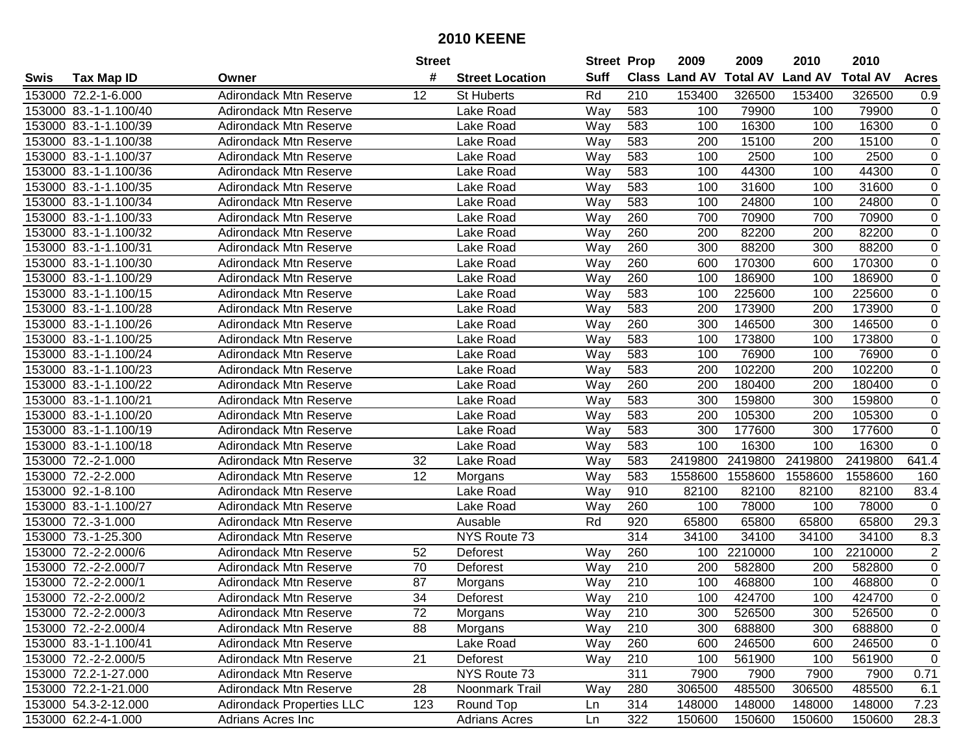| #<br><b>Suff</b><br><b>Class Land AV</b><br><b>Total AV</b><br><b>Land AV</b><br><b>Total AV</b><br><b>Tax Map ID</b><br><b>Street Location</b><br><b>Acres</b><br>Swis<br>Owner<br><b>Adirondack Mtn Reserve</b><br>Rd<br>210<br>153400<br>326500<br>153400<br>326500<br>153000 72.2-1-6.000<br>12<br><b>St Huberts</b><br>0.9<br>Way<br>583<br>79900<br>153000 83.-1-1.100/40<br><b>Adirondack Mtn Reserve</b><br>Lake Road<br>100<br>100<br>79900<br>0<br>153000 83.-1-1.100/39<br>583<br>16300<br>16300<br>0<br><b>Adirondack Mtn Reserve</b><br>Lake Road<br>Way<br>100<br>100<br>583<br>15100<br>15100<br>$\mathbf 0$<br>153000 83.-1-1.100/38<br><b>Adirondack Mtn Reserve</b><br>Lake Road<br>Way<br>200<br>200<br>583<br>2500<br>100<br>2500<br>0<br>153000 83.-1-1.100/37<br><b>Adirondack Mtn Reserve</b><br>Lake Road<br>Way<br>100<br>$\mathbf 0$<br><b>Adirondack Mtn Reserve</b><br>583<br>44300<br>100<br>44300<br>153000 83.-1-1.100/36<br>Lake Road<br>Way<br>100<br>583<br>31600<br>31600<br>0<br>153000 83.-1-1.100/35<br><b>Adirondack Mtn Reserve</b><br>Lake Road<br>Way<br>100<br>100<br>583<br>24800<br>24800<br>$\mathbf 0$<br>153000 83.-1-1.100/34<br><b>Adirondack Mtn Reserve</b><br>Way<br>100<br>100<br>Lake Road<br>260<br>153000 83.-1-1.100/33<br><b>Adirondack Mtn Reserve</b><br>700<br>70900<br>700<br>70900<br>0<br>Lake Road<br>Way<br>260<br>82200<br>153000 83.-1-1.100/32<br>200<br>82200<br>200<br>0<br><b>Adirondack Mtn Reserve</b><br>Lake Road<br>Way<br>88200<br>153000 83.-1-1.100/31<br>Way<br>260<br>300<br>88200<br>300<br>$\mathbf 0$<br><b>Adirondack Mtn Reserve</b><br>Lake Road<br>153000 83.-1-1.100/30<br>Lake Road<br>260<br>600<br>170300<br>170300<br>$\mathbf 0$<br><b>Adirondack Mtn Reserve</b><br>Way<br>600<br>260<br>100<br>186900<br>186900<br>$\pmb{0}$<br>153000 83.-1-1.100/29<br><b>Adirondack Mtn Reserve</b><br>Lake Road<br>Way<br>100<br>Way<br>583<br>100<br>225600<br>225600<br>$\mathbf 0$<br>153000 83.-1-1.100/15<br><b>Adirondack Mtn Reserve</b><br>Lake Road<br>100<br>583<br>173900<br>$\mathbf 0$<br>Lake Road<br>Way<br>200<br>173900<br>153000 83.-1-1.100/28<br><b>Adirondack Mtn Reserve</b><br>200<br>260<br>300<br>146500<br>146500<br>0<br>153000 83.-1-1.100/26<br><b>Adirondack Mtn Reserve</b><br>Lake Road<br>Way<br>300<br>$\mathbf 0$<br>153000 83.-1-1.100/25<br>Way<br>583<br>100<br>173800<br>173800<br><b>Adirondack Mtn Reserve</b><br>Lake Road<br>100<br>$\mathbf 0$<br>Way<br>583<br>76900<br>76900<br>153000 83.-1-1.100/24<br><b>Adirondack Mtn Reserve</b><br>Lake Road<br>100<br>100<br>Way<br>583<br>102200<br>102200<br>0<br>153000 83.-1-1.100/23<br><b>Adirondack Mtn Reserve</b><br>Lake Road<br>200<br>200<br>260<br>180400<br>180400<br>0<br>153000 83.-1-1.100/22<br><b>Adirondack Mtn Reserve</b><br>Lake Road<br>Way<br>200<br>200<br>$\mathbf 0$<br>153000 83.-1-1.100/21<br><b>Adirondack Mtn Reserve</b><br>Lake Road<br>Way<br>583<br>300<br>159800<br>300<br>159800<br>$\mathbf 0$<br>153000 83.-1-1.100/20<br><b>Adirondack Mtn Reserve</b><br>Lake Road<br>Way<br>583<br>200<br>105300<br>200<br>105300<br>$\pmb{0}$<br>153000 83.-1-1.100/19<br>Way<br>583<br>300<br>177600<br>300<br>177600<br><b>Adirondack Mtn Reserve</b><br>Lake Road<br>153000 83.-1-1.100/18<br>583<br>100<br>16300<br>100<br>16300<br>0<br><b>Adirondack Mtn Reserve</b><br>Lake Road<br>Way<br>153000 72.-2-1.000<br>32<br>Way<br>583<br>2419800<br>2419800<br>2419800<br>2419800<br>641.4<br><b>Adirondack Mtn Reserve</b><br>Lake Road<br>153000 72.-2-2.000<br>12<br>583<br><b>Adirondack Mtn Reserve</b><br>Way<br>1558600<br>1558600<br>1558600<br>1558600<br>160<br>Morgans<br>153000 92.-1-8.100<br>Way<br>910<br>82100<br>82100<br>82100<br>83.4<br><b>Adirondack Mtn Reserve</b><br>Lake Road<br>82100<br>153000 83.-1-1.100/27<br>Lake Road<br>260<br>78000<br>78000<br><b>Adirondack Mtn Reserve</b><br>Way<br>100<br>100<br>$\Omega$<br>153000 72.-3-1.000<br>Rd<br>920<br>65800<br>65800<br><b>Adirondack Mtn Reserve</b><br>Ausable<br>65800<br>65800<br>29.3<br>314<br>153000 73.-1-25.300<br>NYS Route 73<br>34100<br>34100<br>34100<br>34100<br>8.3<br><b>Adirondack Mtn Reserve</b><br>153000 72.-2-2.000/6<br>260<br>2210000<br>2210000<br>$\overline{2}$<br><b>Adirondack Mtn Reserve</b><br>52<br>Deforest<br>Way<br>100<br>100<br>153000 72.-2-2.000/7<br>70<br>210<br>582800<br>582800<br>$\mathbf 0$<br><b>Adirondack Mtn Reserve</b><br>Deforest<br>Way<br>200<br>200<br>$\mathbf 0$<br>153000 72.-2-2.000/1<br>87<br>210<br>100<br>468800<br>468800<br><b>Adirondack Mtn Reserve</b><br>Morgans<br>Way<br>100<br>$\mathbf 0$<br>153000 72.-2-2.000/2<br>34<br>210<br>424700<br>424700<br><b>Adirondack Mtn Reserve</b><br>Way<br>100<br>100<br>Deforest<br>153000 72.-2-2.000/3<br><b>Adirondack Mtn Reserve</b><br>72<br>Morgans<br>Way<br>210<br>300<br>526500<br>300<br>526500<br>0<br>0<br>88<br>Way<br>210<br>688800<br>688800<br>153000 72.-2-2.000/4<br><b>Adirondack Mtn Reserve</b><br>Morgans<br>300<br>300<br>0<br>153000 83.-1-1.100/41<br><b>Adirondack Mtn Reserve</b><br>Lake Road<br>260<br>600<br>246500<br>600<br>246500<br>Way<br>$\mathbf 0$<br>21<br>210<br>561900<br>561900<br>153000 72.-2-2.000/5<br><b>Adirondack Mtn Reserve</b><br>Deforest<br>Way<br>100<br>100<br>153000 72.2-1-27.000<br><b>Adirondack Mtn Reserve</b><br>NYS Route 73<br>311<br>7900<br>7900<br>7900<br>7900<br>0.71<br>28<br>Noonmark Trail<br>153000 72.2-1-21.000<br>Adirondack Mtn Reserve<br>Way<br>280<br>306500<br>485500<br>306500<br>485500<br>6.1<br>153000 54.3-2-12.000<br><b>Adirondack Properties LLC</b><br>123<br>314<br>148000<br>148000<br>148000<br>148000<br>7.23<br>Round Top<br>Ln<br>153000 62.2-4-1.000<br>322<br>150600<br>150600<br>28.3<br>Adrians Acres Inc<br><b>Adrians Acres</b><br>150600<br>150600<br>Ln |  | <b>Street</b> | <b>Street Prop</b> | 2009 | 2009 | 2010 | 2010 |  |
|--------------------------------------------------------------------------------------------------------------------------------------------------------------------------------------------------------------------------------------------------------------------------------------------------------------------------------------------------------------------------------------------------------------------------------------------------------------------------------------------------------------------------------------------------------------------------------------------------------------------------------------------------------------------------------------------------------------------------------------------------------------------------------------------------------------------------------------------------------------------------------------------------------------------------------------------------------------------------------------------------------------------------------------------------------------------------------------------------------------------------------------------------------------------------------------------------------------------------------------------------------------------------------------------------------------------------------------------------------------------------------------------------------------------------------------------------------------------------------------------------------------------------------------------------------------------------------------------------------------------------------------------------------------------------------------------------------------------------------------------------------------------------------------------------------------------------------------------------------------------------------------------------------------------------------------------------------------------------------------------------------------------------------------------------------------------------------------------------------------------------------------------------------------------------------------------------------------------------------------------------------------------------------------------------------------------------------------------------------------------------------------------------------------------------------------------------------------------------------------------------------------------------------------------------------------------------------------------------------------------------------------------------------------------------------------------------------------------------------------------------------------------------------------------------------------------------------------------------------------------------------------------------------------------------------------------------------------------------------------------------------------------------------------------------------------------------------------------------------------------------------------------------------------------------------------------------------------------------------------------------------------------------------------------------------------------------------------------------------------------------------------------------------------------------------------------------------------------------------------------------------------------------------------------------------------------------------------------------------------------------------------------------------------------------------------------------------------------------------------------------------------------------------------------------------------------------------------------------------------------------------------------------------------------------------------------------------------------------------------------------------------------------------------------------------------------------------------------------------------------------------------------------------------------------------------------------------------------------------------------------------------------------------------------------------------------------------------------------------------------------------------------------------------------------------------------------------------------------------------------------------------------------------------------------------------------------------------------------------------------------------------------------------------------------------------------------------------------------------------------------------------------------------------------------------------------------------------------------------------------------------------------------------------------------------------------------------------------------------------------------------------------------------------------------------------------------------------------------------------------------------------------------------------------------------------------------------------------------------------------------------------------------------------------------------------------------------------------------------------------------------------------------------------------------------------------------------------------------------------------------------------------------------------------------------------------------------------------------------------------------------------------------------------------------------------------------------------------------------------------------------------------------------------------------------------------------------------------------------------------------------|--|---------------|--------------------|------|------|------|------|--|
|                                                                                                                                                                                                                                                                                                                                                                                                                                                                                                                                                                                                                                                                                                                                                                                                                                                                                                                                                                                                                                                                                                                                                                                                                                                                                                                                                                                                                                                                                                                                                                                                                                                                                                                                                                                                                                                                                                                                                                                                                                                                                                                                                                                                                                                                                                                                                                                                                                                                                                                                                                                                                                                                                                                                                                                                                                                                                                                                                                                                                                                                                                                                                                                                                                                                                                                                                                                                                                                                                                                                                                                                                                                                                                                                                                                                                                                                                                                                                                                                                                                                                                                                                                                                                                                                                                                                                                                                                                                                                                                                                                                                                                                                                                                                                                                                                                                                                                                                                                                                                                                                                                                                                                                                                                                                                                                                                                                                                                                                                                                                                                                                                                                                                                                                                                                                                                                                                |  |               |                    |      |      |      |      |  |
|                                                                                                                                                                                                                                                                                                                                                                                                                                                                                                                                                                                                                                                                                                                                                                                                                                                                                                                                                                                                                                                                                                                                                                                                                                                                                                                                                                                                                                                                                                                                                                                                                                                                                                                                                                                                                                                                                                                                                                                                                                                                                                                                                                                                                                                                                                                                                                                                                                                                                                                                                                                                                                                                                                                                                                                                                                                                                                                                                                                                                                                                                                                                                                                                                                                                                                                                                                                                                                                                                                                                                                                                                                                                                                                                                                                                                                                                                                                                                                                                                                                                                                                                                                                                                                                                                                                                                                                                                                                                                                                                                                                                                                                                                                                                                                                                                                                                                                                                                                                                                                                                                                                                                                                                                                                                                                                                                                                                                                                                                                                                                                                                                                                                                                                                                                                                                                                                                |  |               |                    |      |      |      |      |  |
|                                                                                                                                                                                                                                                                                                                                                                                                                                                                                                                                                                                                                                                                                                                                                                                                                                                                                                                                                                                                                                                                                                                                                                                                                                                                                                                                                                                                                                                                                                                                                                                                                                                                                                                                                                                                                                                                                                                                                                                                                                                                                                                                                                                                                                                                                                                                                                                                                                                                                                                                                                                                                                                                                                                                                                                                                                                                                                                                                                                                                                                                                                                                                                                                                                                                                                                                                                                                                                                                                                                                                                                                                                                                                                                                                                                                                                                                                                                                                                                                                                                                                                                                                                                                                                                                                                                                                                                                                                                                                                                                                                                                                                                                                                                                                                                                                                                                                                                                                                                                                                                                                                                                                                                                                                                                                                                                                                                                                                                                                                                                                                                                                                                                                                                                                                                                                                                                                |  |               |                    |      |      |      |      |  |
|                                                                                                                                                                                                                                                                                                                                                                                                                                                                                                                                                                                                                                                                                                                                                                                                                                                                                                                                                                                                                                                                                                                                                                                                                                                                                                                                                                                                                                                                                                                                                                                                                                                                                                                                                                                                                                                                                                                                                                                                                                                                                                                                                                                                                                                                                                                                                                                                                                                                                                                                                                                                                                                                                                                                                                                                                                                                                                                                                                                                                                                                                                                                                                                                                                                                                                                                                                                                                                                                                                                                                                                                                                                                                                                                                                                                                                                                                                                                                                                                                                                                                                                                                                                                                                                                                                                                                                                                                                                                                                                                                                                                                                                                                                                                                                                                                                                                                                                                                                                                                                                                                                                                                                                                                                                                                                                                                                                                                                                                                                                                                                                                                                                                                                                                                                                                                                                                                |  |               |                    |      |      |      |      |  |
|                                                                                                                                                                                                                                                                                                                                                                                                                                                                                                                                                                                                                                                                                                                                                                                                                                                                                                                                                                                                                                                                                                                                                                                                                                                                                                                                                                                                                                                                                                                                                                                                                                                                                                                                                                                                                                                                                                                                                                                                                                                                                                                                                                                                                                                                                                                                                                                                                                                                                                                                                                                                                                                                                                                                                                                                                                                                                                                                                                                                                                                                                                                                                                                                                                                                                                                                                                                                                                                                                                                                                                                                                                                                                                                                                                                                                                                                                                                                                                                                                                                                                                                                                                                                                                                                                                                                                                                                                                                                                                                                                                                                                                                                                                                                                                                                                                                                                                                                                                                                                                                                                                                                                                                                                                                                                                                                                                                                                                                                                                                                                                                                                                                                                                                                                                                                                                                                                |  |               |                    |      |      |      |      |  |
|                                                                                                                                                                                                                                                                                                                                                                                                                                                                                                                                                                                                                                                                                                                                                                                                                                                                                                                                                                                                                                                                                                                                                                                                                                                                                                                                                                                                                                                                                                                                                                                                                                                                                                                                                                                                                                                                                                                                                                                                                                                                                                                                                                                                                                                                                                                                                                                                                                                                                                                                                                                                                                                                                                                                                                                                                                                                                                                                                                                                                                                                                                                                                                                                                                                                                                                                                                                                                                                                                                                                                                                                                                                                                                                                                                                                                                                                                                                                                                                                                                                                                                                                                                                                                                                                                                                                                                                                                                                                                                                                                                                                                                                                                                                                                                                                                                                                                                                                                                                                                                                                                                                                                                                                                                                                                                                                                                                                                                                                                                                                                                                                                                                                                                                                                                                                                                                                                |  |               |                    |      |      |      |      |  |
|                                                                                                                                                                                                                                                                                                                                                                                                                                                                                                                                                                                                                                                                                                                                                                                                                                                                                                                                                                                                                                                                                                                                                                                                                                                                                                                                                                                                                                                                                                                                                                                                                                                                                                                                                                                                                                                                                                                                                                                                                                                                                                                                                                                                                                                                                                                                                                                                                                                                                                                                                                                                                                                                                                                                                                                                                                                                                                                                                                                                                                                                                                                                                                                                                                                                                                                                                                                                                                                                                                                                                                                                                                                                                                                                                                                                                                                                                                                                                                                                                                                                                                                                                                                                                                                                                                                                                                                                                                                                                                                                                                                                                                                                                                                                                                                                                                                                                                                                                                                                                                                                                                                                                                                                                                                                                                                                                                                                                                                                                                                                                                                                                                                                                                                                                                                                                                                                                |  |               |                    |      |      |      |      |  |
|                                                                                                                                                                                                                                                                                                                                                                                                                                                                                                                                                                                                                                                                                                                                                                                                                                                                                                                                                                                                                                                                                                                                                                                                                                                                                                                                                                                                                                                                                                                                                                                                                                                                                                                                                                                                                                                                                                                                                                                                                                                                                                                                                                                                                                                                                                                                                                                                                                                                                                                                                                                                                                                                                                                                                                                                                                                                                                                                                                                                                                                                                                                                                                                                                                                                                                                                                                                                                                                                                                                                                                                                                                                                                                                                                                                                                                                                                                                                                                                                                                                                                                                                                                                                                                                                                                                                                                                                                                                                                                                                                                                                                                                                                                                                                                                                                                                                                                                                                                                                                                                                                                                                                                                                                                                                                                                                                                                                                                                                                                                                                                                                                                                                                                                                                                                                                                                                                |  |               |                    |      |      |      |      |  |
|                                                                                                                                                                                                                                                                                                                                                                                                                                                                                                                                                                                                                                                                                                                                                                                                                                                                                                                                                                                                                                                                                                                                                                                                                                                                                                                                                                                                                                                                                                                                                                                                                                                                                                                                                                                                                                                                                                                                                                                                                                                                                                                                                                                                                                                                                                                                                                                                                                                                                                                                                                                                                                                                                                                                                                                                                                                                                                                                                                                                                                                                                                                                                                                                                                                                                                                                                                                                                                                                                                                                                                                                                                                                                                                                                                                                                                                                                                                                                                                                                                                                                                                                                                                                                                                                                                                                                                                                                                                                                                                                                                                                                                                                                                                                                                                                                                                                                                                                                                                                                                                                                                                                                                                                                                                                                                                                                                                                                                                                                                                                                                                                                                                                                                                                                                                                                                                                                |  |               |                    |      |      |      |      |  |
|                                                                                                                                                                                                                                                                                                                                                                                                                                                                                                                                                                                                                                                                                                                                                                                                                                                                                                                                                                                                                                                                                                                                                                                                                                                                                                                                                                                                                                                                                                                                                                                                                                                                                                                                                                                                                                                                                                                                                                                                                                                                                                                                                                                                                                                                                                                                                                                                                                                                                                                                                                                                                                                                                                                                                                                                                                                                                                                                                                                                                                                                                                                                                                                                                                                                                                                                                                                                                                                                                                                                                                                                                                                                                                                                                                                                                                                                                                                                                                                                                                                                                                                                                                                                                                                                                                                                                                                                                                                                                                                                                                                                                                                                                                                                                                                                                                                                                                                                                                                                                                                                                                                                                                                                                                                                                                                                                                                                                                                                                                                                                                                                                                                                                                                                                                                                                                                                                |  |               |                    |      |      |      |      |  |
|                                                                                                                                                                                                                                                                                                                                                                                                                                                                                                                                                                                                                                                                                                                                                                                                                                                                                                                                                                                                                                                                                                                                                                                                                                                                                                                                                                                                                                                                                                                                                                                                                                                                                                                                                                                                                                                                                                                                                                                                                                                                                                                                                                                                                                                                                                                                                                                                                                                                                                                                                                                                                                                                                                                                                                                                                                                                                                                                                                                                                                                                                                                                                                                                                                                                                                                                                                                                                                                                                                                                                                                                                                                                                                                                                                                                                                                                                                                                                                                                                                                                                                                                                                                                                                                                                                                                                                                                                                                                                                                                                                                                                                                                                                                                                                                                                                                                                                                                                                                                                                                                                                                                                                                                                                                                                                                                                                                                                                                                                                                                                                                                                                                                                                                                                                                                                                                                                |  |               |                    |      |      |      |      |  |
|                                                                                                                                                                                                                                                                                                                                                                                                                                                                                                                                                                                                                                                                                                                                                                                                                                                                                                                                                                                                                                                                                                                                                                                                                                                                                                                                                                                                                                                                                                                                                                                                                                                                                                                                                                                                                                                                                                                                                                                                                                                                                                                                                                                                                                                                                                                                                                                                                                                                                                                                                                                                                                                                                                                                                                                                                                                                                                                                                                                                                                                                                                                                                                                                                                                                                                                                                                                                                                                                                                                                                                                                                                                                                                                                                                                                                                                                                                                                                                                                                                                                                                                                                                                                                                                                                                                                                                                                                                                                                                                                                                                                                                                                                                                                                                                                                                                                                                                                                                                                                                                                                                                                                                                                                                                                                                                                                                                                                                                                                                                                                                                                                                                                                                                                                                                                                                                                                |  |               |                    |      |      |      |      |  |
|                                                                                                                                                                                                                                                                                                                                                                                                                                                                                                                                                                                                                                                                                                                                                                                                                                                                                                                                                                                                                                                                                                                                                                                                                                                                                                                                                                                                                                                                                                                                                                                                                                                                                                                                                                                                                                                                                                                                                                                                                                                                                                                                                                                                                                                                                                                                                                                                                                                                                                                                                                                                                                                                                                                                                                                                                                                                                                                                                                                                                                                                                                                                                                                                                                                                                                                                                                                                                                                                                                                                                                                                                                                                                                                                                                                                                                                                                                                                                                                                                                                                                                                                                                                                                                                                                                                                                                                                                                                                                                                                                                                                                                                                                                                                                                                                                                                                                                                                                                                                                                                                                                                                                                                                                                                                                                                                                                                                                                                                                                                                                                                                                                                                                                                                                                                                                                                                                |  |               |                    |      |      |      |      |  |
|                                                                                                                                                                                                                                                                                                                                                                                                                                                                                                                                                                                                                                                                                                                                                                                                                                                                                                                                                                                                                                                                                                                                                                                                                                                                                                                                                                                                                                                                                                                                                                                                                                                                                                                                                                                                                                                                                                                                                                                                                                                                                                                                                                                                                                                                                                                                                                                                                                                                                                                                                                                                                                                                                                                                                                                                                                                                                                                                                                                                                                                                                                                                                                                                                                                                                                                                                                                                                                                                                                                                                                                                                                                                                                                                                                                                                                                                                                                                                                                                                                                                                                                                                                                                                                                                                                                                                                                                                                                                                                                                                                                                                                                                                                                                                                                                                                                                                                                                                                                                                                                                                                                                                                                                                                                                                                                                                                                                                                                                                                                                                                                                                                                                                                                                                                                                                                                                                |  |               |                    |      |      |      |      |  |
|                                                                                                                                                                                                                                                                                                                                                                                                                                                                                                                                                                                                                                                                                                                                                                                                                                                                                                                                                                                                                                                                                                                                                                                                                                                                                                                                                                                                                                                                                                                                                                                                                                                                                                                                                                                                                                                                                                                                                                                                                                                                                                                                                                                                                                                                                                                                                                                                                                                                                                                                                                                                                                                                                                                                                                                                                                                                                                                                                                                                                                                                                                                                                                                                                                                                                                                                                                                                                                                                                                                                                                                                                                                                                                                                                                                                                                                                                                                                                                                                                                                                                                                                                                                                                                                                                                                                                                                                                                                                                                                                                                                                                                                                                                                                                                                                                                                                                                                                                                                                                                                                                                                                                                                                                                                                                                                                                                                                                                                                                                                                                                                                                                                                                                                                                                                                                                                                                |  |               |                    |      |      |      |      |  |
|                                                                                                                                                                                                                                                                                                                                                                                                                                                                                                                                                                                                                                                                                                                                                                                                                                                                                                                                                                                                                                                                                                                                                                                                                                                                                                                                                                                                                                                                                                                                                                                                                                                                                                                                                                                                                                                                                                                                                                                                                                                                                                                                                                                                                                                                                                                                                                                                                                                                                                                                                                                                                                                                                                                                                                                                                                                                                                                                                                                                                                                                                                                                                                                                                                                                                                                                                                                                                                                                                                                                                                                                                                                                                                                                                                                                                                                                                                                                                                                                                                                                                                                                                                                                                                                                                                                                                                                                                                                                                                                                                                                                                                                                                                                                                                                                                                                                                                                                                                                                                                                                                                                                                                                                                                                                                                                                                                                                                                                                                                                                                                                                                                                                                                                                                                                                                                                                                |  |               |                    |      |      |      |      |  |
|                                                                                                                                                                                                                                                                                                                                                                                                                                                                                                                                                                                                                                                                                                                                                                                                                                                                                                                                                                                                                                                                                                                                                                                                                                                                                                                                                                                                                                                                                                                                                                                                                                                                                                                                                                                                                                                                                                                                                                                                                                                                                                                                                                                                                                                                                                                                                                                                                                                                                                                                                                                                                                                                                                                                                                                                                                                                                                                                                                                                                                                                                                                                                                                                                                                                                                                                                                                                                                                                                                                                                                                                                                                                                                                                                                                                                                                                                                                                                                                                                                                                                                                                                                                                                                                                                                                                                                                                                                                                                                                                                                                                                                                                                                                                                                                                                                                                                                                                                                                                                                                                                                                                                                                                                                                                                                                                                                                                                                                                                                                                                                                                                                                                                                                                                                                                                                                                                |  |               |                    |      |      |      |      |  |
|                                                                                                                                                                                                                                                                                                                                                                                                                                                                                                                                                                                                                                                                                                                                                                                                                                                                                                                                                                                                                                                                                                                                                                                                                                                                                                                                                                                                                                                                                                                                                                                                                                                                                                                                                                                                                                                                                                                                                                                                                                                                                                                                                                                                                                                                                                                                                                                                                                                                                                                                                                                                                                                                                                                                                                                                                                                                                                                                                                                                                                                                                                                                                                                                                                                                                                                                                                                                                                                                                                                                                                                                                                                                                                                                                                                                                                                                                                                                                                                                                                                                                                                                                                                                                                                                                                                                                                                                                                                                                                                                                                                                                                                                                                                                                                                                                                                                                                                                                                                                                                                                                                                                                                                                                                                                                                                                                                                                                                                                                                                                                                                                                                                                                                                                                                                                                                                                                |  |               |                    |      |      |      |      |  |
|                                                                                                                                                                                                                                                                                                                                                                                                                                                                                                                                                                                                                                                                                                                                                                                                                                                                                                                                                                                                                                                                                                                                                                                                                                                                                                                                                                                                                                                                                                                                                                                                                                                                                                                                                                                                                                                                                                                                                                                                                                                                                                                                                                                                                                                                                                                                                                                                                                                                                                                                                                                                                                                                                                                                                                                                                                                                                                                                                                                                                                                                                                                                                                                                                                                                                                                                                                                                                                                                                                                                                                                                                                                                                                                                                                                                                                                                                                                                                                                                                                                                                                                                                                                                                                                                                                                                                                                                                                                                                                                                                                                                                                                                                                                                                                                                                                                                                                                                                                                                                                                                                                                                                                                                                                                                                                                                                                                                                                                                                                                                                                                                                                                                                                                                                                                                                                                                                |  |               |                    |      |      |      |      |  |
|                                                                                                                                                                                                                                                                                                                                                                                                                                                                                                                                                                                                                                                                                                                                                                                                                                                                                                                                                                                                                                                                                                                                                                                                                                                                                                                                                                                                                                                                                                                                                                                                                                                                                                                                                                                                                                                                                                                                                                                                                                                                                                                                                                                                                                                                                                                                                                                                                                                                                                                                                                                                                                                                                                                                                                                                                                                                                                                                                                                                                                                                                                                                                                                                                                                                                                                                                                                                                                                                                                                                                                                                                                                                                                                                                                                                                                                                                                                                                                                                                                                                                                                                                                                                                                                                                                                                                                                                                                                                                                                                                                                                                                                                                                                                                                                                                                                                                                                                                                                                                                                                                                                                                                                                                                                                                                                                                                                                                                                                                                                                                                                                                                                                                                                                                                                                                                                                                |  |               |                    |      |      |      |      |  |
|                                                                                                                                                                                                                                                                                                                                                                                                                                                                                                                                                                                                                                                                                                                                                                                                                                                                                                                                                                                                                                                                                                                                                                                                                                                                                                                                                                                                                                                                                                                                                                                                                                                                                                                                                                                                                                                                                                                                                                                                                                                                                                                                                                                                                                                                                                                                                                                                                                                                                                                                                                                                                                                                                                                                                                                                                                                                                                                                                                                                                                                                                                                                                                                                                                                                                                                                                                                                                                                                                                                                                                                                                                                                                                                                                                                                                                                                                                                                                                                                                                                                                                                                                                                                                                                                                                                                                                                                                                                                                                                                                                                                                                                                                                                                                                                                                                                                                                                                                                                                                                                                                                                                                                                                                                                                                                                                                                                                                                                                                                                                                                                                                                                                                                                                                                                                                                                                                |  |               |                    |      |      |      |      |  |
|                                                                                                                                                                                                                                                                                                                                                                                                                                                                                                                                                                                                                                                                                                                                                                                                                                                                                                                                                                                                                                                                                                                                                                                                                                                                                                                                                                                                                                                                                                                                                                                                                                                                                                                                                                                                                                                                                                                                                                                                                                                                                                                                                                                                                                                                                                                                                                                                                                                                                                                                                                                                                                                                                                                                                                                                                                                                                                                                                                                                                                                                                                                                                                                                                                                                                                                                                                                                                                                                                                                                                                                                                                                                                                                                                                                                                                                                                                                                                                                                                                                                                                                                                                                                                                                                                                                                                                                                                                                                                                                                                                                                                                                                                                                                                                                                                                                                                                                                                                                                                                                                                                                                                                                                                                                                                                                                                                                                                                                                                                                                                                                                                                                                                                                                                                                                                                                                                |  |               |                    |      |      |      |      |  |
|                                                                                                                                                                                                                                                                                                                                                                                                                                                                                                                                                                                                                                                                                                                                                                                                                                                                                                                                                                                                                                                                                                                                                                                                                                                                                                                                                                                                                                                                                                                                                                                                                                                                                                                                                                                                                                                                                                                                                                                                                                                                                                                                                                                                                                                                                                                                                                                                                                                                                                                                                                                                                                                                                                                                                                                                                                                                                                                                                                                                                                                                                                                                                                                                                                                                                                                                                                                                                                                                                                                                                                                                                                                                                                                                                                                                                                                                                                                                                                                                                                                                                                                                                                                                                                                                                                                                                                                                                                                                                                                                                                                                                                                                                                                                                                                                                                                                                                                                                                                                                                                                                                                                                                                                                                                                                                                                                                                                                                                                                                                                                                                                                                                                                                                                                                                                                                                                                |  |               |                    |      |      |      |      |  |
|                                                                                                                                                                                                                                                                                                                                                                                                                                                                                                                                                                                                                                                                                                                                                                                                                                                                                                                                                                                                                                                                                                                                                                                                                                                                                                                                                                                                                                                                                                                                                                                                                                                                                                                                                                                                                                                                                                                                                                                                                                                                                                                                                                                                                                                                                                                                                                                                                                                                                                                                                                                                                                                                                                                                                                                                                                                                                                                                                                                                                                                                                                                                                                                                                                                                                                                                                                                                                                                                                                                                                                                                                                                                                                                                                                                                                                                                                                                                                                                                                                                                                                                                                                                                                                                                                                                                                                                                                                                                                                                                                                                                                                                                                                                                                                                                                                                                                                                                                                                                                                                                                                                                                                                                                                                                                                                                                                                                                                                                                                                                                                                                                                                                                                                                                                                                                                                                                |  |               |                    |      |      |      |      |  |
|                                                                                                                                                                                                                                                                                                                                                                                                                                                                                                                                                                                                                                                                                                                                                                                                                                                                                                                                                                                                                                                                                                                                                                                                                                                                                                                                                                                                                                                                                                                                                                                                                                                                                                                                                                                                                                                                                                                                                                                                                                                                                                                                                                                                                                                                                                                                                                                                                                                                                                                                                                                                                                                                                                                                                                                                                                                                                                                                                                                                                                                                                                                                                                                                                                                                                                                                                                                                                                                                                                                                                                                                                                                                                                                                                                                                                                                                                                                                                                                                                                                                                                                                                                                                                                                                                                                                                                                                                                                                                                                                                                                                                                                                                                                                                                                                                                                                                                                                                                                                                                                                                                                                                                                                                                                                                                                                                                                                                                                                                                                                                                                                                                                                                                                                                                                                                                                                                |  |               |                    |      |      |      |      |  |
|                                                                                                                                                                                                                                                                                                                                                                                                                                                                                                                                                                                                                                                                                                                                                                                                                                                                                                                                                                                                                                                                                                                                                                                                                                                                                                                                                                                                                                                                                                                                                                                                                                                                                                                                                                                                                                                                                                                                                                                                                                                                                                                                                                                                                                                                                                                                                                                                                                                                                                                                                                                                                                                                                                                                                                                                                                                                                                                                                                                                                                                                                                                                                                                                                                                                                                                                                                                                                                                                                                                                                                                                                                                                                                                                                                                                                                                                                                                                                                                                                                                                                                                                                                                                                                                                                                                                                                                                                                                                                                                                                                                                                                                                                                                                                                                                                                                                                                                                                                                                                                                                                                                                                                                                                                                                                                                                                                                                                                                                                                                                                                                                                                                                                                                                                                                                                                                                                |  |               |                    |      |      |      |      |  |
|                                                                                                                                                                                                                                                                                                                                                                                                                                                                                                                                                                                                                                                                                                                                                                                                                                                                                                                                                                                                                                                                                                                                                                                                                                                                                                                                                                                                                                                                                                                                                                                                                                                                                                                                                                                                                                                                                                                                                                                                                                                                                                                                                                                                                                                                                                                                                                                                                                                                                                                                                                                                                                                                                                                                                                                                                                                                                                                                                                                                                                                                                                                                                                                                                                                                                                                                                                                                                                                                                                                                                                                                                                                                                                                                                                                                                                                                                                                                                                                                                                                                                                                                                                                                                                                                                                                                                                                                                                                                                                                                                                                                                                                                                                                                                                                                                                                                                                                                                                                                                                                                                                                                                                                                                                                                                                                                                                                                                                                                                                                                                                                                                                                                                                                                                                                                                                                                                |  |               |                    |      |      |      |      |  |
|                                                                                                                                                                                                                                                                                                                                                                                                                                                                                                                                                                                                                                                                                                                                                                                                                                                                                                                                                                                                                                                                                                                                                                                                                                                                                                                                                                                                                                                                                                                                                                                                                                                                                                                                                                                                                                                                                                                                                                                                                                                                                                                                                                                                                                                                                                                                                                                                                                                                                                                                                                                                                                                                                                                                                                                                                                                                                                                                                                                                                                                                                                                                                                                                                                                                                                                                                                                                                                                                                                                                                                                                                                                                                                                                                                                                                                                                                                                                                                                                                                                                                                                                                                                                                                                                                                                                                                                                                                                                                                                                                                                                                                                                                                                                                                                                                                                                                                                                                                                                                                                                                                                                                                                                                                                                                                                                                                                                                                                                                                                                                                                                                                                                                                                                                                                                                                                                                |  |               |                    |      |      |      |      |  |
|                                                                                                                                                                                                                                                                                                                                                                                                                                                                                                                                                                                                                                                                                                                                                                                                                                                                                                                                                                                                                                                                                                                                                                                                                                                                                                                                                                                                                                                                                                                                                                                                                                                                                                                                                                                                                                                                                                                                                                                                                                                                                                                                                                                                                                                                                                                                                                                                                                                                                                                                                                                                                                                                                                                                                                                                                                                                                                                                                                                                                                                                                                                                                                                                                                                                                                                                                                                                                                                                                                                                                                                                                                                                                                                                                                                                                                                                                                                                                                                                                                                                                                                                                                                                                                                                                                                                                                                                                                                                                                                                                                                                                                                                                                                                                                                                                                                                                                                                                                                                                                                                                                                                                                                                                                                                                                                                                                                                                                                                                                                                                                                                                                                                                                                                                                                                                                                                                |  |               |                    |      |      |      |      |  |
|                                                                                                                                                                                                                                                                                                                                                                                                                                                                                                                                                                                                                                                                                                                                                                                                                                                                                                                                                                                                                                                                                                                                                                                                                                                                                                                                                                                                                                                                                                                                                                                                                                                                                                                                                                                                                                                                                                                                                                                                                                                                                                                                                                                                                                                                                                                                                                                                                                                                                                                                                                                                                                                                                                                                                                                                                                                                                                                                                                                                                                                                                                                                                                                                                                                                                                                                                                                                                                                                                                                                                                                                                                                                                                                                                                                                                                                                                                                                                                                                                                                                                                                                                                                                                                                                                                                                                                                                                                                                                                                                                                                                                                                                                                                                                                                                                                                                                                                                                                                                                                                                                                                                                                                                                                                                                                                                                                                                                                                                                                                                                                                                                                                                                                                                                                                                                                                                                |  |               |                    |      |      |      |      |  |
|                                                                                                                                                                                                                                                                                                                                                                                                                                                                                                                                                                                                                                                                                                                                                                                                                                                                                                                                                                                                                                                                                                                                                                                                                                                                                                                                                                                                                                                                                                                                                                                                                                                                                                                                                                                                                                                                                                                                                                                                                                                                                                                                                                                                                                                                                                                                                                                                                                                                                                                                                                                                                                                                                                                                                                                                                                                                                                                                                                                                                                                                                                                                                                                                                                                                                                                                                                                                                                                                                                                                                                                                                                                                                                                                                                                                                                                                                                                                                                                                                                                                                                                                                                                                                                                                                                                                                                                                                                                                                                                                                                                                                                                                                                                                                                                                                                                                                                                                                                                                                                                                                                                                                                                                                                                                                                                                                                                                                                                                                                                                                                                                                                                                                                                                                                                                                                                                                |  |               |                    |      |      |      |      |  |
|                                                                                                                                                                                                                                                                                                                                                                                                                                                                                                                                                                                                                                                                                                                                                                                                                                                                                                                                                                                                                                                                                                                                                                                                                                                                                                                                                                                                                                                                                                                                                                                                                                                                                                                                                                                                                                                                                                                                                                                                                                                                                                                                                                                                                                                                                                                                                                                                                                                                                                                                                                                                                                                                                                                                                                                                                                                                                                                                                                                                                                                                                                                                                                                                                                                                                                                                                                                                                                                                                                                                                                                                                                                                                                                                                                                                                                                                                                                                                                                                                                                                                                                                                                                                                                                                                                                                                                                                                                                                                                                                                                                                                                                                                                                                                                                                                                                                                                                                                                                                                                                                                                                                                                                                                                                                                                                                                                                                                                                                                                                                                                                                                                                                                                                                                                                                                                                                                |  |               |                    |      |      |      |      |  |
|                                                                                                                                                                                                                                                                                                                                                                                                                                                                                                                                                                                                                                                                                                                                                                                                                                                                                                                                                                                                                                                                                                                                                                                                                                                                                                                                                                                                                                                                                                                                                                                                                                                                                                                                                                                                                                                                                                                                                                                                                                                                                                                                                                                                                                                                                                                                                                                                                                                                                                                                                                                                                                                                                                                                                                                                                                                                                                                                                                                                                                                                                                                                                                                                                                                                                                                                                                                                                                                                                                                                                                                                                                                                                                                                                                                                                                                                                                                                                                                                                                                                                                                                                                                                                                                                                                                                                                                                                                                                                                                                                                                                                                                                                                                                                                                                                                                                                                                                                                                                                                                                                                                                                                                                                                                                                                                                                                                                                                                                                                                                                                                                                                                                                                                                                                                                                                                                                |  |               |                    |      |      |      |      |  |
|                                                                                                                                                                                                                                                                                                                                                                                                                                                                                                                                                                                                                                                                                                                                                                                                                                                                                                                                                                                                                                                                                                                                                                                                                                                                                                                                                                                                                                                                                                                                                                                                                                                                                                                                                                                                                                                                                                                                                                                                                                                                                                                                                                                                                                                                                                                                                                                                                                                                                                                                                                                                                                                                                                                                                                                                                                                                                                                                                                                                                                                                                                                                                                                                                                                                                                                                                                                                                                                                                                                                                                                                                                                                                                                                                                                                                                                                                                                                                                                                                                                                                                                                                                                                                                                                                                                                                                                                                                                                                                                                                                                                                                                                                                                                                                                                                                                                                                                                                                                                                                                                                                                                                                                                                                                                                                                                                                                                                                                                                                                                                                                                                                                                                                                                                                                                                                                                                |  |               |                    |      |      |      |      |  |
|                                                                                                                                                                                                                                                                                                                                                                                                                                                                                                                                                                                                                                                                                                                                                                                                                                                                                                                                                                                                                                                                                                                                                                                                                                                                                                                                                                                                                                                                                                                                                                                                                                                                                                                                                                                                                                                                                                                                                                                                                                                                                                                                                                                                                                                                                                                                                                                                                                                                                                                                                                                                                                                                                                                                                                                                                                                                                                                                                                                                                                                                                                                                                                                                                                                                                                                                                                                                                                                                                                                                                                                                                                                                                                                                                                                                                                                                                                                                                                                                                                                                                                                                                                                                                                                                                                                                                                                                                                                                                                                                                                                                                                                                                                                                                                                                                                                                                                                                                                                                                                                                                                                                                                                                                                                                                                                                                                                                                                                                                                                                                                                                                                                                                                                                                                                                                                                                                |  |               |                    |      |      |      |      |  |
|                                                                                                                                                                                                                                                                                                                                                                                                                                                                                                                                                                                                                                                                                                                                                                                                                                                                                                                                                                                                                                                                                                                                                                                                                                                                                                                                                                                                                                                                                                                                                                                                                                                                                                                                                                                                                                                                                                                                                                                                                                                                                                                                                                                                                                                                                                                                                                                                                                                                                                                                                                                                                                                                                                                                                                                                                                                                                                                                                                                                                                                                                                                                                                                                                                                                                                                                                                                                                                                                                                                                                                                                                                                                                                                                                                                                                                                                                                                                                                                                                                                                                                                                                                                                                                                                                                                                                                                                                                                                                                                                                                                                                                                                                                                                                                                                                                                                                                                                                                                                                                                                                                                                                                                                                                                                                                                                                                                                                                                                                                                                                                                                                                                                                                                                                                                                                                                                                |  |               |                    |      |      |      |      |  |
|                                                                                                                                                                                                                                                                                                                                                                                                                                                                                                                                                                                                                                                                                                                                                                                                                                                                                                                                                                                                                                                                                                                                                                                                                                                                                                                                                                                                                                                                                                                                                                                                                                                                                                                                                                                                                                                                                                                                                                                                                                                                                                                                                                                                                                                                                                                                                                                                                                                                                                                                                                                                                                                                                                                                                                                                                                                                                                                                                                                                                                                                                                                                                                                                                                                                                                                                                                                                                                                                                                                                                                                                                                                                                                                                                                                                                                                                                                                                                                                                                                                                                                                                                                                                                                                                                                                                                                                                                                                                                                                                                                                                                                                                                                                                                                                                                                                                                                                                                                                                                                                                                                                                                                                                                                                                                                                                                                                                                                                                                                                                                                                                                                                                                                                                                                                                                                                                                |  |               |                    |      |      |      |      |  |
|                                                                                                                                                                                                                                                                                                                                                                                                                                                                                                                                                                                                                                                                                                                                                                                                                                                                                                                                                                                                                                                                                                                                                                                                                                                                                                                                                                                                                                                                                                                                                                                                                                                                                                                                                                                                                                                                                                                                                                                                                                                                                                                                                                                                                                                                                                                                                                                                                                                                                                                                                                                                                                                                                                                                                                                                                                                                                                                                                                                                                                                                                                                                                                                                                                                                                                                                                                                                                                                                                                                                                                                                                                                                                                                                                                                                                                                                                                                                                                                                                                                                                                                                                                                                                                                                                                                                                                                                                                                                                                                                                                                                                                                                                                                                                                                                                                                                                                                                                                                                                                                                                                                                                                                                                                                                                                                                                                                                                                                                                                                                                                                                                                                                                                                                                                                                                                                                                |  |               |                    |      |      |      |      |  |
|                                                                                                                                                                                                                                                                                                                                                                                                                                                                                                                                                                                                                                                                                                                                                                                                                                                                                                                                                                                                                                                                                                                                                                                                                                                                                                                                                                                                                                                                                                                                                                                                                                                                                                                                                                                                                                                                                                                                                                                                                                                                                                                                                                                                                                                                                                                                                                                                                                                                                                                                                                                                                                                                                                                                                                                                                                                                                                                                                                                                                                                                                                                                                                                                                                                                                                                                                                                                                                                                                                                                                                                                                                                                                                                                                                                                                                                                                                                                                                                                                                                                                                                                                                                                                                                                                                                                                                                                                                                                                                                                                                                                                                                                                                                                                                                                                                                                                                                                                                                                                                                                                                                                                                                                                                                                                                                                                                                                                                                                                                                                                                                                                                                                                                                                                                                                                                                                                |  |               |                    |      |      |      |      |  |
|                                                                                                                                                                                                                                                                                                                                                                                                                                                                                                                                                                                                                                                                                                                                                                                                                                                                                                                                                                                                                                                                                                                                                                                                                                                                                                                                                                                                                                                                                                                                                                                                                                                                                                                                                                                                                                                                                                                                                                                                                                                                                                                                                                                                                                                                                                                                                                                                                                                                                                                                                                                                                                                                                                                                                                                                                                                                                                                                                                                                                                                                                                                                                                                                                                                                                                                                                                                                                                                                                                                                                                                                                                                                                                                                                                                                                                                                                                                                                                                                                                                                                                                                                                                                                                                                                                                                                                                                                                                                                                                                                                                                                                                                                                                                                                                                                                                                                                                                                                                                                                                                                                                                                                                                                                                                                                                                                                                                                                                                                                                                                                                                                                                                                                                                                                                                                                                                                |  |               |                    |      |      |      |      |  |
|                                                                                                                                                                                                                                                                                                                                                                                                                                                                                                                                                                                                                                                                                                                                                                                                                                                                                                                                                                                                                                                                                                                                                                                                                                                                                                                                                                                                                                                                                                                                                                                                                                                                                                                                                                                                                                                                                                                                                                                                                                                                                                                                                                                                                                                                                                                                                                                                                                                                                                                                                                                                                                                                                                                                                                                                                                                                                                                                                                                                                                                                                                                                                                                                                                                                                                                                                                                                                                                                                                                                                                                                                                                                                                                                                                                                                                                                                                                                                                                                                                                                                                                                                                                                                                                                                                                                                                                                                                                                                                                                                                                                                                                                                                                                                                                                                                                                                                                                                                                                                                                                                                                                                                                                                                                                                                                                                                                                                                                                                                                                                                                                                                                                                                                                                                                                                                                                                |  |               |                    |      |      |      |      |  |
|                                                                                                                                                                                                                                                                                                                                                                                                                                                                                                                                                                                                                                                                                                                                                                                                                                                                                                                                                                                                                                                                                                                                                                                                                                                                                                                                                                                                                                                                                                                                                                                                                                                                                                                                                                                                                                                                                                                                                                                                                                                                                                                                                                                                                                                                                                                                                                                                                                                                                                                                                                                                                                                                                                                                                                                                                                                                                                                                                                                                                                                                                                                                                                                                                                                                                                                                                                                                                                                                                                                                                                                                                                                                                                                                                                                                                                                                                                                                                                                                                                                                                                                                                                                                                                                                                                                                                                                                                                                                                                                                                                                                                                                                                                                                                                                                                                                                                                                                                                                                                                                                                                                                                                                                                                                                                                                                                                                                                                                                                                                                                                                                                                                                                                                                                                                                                                                                                |  |               |                    |      |      |      |      |  |
|                                                                                                                                                                                                                                                                                                                                                                                                                                                                                                                                                                                                                                                                                                                                                                                                                                                                                                                                                                                                                                                                                                                                                                                                                                                                                                                                                                                                                                                                                                                                                                                                                                                                                                                                                                                                                                                                                                                                                                                                                                                                                                                                                                                                                                                                                                                                                                                                                                                                                                                                                                                                                                                                                                                                                                                                                                                                                                                                                                                                                                                                                                                                                                                                                                                                                                                                                                                                                                                                                                                                                                                                                                                                                                                                                                                                                                                                                                                                                                                                                                                                                                                                                                                                                                                                                                                                                                                                                                                                                                                                                                                                                                                                                                                                                                                                                                                                                                                                                                                                                                                                                                                                                                                                                                                                                                                                                                                                                                                                                                                                                                                                                                                                                                                                                                                                                                                                                |  |               |                    |      |      |      |      |  |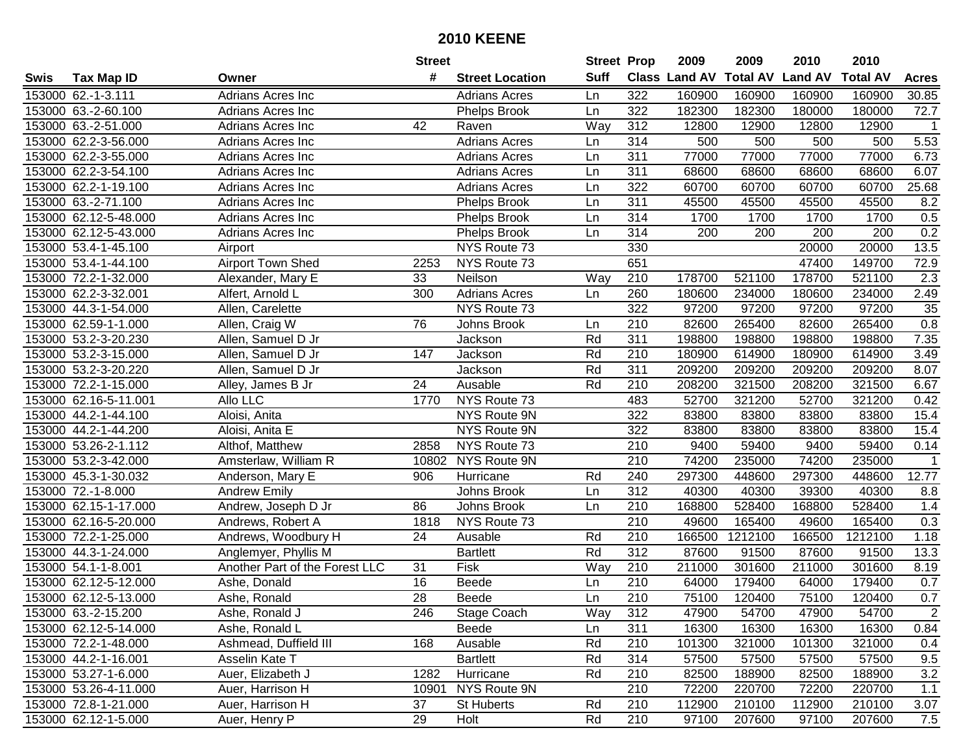| #<br><b>Suff</b><br><b>Total AV</b><br><b>Land AV</b><br><b>Class Land AV</b><br><b>Total AV</b><br><b>Tax Map ID</b><br><b>Street Location</b><br><b>Acres</b><br>Swis<br>Owner<br>153000 62.-1-3.111<br>Adrians Acres Inc<br>322<br>160900<br>160900<br>160900<br>160900<br>30.85<br><b>Adrians Acres</b><br>Ln<br>153000 63.-2-60.100<br>322<br>182300<br>182300<br>180000<br>180000<br>72.7<br>Adrians Acres Inc<br><b>Phelps Brook</b><br>Ln<br>153000 63.-2-51.000<br>42<br>Way<br>312<br>12800<br>12900<br>12800<br>12900<br>Adrians Acres Inc<br>Raven<br>$\overline{1}$<br>5.53<br><b>Adrians Acres</b><br>314<br>153000 62.2-3-56.000<br>500<br>500<br>500<br>500<br>Adrians Acres Inc<br>Ln<br>153000 62.2-3-55.000<br>311<br>77000<br>77000<br>77000<br>77000<br>6.73<br>Adrians Acres Inc<br><b>Adrians Acres</b><br>Ln<br>6.07<br>153000 62.2-3-54.100<br>311<br>68600<br>68600<br>68600<br>68600<br>Adrians Acres Inc<br><b>Adrians Acres</b><br>Ln<br>153000 62.2-1-19.100<br>322<br>60700<br>60700<br>25.68<br>Adrians Acres Inc<br><b>Adrians Acres</b><br>Ln<br>60700<br>60700<br>311<br>153000 63.-2-71.100<br>45500<br>45500<br>8.2<br>Ln<br>45500<br>45500<br>Adrians Acres Inc<br><b>Phelps Brook</b><br>0.5<br>153000 62.12-5-48.000<br>314<br>1700<br>1700<br>1700<br>1700<br><b>Phelps Brook</b><br>Ln<br>Adrians Acres Inc<br>0.2<br>314<br>200<br>153000 62.12-5-43.000<br>Phelps Brook<br>200<br>200<br>Adrians Acres Inc<br>Ln<br>200<br>330<br>13.5<br>153000 53.4-1-45.100<br>NYS Route 73<br>20000<br>20000<br>Airport<br>Airport Town Shed<br>651<br>153000 53.4-1-44.100<br>NYS Route 73<br>47400<br>149700<br>72.9<br>2253<br>153000 72.2-1-32.000<br>210<br>178700<br>178700<br>521100<br>2.3<br>Alexander, Mary E<br>33<br>Neilson<br>521100<br>Way<br>153000 62.2-3-32.001<br>300<br>260<br>180600<br>234000<br>234000<br>2.49<br>Alfert, Arnold L<br><b>Adrians Acres</b><br>Ln<br>180600<br>322<br>153000 44.3-1-54.000<br>Allen, Carelette<br>NYS Route 73<br>97200<br>97200<br>97200<br>97200<br>35<br>0.8<br>76<br>210<br>82600<br>265400<br>82600<br>265400<br>153000 62.59-1-1.000<br>Johns Brook<br>Allen, Craig W<br>Ln<br>Rd<br>311<br>7.35<br>153000 53.2-3-20.230<br>Allen, Samuel D Jr<br>198800<br>198800<br>198800<br>198800<br>Jackson<br>Rd<br>153000 53.2-3-15.000<br>Jackson<br>210<br>180900<br>614900<br>180900<br>3.49<br>Allen, Samuel D Jr<br>147<br>614900<br>153000 53.2-3-20.220<br>Jackson<br>Rd<br>311<br>209200<br>209200<br>209200<br>8.07<br>Allen, Samuel D Jr<br>209200<br>153000 72.2-1-15.000<br>24<br>Ausable<br>Rd<br>210<br>208200<br>321500<br>208200<br>321500<br>6.67<br>Alley, James B Jr<br>NYS Route 73<br>52700<br>321200<br>0.42<br>153000 62.16-5-11.001<br>Allo LLC<br>1770<br>483<br>321200<br>52700<br>NYS Route 9N<br>153000 44.2-1-44.100<br>322<br>83800<br>83800<br>83800<br>83800<br>15.4<br>Aloisi, Anita<br>322<br>15.4<br>153000 44.2-1-44.200<br>NYS Route 9N<br>83800<br>83800<br>83800<br>83800<br>Aloisi, Anita E<br>153000 53.26-2-1.112<br>2858<br>NYS Route 73<br>210<br>9400<br>59400<br>9400<br>59400<br>Althof, Matthew<br>0.14<br>153000 53.2-3-42.000<br>NYS Route 9N<br>210<br>74200<br>235000<br>74200<br>235000<br>10802<br>Amsterlaw, William R<br>$\mathbf 1$<br>Rd<br>240<br>297300<br>297300<br>12.77<br>153000 45.3-1-30.032<br>906<br>448600<br>448600<br>Anderson, Mary E<br>Hurricane<br>153000 72.-1-8.000<br>312<br><b>Andrew Emily</b><br>40300<br>40300<br>39300<br>40300<br>8.8<br>Johns Brook<br>Ln<br>168800<br>528400<br>168800<br>528400<br>153000 62.15-1-17.000<br>86<br>Johns Brook<br>210<br>1.4<br>Andrew, Joseph D Jr<br>Ln<br>$\overline{210}$<br>153000 62.16-5-20.000<br>NYS Route 73<br>49600<br>165400<br>49600<br>165400<br>0.3<br>Andrews, Robert A<br>1818<br>$\overline{24}$<br>Rd<br>$\overline{210}$<br>1212100<br>1212100<br>153000 72.2-1-25.000<br>Andrews, Woodbury H<br>166500<br>166500<br>1.18<br>Ausable<br>153000 44.3-1-24.000<br>Rd<br>$\overline{312}$<br>87600<br>91500<br>87600<br><b>Bartlett</b><br>91500<br>13.3<br>Anglemyer, Phyllis M<br>153000 54.1-1-8.001<br>Fisk<br>Way<br>210<br>211000<br>301600<br>211000<br>301600<br>8.19<br>Another Part of the Forest LLC<br>31<br>153000 62.12-5-12.000<br>16<br>$\overline{210}$<br><b>Beede</b><br>64000<br>179400<br>64000<br>179400<br>0.7<br>Ashe, Donald<br>Ln<br>$\overline{28}$<br>0.7<br>153000 62.12-5-13.000<br>210<br>75100<br>120400<br>75100<br>120400<br>Ashe, Ronald<br><b>Beede</b><br>Ln<br>153000 63.-2-15.200<br>Ashe, Ronald J<br>246<br>Stage Coach<br>Way<br>312<br>47900<br>54700<br>47900<br>54700<br>$\overline{2}$<br>153000 62.12-5-14.000<br>Beede<br>311<br>16300<br>16300<br>16300<br>16300<br>0.84<br>Ashe, Ronald L<br>Ln<br>101300<br>153000 72.2-1-48.000<br>Ashmead, Duffield III<br>168<br>Ausable<br>Rd<br>210<br>321000<br>101300<br>321000<br>0.4<br>153000 44.2-1-16.001<br><b>Bartlett</b><br>Rd<br>314<br>57500<br>9.5<br>Asselin Kate T<br>57500<br>57500<br>57500<br>Rd<br>3.2<br>153000 53.27-1-6.000<br>Auer, Elizabeth J<br>1282<br>Hurricane<br>210<br>82500<br>188900<br>82500<br>188900<br>NYS Route 9N<br>210<br>153000 53.26-4-11.000<br>Auer, Harrison H<br>10901<br>72200<br>220700<br>72200<br>220700<br>1.1<br>153000 72.8-1-21.000<br>37<br>Rd<br>210<br>112900<br>210100<br>112900<br>210100<br>Auer, Harrison H<br><b>St Huberts</b><br>3.07<br>153000 62.12-1-5.000 |  |               | <b>Street</b> |      | <b>Street Prop</b> |     | 2009  | 2009   | 2010  | 2010   |     |
|-----------------------------------------------------------------------------------------------------------------------------------------------------------------------------------------------------------------------------------------------------------------------------------------------------------------------------------------------------------------------------------------------------------------------------------------------------------------------------------------------------------------------------------------------------------------------------------------------------------------------------------------------------------------------------------------------------------------------------------------------------------------------------------------------------------------------------------------------------------------------------------------------------------------------------------------------------------------------------------------------------------------------------------------------------------------------------------------------------------------------------------------------------------------------------------------------------------------------------------------------------------------------------------------------------------------------------------------------------------------------------------------------------------------------------------------------------------------------------------------------------------------------------------------------------------------------------------------------------------------------------------------------------------------------------------------------------------------------------------------------------------------------------------------------------------------------------------------------------------------------------------------------------------------------------------------------------------------------------------------------------------------------------------------------------------------------------------------------------------------------------------------------------------------------------------------------------------------------------------------------------------------------------------------------------------------------------------------------------------------------------------------------------------------------------------------------------------------------------------------------------------------------------------------------------------------------------------------------------------------------------------------------------------------------------------------------------------------------------------------------------------------------------------------------------------------------------------------------------------------------------------------------------------------------------------------------------------------------------------------------------------------------------------------------------------------------------------------------------------------------------------------------------------------------------------------------------------------------------------------------------------------------------------------------------------------------------------------------------------------------------------------------------------------------------------------------------------------------------------------------------------------------------------------------------------------------------------------------------------------------------------------------------------------------------------------------------------------------------------------------------------------------------------------------------------------------------------------------------------------------------------------------------------------------------------------------------------------------------------------------------------------------------------------------------------------------------------------------------------------------------------------------------------------------------------------------------------------------------------------------------------------------------------------------------------------------------------------------------------------------------------------------------------------------------------------------------------------------------------------------------------------------------------------------------------------------------------------------------------------------------------------------------------------------------------------------------------------------------------------------------------------------------------------------------------------------------------------------------------------------------------------------------------------------------------------------------------------------------------------------------------------------------------------------------------------------------------------------------------------------------------------------------------------------------------------------------------------------------------------------------------------------------------------------------------------------------------------------------------------------------------------------------------------------------------------------------|--|---------------|---------------|------|--------------------|-----|-------|--------|-------|--------|-----|
|                                                                                                                                                                                                                                                                                                                                                                                                                                                                                                                                                                                                                                                                                                                                                                                                                                                                                                                                                                                                                                                                                                                                                                                                                                                                                                                                                                                                                                                                                                                                                                                                                                                                                                                                                                                                                                                                                                                                                                                                                                                                                                                                                                                                                                                                                                                                                                                                                                                                                                                                                                                                                                                                                                                                                                                                                                                                                                                                                                                                                                                                                                                                                                                                                                                                                                                                                                                                                                                                                                                                                                                                                                                                                                                                                                                                                                                                                                                                                                                                                                                                                                                                                                                                                                                                                                                                                                                                                                                                                                                                                                                                                                                                                                                                                                                                                                                                                                                                                                                                                                                                                                                                                                                                                                                                                                                                                                                                                                                     |  |               |               |      |                    |     |       |        |       |        |     |
|                                                                                                                                                                                                                                                                                                                                                                                                                                                                                                                                                                                                                                                                                                                                                                                                                                                                                                                                                                                                                                                                                                                                                                                                                                                                                                                                                                                                                                                                                                                                                                                                                                                                                                                                                                                                                                                                                                                                                                                                                                                                                                                                                                                                                                                                                                                                                                                                                                                                                                                                                                                                                                                                                                                                                                                                                                                                                                                                                                                                                                                                                                                                                                                                                                                                                                                                                                                                                                                                                                                                                                                                                                                                                                                                                                                                                                                                                                                                                                                                                                                                                                                                                                                                                                                                                                                                                                                                                                                                                                                                                                                                                                                                                                                                                                                                                                                                                                                                                                                                                                                                                                                                                                                                                                                                                                                                                                                                                                                     |  |               |               |      |                    |     |       |        |       |        |     |
|                                                                                                                                                                                                                                                                                                                                                                                                                                                                                                                                                                                                                                                                                                                                                                                                                                                                                                                                                                                                                                                                                                                                                                                                                                                                                                                                                                                                                                                                                                                                                                                                                                                                                                                                                                                                                                                                                                                                                                                                                                                                                                                                                                                                                                                                                                                                                                                                                                                                                                                                                                                                                                                                                                                                                                                                                                                                                                                                                                                                                                                                                                                                                                                                                                                                                                                                                                                                                                                                                                                                                                                                                                                                                                                                                                                                                                                                                                                                                                                                                                                                                                                                                                                                                                                                                                                                                                                                                                                                                                                                                                                                                                                                                                                                                                                                                                                                                                                                                                                                                                                                                                                                                                                                                                                                                                                                                                                                                                                     |  |               |               |      |                    |     |       |        |       |        |     |
|                                                                                                                                                                                                                                                                                                                                                                                                                                                                                                                                                                                                                                                                                                                                                                                                                                                                                                                                                                                                                                                                                                                                                                                                                                                                                                                                                                                                                                                                                                                                                                                                                                                                                                                                                                                                                                                                                                                                                                                                                                                                                                                                                                                                                                                                                                                                                                                                                                                                                                                                                                                                                                                                                                                                                                                                                                                                                                                                                                                                                                                                                                                                                                                                                                                                                                                                                                                                                                                                                                                                                                                                                                                                                                                                                                                                                                                                                                                                                                                                                                                                                                                                                                                                                                                                                                                                                                                                                                                                                                                                                                                                                                                                                                                                                                                                                                                                                                                                                                                                                                                                                                                                                                                                                                                                                                                                                                                                                                                     |  |               |               |      |                    |     |       |        |       |        |     |
|                                                                                                                                                                                                                                                                                                                                                                                                                                                                                                                                                                                                                                                                                                                                                                                                                                                                                                                                                                                                                                                                                                                                                                                                                                                                                                                                                                                                                                                                                                                                                                                                                                                                                                                                                                                                                                                                                                                                                                                                                                                                                                                                                                                                                                                                                                                                                                                                                                                                                                                                                                                                                                                                                                                                                                                                                                                                                                                                                                                                                                                                                                                                                                                                                                                                                                                                                                                                                                                                                                                                                                                                                                                                                                                                                                                                                                                                                                                                                                                                                                                                                                                                                                                                                                                                                                                                                                                                                                                                                                                                                                                                                                                                                                                                                                                                                                                                                                                                                                                                                                                                                                                                                                                                                                                                                                                                                                                                                                                     |  |               |               |      |                    |     |       |        |       |        |     |
|                                                                                                                                                                                                                                                                                                                                                                                                                                                                                                                                                                                                                                                                                                                                                                                                                                                                                                                                                                                                                                                                                                                                                                                                                                                                                                                                                                                                                                                                                                                                                                                                                                                                                                                                                                                                                                                                                                                                                                                                                                                                                                                                                                                                                                                                                                                                                                                                                                                                                                                                                                                                                                                                                                                                                                                                                                                                                                                                                                                                                                                                                                                                                                                                                                                                                                                                                                                                                                                                                                                                                                                                                                                                                                                                                                                                                                                                                                                                                                                                                                                                                                                                                                                                                                                                                                                                                                                                                                                                                                                                                                                                                                                                                                                                                                                                                                                                                                                                                                                                                                                                                                                                                                                                                                                                                                                                                                                                                                                     |  |               |               |      |                    |     |       |        |       |        |     |
|                                                                                                                                                                                                                                                                                                                                                                                                                                                                                                                                                                                                                                                                                                                                                                                                                                                                                                                                                                                                                                                                                                                                                                                                                                                                                                                                                                                                                                                                                                                                                                                                                                                                                                                                                                                                                                                                                                                                                                                                                                                                                                                                                                                                                                                                                                                                                                                                                                                                                                                                                                                                                                                                                                                                                                                                                                                                                                                                                                                                                                                                                                                                                                                                                                                                                                                                                                                                                                                                                                                                                                                                                                                                                                                                                                                                                                                                                                                                                                                                                                                                                                                                                                                                                                                                                                                                                                                                                                                                                                                                                                                                                                                                                                                                                                                                                                                                                                                                                                                                                                                                                                                                                                                                                                                                                                                                                                                                                                                     |  |               |               |      |                    |     |       |        |       |        |     |
|                                                                                                                                                                                                                                                                                                                                                                                                                                                                                                                                                                                                                                                                                                                                                                                                                                                                                                                                                                                                                                                                                                                                                                                                                                                                                                                                                                                                                                                                                                                                                                                                                                                                                                                                                                                                                                                                                                                                                                                                                                                                                                                                                                                                                                                                                                                                                                                                                                                                                                                                                                                                                                                                                                                                                                                                                                                                                                                                                                                                                                                                                                                                                                                                                                                                                                                                                                                                                                                                                                                                                                                                                                                                                                                                                                                                                                                                                                                                                                                                                                                                                                                                                                                                                                                                                                                                                                                                                                                                                                                                                                                                                                                                                                                                                                                                                                                                                                                                                                                                                                                                                                                                                                                                                                                                                                                                                                                                                                                     |  |               |               |      |                    |     |       |        |       |        |     |
|                                                                                                                                                                                                                                                                                                                                                                                                                                                                                                                                                                                                                                                                                                                                                                                                                                                                                                                                                                                                                                                                                                                                                                                                                                                                                                                                                                                                                                                                                                                                                                                                                                                                                                                                                                                                                                                                                                                                                                                                                                                                                                                                                                                                                                                                                                                                                                                                                                                                                                                                                                                                                                                                                                                                                                                                                                                                                                                                                                                                                                                                                                                                                                                                                                                                                                                                                                                                                                                                                                                                                                                                                                                                                                                                                                                                                                                                                                                                                                                                                                                                                                                                                                                                                                                                                                                                                                                                                                                                                                                                                                                                                                                                                                                                                                                                                                                                                                                                                                                                                                                                                                                                                                                                                                                                                                                                                                                                                                                     |  |               |               |      |                    |     |       |        |       |        |     |
|                                                                                                                                                                                                                                                                                                                                                                                                                                                                                                                                                                                                                                                                                                                                                                                                                                                                                                                                                                                                                                                                                                                                                                                                                                                                                                                                                                                                                                                                                                                                                                                                                                                                                                                                                                                                                                                                                                                                                                                                                                                                                                                                                                                                                                                                                                                                                                                                                                                                                                                                                                                                                                                                                                                                                                                                                                                                                                                                                                                                                                                                                                                                                                                                                                                                                                                                                                                                                                                                                                                                                                                                                                                                                                                                                                                                                                                                                                                                                                                                                                                                                                                                                                                                                                                                                                                                                                                                                                                                                                                                                                                                                                                                                                                                                                                                                                                                                                                                                                                                                                                                                                                                                                                                                                                                                                                                                                                                                                                     |  |               |               |      |                    |     |       |        |       |        |     |
|                                                                                                                                                                                                                                                                                                                                                                                                                                                                                                                                                                                                                                                                                                                                                                                                                                                                                                                                                                                                                                                                                                                                                                                                                                                                                                                                                                                                                                                                                                                                                                                                                                                                                                                                                                                                                                                                                                                                                                                                                                                                                                                                                                                                                                                                                                                                                                                                                                                                                                                                                                                                                                                                                                                                                                                                                                                                                                                                                                                                                                                                                                                                                                                                                                                                                                                                                                                                                                                                                                                                                                                                                                                                                                                                                                                                                                                                                                                                                                                                                                                                                                                                                                                                                                                                                                                                                                                                                                                                                                                                                                                                                                                                                                                                                                                                                                                                                                                                                                                                                                                                                                                                                                                                                                                                                                                                                                                                                                                     |  |               |               |      |                    |     |       |        |       |        |     |
|                                                                                                                                                                                                                                                                                                                                                                                                                                                                                                                                                                                                                                                                                                                                                                                                                                                                                                                                                                                                                                                                                                                                                                                                                                                                                                                                                                                                                                                                                                                                                                                                                                                                                                                                                                                                                                                                                                                                                                                                                                                                                                                                                                                                                                                                                                                                                                                                                                                                                                                                                                                                                                                                                                                                                                                                                                                                                                                                                                                                                                                                                                                                                                                                                                                                                                                                                                                                                                                                                                                                                                                                                                                                                                                                                                                                                                                                                                                                                                                                                                                                                                                                                                                                                                                                                                                                                                                                                                                                                                                                                                                                                                                                                                                                                                                                                                                                                                                                                                                                                                                                                                                                                                                                                                                                                                                                                                                                                                                     |  |               |               |      |                    |     |       |        |       |        |     |
|                                                                                                                                                                                                                                                                                                                                                                                                                                                                                                                                                                                                                                                                                                                                                                                                                                                                                                                                                                                                                                                                                                                                                                                                                                                                                                                                                                                                                                                                                                                                                                                                                                                                                                                                                                                                                                                                                                                                                                                                                                                                                                                                                                                                                                                                                                                                                                                                                                                                                                                                                                                                                                                                                                                                                                                                                                                                                                                                                                                                                                                                                                                                                                                                                                                                                                                                                                                                                                                                                                                                                                                                                                                                                                                                                                                                                                                                                                                                                                                                                                                                                                                                                                                                                                                                                                                                                                                                                                                                                                                                                                                                                                                                                                                                                                                                                                                                                                                                                                                                                                                                                                                                                                                                                                                                                                                                                                                                                                                     |  |               |               |      |                    |     |       |        |       |        |     |
|                                                                                                                                                                                                                                                                                                                                                                                                                                                                                                                                                                                                                                                                                                                                                                                                                                                                                                                                                                                                                                                                                                                                                                                                                                                                                                                                                                                                                                                                                                                                                                                                                                                                                                                                                                                                                                                                                                                                                                                                                                                                                                                                                                                                                                                                                                                                                                                                                                                                                                                                                                                                                                                                                                                                                                                                                                                                                                                                                                                                                                                                                                                                                                                                                                                                                                                                                                                                                                                                                                                                                                                                                                                                                                                                                                                                                                                                                                                                                                                                                                                                                                                                                                                                                                                                                                                                                                                                                                                                                                                                                                                                                                                                                                                                                                                                                                                                                                                                                                                                                                                                                                                                                                                                                                                                                                                                                                                                                                                     |  |               |               |      |                    |     |       |        |       |        |     |
|                                                                                                                                                                                                                                                                                                                                                                                                                                                                                                                                                                                                                                                                                                                                                                                                                                                                                                                                                                                                                                                                                                                                                                                                                                                                                                                                                                                                                                                                                                                                                                                                                                                                                                                                                                                                                                                                                                                                                                                                                                                                                                                                                                                                                                                                                                                                                                                                                                                                                                                                                                                                                                                                                                                                                                                                                                                                                                                                                                                                                                                                                                                                                                                                                                                                                                                                                                                                                                                                                                                                                                                                                                                                                                                                                                                                                                                                                                                                                                                                                                                                                                                                                                                                                                                                                                                                                                                                                                                                                                                                                                                                                                                                                                                                                                                                                                                                                                                                                                                                                                                                                                                                                                                                                                                                                                                                                                                                                                                     |  |               |               |      |                    |     |       |        |       |        |     |
|                                                                                                                                                                                                                                                                                                                                                                                                                                                                                                                                                                                                                                                                                                                                                                                                                                                                                                                                                                                                                                                                                                                                                                                                                                                                                                                                                                                                                                                                                                                                                                                                                                                                                                                                                                                                                                                                                                                                                                                                                                                                                                                                                                                                                                                                                                                                                                                                                                                                                                                                                                                                                                                                                                                                                                                                                                                                                                                                                                                                                                                                                                                                                                                                                                                                                                                                                                                                                                                                                                                                                                                                                                                                                                                                                                                                                                                                                                                                                                                                                                                                                                                                                                                                                                                                                                                                                                                                                                                                                                                                                                                                                                                                                                                                                                                                                                                                                                                                                                                                                                                                                                                                                                                                                                                                                                                                                                                                                                                     |  |               |               |      |                    |     |       |        |       |        |     |
|                                                                                                                                                                                                                                                                                                                                                                                                                                                                                                                                                                                                                                                                                                                                                                                                                                                                                                                                                                                                                                                                                                                                                                                                                                                                                                                                                                                                                                                                                                                                                                                                                                                                                                                                                                                                                                                                                                                                                                                                                                                                                                                                                                                                                                                                                                                                                                                                                                                                                                                                                                                                                                                                                                                                                                                                                                                                                                                                                                                                                                                                                                                                                                                                                                                                                                                                                                                                                                                                                                                                                                                                                                                                                                                                                                                                                                                                                                                                                                                                                                                                                                                                                                                                                                                                                                                                                                                                                                                                                                                                                                                                                                                                                                                                                                                                                                                                                                                                                                                                                                                                                                                                                                                                                                                                                                                                                                                                                                                     |  |               |               |      |                    |     |       |        |       |        |     |
|                                                                                                                                                                                                                                                                                                                                                                                                                                                                                                                                                                                                                                                                                                                                                                                                                                                                                                                                                                                                                                                                                                                                                                                                                                                                                                                                                                                                                                                                                                                                                                                                                                                                                                                                                                                                                                                                                                                                                                                                                                                                                                                                                                                                                                                                                                                                                                                                                                                                                                                                                                                                                                                                                                                                                                                                                                                                                                                                                                                                                                                                                                                                                                                                                                                                                                                                                                                                                                                                                                                                                                                                                                                                                                                                                                                                                                                                                                                                                                                                                                                                                                                                                                                                                                                                                                                                                                                                                                                                                                                                                                                                                                                                                                                                                                                                                                                                                                                                                                                                                                                                                                                                                                                                                                                                                                                                                                                                                                                     |  |               |               |      |                    |     |       |        |       |        |     |
|                                                                                                                                                                                                                                                                                                                                                                                                                                                                                                                                                                                                                                                                                                                                                                                                                                                                                                                                                                                                                                                                                                                                                                                                                                                                                                                                                                                                                                                                                                                                                                                                                                                                                                                                                                                                                                                                                                                                                                                                                                                                                                                                                                                                                                                                                                                                                                                                                                                                                                                                                                                                                                                                                                                                                                                                                                                                                                                                                                                                                                                                                                                                                                                                                                                                                                                                                                                                                                                                                                                                                                                                                                                                                                                                                                                                                                                                                                                                                                                                                                                                                                                                                                                                                                                                                                                                                                                                                                                                                                                                                                                                                                                                                                                                                                                                                                                                                                                                                                                                                                                                                                                                                                                                                                                                                                                                                                                                                                                     |  |               |               |      |                    |     |       |        |       |        |     |
|                                                                                                                                                                                                                                                                                                                                                                                                                                                                                                                                                                                                                                                                                                                                                                                                                                                                                                                                                                                                                                                                                                                                                                                                                                                                                                                                                                                                                                                                                                                                                                                                                                                                                                                                                                                                                                                                                                                                                                                                                                                                                                                                                                                                                                                                                                                                                                                                                                                                                                                                                                                                                                                                                                                                                                                                                                                                                                                                                                                                                                                                                                                                                                                                                                                                                                                                                                                                                                                                                                                                                                                                                                                                                                                                                                                                                                                                                                                                                                                                                                                                                                                                                                                                                                                                                                                                                                                                                                                                                                                                                                                                                                                                                                                                                                                                                                                                                                                                                                                                                                                                                                                                                                                                                                                                                                                                                                                                                                                     |  |               |               |      |                    |     |       |        |       |        |     |
|                                                                                                                                                                                                                                                                                                                                                                                                                                                                                                                                                                                                                                                                                                                                                                                                                                                                                                                                                                                                                                                                                                                                                                                                                                                                                                                                                                                                                                                                                                                                                                                                                                                                                                                                                                                                                                                                                                                                                                                                                                                                                                                                                                                                                                                                                                                                                                                                                                                                                                                                                                                                                                                                                                                                                                                                                                                                                                                                                                                                                                                                                                                                                                                                                                                                                                                                                                                                                                                                                                                                                                                                                                                                                                                                                                                                                                                                                                                                                                                                                                                                                                                                                                                                                                                                                                                                                                                                                                                                                                                                                                                                                                                                                                                                                                                                                                                                                                                                                                                                                                                                                                                                                                                                                                                                                                                                                                                                                                                     |  |               |               |      |                    |     |       |        |       |        |     |
|                                                                                                                                                                                                                                                                                                                                                                                                                                                                                                                                                                                                                                                                                                                                                                                                                                                                                                                                                                                                                                                                                                                                                                                                                                                                                                                                                                                                                                                                                                                                                                                                                                                                                                                                                                                                                                                                                                                                                                                                                                                                                                                                                                                                                                                                                                                                                                                                                                                                                                                                                                                                                                                                                                                                                                                                                                                                                                                                                                                                                                                                                                                                                                                                                                                                                                                                                                                                                                                                                                                                                                                                                                                                                                                                                                                                                                                                                                                                                                                                                                                                                                                                                                                                                                                                                                                                                                                                                                                                                                                                                                                                                                                                                                                                                                                                                                                                                                                                                                                                                                                                                                                                                                                                                                                                                                                                                                                                                                                     |  |               |               |      |                    |     |       |        |       |        |     |
|                                                                                                                                                                                                                                                                                                                                                                                                                                                                                                                                                                                                                                                                                                                                                                                                                                                                                                                                                                                                                                                                                                                                                                                                                                                                                                                                                                                                                                                                                                                                                                                                                                                                                                                                                                                                                                                                                                                                                                                                                                                                                                                                                                                                                                                                                                                                                                                                                                                                                                                                                                                                                                                                                                                                                                                                                                                                                                                                                                                                                                                                                                                                                                                                                                                                                                                                                                                                                                                                                                                                                                                                                                                                                                                                                                                                                                                                                                                                                                                                                                                                                                                                                                                                                                                                                                                                                                                                                                                                                                                                                                                                                                                                                                                                                                                                                                                                                                                                                                                                                                                                                                                                                                                                                                                                                                                                                                                                                                                     |  |               |               |      |                    |     |       |        |       |        |     |
|                                                                                                                                                                                                                                                                                                                                                                                                                                                                                                                                                                                                                                                                                                                                                                                                                                                                                                                                                                                                                                                                                                                                                                                                                                                                                                                                                                                                                                                                                                                                                                                                                                                                                                                                                                                                                                                                                                                                                                                                                                                                                                                                                                                                                                                                                                                                                                                                                                                                                                                                                                                                                                                                                                                                                                                                                                                                                                                                                                                                                                                                                                                                                                                                                                                                                                                                                                                                                                                                                                                                                                                                                                                                                                                                                                                                                                                                                                                                                                                                                                                                                                                                                                                                                                                                                                                                                                                                                                                                                                                                                                                                                                                                                                                                                                                                                                                                                                                                                                                                                                                                                                                                                                                                                                                                                                                                                                                                                                                     |  |               |               |      |                    |     |       |        |       |        |     |
|                                                                                                                                                                                                                                                                                                                                                                                                                                                                                                                                                                                                                                                                                                                                                                                                                                                                                                                                                                                                                                                                                                                                                                                                                                                                                                                                                                                                                                                                                                                                                                                                                                                                                                                                                                                                                                                                                                                                                                                                                                                                                                                                                                                                                                                                                                                                                                                                                                                                                                                                                                                                                                                                                                                                                                                                                                                                                                                                                                                                                                                                                                                                                                                                                                                                                                                                                                                                                                                                                                                                                                                                                                                                                                                                                                                                                                                                                                                                                                                                                                                                                                                                                                                                                                                                                                                                                                                                                                                                                                                                                                                                                                                                                                                                                                                                                                                                                                                                                                                                                                                                                                                                                                                                                                                                                                                                                                                                                                                     |  |               |               |      |                    |     |       |        |       |        |     |
|                                                                                                                                                                                                                                                                                                                                                                                                                                                                                                                                                                                                                                                                                                                                                                                                                                                                                                                                                                                                                                                                                                                                                                                                                                                                                                                                                                                                                                                                                                                                                                                                                                                                                                                                                                                                                                                                                                                                                                                                                                                                                                                                                                                                                                                                                                                                                                                                                                                                                                                                                                                                                                                                                                                                                                                                                                                                                                                                                                                                                                                                                                                                                                                                                                                                                                                                                                                                                                                                                                                                                                                                                                                                                                                                                                                                                                                                                                                                                                                                                                                                                                                                                                                                                                                                                                                                                                                                                                                                                                                                                                                                                                                                                                                                                                                                                                                                                                                                                                                                                                                                                                                                                                                                                                                                                                                                                                                                                                                     |  |               |               |      |                    |     |       |        |       |        |     |
|                                                                                                                                                                                                                                                                                                                                                                                                                                                                                                                                                                                                                                                                                                                                                                                                                                                                                                                                                                                                                                                                                                                                                                                                                                                                                                                                                                                                                                                                                                                                                                                                                                                                                                                                                                                                                                                                                                                                                                                                                                                                                                                                                                                                                                                                                                                                                                                                                                                                                                                                                                                                                                                                                                                                                                                                                                                                                                                                                                                                                                                                                                                                                                                                                                                                                                                                                                                                                                                                                                                                                                                                                                                                                                                                                                                                                                                                                                                                                                                                                                                                                                                                                                                                                                                                                                                                                                                                                                                                                                                                                                                                                                                                                                                                                                                                                                                                                                                                                                                                                                                                                                                                                                                                                                                                                                                                                                                                                                                     |  |               |               |      |                    |     |       |        |       |        |     |
|                                                                                                                                                                                                                                                                                                                                                                                                                                                                                                                                                                                                                                                                                                                                                                                                                                                                                                                                                                                                                                                                                                                                                                                                                                                                                                                                                                                                                                                                                                                                                                                                                                                                                                                                                                                                                                                                                                                                                                                                                                                                                                                                                                                                                                                                                                                                                                                                                                                                                                                                                                                                                                                                                                                                                                                                                                                                                                                                                                                                                                                                                                                                                                                                                                                                                                                                                                                                                                                                                                                                                                                                                                                                                                                                                                                                                                                                                                                                                                                                                                                                                                                                                                                                                                                                                                                                                                                                                                                                                                                                                                                                                                                                                                                                                                                                                                                                                                                                                                                                                                                                                                                                                                                                                                                                                                                                                                                                                                                     |  |               |               |      |                    |     |       |        |       |        |     |
|                                                                                                                                                                                                                                                                                                                                                                                                                                                                                                                                                                                                                                                                                                                                                                                                                                                                                                                                                                                                                                                                                                                                                                                                                                                                                                                                                                                                                                                                                                                                                                                                                                                                                                                                                                                                                                                                                                                                                                                                                                                                                                                                                                                                                                                                                                                                                                                                                                                                                                                                                                                                                                                                                                                                                                                                                                                                                                                                                                                                                                                                                                                                                                                                                                                                                                                                                                                                                                                                                                                                                                                                                                                                                                                                                                                                                                                                                                                                                                                                                                                                                                                                                                                                                                                                                                                                                                                                                                                                                                                                                                                                                                                                                                                                                                                                                                                                                                                                                                                                                                                                                                                                                                                                                                                                                                                                                                                                                                                     |  |               |               |      |                    |     |       |        |       |        |     |
|                                                                                                                                                                                                                                                                                                                                                                                                                                                                                                                                                                                                                                                                                                                                                                                                                                                                                                                                                                                                                                                                                                                                                                                                                                                                                                                                                                                                                                                                                                                                                                                                                                                                                                                                                                                                                                                                                                                                                                                                                                                                                                                                                                                                                                                                                                                                                                                                                                                                                                                                                                                                                                                                                                                                                                                                                                                                                                                                                                                                                                                                                                                                                                                                                                                                                                                                                                                                                                                                                                                                                                                                                                                                                                                                                                                                                                                                                                                                                                                                                                                                                                                                                                                                                                                                                                                                                                                                                                                                                                                                                                                                                                                                                                                                                                                                                                                                                                                                                                                                                                                                                                                                                                                                                                                                                                                                                                                                                                                     |  |               |               |      |                    |     |       |        |       |        |     |
|                                                                                                                                                                                                                                                                                                                                                                                                                                                                                                                                                                                                                                                                                                                                                                                                                                                                                                                                                                                                                                                                                                                                                                                                                                                                                                                                                                                                                                                                                                                                                                                                                                                                                                                                                                                                                                                                                                                                                                                                                                                                                                                                                                                                                                                                                                                                                                                                                                                                                                                                                                                                                                                                                                                                                                                                                                                                                                                                                                                                                                                                                                                                                                                                                                                                                                                                                                                                                                                                                                                                                                                                                                                                                                                                                                                                                                                                                                                                                                                                                                                                                                                                                                                                                                                                                                                                                                                                                                                                                                                                                                                                                                                                                                                                                                                                                                                                                                                                                                                                                                                                                                                                                                                                                                                                                                                                                                                                                                                     |  |               |               |      |                    |     |       |        |       |        |     |
|                                                                                                                                                                                                                                                                                                                                                                                                                                                                                                                                                                                                                                                                                                                                                                                                                                                                                                                                                                                                                                                                                                                                                                                                                                                                                                                                                                                                                                                                                                                                                                                                                                                                                                                                                                                                                                                                                                                                                                                                                                                                                                                                                                                                                                                                                                                                                                                                                                                                                                                                                                                                                                                                                                                                                                                                                                                                                                                                                                                                                                                                                                                                                                                                                                                                                                                                                                                                                                                                                                                                                                                                                                                                                                                                                                                                                                                                                                                                                                                                                                                                                                                                                                                                                                                                                                                                                                                                                                                                                                                                                                                                                                                                                                                                                                                                                                                                                                                                                                                                                                                                                                                                                                                                                                                                                                                                                                                                                                                     |  |               |               |      |                    |     |       |        |       |        |     |
|                                                                                                                                                                                                                                                                                                                                                                                                                                                                                                                                                                                                                                                                                                                                                                                                                                                                                                                                                                                                                                                                                                                                                                                                                                                                                                                                                                                                                                                                                                                                                                                                                                                                                                                                                                                                                                                                                                                                                                                                                                                                                                                                                                                                                                                                                                                                                                                                                                                                                                                                                                                                                                                                                                                                                                                                                                                                                                                                                                                                                                                                                                                                                                                                                                                                                                                                                                                                                                                                                                                                                                                                                                                                                                                                                                                                                                                                                                                                                                                                                                                                                                                                                                                                                                                                                                                                                                                                                                                                                                                                                                                                                                                                                                                                                                                                                                                                                                                                                                                                                                                                                                                                                                                                                                                                                                                                                                                                                                                     |  |               |               |      |                    |     |       |        |       |        |     |
|                                                                                                                                                                                                                                                                                                                                                                                                                                                                                                                                                                                                                                                                                                                                                                                                                                                                                                                                                                                                                                                                                                                                                                                                                                                                                                                                                                                                                                                                                                                                                                                                                                                                                                                                                                                                                                                                                                                                                                                                                                                                                                                                                                                                                                                                                                                                                                                                                                                                                                                                                                                                                                                                                                                                                                                                                                                                                                                                                                                                                                                                                                                                                                                                                                                                                                                                                                                                                                                                                                                                                                                                                                                                                                                                                                                                                                                                                                                                                                                                                                                                                                                                                                                                                                                                                                                                                                                                                                                                                                                                                                                                                                                                                                                                                                                                                                                                                                                                                                                                                                                                                                                                                                                                                                                                                                                                                                                                                                                     |  |               |               |      |                    |     |       |        |       |        |     |
|                                                                                                                                                                                                                                                                                                                                                                                                                                                                                                                                                                                                                                                                                                                                                                                                                                                                                                                                                                                                                                                                                                                                                                                                                                                                                                                                                                                                                                                                                                                                                                                                                                                                                                                                                                                                                                                                                                                                                                                                                                                                                                                                                                                                                                                                                                                                                                                                                                                                                                                                                                                                                                                                                                                                                                                                                                                                                                                                                                                                                                                                                                                                                                                                                                                                                                                                                                                                                                                                                                                                                                                                                                                                                                                                                                                                                                                                                                                                                                                                                                                                                                                                                                                                                                                                                                                                                                                                                                                                                                                                                                                                                                                                                                                                                                                                                                                                                                                                                                                                                                                                                                                                                                                                                                                                                                                                                                                                                                                     |  |               |               |      |                    |     |       |        |       |        |     |
|                                                                                                                                                                                                                                                                                                                                                                                                                                                                                                                                                                                                                                                                                                                                                                                                                                                                                                                                                                                                                                                                                                                                                                                                                                                                                                                                                                                                                                                                                                                                                                                                                                                                                                                                                                                                                                                                                                                                                                                                                                                                                                                                                                                                                                                                                                                                                                                                                                                                                                                                                                                                                                                                                                                                                                                                                                                                                                                                                                                                                                                                                                                                                                                                                                                                                                                                                                                                                                                                                                                                                                                                                                                                                                                                                                                                                                                                                                                                                                                                                                                                                                                                                                                                                                                                                                                                                                                                                                                                                                                                                                                                                                                                                                                                                                                                                                                                                                                                                                                                                                                                                                                                                                                                                                                                                                                                                                                                                                                     |  |               |               |      |                    |     |       |        |       |        |     |
|                                                                                                                                                                                                                                                                                                                                                                                                                                                                                                                                                                                                                                                                                                                                                                                                                                                                                                                                                                                                                                                                                                                                                                                                                                                                                                                                                                                                                                                                                                                                                                                                                                                                                                                                                                                                                                                                                                                                                                                                                                                                                                                                                                                                                                                                                                                                                                                                                                                                                                                                                                                                                                                                                                                                                                                                                                                                                                                                                                                                                                                                                                                                                                                                                                                                                                                                                                                                                                                                                                                                                                                                                                                                                                                                                                                                                                                                                                                                                                                                                                                                                                                                                                                                                                                                                                                                                                                                                                                                                                                                                                                                                                                                                                                                                                                                                                                                                                                                                                                                                                                                                                                                                                                                                                                                                                                                                                                                                                                     |  |               |               |      |                    |     |       |        |       |        |     |
|                                                                                                                                                                                                                                                                                                                                                                                                                                                                                                                                                                                                                                                                                                                                                                                                                                                                                                                                                                                                                                                                                                                                                                                                                                                                                                                                                                                                                                                                                                                                                                                                                                                                                                                                                                                                                                                                                                                                                                                                                                                                                                                                                                                                                                                                                                                                                                                                                                                                                                                                                                                                                                                                                                                                                                                                                                                                                                                                                                                                                                                                                                                                                                                                                                                                                                                                                                                                                                                                                                                                                                                                                                                                                                                                                                                                                                                                                                                                                                                                                                                                                                                                                                                                                                                                                                                                                                                                                                                                                                                                                                                                                                                                                                                                                                                                                                                                                                                                                                                                                                                                                                                                                                                                                                                                                                                                                                                                                                                     |  |               |               |      |                    |     |       |        |       |        |     |
|                                                                                                                                                                                                                                                                                                                                                                                                                                                                                                                                                                                                                                                                                                                                                                                                                                                                                                                                                                                                                                                                                                                                                                                                                                                                                                                                                                                                                                                                                                                                                                                                                                                                                                                                                                                                                                                                                                                                                                                                                                                                                                                                                                                                                                                                                                                                                                                                                                                                                                                                                                                                                                                                                                                                                                                                                                                                                                                                                                                                                                                                                                                                                                                                                                                                                                                                                                                                                                                                                                                                                                                                                                                                                                                                                                                                                                                                                                                                                                                                                                                                                                                                                                                                                                                                                                                                                                                                                                                                                                                                                                                                                                                                                                                                                                                                                                                                                                                                                                                                                                                                                                                                                                                                                                                                                                                                                                                                                                                     |  |               |               |      |                    |     |       |        |       |        |     |
|                                                                                                                                                                                                                                                                                                                                                                                                                                                                                                                                                                                                                                                                                                                                                                                                                                                                                                                                                                                                                                                                                                                                                                                                                                                                                                                                                                                                                                                                                                                                                                                                                                                                                                                                                                                                                                                                                                                                                                                                                                                                                                                                                                                                                                                                                                                                                                                                                                                                                                                                                                                                                                                                                                                                                                                                                                                                                                                                                                                                                                                                                                                                                                                                                                                                                                                                                                                                                                                                                                                                                                                                                                                                                                                                                                                                                                                                                                                                                                                                                                                                                                                                                                                                                                                                                                                                                                                                                                                                                                                                                                                                                                                                                                                                                                                                                                                                                                                                                                                                                                                                                                                                                                                                                                                                                                                                                                                                                                                     |  |               |               |      |                    |     |       |        |       |        |     |
|                                                                                                                                                                                                                                                                                                                                                                                                                                                                                                                                                                                                                                                                                                                                                                                                                                                                                                                                                                                                                                                                                                                                                                                                                                                                                                                                                                                                                                                                                                                                                                                                                                                                                                                                                                                                                                                                                                                                                                                                                                                                                                                                                                                                                                                                                                                                                                                                                                                                                                                                                                                                                                                                                                                                                                                                                                                                                                                                                                                                                                                                                                                                                                                                                                                                                                                                                                                                                                                                                                                                                                                                                                                                                                                                                                                                                                                                                                                                                                                                                                                                                                                                                                                                                                                                                                                                                                                                                                                                                                                                                                                                                                                                                                                                                                                                                                                                                                                                                                                                                                                                                                                                                                                                                                                                                                                                                                                                                                                     |  |               |               |      |                    |     |       |        |       |        |     |
|                                                                                                                                                                                                                                                                                                                                                                                                                                                                                                                                                                                                                                                                                                                                                                                                                                                                                                                                                                                                                                                                                                                                                                                                                                                                                                                                                                                                                                                                                                                                                                                                                                                                                                                                                                                                                                                                                                                                                                                                                                                                                                                                                                                                                                                                                                                                                                                                                                                                                                                                                                                                                                                                                                                                                                                                                                                                                                                                                                                                                                                                                                                                                                                                                                                                                                                                                                                                                                                                                                                                                                                                                                                                                                                                                                                                                                                                                                                                                                                                                                                                                                                                                                                                                                                                                                                                                                                                                                                                                                                                                                                                                                                                                                                                                                                                                                                                                                                                                                                                                                                                                                                                                                                                                                                                                                                                                                                                                                                     |  |               |               |      |                    |     |       |        |       |        |     |
|                                                                                                                                                                                                                                                                                                                                                                                                                                                                                                                                                                                                                                                                                                                                                                                                                                                                                                                                                                                                                                                                                                                                                                                                                                                                                                                                                                                                                                                                                                                                                                                                                                                                                                                                                                                                                                                                                                                                                                                                                                                                                                                                                                                                                                                                                                                                                                                                                                                                                                                                                                                                                                                                                                                                                                                                                                                                                                                                                                                                                                                                                                                                                                                                                                                                                                                                                                                                                                                                                                                                                                                                                                                                                                                                                                                                                                                                                                                                                                                                                                                                                                                                                                                                                                                                                                                                                                                                                                                                                                                                                                                                                                                                                                                                                                                                                                                                                                                                                                                                                                                                                                                                                                                                                                                                                                                                                                                                                                                     |  | Auer, Henry P | 29            | Holt | Rd                 | 210 | 97100 | 207600 | 97100 | 207600 | 7.5 |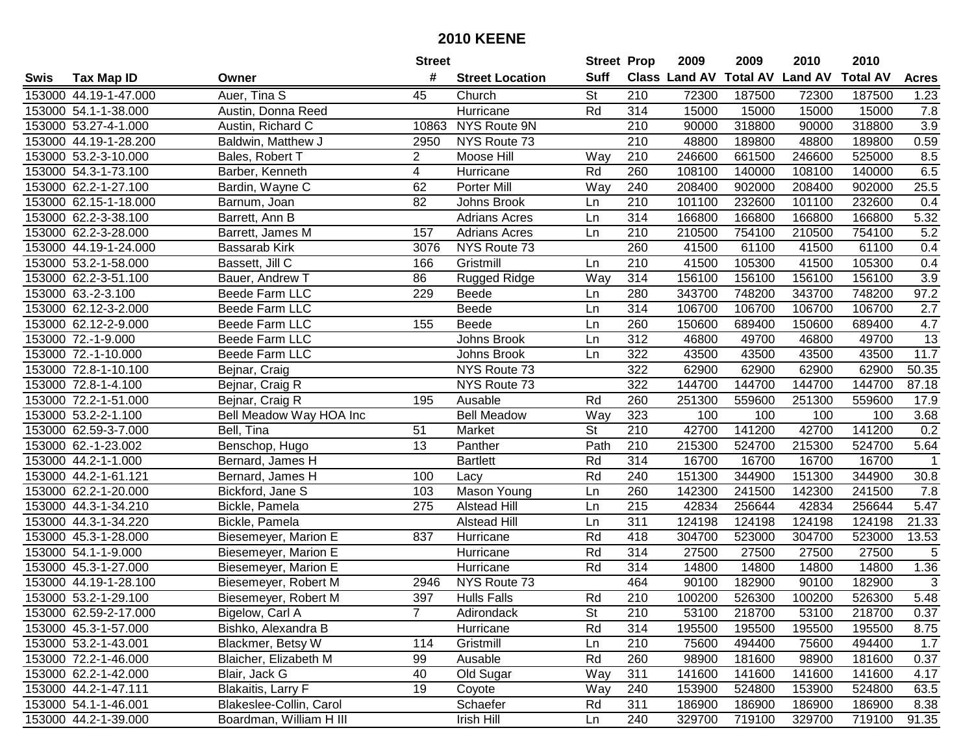|      |                       |                         | <b>Street</b>   |                        | <b>Street Prop</b> |                  | 2009          | 2009            | 2010           | 2010            |                  |
|------|-----------------------|-------------------------|-----------------|------------------------|--------------------|------------------|---------------|-----------------|----------------|-----------------|------------------|
| Swis | <b>Tax Map ID</b>     | Owner                   | #               | <b>Street Location</b> | <b>Suff</b>        |                  | Class Land AV | <b>Total AV</b> | <b>Land AV</b> | <b>Total AV</b> | <b>Acres</b>     |
|      | 153000 44.19-1-47.000 | Auer, Tina S            | 45              | Church                 | <b>St</b>          | 210              | 72300         | 187500          | 72300          | 187500          | 1.23             |
|      | 153000 54.1-1-38.000  | Austin, Donna Reed      |                 | Hurricane              | Rd                 | 314              | 15000         | 15000           | 15000          | 15000           | 7.8              |
|      | 153000 53.27-4-1.000  | Austin, Richard C       | 10863           | <b>NYS Route 9N</b>    |                    | 210              | 90000         | 318800          | 90000          | 318800          | 3.9              |
|      | 153000 44.19-1-28.200 | Baldwin, Matthew J      | 2950            | NYS Route 73           |                    | 210              | 48800         | 189800          | 48800          | 189800          | 0.59             |
|      | 153000 53.2-3-10.000  | Bales, Robert T         | $\overline{2}$  | Moose Hill             | Way                | 210              | 246600        | 661500          | 246600         | 525000          | 8.5              |
|      | 153000 54.3-1-73.100  | Barber, Kenneth         | 4               | Hurricane              | Rd                 | 260              | 108100        | 140000          | 108100         | 140000          | 6.5              |
|      | 153000 62.2-1-27.100  | Bardin, Wayne C         | 62              | Porter Mill            | Way                | 240              | 208400        | 902000          | 208400         | 902000          | 25.5             |
|      | 153000 62.15-1-18.000 | Barnum, Joan            | $\overline{82}$ | Johns Brook            | Ln                 | 210              | 101100        | 232600          | 101100         | 232600          | 0.4              |
|      | 153000 62.2-3-38.100  | Barrett, Ann B          |                 | <b>Adrians Acres</b>   | Ln                 | 314              | 166800        | 166800          | 166800         | 166800          | 5.32             |
|      | 153000 62.2-3-28.000  | Barrett, James M        | 157             | <b>Adrians Acres</b>   | Ln                 | 210              | 210500        | 754100          | 210500         | 754100          | 5.2              |
|      | 153000 44.19-1-24.000 | Bassarab Kirk           | 3076            | NYS Route 73           |                    | 260              | 41500         | 61100           | 41500          | 61100           | 0.4              |
|      | 153000 53.2-1-58.000  | Bassett, Jill C         | 166             | Gristmill              | Ln                 | 210              | 41500         | 105300          | 41500          | 105300          | 0.4              |
|      | 153000 62.2-3-51.100  | Bauer, Andrew T         | 86              | <b>Rugged Ridge</b>    | Way                | 314              | 156100        | 156100          | 156100         | 156100          | $\overline{3.9}$ |
|      | 153000 63.-2-3.100    | Beede Farm LLC          | 229             | Beede                  | Ln                 | 280              | 343700        | 748200          | 343700         | 748200          | 97.2             |
|      | 153000 62.12-3-2.000  | Beede Farm LLC          |                 | Beede                  | Ln                 | 314              | 106700        | 106700          | 106700         | 106700          | 2.7              |
|      | 153000 62.12-2-9.000  | Beede Farm LLC          | 155             | Beede                  | Ln                 | 260              | 150600        | 689400          | 150600         | 689400          | 4.7              |
|      | 153000 72.-1-9.000    | Beede Farm LLC          |                 | Johns Brook            | Ln                 | 312              | 46800         | 49700           | 46800          | 49700           | $\overline{13}$  |
|      | 153000 72.-1-10.000   | Beede Farm LLC          |                 | Johns Brook            | Ln                 | 322              | 43500         | 43500           | 43500          | 43500           | 11.7             |
|      | 153000 72.8-1-10.100  | Bejnar, Craig           |                 | NYS Route 73           |                    | 322              | 62900         | 62900           | 62900          | 62900           | 50.35            |
|      | 153000 72.8-1-4.100   | Bejnar, Craig R         |                 | NYS Route 73           |                    | 322              | 144700        | 144700          | 144700         | 144700          | 87.18            |
|      | 153000 72.2-1-51.000  | Bejnar, Craig R         | 195             | Ausable                | Rd                 | 260              | 251300        | 559600          | 251300         | 559600          | 17.9             |
|      | 153000 53.2-2-1.100   | Bell Meadow Way HOA Inc |                 | <b>Bell Meadow</b>     | Way                | 323              | 100           | 100             | 100            | 100             | 3.68             |
|      | 153000 62.59-3-7.000  | Bell, Tina              | 51              | Market                 | St                 | 210              | 42700         | 141200          | 42700          | 141200          | 0.2              |
|      | 153000 62.-1-23.002   | Benschop, Hugo          | 13              | Panther                | Path               | 210              | 215300        | 524700          | 215300         | 524700          | 5.64             |
|      | 153000 44.2-1-1.000   | Bernard, James H        |                 | <b>Bartlett</b>        | Rd                 | 314              | 16700         | 16700           | 16700          | 16700           | $\overline{1}$   |
|      | 153000 44.2-1-61.121  | Bernard, James H        | 100             | Lacy                   | Rd                 | 240              | 151300        | 344900          | 151300         | 344900          | 30.8             |
|      | 153000 62.2-1-20.000  | Bickford, Jane S        | 103             | Mason Young            | Ln                 | 260              | 142300        | 241500          | 142300         | 241500          | 7.8              |
|      | 153000 44.3-1-34.210  | Bickle, Pamela          | 275             | <b>Alstead Hill</b>    | Ln                 | 215              | 42834         | 256644          | 42834          | 256644          | 5.47             |
|      | 153000 44.3-1-34.220  | Bickle, Pamela          |                 | <b>Alstead Hill</b>    | Ln                 | 311              | 124198        | 124198          | 124198         | 124198          | 21.33            |
|      | 153000 45.3-1-28.000  | Biesemeyer, Marion E    | 837             | Hurricane              | Rd                 | 418              | 304700        | 523000          | 304700         | 523000          | 13.53            |
|      | 153000 54.1-1-9.000   | Biesemeyer, Marion E    |                 | Hurricane              | Rd                 | $\overline{314}$ | 27500         | 27500           | 27500          | 27500           | 5                |
|      | 153000 45.3-1-27.000  | Biesemeyer, Marion E    |                 | Hurricane              | Rd                 | 314              | 14800         | 14800           | 14800          | 14800           | 1.36             |
|      | 153000 44.19-1-28.100 | Biesemeyer, Robert M    | 2946            | NYS Route 73           |                    | 464              | 90100         | 182900          | 90100          | 182900          | $\overline{3}$   |
|      | 153000 53.2-1-29.100  | Biesemeyer, Robert M    | 397             | <b>Hulls Falls</b>     | Rd                 | 210              | 100200        | 526300          | 100200         | 526300          | 5.48             |
|      | 153000 62.59-2-17.000 | Bigelow, Carl A         |                 | Adirondack             | St                 | 210              | 53100         | 218700          | 53100          | 218700          | 0.37             |
|      | 153000 45.3-1-57.000  | Bishko, Alexandra B     |                 | Hurricane              | Rd                 | 314              | 195500        | 195500          | 195500         | 195500          | 8.75             |
|      | 153000 53.2-1-43.001  | Blackmer, Betsy W       | 114             | Gristmill              | Ln                 | 210              | 75600         | 494400          | 75600          | 494400          | 1.7              |
|      | 153000 72.2-1-46.000  | Blaicher, Elizabeth M   | 99              | Ausable                | Rd                 | 260              | 98900         | 181600          | 98900          | 181600          | 0.37             |
|      | 153000 62.2-1-42.000  | Blair, Jack G           | 40              | Old Sugar              | Way                | 311              | 141600        | 141600          | 141600         | 141600          | 4.17             |
|      | 153000 44.2-1-47.111  | Blakaitis, Larry F      | 19              | Coyote                 | Way                | 240              | 153900        | 524800          | 153900         | 524800          | 63.5             |
|      | 153000 54.1-1-46.001  | Blakeslee-Collin, Carol |                 | Schaefer               | Rd                 | 311              | 186900        | 186900          | 186900         | 186900          | 8.38             |
|      | 153000 44.2-1-39.000  | Boardman, William H III |                 | Irish Hill             | Ln                 | 240              | 329700        | 719100          | 329700         | 719100          | 91.35            |
|      |                       |                         |                 |                        |                    |                  |               |                 |                |                 |                  |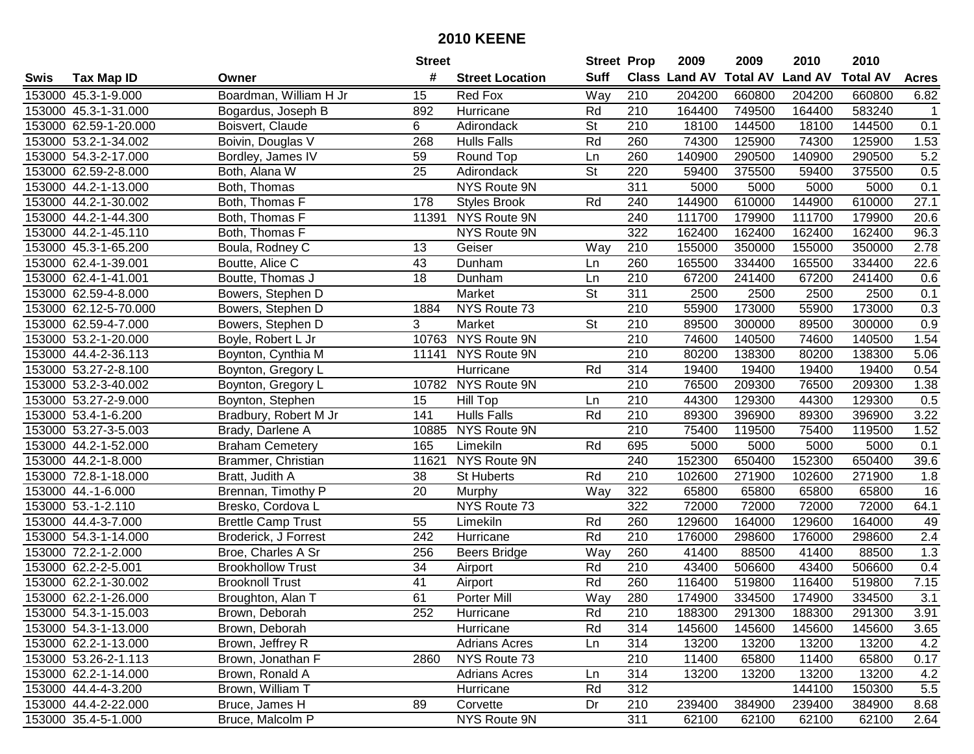| #<br><b>Suff</b><br><b>Class Land AV</b><br><b>Total AV</b><br><b>Land AV</b><br><b>Total AV</b><br><b>Tax Map ID</b><br><b>Street Location</b><br><b>Acres</b><br>Swis<br>Owner<br>Boardman, William H Jr<br>Way<br>210<br>153000 45.3-1-9.000<br>Red Fox<br>204200<br>660800<br>204200<br>660800<br>6.82<br>15<br>210<br>164400<br>749500<br>164400<br>583240<br>153000 45.3-1-31.000<br>Bogardus, Joseph B<br>892<br>Hurricane<br>Rd<br>$\mathbf 1$<br>153000 62.59-1-20.000<br>6<br><b>St</b><br>210<br>18100<br>144500<br>18100<br>144500<br>0.1<br>Boisvert, Claude<br>Adirondack<br>Rd<br>74300<br>125900<br>125900<br>1.53<br>153000 53.2-1-34.002<br>Boivin, Douglas V<br>268<br><b>Hulls Falls</b><br>260<br>74300<br>153000 54.3-2-17.000<br>Bordley, James IV<br>260<br>140900<br>290500<br>140900<br>290500<br>5.2<br>59<br>Round Top<br>Ln<br>$\overline{\mathsf{St}}$<br>220<br>153000 62.59-2-8.000<br>25<br>Adirondack<br>59400<br>375500<br>375500<br>0.5<br>Both, Alana W<br>59400<br><b>NYS Route 9N</b><br>311<br>5000<br>5000<br>5000<br>153000 44.2-1-13.000<br>Both, Thomas<br>5000<br>0.1<br>Rd<br>144900<br>610000<br>144900<br>610000<br>27.1<br>153000 44.2-1-30.002<br>Both, Thomas F<br>178<br>240<br><b>Styles Brook</b><br>NYS Route 9N<br>240<br>111700<br>153000 44.2-1-44.300<br>11391<br>179900<br>111700<br>179900<br>20.6<br>Both, Thomas F<br>NYS Route 9N<br>322<br>153000 44.2-1-45.110<br>162400<br>162400<br>162400<br>162400<br>96.3<br>Both, Thomas F<br>155000<br>153000 45.3-1-65.200<br>210<br>350000<br>155000<br>350000<br>2.78<br>Boula, Rodney C<br>13<br>Geiser<br>Way<br>153000 62.4-1-39.001<br>Boutte, Alice C<br>43<br>Dunham<br>260<br>165500<br>334400<br>165500<br>334400<br>22.6<br>Ln<br>18<br>210<br>67200<br>241400<br>241400<br>153000 62.4-1-41.001<br>67200<br>0.6<br>Boutte, Thomas J<br>Dunham<br>Ln<br><b>St</b><br>153000 62.59-4-8.000<br>Market<br>311<br>2500<br>2500<br>2500<br>0.1<br>Bowers, Stephen D<br>2500<br>NYS Route 73<br>210<br>173000<br>153000 62.12-5-70.000<br>55900<br>55900<br>173000<br>0.3<br>Bowers, Stephen D<br>1884<br>153000 62.59-4-7.000<br>3<br><b>St</b><br>210<br>89500<br>89500<br>0.9<br>Bowers, Stephen D<br>Market<br>300000<br>300000<br>NYS Route 9N<br>210<br>1.54<br>153000 53.2-1-20.000<br>10763<br>74600<br>140500<br>74600<br>140500<br>Boyle, Robert L Jr<br>NYS Route 9N<br>210<br>80200<br>138300<br>138300<br>5.06<br>153000 44.4-2-36.113<br>Boynton, Cynthia M<br>11141<br>80200<br>153000 53.27-2-8.100<br>Hurricane<br>Rd<br>314<br>19400<br>19400<br>19400<br>19400<br>0.54<br>Boynton, Gregory L<br>153000 53.2-3-40.002<br>10782<br>NYS Route 9N<br>210<br>76500<br>209300<br>76500<br>209300<br>1.38<br>Boynton, Gregory L<br>210<br>44300<br>129300<br>0.5<br>153000 53.27-2-9.000<br>Boynton, Stephen<br>15<br><b>Hill Top</b><br>44300<br>129300<br>Ln<br>141<br><b>Hulls Falls</b><br>Rd<br>210<br>89300<br>396900<br>89300<br>396900<br>3.22<br>153000 53.4-1-6.200<br>Bradbury, Robert M Jr<br>210<br>1.52<br>153000 53.27-3-5.003<br>10885<br>NYS Route 9N<br>75400<br>119500<br>75400<br>119500<br>Brady, Darlene A<br>153000 44.2-1-52.000<br>165<br>Rd<br>695<br>5000<br>5000<br>5000<br>5000<br><b>Braham Cemetery</b><br>Limekiln<br>0.1<br>152300<br>11621<br>NYS Route 9N<br>240<br>650400<br>152300<br>650400<br>39.6<br>153000 44.2-1-8.000<br>Brammer, Christian<br>38<br>Rd<br>210<br>271900<br>153000 72.8-1-18.000<br>St Huberts<br>102600<br>102600<br>271900<br>1.8<br>Bratt, Judith A<br>153000 44.-1-6.000<br>20<br>Way<br>322<br>65800<br>65800<br>65800<br>65800<br>16<br>Brennan, Timothy P<br>Murphy<br>153000 53.-1-2.110<br>322<br>72000<br>64.1<br>NYS Route 73<br>72000<br>72000<br>72000<br>Bresko, Cordova L<br>153000 44.4-3-7.000<br>55<br>Rd<br>260<br>129600<br>164000<br>129600<br>164000<br>Limekiln<br>49<br><b>Brettle Camp Trust</b><br>$\overline{210}$<br>153000 54.3-1-14.000<br>242<br>Rd<br>176000<br>298600<br>176000<br>298600<br>2.4<br>Broderick, J Forrest<br>Hurricane<br>153000 72.2-1-2.000<br>256<br>Way<br>260<br>88500<br>Broe, Charles A Sr<br>41400<br>88500<br>41400<br>1.3<br><b>Beers Bridge</b><br>34<br>153000 62.2-2-5.001<br>Rd<br>43400<br>506600<br>43400<br>506600<br><b>Brookhollow Trust</b><br>210<br>0.4<br>Airport<br>41<br>Rd<br>260<br>7.15<br>153000 62.2-1-30.002<br><b>Brooknoll Trust</b><br>116400<br>519800<br>116400<br>519800<br>Airport<br>61<br>280<br>153000 62.2-1-26.000<br>Way<br>174900<br>334500<br>334500<br>3.1<br><b>Porter Mill</b><br>174900<br>Broughton, Alan T<br>153000 54.3-1-15.003<br>Brown, Deborah<br>252<br>Hurricane<br>Rd<br>210<br>188300<br>291300<br>188300<br>291300<br>3.91<br>153000 54.3-1-13.000<br>Rd<br>314<br>145600<br>145600<br>145600<br>145600<br>3.65<br>Brown, Deborah<br>Hurricane<br>153000 62.2-1-13.000<br>Brown, Jeffrey R<br><b>Adrians Acres</b><br>314<br>13200<br>13200<br>13200<br>13200<br>4.2<br>Ln<br>153000 53.26-2-1.113<br>NYS Route 73<br>210<br>11400<br>0.17<br>Brown, Jonathan F<br>2860<br>65800<br>11400<br>65800<br>153000 62.2-1-14.000<br>Brown, Ronald A<br><b>Adrians Acres</b><br>314<br>13200<br>13200<br>13200<br>4.2<br>13200<br>Ln<br>Rd<br>312<br>153000 44.4-4-3.200<br>Brown, William T<br>144100<br>150300<br>5.5<br>Hurricane<br>89<br>153000 44.4-2-22.000<br>Dr<br>210<br>239400<br>384900<br>239400<br>384900<br>8.68<br>Bruce, James H<br>Corvette<br>311<br>153000 35.4-5-1.000<br>Bruce, Malcolm P<br>NYS Route 9N<br>62100<br>62100<br>62100<br>62100<br>2.64 |  | <b>Street</b> | <b>Street Prop</b> | 2009 | 2009 | 2010 | 2010 |  |
|---------------------------------------------------------------------------------------------------------------------------------------------------------------------------------------------------------------------------------------------------------------------------------------------------------------------------------------------------------------------------------------------------------------------------------------------------------------------------------------------------------------------------------------------------------------------------------------------------------------------------------------------------------------------------------------------------------------------------------------------------------------------------------------------------------------------------------------------------------------------------------------------------------------------------------------------------------------------------------------------------------------------------------------------------------------------------------------------------------------------------------------------------------------------------------------------------------------------------------------------------------------------------------------------------------------------------------------------------------------------------------------------------------------------------------------------------------------------------------------------------------------------------------------------------------------------------------------------------------------------------------------------------------------------------------------------------------------------------------------------------------------------------------------------------------------------------------------------------------------------------------------------------------------------------------------------------------------------------------------------------------------------------------------------------------------------------------------------------------------------------------------------------------------------------------------------------------------------------------------------------------------------------------------------------------------------------------------------------------------------------------------------------------------------------------------------------------------------------------------------------------------------------------------------------------------------------------------------------------------------------------------------------------------------------------------------------------------------------------------------------------------------------------------------------------------------------------------------------------------------------------------------------------------------------------------------------------------------------------------------------------------------------------------------------------------------------------------------------------------------------------------------------------------------------------------------------------------------------------------------------------------------------------------------------------------------------------------------------------------------------------------------------------------------------------------------------------------------------------------------------------------------------------------------------------------------------------------------------------------------------------------------------------------------------------------------------------------------------------------------------------------------------------------------------------------------------------------------------------------------------------------------------------------------------------------------------------------------------------------------------------------------------------------------------------------------------------------------------------------------------------------------------------------------------------------------------------------------------------------------------------------------------------------------------------------------------------------------------------------------------------------------------------------------------------------------------------------------------------------------------------------------------------------------------------------------------------------------------------------------------------------------------------------------------------------------------------------------------------------------------------------------------------------------------------------------------------------------------------------------------------------------------------------------------------------------------------------------------------------------------------------------------------------------------------------------------------------------------------------------------------------------------------------------------------------------------------------------------------------------------------------------------------------------------------------------------------------------------------------------------------------------------------------------------------------------------------------------------------------------------------------------------------------------------------------------------|--|---------------|--------------------|------|------|------|------|--|
|                                                                                                                                                                                                                                                                                                                                                                                                                                                                                                                                                                                                                                                                                                                                                                                                                                                                                                                                                                                                                                                                                                                                                                                                                                                                                                                                                                                                                                                                                                                                                                                                                                                                                                                                                                                                                                                                                                                                                                                                                                                                                                                                                                                                                                                                                                                                                                                                                                                                                                                                                                                                                                                                                                                                                                                                                                                                                                                                                                                                                                                                                                                                                                                                                                                                                                                                                                                                                                                                                                                                                                                                                                                                                                                                                                                                                                                                                                                                                                                                                                                                                                                                                                                                                                                                                                                                                                                                                                                                                                                                                                                                                                                                                                                                                                                                                                                                                                                                                                                                                                                                                                                                                                                                                                                                                                                                                                                                                                                                                                                                                                           |  |               |                    |      |      |      |      |  |
|                                                                                                                                                                                                                                                                                                                                                                                                                                                                                                                                                                                                                                                                                                                                                                                                                                                                                                                                                                                                                                                                                                                                                                                                                                                                                                                                                                                                                                                                                                                                                                                                                                                                                                                                                                                                                                                                                                                                                                                                                                                                                                                                                                                                                                                                                                                                                                                                                                                                                                                                                                                                                                                                                                                                                                                                                                                                                                                                                                                                                                                                                                                                                                                                                                                                                                                                                                                                                                                                                                                                                                                                                                                                                                                                                                                                                                                                                                                                                                                                                                                                                                                                                                                                                                                                                                                                                                                                                                                                                                                                                                                                                                                                                                                                                                                                                                                                                                                                                                                                                                                                                                                                                                                                                                                                                                                                                                                                                                                                                                                                                                           |  |               |                    |      |      |      |      |  |
|                                                                                                                                                                                                                                                                                                                                                                                                                                                                                                                                                                                                                                                                                                                                                                                                                                                                                                                                                                                                                                                                                                                                                                                                                                                                                                                                                                                                                                                                                                                                                                                                                                                                                                                                                                                                                                                                                                                                                                                                                                                                                                                                                                                                                                                                                                                                                                                                                                                                                                                                                                                                                                                                                                                                                                                                                                                                                                                                                                                                                                                                                                                                                                                                                                                                                                                                                                                                                                                                                                                                                                                                                                                                                                                                                                                                                                                                                                                                                                                                                                                                                                                                                                                                                                                                                                                                                                                                                                                                                                                                                                                                                                                                                                                                                                                                                                                                                                                                                                                                                                                                                                                                                                                                                                                                                                                                                                                                                                                                                                                                                                           |  |               |                    |      |      |      |      |  |
|                                                                                                                                                                                                                                                                                                                                                                                                                                                                                                                                                                                                                                                                                                                                                                                                                                                                                                                                                                                                                                                                                                                                                                                                                                                                                                                                                                                                                                                                                                                                                                                                                                                                                                                                                                                                                                                                                                                                                                                                                                                                                                                                                                                                                                                                                                                                                                                                                                                                                                                                                                                                                                                                                                                                                                                                                                                                                                                                                                                                                                                                                                                                                                                                                                                                                                                                                                                                                                                                                                                                                                                                                                                                                                                                                                                                                                                                                                                                                                                                                                                                                                                                                                                                                                                                                                                                                                                                                                                                                                                                                                                                                                                                                                                                                                                                                                                                                                                                                                                                                                                                                                                                                                                                                                                                                                                                                                                                                                                                                                                                                                           |  |               |                    |      |      |      |      |  |
|                                                                                                                                                                                                                                                                                                                                                                                                                                                                                                                                                                                                                                                                                                                                                                                                                                                                                                                                                                                                                                                                                                                                                                                                                                                                                                                                                                                                                                                                                                                                                                                                                                                                                                                                                                                                                                                                                                                                                                                                                                                                                                                                                                                                                                                                                                                                                                                                                                                                                                                                                                                                                                                                                                                                                                                                                                                                                                                                                                                                                                                                                                                                                                                                                                                                                                                                                                                                                                                                                                                                                                                                                                                                                                                                                                                                                                                                                                                                                                                                                                                                                                                                                                                                                                                                                                                                                                                                                                                                                                                                                                                                                                                                                                                                                                                                                                                                                                                                                                                                                                                                                                                                                                                                                                                                                                                                                                                                                                                                                                                                                                           |  |               |                    |      |      |      |      |  |
|                                                                                                                                                                                                                                                                                                                                                                                                                                                                                                                                                                                                                                                                                                                                                                                                                                                                                                                                                                                                                                                                                                                                                                                                                                                                                                                                                                                                                                                                                                                                                                                                                                                                                                                                                                                                                                                                                                                                                                                                                                                                                                                                                                                                                                                                                                                                                                                                                                                                                                                                                                                                                                                                                                                                                                                                                                                                                                                                                                                                                                                                                                                                                                                                                                                                                                                                                                                                                                                                                                                                                                                                                                                                                                                                                                                                                                                                                                                                                                                                                                                                                                                                                                                                                                                                                                                                                                                                                                                                                                                                                                                                                                                                                                                                                                                                                                                                                                                                                                                                                                                                                                                                                                                                                                                                                                                                                                                                                                                                                                                                                                           |  |               |                    |      |      |      |      |  |
|                                                                                                                                                                                                                                                                                                                                                                                                                                                                                                                                                                                                                                                                                                                                                                                                                                                                                                                                                                                                                                                                                                                                                                                                                                                                                                                                                                                                                                                                                                                                                                                                                                                                                                                                                                                                                                                                                                                                                                                                                                                                                                                                                                                                                                                                                                                                                                                                                                                                                                                                                                                                                                                                                                                                                                                                                                                                                                                                                                                                                                                                                                                                                                                                                                                                                                                                                                                                                                                                                                                                                                                                                                                                                                                                                                                                                                                                                                                                                                                                                                                                                                                                                                                                                                                                                                                                                                                                                                                                                                                                                                                                                                                                                                                                                                                                                                                                                                                                                                                                                                                                                                                                                                                                                                                                                                                                                                                                                                                                                                                                                                           |  |               |                    |      |      |      |      |  |
|                                                                                                                                                                                                                                                                                                                                                                                                                                                                                                                                                                                                                                                                                                                                                                                                                                                                                                                                                                                                                                                                                                                                                                                                                                                                                                                                                                                                                                                                                                                                                                                                                                                                                                                                                                                                                                                                                                                                                                                                                                                                                                                                                                                                                                                                                                                                                                                                                                                                                                                                                                                                                                                                                                                                                                                                                                                                                                                                                                                                                                                                                                                                                                                                                                                                                                                                                                                                                                                                                                                                                                                                                                                                                                                                                                                                                                                                                                                                                                                                                                                                                                                                                                                                                                                                                                                                                                                                                                                                                                                                                                                                                                                                                                                                                                                                                                                                                                                                                                                                                                                                                                                                                                                                                                                                                                                                                                                                                                                                                                                                                                           |  |               |                    |      |      |      |      |  |
|                                                                                                                                                                                                                                                                                                                                                                                                                                                                                                                                                                                                                                                                                                                                                                                                                                                                                                                                                                                                                                                                                                                                                                                                                                                                                                                                                                                                                                                                                                                                                                                                                                                                                                                                                                                                                                                                                                                                                                                                                                                                                                                                                                                                                                                                                                                                                                                                                                                                                                                                                                                                                                                                                                                                                                                                                                                                                                                                                                                                                                                                                                                                                                                                                                                                                                                                                                                                                                                                                                                                                                                                                                                                                                                                                                                                                                                                                                                                                                                                                                                                                                                                                                                                                                                                                                                                                                                                                                                                                                                                                                                                                                                                                                                                                                                                                                                                                                                                                                                                                                                                                                                                                                                                                                                                                                                                                                                                                                                                                                                                                                           |  |               |                    |      |      |      |      |  |
|                                                                                                                                                                                                                                                                                                                                                                                                                                                                                                                                                                                                                                                                                                                                                                                                                                                                                                                                                                                                                                                                                                                                                                                                                                                                                                                                                                                                                                                                                                                                                                                                                                                                                                                                                                                                                                                                                                                                                                                                                                                                                                                                                                                                                                                                                                                                                                                                                                                                                                                                                                                                                                                                                                                                                                                                                                                                                                                                                                                                                                                                                                                                                                                                                                                                                                                                                                                                                                                                                                                                                                                                                                                                                                                                                                                                                                                                                                                                                                                                                                                                                                                                                                                                                                                                                                                                                                                                                                                                                                                                                                                                                                                                                                                                                                                                                                                                                                                                                                                                                                                                                                                                                                                                                                                                                                                                                                                                                                                                                                                                                                           |  |               |                    |      |      |      |      |  |
|                                                                                                                                                                                                                                                                                                                                                                                                                                                                                                                                                                                                                                                                                                                                                                                                                                                                                                                                                                                                                                                                                                                                                                                                                                                                                                                                                                                                                                                                                                                                                                                                                                                                                                                                                                                                                                                                                                                                                                                                                                                                                                                                                                                                                                                                                                                                                                                                                                                                                                                                                                                                                                                                                                                                                                                                                                                                                                                                                                                                                                                                                                                                                                                                                                                                                                                                                                                                                                                                                                                                                                                                                                                                                                                                                                                                                                                                                                                                                                                                                                                                                                                                                                                                                                                                                                                                                                                                                                                                                                                                                                                                                                                                                                                                                                                                                                                                                                                                                                                                                                                                                                                                                                                                                                                                                                                                                                                                                                                                                                                                                                           |  |               |                    |      |      |      |      |  |
|                                                                                                                                                                                                                                                                                                                                                                                                                                                                                                                                                                                                                                                                                                                                                                                                                                                                                                                                                                                                                                                                                                                                                                                                                                                                                                                                                                                                                                                                                                                                                                                                                                                                                                                                                                                                                                                                                                                                                                                                                                                                                                                                                                                                                                                                                                                                                                                                                                                                                                                                                                                                                                                                                                                                                                                                                                                                                                                                                                                                                                                                                                                                                                                                                                                                                                                                                                                                                                                                                                                                                                                                                                                                                                                                                                                                                                                                                                                                                                                                                                                                                                                                                                                                                                                                                                                                                                                                                                                                                                                                                                                                                                                                                                                                                                                                                                                                                                                                                                                                                                                                                                                                                                                                                                                                                                                                                                                                                                                                                                                                                                           |  |               |                    |      |      |      |      |  |
|                                                                                                                                                                                                                                                                                                                                                                                                                                                                                                                                                                                                                                                                                                                                                                                                                                                                                                                                                                                                                                                                                                                                                                                                                                                                                                                                                                                                                                                                                                                                                                                                                                                                                                                                                                                                                                                                                                                                                                                                                                                                                                                                                                                                                                                                                                                                                                                                                                                                                                                                                                                                                                                                                                                                                                                                                                                                                                                                                                                                                                                                                                                                                                                                                                                                                                                                                                                                                                                                                                                                                                                                                                                                                                                                                                                                                                                                                                                                                                                                                                                                                                                                                                                                                                                                                                                                                                                                                                                                                                                                                                                                                                                                                                                                                                                                                                                                                                                                                                                                                                                                                                                                                                                                                                                                                                                                                                                                                                                                                                                                                                           |  |               |                    |      |      |      |      |  |
|                                                                                                                                                                                                                                                                                                                                                                                                                                                                                                                                                                                                                                                                                                                                                                                                                                                                                                                                                                                                                                                                                                                                                                                                                                                                                                                                                                                                                                                                                                                                                                                                                                                                                                                                                                                                                                                                                                                                                                                                                                                                                                                                                                                                                                                                                                                                                                                                                                                                                                                                                                                                                                                                                                                                                                                                                                                                                                                                                                                                                                                                                                                                                                                                                                                                                                                                                                                                                                                                                                                                                                                                                                                                                                                                                                                                                                                                                                                                                                                                                                                                                                                                                                                                                                                                                                                                                                                                                                                                                                                                                                                                                                                                                                                                                                                                                                                                                                                                                                                                                                                                                                                                                                                                                                                                                                                                                                                                                                                                                                                                                                           |  |               |                    |      |      |      |      |  |
|                                                                                                                                                                                                                                                                                                                                                                                                                                                                                                                                                                                                                                                                                                                                                                                                                                                                                                                                                                                                                                                                                                                                                                                                                                                                                                                                                                                                                                                                                                                                                                                                                                                                                                                                                                                                                                                                                                                                                                                                                                                                                                                                                                                                                                                                                                                                                                                                                                                                                                                                                                                                                                                                                                                                                                                                                                                                                                                                                                                                                                                                                                                                                                                                                                                                                                                                                                                                                                                                                                                                                                                                                                                                                                                                                                                                                                                                                                                                                                                                                                                                                                                                                                                                                                                                                                                                                                                                                                                                                                                                                                                                                                                                                                                                                                                                                                                                                                                                                                                                                                                                                                                                                                                                                                                                                                                                                                                                                                                                                                                                                                           |  |               |                    |      |      |      |      |  |
|                                                                                                                                                                                                                                                                                                                                                                                                                                                                                                                                                                                                                                                                                                                                                                                                                                                                                                                                                                                                                                                                                                                                                                                                                                                                                                                                                                                                                                                                                                                                                                                                                                                                                                                                                                                                                                                                                                                                                                                                                                                                                                                                                                                                                                                                                                                                                                                                                                                                                                                                                                                                                                                                                                                                                                                                                                                                                                                                                                                                                                                                                                                                                                                                                                                                                                                                                                                                                                                                                                                                                                                                                                                                                                                                                                                                                                                                                                                                                                                                                                                                                                                                                                                                                                                                                                                                                                                                                                                                                                                                                                                                                                                                                                                                                                                                                                                                                                                                                                                                                                                                                                                                                                                                                                                                                                                                                                                                                                                                                                                                                                           |  |               |                    |      |      |      |      |  |
|                                                                                                                                                                                                                                                                                                                                                                                                                                                                                                                                                                                                                                                                                                                                                                                                                                                                                                                                                                                                                                                                                                                                                                                                                                                                                                                                                                                                                                                                                                                                                                                                                                                                                                                                                                                                                                                                                                                                                                                                                                                                                                                                                                                                                                                                                                                                                                                                                                                                                                                                                                                                                                                                                                                                                                                                                                                                                                                                                                                                                                                                                                                                                                                                                                                                                                                                                                                                                                                                                                                                                                                                                                                                                                                                                                                                                                                                                                                                                                                                                                                                                                                                                                                                                                                                                                                                                                                                                                                                                                                                                                                                                                                                                                                                                                                                                                                                                                                                                                                                                                                                                                                                                                                                                                                                                                                                                                                                                                                                                                                                                                           |  |               |                    |      |      |      |      |  |
|                                                                                                                                                                                                                                                                                                                                                                                                                                                                                                                                                                                                                                                                                                                                                                                                                                                                                                                                                                                                                                                                                                                                                                                                                                                                                                                                                                                                                                                                                                                                                                                                                                                                                                                                                                                                                                                                                                                                                                                                                                                                                                                                                                                                                                                                                                                                                                                                                                                                                                                                                                                                                                                                                                                                                                                                                                                                                                                                                                                                                                                                                                                                                                                                                                                                                                                                                                                                                                                                                                                                                                                                                                                                                                                                                                                                                                                                                                                                                                                                                                                                                                                                                                                                                                                                                                                                                                                                                                                                                                                                                                                                                                                                                                                                                                                                                                                                                                                                                                                                                                                                                                                                                                                                                                                                                                                                                                                                                                                                                                                                                                           |  |               |                    |      |      |      |      |  |
|                                                                                                                                                                                                                                                                                                                                                                                                                                                                                                                                                                                                                                                                                                                                                                                                                                                                                                                                                                                                                                                                                                                                                                                                                                                                                                                                                                                                                                                                                                                                                                                                                                                                                                                                                                                                                                                                                                                                                                                                                                                                                                                                                                                                                                                                                                                                                                                                                                                                                                                                                                                                                                                                                                                                                                                                                                                                                                                                                                                                                                                                                                                                                                                                                                                                                                                                                                                                                                                                                                                                                                                                                                                                                                                                                                                                                                                                                                                                                                                                                                                                                                                                                                                                                                                                                                                                                                                                                                                                                                                                                                                                                                                                                                                                                                                                                                                                                                                                                                                                                                                                                                                                                                                                                                                                                                                                                                                                                                                                                                                                                                           |  |               |                    |      |      |      |      |  |
|                                                                                                                                                                                                                                                                                                                                                                                                                                                                                                                                                                                                                                                                                                                                                                                                                                                                                                                                                                                                                                                                                                                                                                                                                                                                                                                                                                                                                                                                                                                                                                                                                                                                                                                                                                                                                                                                                                                                                                                                                                                                                                                                                                                                                                                                                                                                                                                                                                                                                                                                                                                                                                                                                                                                                                                                                                                                                                                                                                                                                                                                                                                                                                                                                                                                                                                                                                                                                                                                                                                                                                                                                                                                                                                                                                                                                                                                                                                                                                                                                                                                                                                                                                                                                                                                                                                                                                                                                                                                                                                                                                                                                                                                                                                                                                                                                                                                                                                                                                                                                                                                                                                                                                                                                                                                                                                                                                                                                                                                                                                                                                           |  |               |                    |      |      |      |      |  |
|                                                                                                                                                                                                                                                                                                                                                                                                                                                                                                                                                                                                                                                                                                                                                                                                                                                                                                                                                                                                                                                                                                                                                                                                                                                                                                                                                                                                                                                                                                                                                                                                                                                                                                                                                                                                                                                                                                                                                                                                                                                                                                                                                                                                                                                                                                                                                                                                                                                                                                                                                                                                                                                                                                                                                                                                                                                                                                                                                                                                                                                                                                                                                                                                                                                                                                                                                                                                                                                                                                                                                                                                                                                                                                                                                                                                                                                                                                                                                                                                                                                                                                                                                                                                                                                                                                                                                                                                                                                                                                                                                                                                                                                                                                                                                                                                                                                                                                                                                                                                                                                                                                                                                                                                                                                                                                                                                                                                                                                                                                                                                                           |  |               |                    |      |      |      |      |  |
|                                                                                                                                                                                                                                                                                                                                                                                                                                                                                                                                                                                                                                                                                                                                                                                                                                                                                                                                                                                                                                                                                                                                                                                                                                                                                                                                                                                                                                                                                                                                                                                                                                                                                                                                                                                                                                                                                                                                                                                                                                                                                                                                                                                                                                                                                                                                                                                                                                                                                                                                                                                                                                                                                                                                                                                                                                                                                                                                                                                                                                                                                                                                                                                                                                                                                                                                                                                                                                                                                                                                                                                                                                                                                                                                                                                                                                                                                                                                                                                                                                                                                                                                                                                                                                                                                                                                                                                                                                                                                                                                                                                                                                                                                                                                                                                                                                                                                                                                                                                                                                                                                                                                                                                                                                                                                                                                                                                                                                                                                                                                                                           |  |               |                    |      |      |      |      |  |
|                                                                                                                                                                                                                                                                                                                                                                                                                                                                                                                                                                                                                                                                                                                                                                                                                                                                                                                                                                                                                                                                                                                                                                                                                                                                                                                                                                                                                                                                                                                                                                                                                                                                                                                                                                                                                                                                                                                                                                                                                                                                                                                                                                                                                                                                                                                                                                                                                                                                                                                                                                                                                                                                                                                                                                                                                                                                                                                                                                                                                                                                                                                                                                                                                                                                                                                                                                                                                                                                                                                                                                                                                                                                                                                                                                                                                                                                                                                                                                                                                                                                                                                                                                                                                                                                                                                                                                                                                                                                                                                                                                                                                                                                                                                                                                                                                                                                                                                                                                                                                                                                                                                                                                                                                                                                                                                                                                                                                                                                                                                                                                           |  |               |                    |      |      |      |      |  |
|                                                                                                                                                                                                                                                                                                                                                                                                                                                                                                                                                                                                                                                                                                                                                                                                                                                                                                                                                                                                                                                                                                                                                                                                                                                                                                                                                                                                                                                                                                                                                                                                                                                                                                                                                                                                                                                                                                                                                                                                                                                                                                                                                                                                                                                                                                                                                                                                                                                                                                                                                                                                                                                                                                                                                                                                                                                                                                                                                                                                                                                                                                                                                                                                                                                                                                                                                                                                                                                                                                                                                                                                                                                                                                                                                                                                                                                                                                                                                                                                                                                                                                                                                                                                                                                                                                                                                                                                                                                                                                                                                                                                                                                                                                                                                                                                                                                                                                                                                                                                                                                                                                                                                                                                                                                                                                                                                                                                                                                                                                                                                                           |  |               |                    |      |      |      |      |  |
|                                                                                                                                                                                                                                                                                                                                                                                                                                                                                                                                                                                                                                                                                                                                                                                                                                                                                                                                                                                                                                                                                                                                                                                                                                                                                                                                                                                                                                                                                                                                                                                                                                                                                                                                                                                                                                                                                                                                                                                                                                                                                                                                                                                                                                                                                                                                                                                                                                                                                                                                                                                                                                                                                                                                                                                                                                                                                                                                                                                                                                                                                                                                                                                                                                                                                                                                                                                                                                                                                                                                                                                                                                                                                                                                                                                                                                                                                                                                                                                                                                                                                                                                                                                                                                                                                                                                                                                                                                                                                                                                                                                                                                                                                                                                                                                                                                                                                                                                                                                                                                                                                                                                                                                                                                                                                                                                                                                                                                                                                                                                                                           |  |               |                    |      |      |      |      |  |
|                                                                                                                                                                                                                                                                                                                                                                                                                                                                                                                                                                                                                                                                                                                                                                                                                                                                                                                                                                                                                                                                                                                                                                                                                                                                                                                                                                                                                                                                                                                                                                                                                                                                                                                                                                                                                                                                                                                                                                                                                                                                                                                                                                                                                                                                                                                                                                                                                                                                                                                                                                                                                                                                                                                                                                                                                                                                                                                                                                                                                                                                                                                                                                                                                                                                                                                                                                                                                                                                                                                                                                                                                                                                                                                                                                                                                                                                                                                                                                                                                                                                                                                                                                                                                                                                                                                                                                                                                                                                                                                                                                                                                                                                                                                                                                                                                                                                                                                                                                                                                                                                                                                                                                                                                                                                                                                                                                                                                                                                                                                                                                           |  |               |                    |      |      |      |      |  |
|                                                                                                                                                                                                                                                                                                                                                                                                                                                                                                                                                                                                                                                                                                                                                                                                                                                                                                                                                                                                                                                                                                                                                                                                                                                                                                                                                                                                                                                                                                                                                                                                                                                                                                                                                                                                                                                                                                                                                                                                                                                                                                                                                                                                                                                                                                                                                                                                                                                                                                                                                                                                                                                                                                                                                                                                                                                                                                                                                                                                                                                                                                                                                                                                                                                                                                                                                                                                                                                                                                                                                                                                                                                                                                                                                                                                                                                                                                                                                                                                                                                                                                                                                                                                                                                                                                                                                                                                                                                                                                                                                                                                                                                                                                                                                                                                                                                                                                                                                                                                                                                                                                                                                                                                                                                                                                                                                                                                                                                                                                                                                                           |  |               |                    |      |      |      |      |  |
|                                                                                                                                                                                                                                                                                                                                                                                                                                                                                                                                                                                                                                                                                                                                                                                                                                                                                                                                                                                                                                                                                                                                                                                                                                                                                                                                                                                                                                                                                                                                                                                                                                                                                                                                                                                                                                                                                                                                                                                                                                                                                                                                                                                                                                                                                                                                                                                                                                                                                                                                                                                                                                                                                                                                                                                                                                                                                                                                                                                                                                                                                                                                                                                                                                                                                                                                                                                                                                                                                                                                                                                                                                                                                                                                                                                                                                                                                                                                                                                                                                                                                                                                                                                                                                                                                                                                                                                                                                                                                                                                                                                                                                                                                                                                                                                                                                                                                                                                                                                                                                                                                                                                                                                                                                                                                                                                                                                                                                                                                                                                                                           |  |               |                    |      |      |      |      |  |
|                                                                                                                                                                                                                                                                                                                                                                                                                                                                                                                                                                                                                                                                                                                                                                                                                                                                                                                                                                                                                                                                                                                                                                                                                                                                                                                                                                                                                                                                                                                                                                                                                                                                                                                                                                                                                                                                                                                                                                                                                                                                                                                                                                                                                                                                                                                                                                                                                                                                                                                                                                                                                                                                                                                                                                                                                                                                                                                                                                                                                                                                                                                                                                                                                                                                                                                                                                                                                                                                                                                                                                                                                                                                                                                                                                                                                                                                                                                                                                                                                                                                                                                                                                                                                                                                                                                                                                                                                                                                                                                                                                                                                                                                                                                                                                                                                                                                                                                                                                                                                                                                                                                                                                                                                                                                                                                                                                                                                                                                                                                                                                           |  |               |                    |      |      |      |      |  |
|                                                                                                                                                                                                                                                                                                                                                                                                                                                                                                                                                                                                                                                                                                                                                                                                                                                                                                                                                                                                                                                                                                                                                                                                                                                                                                                                                                                                                                                                                                                                                                                                                                                                                                                                                                                                                                                                                                                                                                                                                                                                                                                                                                                                                                                                                                                                                                                                                                                                                                                                                                                                                                                                                                                                                                                                                                                                                                                                                                                                                                                                                                                                                                                                                                                                                                                                                                                                                                                                                                                                                                                                                                                                                                                                                                                                                                                                                                                                                                                                                                                                                                                                                                                                                                                                                                                                                                                                                                                                                                                                                                                                                                                                                                                                                                                                                                                                                                                                                                                                                                                                                                                                                                                                                                                                                                                                                                                                                                                                                                                                                                           |  |               |                    |      |      |      |      |  |
|                                                                                                                                                                                                                                                                                                                                                                                                                                                                                                                                                                                                                                                                                                                                                                                                                                                                                                                                                                                                                                                                                                                                                                                                                                                                                                                                                                                                                                                                                                                                                                                                                                                                                                                                                                                                                                                                                                                                                                                                                                                                                                                                                                                                                                                                                                                                                                                                                                                                                                                                                                                                                                                                                                                                                                                                                                                                                                                                                                                                                                                                                                                                                                                                                                                                                                                                                                                                                                                                                                                                                                                                                                                                                                                                                                                                                                                                                                                                                                                                                                                                                                                                                                                                                                                                                                                                                                                                                                                                                                                                                                                                                                                                                                                                                                                                                                                                                                                                                                                                                                                                                                                                                                                                                                                                                                                                                                                                                                                                                                                                                                           |  |               |                    |      |      |      |      |  |
|                                                                                                                                                                                                                                                                                                                                                                                                                                                                                                                                                                                                                                                                                                                                                                                                                                                                                                                                                                                                                                                                                                                                                                                                                                                                                                                                                                                                                                                                                                                                                                                                                                                                                                                                                                                                                                                                                                                                                                                                                                                                                                                                                                                                                                                                                                                                                                                                                                                                                                                                                                                                                                                                                                                                                                                                                                                                                                                                                                                                                                                                                                                                                                                                                                                                                                                                                                                                                                                                                                                                                                                                                                                                                                                                                                                                                                                                                                                                                                                                                                                                                                                                                                                                                                                                                                                                                                                                                                                                                                                                                                                                                                                                                                                                                                                                                                                                                                                                                                                                                                                                                                                                                                                                                                                                                                                                                                                                                                                                                                                                                                           |  |               |                    |      |      |      |      |  |
|                                                                                                                                                                                                                                                                                                                                                                                                                                                                                                                                                                                                                                                                                                                                                                                                                                                                                                                                                                                                                                                                                                                                                                                                                                                                                                                                                                                                                                                                                                                                                                                                                                                                                                                                                                                                                                                                                                                                                                                                                                                                                                                                                                                                                                                                                                                                                                                                                                                                                                                                                                                                                                                                                                                                                                                                                                                                                                                                                                                                                                                                                                                                                                                                                                                                                                                                                                                                                                                                                                                                                                                                                                                                                                                                                                                                                                                                                                                                                                                                                                                                                                                                                                                                                                                                                                                                                                                                                                                                                                                                                                                                                                                                                                                                                                                                                                                                                                                                                                                                                                                                                                                                                                                                                                                                                                                                                                                                                                                                                                                                                                           |  |               |                    |      |      |      |      |  |
|                                                                                                                                                                                                                                                                                                                                                                                                                                                                                                                                                                                                                                                                                                                                                                                                                                                                                                                                                                                                                                                                                                                                                                                                                                                                                                                                                                                                                                                                                                                                                                                                                                                                                                                                                                                                                                                                                                                                                                                                                                                                                                                                                                                                                                                                                                                                                                                                                                                                                                                                                                                                                                                                                                                                                                                                                                                                                                                                                                                                                                                                                                                                                                                                                                                                                                                                                                                                                                                                                                                                                                                                                                                                                                                                                                                                                                                                                                                                                                                                                                                                                                                                                                                                                                                                                                                                                                                                                                                                                                                                                                                                                                                                                                                                                                                                                                                                                                                                                                                                                                                                                                                                                                                                                                                                                                                                                                                                                                                                                                                                                                           |  |               |                    |      |      |      |      |  |
|                                                                                                                                                                                                                                                                                                                                                                                                                                                                                                                                                                                                                                                                                                                                                                                                                                                                                                                                                                                                                                                                                                                                                                                                                                                                                                                                                                                                                                                                                                                                                                                                                                                                                                                                                                                                                                                                                                                                                                                                                                                                                                                                                                                                                                                                                                                                                                                                                                                                                                                                                                                                                                                                                                                                                                                                                                                                                                                                                                                                                                                                                                                                                                                                                                                                                                                                                                                                                                                                                                                                                                                                                                                                                                                                                                                                                                                                                                                                                                                                                                                                                                                                                                                                                                                                                                                                                                                                                                                                                                                                                                                                                                                                                                                                                                                                                                                                                                                                                                                                                                                                                                                                                                                                                                                                                                                                                                                                                                                                                                                                                                           |  |               |                    |      |      |      |      |  |
|                                                                                                                                                                                                                                                                                                                                                                                                                                                                                                                                                                                                                                                                                                                                                                                                                                                                                                                                                                                                                                                                                                                                                                                                                                                                                                                                                                                                                                                                                                                                                                                                                                                                                                                                                                                                                                                                                                                                                                                                                                                                                                                                                                                                                                                                                                                                                                                                                                                                                                                                                                                                                                                                                                                                                                                                                                                                                                                                                                                                                                                                                                                                                                                                                                                                                                                                                                                                                                                                                                                                                                                                                                                                                                                                                                                                                                                                                                                                                                                                                                                                                                                                                                                                                                                                                                                                                                                                                                                                                                                                                                                                                                                                                                                                                                                                                                                                                                                                                                                                                                                                                                                                                                                                                                                                                                                                                                                                                                                                                                                                                                           |  |               |                    |      |      |      |      |  |
|                                                                                                                                                                                                                                                                                                                                                                                                                                                                                                                                                                                                                                                                                                                                                                                                                                                                                                                                                                                                                                                                                                                                                                                                                                                                                                                                                                                                                                                                                                                                                                                                                                                                                                                                                                                                                                                                                                                                                                                                                                                                                                                                                                                                                                                                                                                                                                                                                                                                                                                                                                                                                                                                                                                                                                                                                                                                                                                                                                                                                                                                                                                                                                                                                                                                                                                                                                                                                                                                                                                                                                                                                                                                                                                                                                                                                                                                                                                                                                                                                                                                                                                                                                                                                                                                                                                                                                                                                                                                                                                                                                                                                                                                                                                                                                                                                                                                                                                                                                                                                                                                                                                                                                                                                                                                                                                                                                                                                                                                                                                                                                           |  |               |                    |      |      |      |      |  |
|                                                                                                                                                                                                                                                                                                                                                                                                                                                                                                                                                                                                                                                                                                                                                                                                                                                                                                                                                                                                                                                                                                                                                                                                                                                                                                                                                                                                                                                                                                                                                                                                                                                                                                                                                                                                                                                                                                                                                                                                                                                                                                                                                                                                                                                                                                                                                                                                                                                                                                                                                                                                                                                                                                                                                                                                                                                                                                                                                                                                                                                                                                                                                                                                                                                                                                                                                                                                                                                                                                                                                                                                                                                                                                                                                                                                                                                                                                                                                                                                                                                                                                                                                                                                                                                                                                                                                                                                                                                                                                                                                                                                                                                                                                                                                                                                                                                                                                                                                                                                                                                                                                                                                                                                                                                                                                                                                                                                                                                                                                                                                                           |  |               |                    |      |      |      |      |  |
|                                                                                                                                                                                                                                                                                                                                                                                                                                                                                                                                                                                                                                                                                                                                                                                                                                                                                                                                                                                                                                                                                                                                                                                                                                                                                                                                                                                                                                                                                                                                                                                                                                                                                                                                                                                                                                                                                                                                                                                                                                                                                                                                                                                                                                                                                                                                                                                                                                                                                                                                                                                                                                                                                                                                                                                                                                                                                                                                                                                                                                                                                                                                                                                                                                                                                                                                                                                                                                                                                                                                                                                                                                                                                                                                                                                                                                                                                                                                                                                                                                                                                                                                                                                                                                                                                                                                                                                                                                                                                                                                                                                                                                                                                                                                                                                                                                                                                                                                                                                                                                                                                                                                                                                                                                                                                                                                                                                                                                                                                                                                                                           |  |               |                    |      |      |      |      |  |
|                                                                                                                                                                                                                                                                                                                                                                                                                                                                                                                                                                                                                                                                                                                                                                                                                                                                                                                                                                                                                                                                                                                                                                                                                                                                                                                                                                                                                                                                                                                                                                                                                                                                                                                                                                                                                                                                                                                                                                                                                                                                                                                                                                                                                                                                                                                                                                                                                                                                                                                                                                                                                                                                                                                                                                                                                                                                                                                                                                                                                                                                                                                                                                                                                                                                                                                                                                                                                                                                                                                                                                                                                                                                                                                                                                                                                                                                                                                                                                                                                                                                                                                                                                                                                                                                                                                                                                                                                                                                                                                                                                                                                                                                                                                                                                                                                                                                                                                                                                                                                                                                                                                                                                                                                                                                                                                                                                                                                                                                                                                                                                           |  |               |                    |      |      |      |      |  |
|                                                                                                                                                                                                                                                                                                                                                                                                                                                                                                                                                                                                                                                                                                                                                                                                                                                                                                                                                                                                                                                                                                                                                                                                                                                                                                                                                                                                                                                                                                                                                                                                                                                                                                                                                                                                                                                                                                                                                                                                                                                                                                                                                                                                                                                                                                                                                                                                                                                                                                                                                                                                                                                                                                                                                                                                                                                                                                                                                                                                                                                                                                                                                                                                                                                                                                                                                                                                                                                                                                                                                                                                                                                                                                                                                                                                                                                                                                                                                                                                                                                                                                                                                                                                                                                                                                                                                                                                                                                                                                                                                                                                                                                                                                                                                                                                                                                                                                                                                                                                                                                                                                                                                                                                                                                                                                                                                                                                                                                                                                                                                                           |  |               |                    |      |      |      |      |  |
|                                                                                                                                                                                                                                                                                                                                                                                                                                                                                                                                                                                                                                                                                                                                                                                                                                                                                                                                                                                                                                                                                                                                                                                                                                                                                                                                                                                                                                                                                                                                                                                                                                                                                                                                                                                                                                                                                                                                                                                                                                                                                                                                                                                                                                                                                                                                                                                                                                                                                                                                                                                                                                                                                                                                                                                                                                                                                                                                                                                                                                                                                                                                                                                                                                                                                                                                                                                                                                                                                                                                                                                                                                                                                                                                                                                                                                                                                                                                                                                                                                                                                                                                                                                                                                                                                                                                                                                                                                                                                                                                                                                                                                                                                                                                                                                                                                                                                                                                                                                                                                                                                                                                                                                                                                                                                                                                                                                                                                                                                                                                                                           |  |               |                    |      |      |      |      |  |
|                                                                                                                                                                                                                                                                                                                                                                                                                                                                                                                                                                                                                                                                                                                                                                                                                                                                                                                                                                                                                                                                                                                                                                                                                                                                                                                                                                                                                                                                                                                                                                                                                                                                                                                                                                                                                                                                                                                                                                                                                                                                                                                                                                                                                                                                                                                                                                                                                                                                                                                                                                                                                                                                                                                                                                                                                                                                                                                                                                                                                                                                                                                                                                                                                                                                                                                                                                                                                                                                                                                                                                                                                                                                                                                                                                                                                                                                                                                                                                                                                                                                                                                                                                                                                                                                                                                                                                                                                                                                                                                                                                                                                                                                                                                                                                                                                                                                                                                                                                                                                                                                                                                                                                                                                                                                                                                                                                                                                                                                                                                                                                           |  |               |                    |      |      |      |      |  |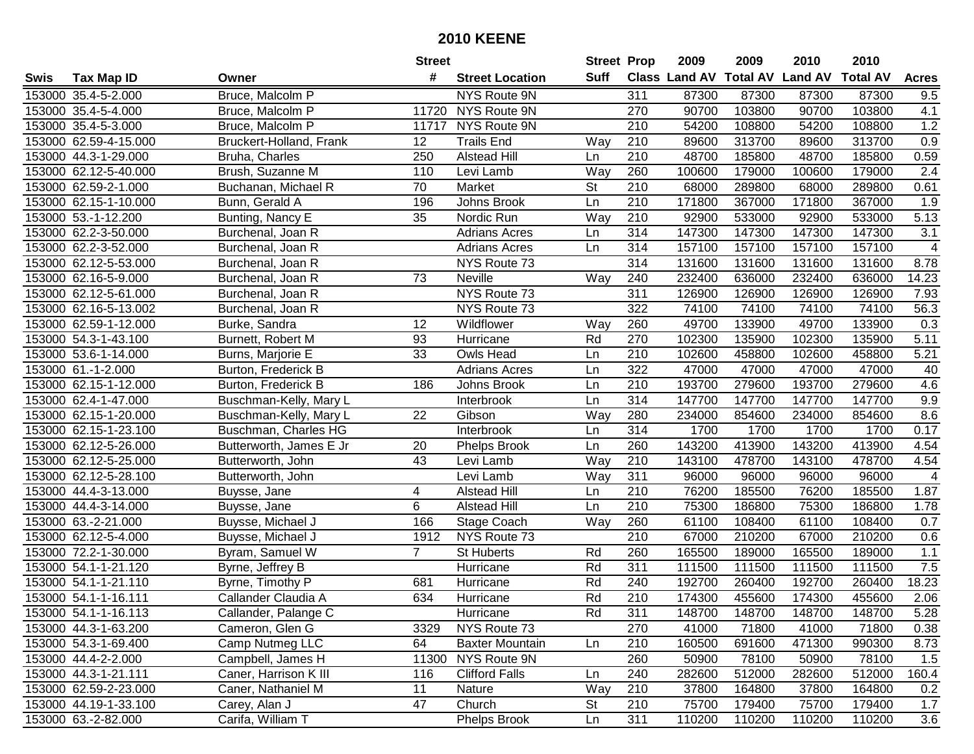|      |                       |                         | <b>Street</b>   |                        | <b>Street Prop</b> |                  | 2009   | 2009   | 2010                           | 2010            |                  |
|------|-----------------------|-------------------------|-----------------|------------------------|--------------------|------------------|--------|--------|--------------------------------|-----------------|------------------|
| Swis | <b>Tax Map ID</b>     | Owner                   | #               | <b>Street Location</b> | Suff               |                  |        |        | Class Land AV Total AV Land AV | <b>Total AV</b> | <b>Acres</b>     |
|      | 153000 35.4-5-2.000   | Bruce, Malcolm P        |                 | <b>NYS Route 9N</b>    |                    | 311              | 87300  | 87300  | 87300                          | 87300           | 9.5              |
|      | 153000 35.4-5-4.000   | Bruce, Malcolm P        | 11720           | NYS Route 9N           |                    | 270              | 90700  | 103800 | 90700                          | 103800          | 4.1              |
|      | 153000 35.4-5-3.000   | Bruce, Malcolm P        | 11717           | NYS Route 9N           |                    | 210              | 54200  | 108800 | 54200                          | 108800          | 1.2              |
|      | 153000 62.59-4-15.000 | Bruckert-Holland, Frank | 12              | <b>Trails End</b>      | Way                | 210              | 89600  | 313700 | 89600                          | 313700          | 0.9              |
|      | 153000 44.3-1-29.000  | Bruha, Charles          | 250             | <b>Alstead Hill</b>    | Ln                 | 210              | 48700  | 185800 | 48700                          | 185800          | 0.59             |
|      | 153000 62.12-5-40.000 | Brush, Suzanne M        | 110             | Levi Lamb              | Way                | 260              | 100600 | 179000 | 100600                         | 179000          | $\overline{2.4}$ |
|      | 153000 62.59-2-1.000  | Buchanan, Michael R     | 70              | Market                 | <b>St</b>          | 210              | 68000  | 289800 | 68000                          | 289800          | 0.61             |
|      | 153000 62.15-1-10.000 | Bunn, Gerald A          | 196             | Johns Brook            | Ln                 | 210              | 171800 | 367000 | 171800                         | 367000          | 1.9              |
|      | 153000 53.-1-12.200   | Bunting, Nancy E        | $\overline{35}$ | Nordic Run             | Way                | $\overline{210}$ | 92900  | 533000 | 92900                          | 533000          | 5.13             |
|      | 153000 62.2-3-50.000  | Burchenal, Joan R       |                 | <b>Adrians Acres</b>   | Ln                 | 314              | 147300 | 147300 | 147300                         | 147300          | 3.1              |
|      | 153000 62.2-3-52.000  | Burchenal, Joan R       |                 | <b>Adrians Acres</b>   | Ln                 | 314              | 157100 | 157100 | 157100                         | 157100          | 4                |
|      | 153000 62.12-5-53.000 | Burchenal, Joan R       |                 | NYS Route 73           |                    | 314              | 131600 | 131600 | 131600                         | 131600          | 8.78             |
|      | 153000 62.16-5-9.000  | Burchenal, Joan R       | 73              | Neville                | Way                | 240              | 232400 | 636000 | 232400                         | 636000          | 14.23            |
|      | 153000 62.12-5-61.000 | Burchenal, Joan R       |                 | NYS Route 73           |                    | 311              | 126900 | 126900 | 126900                         | 126900          | 7.93             |
|      | 153000 62.16-5-13.002 | Burchenal, Joan R       |                 | NYS Route 73           |                    | 322              | 74100  | 74100  | 74100                          | 74100           | 56.3             |
|      | 153000 62.59-1-12.000 | Burke, Sandra           | 12              | Wildflower             | Way                | 260              | 49700  | 133900 | 49700                          | 133900          | 0.3              |
|      | 153000 54.3-1-43.100  | Burnett, Robert M       | 93              | Hurricane              | Rd                 | 270              | 102300 | 135900 | 102300                         | 135900          | 5.11             |
|      | 153000 53.6-1-14.000  | Burns, Marjorie E       | 33              | Owls Head              | Ln                 | 210              | 102600 | 458800 | 102600                         | 458800          | 5.21             |
|      | 153000 61.-1-2.000    | Burton, Frederick B     |                 | <b>Adrians Acres</b>   | Ln                 | 322              | 47000  | 47000  | 47000                          | 47000           | 40               |
|      | 153000 62.15-1-12.000 | Burton, Frederick B     | 186             | Johns Brook            | Ln                 | 210              | 193700 | 279600 | 193700                         | 279600          | 4.6              |
|      | 153000 62.4-1-47.000  | Buschman-Kelly, Mary L  |                 | Interbrook             | Ln                 | 314              | 147700 | 147700 | 147700                         | 147700          | 9.9              |
|      | 153000 62.15-1-20.000 | Buschman-Kelly, Mary L  | 22              | Gibson                 | Way                | 280              | 234000 | 854600 | 234000                         | 854600          | 8.6              |
|      | 153000 62.15-1-23.100 | Buschman, Charles HG    |                 | Interbrook             | Ln                 | 314              | 1700   | 1700   | 1700                           | 1700            | 0.17             |
|      | 153000 62.12-5-26.000 | Butterworth, James E Jr | 20              | <b>Phelps Brook</b>    | Ln                 | 260              | 143200 | 413900 | 143200                         | 413900          | 4.54             |
|      | 153000 62.12-5-25.000 | Butterworth, John       | 43              | Levi Lamb              | Way                | 210              | 143100 | 478700 | 143100                         | 478700          | 4.54             |
|      | 153000 62.12-5-28.100 | Butterworth, John       |                 | Levi Lamb              | Way                | 311              | 96000  | 96000  | 96000                          | 96000           | $\overline{4}$   |
|      | 153000 44.4-3-13.000  | Buysse, Jane            | 4               | <b>Alstead Hill</b>    | Ln                 | 210              | 76200  | 185500 | 76200                          | 185500          | 1.87             |
|      | 153000 44.4-3-14.000  | Buysse, Jane            | 6               | <b>Alstead Hill</b>    | Ln                 | 210              | 75300  | 186800 | 75300                          | 186800          | 1.78             |
|      | 153000 63.-2-21.000   | Buysse, Michael J       | 166             | Stage Coach            | Way                | 260              | 61100  | 108400 | 61100                          | 108400          | 0.7              |
|      | 153000 62.12-5-4.000  | Buysse, Michael J       | 1912            | NYS Route 73           |                    | $\overline{210}$ | 67000  | 210200 | 67000                          | 210200          | 0.6              |
|      | 153000 72.2-1-30.000  | Byram, Samuel W         | $\overline{7}$  | <b>St Huberts</b>      | Rd                 | 260              | 165500 | 189000 | 165500                         | 189000          | 1.1              |
|      | 153000 54.1-1-21.120  | Byrne, Jeffrey B        |                 | Hurricane              | Rd                 | 311              | 111500 | 111500 | 111500                         | 111500          | 7.5              |
|      | 153000 54.1-1-21.110  | Byrne, Timothy P        | 681             | Hurricane              | Rd                 | 240              | 192700 | 260400 | 192700                         | 260400          | 18.23            |
|      | 153000 54.1-1-16.111  | Callander Claudia A     | 634             | Hurricane              | Rd                 | $\overline{210}$ | 174300 | 455600 | 174300                         | 455600          | 2.06             |
|      | 153000 54.1-1-16.113  | Callander, Palange C    |                 | Hurricane              | Rd                 | 311              | 148700 | 148700 | 148700                         | 148700          | 5.28             |
|      | 153000 44.3-1-63.200  | Cameron, Glen G         | 3329            | NYS Route 73           |                    | 270              | 41000  | 71800  | 41000                          | 71800           | 0.38             |
|      | 153000 54.3-1-69.400  | Camp Nutmeg LLC         | 64              | <b>Baxter Mountain</b> | Ln                 | 210              | 160500 | 691600 | 471300                         | 990300          | 8.73             |
|      | 153000 44.4-2-2.000   | Campbell, James H       |                 | 11300 NYS Route 9N     |                    | 260              | 50900  | 78100  | 50900                          | 78100           | 1.5              |
|      | 153000 44.3-1-21.111  | Caner, Harrison K III   | 116             | <b>Clifford Falls</b>  | Ln                 | 240              | 282600 | 512000 | 282600                         | 512000          | 160.4            |
|      | 153000 62.59-2-23.000 | Caner, Nathaniel M      | 11              | Nature                 | Way                | 210              | 37800  | 164800 | 37800                          | 164800          | 0.2              |
|      | 153000 44.19-1-33.100 | Carey, Alan J           | 47              | Church                 | <b>St</b>          | 210              | 75700  | 179400 | 75700                          | 179400          | 1.7              |
|      | 153000 63.-2-82.000   | Carifa, William T       |                 | Phelps Brook           | Ln                 | 311              | 110200 | 110200 | 110200                         | 110200          | 3.6              |
|      |                       |                         |                 |                        |                    |                  |        |        |                                |                 |                  |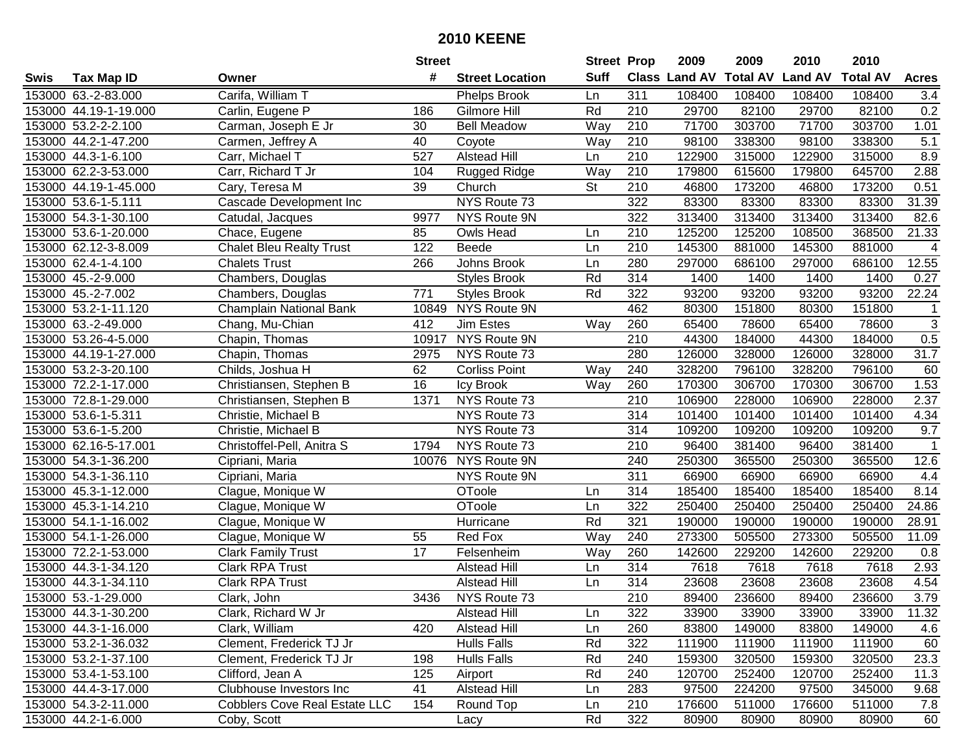| #<br><b>Suff</b><br><b>Total AV</b><br><b>Land AV</b><br><b>Class Land AV</b><br><b>Total AV</b><br><b>Tax Map ID</b><br><b>Street Location</b><br><b>Acres</b><br>Swis<br>Owner<br>Carifa, William T<br>108400<br>153000 63.-2-83.000<br>311<br>108400<br>108400<br>108400<br><b>Phelps Brook</b><br>3.4<br>Ln<br>Rd<br>210<br>0.2<br>153000 44.19-1-19.000<br>Carlin, Eugene P<br>Gilmore Hill<br>29700<br>82100<br>29700<br>82100<br>186<br>71700<br>303700<br>153000 53.2-2-2.100<br>Carman, Joseph E Jr<br><b>Bell Meadow</b><br>Way<br>210<br>71700<br>303700<br>30<br>1.01<br>5.1<br>153000 44.2-1-47.200<br>40<br>210<br>98100<br>338300<br>98100<br>Carmen, Jeffrey A<br>Coyote<br>Way<br>338300<br>8.9<br>153000 44.3-1-6.100<br>Carr, Michael T<br>527<br><b>Alstead Hill</b><br>210<br>122900<br>315000<br>122900<br>315000<br>Ln<br>2.88<br>153000 62.2-3-53.000<br>Carr, Richard T Jr<br>104<br>Rugged Ridge<br>Way<br>210<br>179800<br>615600<br>179800<br>645700<br>153000 44.19-1-45.000<br>Cary, Teresa M<br>39<br><b>St</b><br>210<br>46800<br>173200<br>173200<br>0.51<br>Church<br>46800<br>NYS Route 73<br>31.39<br>153000 53.6-1-5.111<br>322<br>83300<br>83300<br>83300<br>83300<br>Cascade Development Inc<br><b>NYS Route 9N</b><br>322<br>313400<br>313400<br>82.6<br>153000 54.3-1-30.100<br>9977<br>313400<br>313400<br>Catudal, Jacques<br>210<br>125200<br>125200<br>21.33<br>153000 53.6-1-20.000<br>85<br>108500<br>368500<br>Chace, Eugene<br>Owls Head<br>Ln<br>210<br>145300<br>145300<br>153000 62.12-3-8.009<br><b>Chalet Bleu Realty Trust</b><br>122<br>Beede<br>881000<br>881000<br>Ln<br>$\overline{4}$<br>153000 62.4-1-4.100<br><b>Chalets Trust</b><br>266<br>Johns Brook<br>280<br>297000<br>686100<br>297000<br>686100<br>12.55<br>Ln<br>314<br>153000 45.-2-9.000<br>Rd<br>1400<br>1400<br>1400<br>Chambers, Douglas<br><b>Styles Brook</b><br>1400<br>0.27<br>771<br>Rd<br>322<br>93200<br>153000 45.-2-7.002<br><b>Styles Brook</b><br>93200<br>93200<br>93200<br>22.24<br>Chambers, Douglas<br>NYS Route 9N<br>151800<br>153000 53.2-1-11.120<br>Champlain National Bank<br>462<br>80300<br>151800<br>80300<br>10849<br>$\sqrt{3}$<br>153000 63.-2-49.000<br>260<br>65400<br>78600<br>65400<br>78600<br>Chang, Mu-Chian<br>412<br>Jim Estes<br>Way<br>0.5<br>NYS Route 9N<br>210<br>153000 53.26-4-5.000<br>10917<br>44300<br>184000<br>44300<br>184000<br>Chapin, Thomas<br>31.7<br>NYS Route 73<br>280<br>126000<br>328000<br>126000<br>328000<br>153000 44.19-1-27.000<br>Chapin, Thomas<br>2975<br>153000 53.2-3-20.100<br>Childs, Joshua H<br>62<br><b>Corliss Point</b><br>240<br>328200<br>796100<br>328200<br>796100<br>Way<br>60<br>1.53<br>153000 72.2-1-17.000<br>16<br>Icy Brook<br>260<br>170300<br>306700<br>170300<br>306700<br>Christiansen, Stephen B<br>Way<br>2.37<br>1371<br>NYS Route 73<br>210<br>106900<br>228000<br>106900<br>153000 72.8-1-29.000<br>Christiansen, Stephen B<br>228000<br>NYS Route 73<br>4.34<br>153000 53.6-1-5.311<br>Christie, Michael B<br>314<br>101400<br>101400<br>101400<br>101400<br>NYS Route 73<br>9.7<br>153000 53.6-1-5.200<br>Christie, Michael B<br>314<br>109200<br>109200<br>109200<br>109200<br>153000 62.16-5-17.001<br>1794<br>NYS Route 73<br>210<br>96400<br>381400<br>96400<br>381400<br>$\overline{1}$<br>Christoffel-Pell, Anitra S<br>153000 54.3-1-36.200<br>10076 NYS Route 9N<br>240<br>250300<br>365500<br>250300<br>12.6<br>365500<br>Cipriani, Maria<br>153000 54.3-1-36.110<br>NYS Route 9N<br>311<br>66900<br>Cipriani, Maria<br>66900<br>66900<br>66900<br>4.4<br>185400<br>185400<br>185400<br>185400<br>153000 45.3-1-12.000<br>Clague, Monique W<br>OToole<br>314<br>8.14<br>Ln<br>322<br>250400<br>250400<br>153000 45.3-1-14.210<br>OToole<br>250400<br>250400<br>24.86<br>Clague, Monique W<br>Ln<br>Rd<br>321<br>153000 54.1-1-16.002<br>190000<br>190000<br>190000<br>190000<br>28.91<br>Clague, Monique W<br>Hurricane<br>240<br>273300<br>505500<br>153000 54.1-1-26.000<br>55<br>Red Fox<br>Way<br>273300<br>505500<br>11.09<br>Clague, Monique W<br>153000 72.2-1-53.000<br>$\overline{17}$<br>142600<br>229200<br>229200<br><b>Clark Family Trust</b><br>Felsenheim<br>Way<br>260<br>142600<br>0.8<br>7618<br>153000 44.3-1-34.120<br>Clark RPA Trust<br>314<br>7618<br>7618<br>7618<br>2.93<br><b>Alstead Hill</b><br>Ln<br><b>Clark RPA Trust</b><br>$\overline{314}$<br>23608<br>4.54<br>153000 44.3-1-34.110<br><b>Alstead Hill</b><br>23608<br>23608<br>23608<br>Ln<br>3.79<br>$\overline{210}$<br>153000 53.-1-29.000<br>NYS Route 73<br>89400<br>236600<br>236600<br>Clark, John<br>3436<br>89400<br>153000 44.3-1-30.200<br>Clark, Richard W Jr<br><b>Alstead Hill</b><br>Ln<br>322<br>33900<br>33900<br>33900<br>33900<br>11.32<br>153000 44.3-1-16.000<br>Alstead Hill<br>260<br>83800<br>149000<br>83800<br>Clark, William<br>420<br>Ln<br>149000<br>4.6<br>322<br>153000 53.2-1-36.032<br>Clement, Frederick TJ Jr<br><b>Hulls Falls</b><br>Rd<br>111900<br>111900<br>111900<br>111900<br>60<br>23.3<br>153000 53.2-1-37.100<br>Rd<br>240<br>159300<br>Clement, Frederick TJ Jr<br>198<br>Hulls Falls<br>320500<br>159300<br>320500<br>Rd<br>11.3<br>153000 53.4-1-53.100<br>Clifford, Jean A<br>125<br>240<br>120700<br>252400<br>120700<br>252400<br>Airport<br>153000 44.4-3-17.000<br>Clubhouse Investors Inc<br>41<br><b>Alstead Hill</b><br>283<br>97500<br>224200<br>97500<br>345000<br>9.68<br>Ln<br>153000 54.3-2-11.000<br><b>Cobblers Cove Real Estate LLC</b><br>154<br>Round Top<br>210<br>176600<br>511000<br>176600<br>511000<br>7.8<br>Ln<br>153000 44.2-1-6.000<br>Rd<br>322<br>80900<br>Coby, Scott<br>80900<br>80900<br>80900<br>60 |  | <b>Street</b> |      | <b>Street Prop</b> | 2009 | 2009 | 2010 | 2010 |  |
|-----------------------------------------------------------------------------------------------------------------------------------------------------------------------------------------------------------------------------------------------------------------------------------------------------------------------------------------------------------------------------------------------------------------------------------------------------------------------------------------------------------------------------------------------------------------------------------------------------------------------------------------------------------------------------------------------------------------------------------------------------------------------------------------------------------------------------------------------------------------------------------------------------------------------------------------------------------------------------------------------------------------------------------------------------------------------------------------------------------------------------------------------------------------------------------------------------------------------------------------------------------------------------------------------------------------------------------------------------------------------------------------------------------------------------------------------------------------------------------------------------------------------------------------------------------------------------------------------------------------------------------------------------------------------------------------------------------------------------------------------------------------------------------------------------------------------------------------------------------------------------------------------------------------------------------------------------------------------------------------------------------------------------------------------------------------------------------------------------------------------------------------------------------------------------------------------------------------------------------------------------------------------------------------------------------------------------------------------------------------------------------------------------------------------------------------------------------------------------------------------------------------------------------------------------------------------------------------------------------------------------------------------------------------------------------------------------------------------------------------------------------------------------------------------------------------------------------------------------------------------------------------------------------------------------------------------------------------------------------------------------------------------------------------------------------------------------------------------------------------------------------------------------------------------------------------------------------------------------------------------------------------------------------------------------------------------------------------------------------------------------------------------------------------------------------------------------------------------------------------------------------------------------------------------------------------------------------------------------------------------------------------------------------------------------------------------------------------------------------------------------------------------------------------------------------------------------------------------------------------------------------------------------------------------------------------------------------------------------------------------------------------------------------------------------------------------------------------------------------------------------------------------------------------------------------------------------------------------------------------------------------------------------------------------------------------------------------------------------------------------------------------------------------------------------------------------------------------------------------------------------------------------------------------------------------------------------------------------------------------------------------------------------------------------------------------------------------------------------------------------------------------------------------------------------------------------------------------------------------------------------------------------------------------------------------------------------------------------------------------------------------------------------------------------------------------------------------------------------------------------------------------------------------------------------------------------------------------------------------------------------------------------------------------------------------------------------------------------------------------------------------------------------------------------------------------------------------------------------------------------------------------------------------------------------------------------------------------------------------------------------------------------------------------------------------------------------------------|--|---------------|------|--------------------|------|------|------|------|--|
|                                                                                                                                                                                                                                                                                                                                                                                                                                                                                                                                                                                                                                                                                                                                                                                                                                                                                                                                                                                                                                                                                                                                                                                                                                                                                                                                                                                                                                                                                                                                                                                                                                                                                                                                                                                                                                                                                                                                                                                                                                                                                                                                                                                                                                                                                                                                                                                                                                                                                                                                                                                                                                                                                                                                                                                                                                                                                                                                                                                                                                                                                                                                                                                                                                                                                                                                                                                                                                                                                                                                                                                                                                                                                                                                                                                                                                                                                                                                                                                                                                                                                                                                                                                                                                                                                                                                                                                                                                                                                                                                                                                                                                                                                                                                                                                                                                                                                                                                                                                                                                                                                                                                                                                                                                                                                                                                                                                                                                                                                                                                                                                                                                                                                                                 |  |               |      |                    |      |      |      |      |  |
|                                                                                                                                                                                                                                                                                                                                                                                                                                                                                                                                                                                                                                                                                                                                                                                                                                                                                                                                                                                                                                                                                                                                                                                                                                                                                                                                                                                                                                                                                                                                                                                                                                                                                                                                                                                                                                                                                                                                                                                                                                                                                                                                                                                                                                                                                                                                                                                                                                                                                                                                                                                                                                                                                                                                                                                                                                                                                                                                                                                                                                                                                                                                                                                                                                                                                                                                                                                                                                                                                                                                                                                                                                                                                                                                                                                                                                                                                                                                                                                                                                                                                                                                                                                                                                                                                                                                                                                                                                                                                                                                                                                                                                                                                                                                                                                                                                                                                                                                                                                                                                                                                                                                                                                                                                                                                                                                                                                                                                                                                                                                                                                                                                                                                                                 |  |               |      |                    |      |      |      |      |  |
|                                                                                                                                                                                                                                                                                                                                                                                                                                                                                                                                                                                                                                                                                                                                                                                                                                                                                                                                                                                                                                                                                                                                                                                                                                                                                                                                                                                                                                                                                                                                                                                                                                                                                                                                                                                                                                                                                                                                                                                                                                                                                                                                                                                                                                                                                                                                                                                                                                                                                                                                                                                                                                                                                                                                                                                                                                                                                                                                                                                                                                                                                                                                                                                                                                                                                                                                                                                                                                                                                                                                                                                                                                                                                                                                                                                                                                                                                                                                                                                                                                                                                                                                                                                                                                                                                                                                                                                                                                                                                                                                                                                                                                                                                                                                                                                                                                                                                                                                                                                                                                                                                                                                                                                                                                                                                                                                                                                                                                                                                                                                                                                                                                                                                                                 |  |               |      |                    |      |      |      |      |  |
|                                                                                                                                                                                                                                                                                                                                                                                                                                                                                                                                                                                                                                                                                                                                                                                                                                                                                                                                                                                                                                                                                                                                                                                                                                                                                                                                                                                                                                                                                                                                                                                                                                                                                                                                                                                                                                                                                                                                                                                                                                                                                                                                                                                                                                                                                                                                                                                                                                                                                                                                                                                                                                                                                                                                                                                                                                                                                                                                                                                                                                                                                                                                                                                                                                                                                                                                                                                                                                                                                                                                                                                                                                                                                                                                                                                                                                                                                                                                                                                                                                                                                                                                                                                                                                                                                                                                                                                                                                                                                                                                                                                                                                                                                                                                                                                                                                                                                                                                                                                                                                                                                                                                                                                                                                                                                                                                                                                                                                                                                                                                                                                                                                                                                                                 |  |               |      |                    |      |      |      |      |  |
|                                                                                                                                                                                                                                                                                                                                                                                                                                                                                                                                                                                                                                                                                                                                                                                                                                                                                                                                                                                                                                                                                                                                                                                                                                                                                                                                                                                                                                                                                                                                                                                                                                                                                                                                                                                                                                                                                                                                                                                                                                                                                                                                                                                                                                                                                                                                                                                                                                                                                                                                                                                                                                                                                                                                                                                                                                                                                                                                                                                                                                                                                                                                                                                                                                                                                                                                                                                                                                                                                                                                                                                                                                                                                                                                                                                                                                                                                                                                                                                                                                                                                                                                                                                                                                                                                                                                                                                                                                                                                                                                                                                                                                                                                                                                                                                                                                                                                                                                                                                                                                                                                                                                                                                                                                                                                                                                                                                                                                                                                                                                                                                                                                                                                                                 |  |               |      |                    |      |      |      |      |  |
|                                                                                                                                                                                                                                                                                                                                                                                                                                                                                                                                                                                                                                                                                                                                                                                                                                                                                                                                                                                                                                                                                                                                                                                                                                                                                                                                                                                                                                                                                                                                                                                                                                                                                                                                                                                                                                                                                                                                                                                                                                                                                                                                                                                                                                                                                                                                                                                                                                                                                                                                                                                                                                                                                                                                                                                                                                                                                                                                                                                                                                                                                                                                                                                                                                                                                                                                                                                                                                                                                                                                                                                                                                                                                                                                                                                                                                                                                                                                                                                                                                                                                                                                                                                                                                                                                                                                                                                                                                                                                                                                                                                                                                                                                                                                                                                                                                                                                                                                                                                                                                                                                                                                                                                                                                                                                                                                                                                                                                                                                                                                                                                                                                                                                                                 |  |               |      |                    |      |      |      |      |  |
|                                                                                                                                                                                                                                                                                                                                                                                                                                                                                                                                                                                                                                                                                                                                                                                                                                                                                                                                                                                                                                                                                                                                                                                                                                                                                                                                                                                                                                                                                                                                                                                                                                                                                                                                                                                                                                                                                                                                                                                                                                                                                                                                                                                                                                                                                                                                                                                                                                                                                                                                                                                                                                                                                                                                                                                                                                                                                                                                                                                                                                                                                                                                                                                                                                                                                                                                                                                                                                                                                                                                                                                                                                                                                                                                                                                                                                                                                                                                                                                                                                                                                                                                                                                                                                                                                                                                                                                                                                                                                                                                                                                                                                                                                                                                                                                                                                                                                                                                                                                                                                                                                                                                                                                                                                                                                                                                                                                                                                                                                                                                                                                                                                                                                                                 |  |               |      |                    |      |      |      |      |  |
|                                                                                                                                                                                                                                                                                                                                                                                                                                                                                                                                                                                                                                                                                                                                                                                                                                                                                                                                                                                                                                                                                                                                                                                                                                                                                                                                                                                                                                                                                                                                                                                                                                                                                                                                                                                                                                                                                                                                                                                                                                                                                                                                                                                                                                                                                                                                                                                                                                                                                                                                                                                                                                                                                                                                                                                                                                                                                                                                                                                                                                                                                                                                                                                                                                                                                                                                                                                                                                                                                                                                                                                                                                                                                                                                                                                                                                                                                                                                                                                                                                                                                                                                                                                                                                                                                                                                                                                                                                                                                                                                                                                                                                                                                                                                                                                                                                                                                                                                                                                                                                                                                                                                                                                                                                                                                                                                                                                                                                                                                                                                                                                                                                                                                                                 |  |               |      |                    |      |      |      |      |  |
|                                                                                                                                                                                                                                                                                                                                                                                                                                                                                                                                                                                                                                                                                                                                                                                                                                                                                                                                                                                                                                                                                                                                                                                                                                                                                                                                                                                                                                                                                                                                                                                                                                                                                                                                                                                                                                                                                                                                                                                                                                                                                                                                                                                                                                                                                                                                                                                                                                                                                                                                                                                                                                                                                                                                                                                                                                                                                                                                                                                                                                                                                                                                                                                                                                                                                                                                                                                                                                                                                                                                                                                                                                                                                                                                                                                                                                                                                                                                                                                                                                                                                                                                                                                                                                                                                                                                                                                                                                                                                                                                                                                                                                                                                                                                                                                                                                                                                                                                                                                                                                                                                                                                                                                                                                                                                                                                                                                                                                                                                                                                                                                                                                                                                                                 |  |               |      |                    |      |      |      |      |  |
|                                                                                                                                                                                                                                                                                                                                                                                                                                                                                                                                                                                                                                                                                                                                                                                                                                                                                                                                                                                                                                                                                                                                                                                                                                                                                                                                                                                                                                                                                                                                                                                                                                                                                                                                                                                                                                                                                                                                                                                                                                                                                                                                                                                                                                                                                                                                                                                                                                                                                                                                                                                                                                                                                                                                                                                                                                                                                                                                                                                                                                                                                                                                                                                                                                                                                                                                                                                                                                                                                                                                                                                                                                                                                                                                                                                                                                                                                                                                                                                                                                                                                                                                                                                                                                                                                                                                                                                                                                                                                                                                                                                                                                                                                                                                                                                                                                                                                                                                                                                                                                                                                                                                                                                                                                                                                                                                                                                                                                                                                                                                                                                                                                                                                                                 |  |               |      |                    |      |      |      |      |  |
|                                                                                                                                                                                                                                                                                                                                                                                                                                                                                                                                                                                                                                                                                                                                                                                                                                                                                                                                                                                                                                                                                                                                                                                                                                                                                                                                                                                                                                                                                                                                                                                                                                                                                                                                                                                                                                                                                                                                                                                                                                                                                                                                                                                                                                                                                                                                                                                                                                                                                                                                                                                                                                                                                                                                                                                                                                                                                                                                                                                                                                                                                                                                                                                                                                                                                                                                                                                                                                                                                                                                                                                                                                                                                                                                                                                                                                                                                                                                                                                                                                                                                                                                                                                                                                                                                                                                                                                                                                                                                                                                                                                                                                                                                                                                                                                                                                                                                                                                                                                                                                                                                                                                                                                                                                                                                                                                                                                                                                                                                                                                                                                                                                                                                                                 |  |               |      |                    |      |      |      |      |  |
|                                                                                                                                                                                                                                                                                                                                                                                                                                                                                                                                                                                                                                                                                                                                                                                                                                                                                                                                                                                                                                                                                                                                                                                                                                                                                                                                                                                                                                                                                                                                                                                                                                                                                                                                                                                                                                                                                                                                                                                                                                                                                                                                                                                                                                                                                                                                                                                                                                                                                                                                                                                                                                                                                                                                                                                                                                                                                                                                                                                                                                                                                                                                                                                                                                                                                                                                                                                                                                                                                                                                                                                                                                                                                                                                                                                                                                                                                                                                                                                                                                                                                                                                                                                                                                                                                                                                                                                                                                                                                                                                                                                                                                                                                                                                                                                                                                                                                                                                                                                                                                                                                                                                                                                                                                                                                                                                                                                                                                                                                                                                                                                                                                                                                                                 |  |               |      |                    |      |      |      |      |  |
|                                                                                                                                                                                                                                                                                                                                                                                                                                                                                                                                                                                                                                                                                                                                                                                                                                                                                                                                                                                                                                                                                                                                                                                                                                                                                                                                                                                                                                                                                                                                                                                                                                                                                                                                                                                                                                                                                                                                                                                                                                                                                                                                                                                                                                                                                                                                                                                                                                                                                                                                                                                                                                                                                                                                                                                                                                                                                                                                                                                                                                                                                                                                                                                                                                                                                                                                                                                                                                                                                                                                                                                                                                                                                                                                                                                                                                                                                                                                                                                                                                                                                                                                                                                                                                                                                                                                                                                                                                                                                                                                                                                                                                                                                                                                                                                                                                                                                                                                                                                                                                                                                                                                                                                                                                                                                                                                                                                                                                                                                                                                                                                                                                                                                                                 |  |               |      |                    |      |      |      |      |  |
|                                                                                                                                                                                                                                                                                                                                                                                                                                                                                                                                                                                                                                                                                                                                                                                                                                                                                                                                                                                                                                                                                                                                                                                                                                                                                                                                                                                                                                                                                                                                                                                                                                                                                                                                                                                                                                                                                                                                                                                                                                                                                                                                                                                                                                                                                                                                                                                                                                                                                                                                                                                                                                                                                                                                                                                                                                                                                                                                                                                                                                                                                                                                                                                                                                                                                                                                                                                                                                                                                                                                                                                                                                                                                                                                                                                                                                                                                                                                                                                                                                                                                                                                                                                                                                                                                                                                                                                                                                                                                                                                                                                                                                                                                                                                                                                                                                                                                                                                                                                                                                                                                                                                                                                                                                                                                                                                                                                                                                                                                                                                                                                                                                                                                                                 |  |               |      |                    |      |      |      |      |  |
|                                                                                                                                                                                                                                                                                                                                                                                                                                                                                                                                                                                                                                                                                                                                                                                                                                                                                                                                                                                                                                                                                                                                                                                                                                                                                                                                                                                                                                                                                                                                                                                                                                                                                                                                                                                                                                                                                                                                                                                                                                                                                                                                                                                                                                                                                                                                                                                                                                                                                                                                                                                                                                                                                                                                                                                                                                                                                                                                                                                                                                                                                                                                                                                                                                                                                                                                                                                                                                                                                                                                                                                                                                                                                                                                                                                                                                                                                                                                                                                                                                                                                                                                                                                                                                                                                                                                                                                                                                                                                                                                                                                                                                                                                                                                                                                                                                                                                                                                                                                                                                                                                                                                                                                                                                                                                                                                                                                                                                                                                                                                                                                                                                                                                                                 |  |               |      |                    |      |      |      |      |  |
|                                                                                                                                                                                                                                                                                                                                                                                                                                                                                                                                                                                                                                                                                                                                                                                                                                                                                                                                                                                                                                                                                                                                                                                                                                                                                                                                                                                                                                                                                                                                                                                                                                                                                                                                                                                                                                                                                                                                                                                                                                                                                                                                                                                                                                                                                                                                                                                                                                                                                                                                                                                                                                                                                                                                                                                                                                                                                                                                                                                                                                                                                                                                                                                                                                                                                                                                                                                                                                                                                                                                                                                                                                                                                                                                                                                                                                                                                                                                                                                                                                                                                                                                                                                                                                                                                                                                                                                                                                                                                                                                                                                                                                                                                                                                                                                                                                                                                                                                                                                                                                                                                                                                                                                                                                                                                                                                                                                                                                                                                                                                                                                                                                                                                                                 |  |               |      |                    |      |      |      |      |  |
|                                                                                                                                                                                                                                                                                                                                                                                                                                                                                                                                                                                                                                                                                                                                                                                                                                                                                                                                                                                                                                                                                                                                                                                                                                                                                                                                                                                                                                                                                                                                                                                                                                                                                                                                                                                                                                                                                                                                                                                                                                                                                                                                                                                                                                                                                                                                                                                                                                                                                                                                                                                                                                                                                                                                                                                                                                                                                                                                                                                                                                                                                                                                                                                                                                                                                                                                                                                                                                                                                                                                                                                                                                                                                                                                                                                                                                                                                                                                                                                                                                                                                                                                                                                                                                                                                                                                                                                                                                                                                                                                                                                                                                                                                                                                                                                                                                                                                                                                                                                                                                                                                                                                                                                                                                                                                                                                                                                                                                                                                                                                                                                                                                                                                                                 |  |               |      |                    |      |      |      |      |  |
|                                                                                                                                                                                                                                                                                                                                                                                                                                                                                                                                                                                                                                                                                                                                                                                                                                                                                                                                                                                                                                                                                                                                                                                                                                                                                                                                                                                                                                                                                                                                                                                                                                                                                                                                                                                                                                                                                                                                                                                                                                                                                                                                                                                                                                                                                                                                                                                                                                                                                                                                                                                                                                                                                                                                                                                                                                                                                                                                                                                                                                                                                                                                                                                                                                                                                                                                                                                                                                                                                                                                                                                                                                                                                                                                                                                                                                                                                                                                                                                                                                                                                                                                                                                                                                                                                                                                                                                                                                                                                                                                                                                                                                                                                                                                                                                                                                                                                                                                                                                                                                                                                                                                                                                                                                                                                                                                                                                                                                                                                                                                                                                                                                                                                                                 |  |               |      |                    |      |      |      |      |  |
|                                                                                                                                                                                                                                                                                                                                                                                                                                                                                                                                                                                                                                                                                                                                                                                                                                                                                                                                                                                                                                                                                                                                                                                                                                                                                                                                                                                                                                                                                                                                                                                                                                                                                                                                                                                                                                                                                                                                                                                                                                                                                                                                                                                                                                                                                                                                                                                                                                                                                                                                                                                                                                                                                                                                                                                                                                                                                                                                                                                                                                                                                                                                                                                                                                                                                                                                                                                                                                                                                                                                                                                                                                                                                                                                                                                                                                                                                                                                                                                                                                                                                                                                                                                                                                                                                                                                                                                                                                                                                                                                                                                                                                                                                                                                                                                                                                                                                                                                                                                                                                                                                                                                                                                                                                                                                                                                                                                                                                                                                                                                                                                                                                                                                                                 |  |               |      |                    |      |      |      |      |  |
|                                                                                                                                                                                                                                                                                                                                                                                                                                                                                                                                                                                                                                                                                                                                                                                                                                                                                                                                                                                                                                                                                                                                                                                                                                                                                                                                                                                                                                                                                                                                                                                                                                                                                                                                                                                                                                                                                                                                                                                                                                                                                                                                                                                                                                                                                                                                                                                                                                                                                                                                                                                                                                                                                                                                                                                                                                                                                                                                                                                                                                                                                                                                                                                                                                                                                                                                                                                                                                                                                                                                                                                                                                                                                                                                                                                                                                                                                                                                                                                                                                                                                                                                                                                                                                                                                                                                                                                                                                                                                                                                                                                                                                                                                                                                                                                                                                                                                                                                                                                                                                                                                                                                                                                                                                                                                                                                                                                                                                                                                                                                                                                                                                                                                                                 |  |               |      |                    |      |      |      |      |  |
|                                                                                                                                                                                                                                                                                                                                                                                                                                                                                                                                                                                                                                                                                                                                                                                                                                                                                                                                                                                                                                                                                                                                                                                                                                                                                                                                                                                                                                                                                                                                                                                                                                                                                                                                                                                                                                                                                                                                                                                                                                                                                                                                                                                                                                                                                                                                                                                                                                                                                                                                                                                                                                                                                                                                                                                                                                                                                                                                                                                                                                                                                                                                                                                                                                                                                                                                                                                                                                                                                                                                                                                                                                                                                                                                                                                                                                                                                                                                                                                                                                                                                                                                                                                                                                                                                                                                                                                                                                                                                                                                                                                                                                                                                                                                                                                                                                                                                                                                                                                                                                                                                                                                                                                                                                                                                                                                                                                                                                                                                                                                                                                                                                                                                                                 |  |               |      |                    |      |      |      |      |  |
|                                                                                                                                                                                                                                                                                                                                                                                                                                                                                                                                                                                                                                                                                                                                                                                                                                                                                                                                                                                                                                                                                                                                                                                                                                                                                                                                                                                                                                                                                                                                                                                                                                                                                                                                                                                                                                                                                                                                                                                                                                                                                                                                                                                                                                                                                                                                                                                                                                                                                                                                                                                                                                                                                                                                                                                                                                                                                                                                                                                                                                                                                                                                                                                                                                                                                                                                                                                                                                                                                                                                                                                                                                                                                                                                                                                                                                                                                                                                                                                                                                                                                                                                                                                                                                                                                                                                                                                                                                                                                                                                                                                                                                                                                                                                                                                                                                                                                                                                                                                                                                                                                                                                                                                                                                                                                                                                                                                                                                                                                                                                                                                                                                                                                                                 |  |               |      |                    |      |      |      |      |  |
|                                                                                                                                                                                                                                                                                                                                                                                                                                                                                                                                                                                                                                                                                                                                                                                                                                                                                                                                                                                                                                                                                                                                                                                                                                                                                                                                                                                                                                                                                                                                                                                                                                                                                                                                                                                                                                                                                                                                                                                                                                                                                                                                                                                                                                                                                                                                                                                                                                                                                                                                                                                                                                                                                                                                                                                                                                                                                                                                                                                                                                                                                                                                                                                                                                                                                                                                                                                                                                                                                                                                                                                                                                                                                                                                                                                                                                                                                                                                                                                                                                                                                                                                                                                                                                                                                                                                                                                                                                                                                                                                                                                                                                                                                                                                                                                                                                                                                                                                                                                                                                                                                                                                                                                                                                                                                                                                                                                                                                                                                                                                                                                                                                                                                                                 |  |               |      |                    |      |      |      |      |  |
|                                                                                                                                                                                                                                                                                                                                                                                                                                                                                                                                                                                                                                                                                                                                                                                                                                                                                                                                                                                                                                                                                                                                                                                                                                                                                                                                                                                                                                                                                                                                                                                                                                                                                                                                                                                                                                                                                                                                                                                                                                                                                                                                                                                                                                                                                                                                                                                                                                                                                                                                                                                                                                                                                                                                                                                                                                                                                                                                                                                                                                                                                                                                                                                                                                                                                                                                                                                                                                                                                                                                                                                                                                                                                                                                                                                                                                                                                                                                                                                                                                                                                                                                                                                                                                                                                                                                                                                                                                                                                                                                                                                                                                                                                                                                                                                                                                                                                                                                                                                                                                                                                                                                                                                                                                                                                                                                                                                                                                                                                                                                                                                                                                                                                                                 |  |               |      |                    |      |      |      |      |  |
|                                                                                                                                                                                                                                                                                                                                                                                                                                                                                                                                                                                                                                                                                                                                                                                                                                                                                                                                                                                                                                                                                                                                                                                                                                                                                                                                                                                                                                                                                                                                                                                                                                                                                                                                                                                                                                                                                                                                                                                                                                                                                                                                                                                                                                                                                                                                                                                                                                                                                                                                                                                                                                                                                                                                                                                                                                                                                                                                                                                                                                                                                                                                                                                                                                                                                                                                                                                                                                                                                                                                                                                                                                                                                                                                                                                                                                                                                                                                                                                                                                                                                                                                                                                                                                                                                                                                                                                                                                                                                                                                                                                                                                                                                                                                                                                                                                                                                                                                                                                                                                                                                                                                                                                                                                                                                                                                                                                                                                                                                                                                                                                                                                                                                                                 |  |               |      |                    |      |      |      |      |  |
|                                                                                                                                                                                                                                                                                                                                                                                                                                                                                                                                                                                                                                                                                                                                                                                                                                                                                                                                                                                                                                                                                                                                                                                                                                                                                                                                                                                                                                                                                                                                                                                                                                                                                                                                                                                                                                                                                                                                                                                                                                                                                                                                                                                                                                                                                                                                                                                                                                                                                                                                                                                                                                                                                                                                                                                                                                                                                                                                                                                                                                                                                                                                                                                                                                                                                                                                                                                                                                                                                                                                                                                                                                                                                                                                                                                                                                                                                                                                                                                                                                                                                                                                                                                                                                                                                                                                                                                                                                                                                                                                                                                                                                                                                                                                                                                                                                                                                                                                                                                                                                                                                                                                                                                                                                                                                                                                                                                                                                                                                                                                                                                                                                                                                                                 |  |               |      |                    |      |      |      |      |  |
|                                                                                                                                                                                                                                                                                                                                                                                                                                                                                                                                                                                                                                                                                                                                                                                                                                                                                                                                                                                                                                                                                                                                                                                                                                                                                                                                                                                                                                                                                                                                                                                                                                                                                                                                                                                                                                                                                                                                                                                                                                                                                                                                                                                                                                                                                                                                                                                                                                                                                                                                                                                                                                                                                                                                                                                                                                                                                                                                                                                                                                                                                                                                                                                                                                                                                                                                                                                                                                                                                                                                                                                                                                                                                                                                                                                                                                                                                                                                                                                                                                                                                                                                                                                                                                                                                                                                                                                                                                                                                                                                                                                                                                                                                                                                                                                                                                                                                                                                                                                                                                                                                                                                                                                                                                                                                                                                                                                                                                                                                                                                                                                                                                                                                                                 |  |               |      |                    |      |      |      |      |  |
|                                                                                                                                                                                                                                                                                                                                                                                                                                                                                                                                                                                                                                                                                                                                                                                                                                                                                                                                                                                                                                                                                                                                                                                                                                                                                                                                                                                                                                                                                                                                                                                                                                                                                                                                                                                                                                                                                                                                                                                                                                                                                                                                                                                                                                                                                                                                                                                                                                                                                                                                                                                                                                                                                                                                                                                                                                                                                                                                                                                                                                                                                                                                                                                                                                                                                                                                                                                                                                                                                                                                                                                                                                                                                                                                                                                                                                                                                                                                                                                                                                                                                                                                                                                                                                                                                                                                                                                                                                                                                                                                                                                                                                                                                                                                                                                                                                                                                                                                                                                                                                                                                                                                                                                                                                                                                                                                                                                                                                                                                                                                                                                                                                                                                                                 |  |               |      |                    |      |      |      |      |  |
|                                                                                                                                                                                                                                                                                                                                                                                                                                                                                                                                                                                                                                                                                                                                                                                                                                                                                                                                                                                                                                                                                                                                                                                                                                                                                                                                                                                                                                                                                                                                                                                                                                                                                                                                                                                                                                                                                                                                                                                                                                                                                                                                                                                                                                                                                                                                                                                                                                                                                                                                                                                                                                                                                                                                                                                                                                                                                                                                                                                                                                                                                                                                                                                                                                                                                                                                                                                                                                                                                                                                                                                                                                                                                                                                                                                                                                                                                                                                                                                                                                                                                                                                                                                                                                                                                                                                                                                                                                                                                                                                                                                                                                                                                                                                                                                                                                                                                                                                                                                                                                                                                                                                                                                                                                                                                                                                                                                                                                                                                                                                                                                                                                                                                                                 |  |               |      |                    |      |      |      |      |  |
|                                                                                                                                                                                                                                                                                                                                                                                                                                                                                                                                                                                                                                                                                                                                                                                                                                                                                                                                                                                                                                                                                                                                                                                                                                                                                                                                                                                                                                                                                                                                                                                                                                                                                                                                                                                                                                                                                                                                                                                                                                                                                                                                                                                                                                                                                                                                                                                                                                                                                                                                                                                                                                                                                                                                                                                                                                                                                                                                                                                                                                                                                                                                                                                                                                                                                                                                                                                                                                                                                                                                                                                                                                                                                                                                                                                                                                                                                                                                                                                                                                                                                                                                                                                                                                                                                                                                                                                                                                                                                                                                                                                                                                                                                                                                                                                                                                                                                                                                                                                                                                                                                                                                                                                                                                                                                                                                                                                                                                                                                                                                                                                                                                                                                                                 |  |               |      |                    |      |      |      |      |  |
|                                                                                                                                                                                                                                                                                                                                                                                                                                                                                                                                                                                                                                                                                                                                                                                                                                                                                                                                                                                                                                                                                                                                                                                                                                                                                                                                                                                                                                                                                                                                                                                                                                                                                                                                                                                                                                                                                                                                                                                                                                                                                                                                                                                                                                                                                                                                                                                                                                                                                                                                                                                                                                                                                                                                                                                                                                                                                                                                                                                                                                                                                                                                                                                                                                                                                                                                                                                                                                                                                                                                                                                                                                                                                                                                                                                                                                                                                                                                                                                                                                                                                                                                                                                                                                                                                                                                                                                                                                                                                                                                                                                                                                                                                                                                                                                                                                                                                                                                                                                                                                                                                                                                                                                                                                                                                                                                                                                                                                                                                                                                                                                                                                                                                                                 |  |               |      |                    |      |      |      |      |  |
|                                                                                                                                                                                                                                                                                                                                                                                                                                                                                                                                                                                                                                                                                                                                                                                                                                                                                                                                                                                                                                                                                                                                                                                                                                                                                                                                                                                                                                                                                                                                                                                                                                                                                                                                                                                                                                                                                                                                                                                                                                                                                                                                                                                                                                                                                                                                                                                                                                                                                                                                                                                                                                                                                                                                                                                                                                                                                                                                                                                                                                                                                                                                                                                                                                                                                                                                                                                                                                                                                                                                                                                                                                                                                                                                                                                                                                                                                                                                                                                                                                                                                                                                                                                                                                                                                                                                                                                                                                                                                                                                                                                                                                                                                                                                                                                                                                                                                                                                                                                                                                                                                                                                                                                                                                                                                                                                                                                                                                                                                                                                                                                                                                                                                                                 |  |               |      |                    |      |      |      |      |  |
|                                                                                                                                                                                                                                                                                                                                                                                                                                                                                                                                                                                                                                                                                                                                                                                                                                                                                                                                                                                                                                                                                                                                                                                                                                                                                                                                                                                                                                                                                                                                                                                                                                                                                                                                                                                                                                                                                                                                                                                                                                                                                                                                                                                                                                                                                                                                                                                                                                                                                                                                                                                                                                                                                                                                                                                                                                                                                                                                                                                                                                                                                                                                                                                                                                                                                                                                                                                                                                                                                                                                                                                                                                                                                                                                                                                                                                                                                                                                                                                                                                                                                                                                                                                                                                                                                                                                                                                                                                                                                                                                                                                                                                                                                                                                                                                                                                                                                                                                                                                                                                                                                                                                                                                                                                                                                                                                                                                                                                                                                                                                                                                                                                                                                                                 |  |               |      |                    |      |      |      |      |  |
|                                                                                                                                                                                                                                                                                                                                                                                                                                                                                                                                                                                                                                                                                                                                                                                                                                                                                                                                                                                                                                                                                                                                                                                                                                                                                                                                                                                                                                                                                                                                                                                                                                                                                                                                                                                                                                                                                                                                                                                                                                                                                                                                                                                                                                                                                                                                                                                                                                                                                                                                                                                                                                                                                                                                                                                                                                                                                                                                                                                                                                                                                                                                                                                                                                                                                                                                                                                                                                                                                                                                                                                                                                                                                                                                                                                                                                                                                                                                                                                                                                                                                                                                                                                                                                                                                                                                                                                                                                                                                                                                                                                                                                                                                                                                                                                                                                                                                                                                                                                                                                                                                                                                                                                                                                                                                                                                                                                                                                                                                                                                                                                                                                                                                                                 |  |               |      |                    |      |      |      |      |  |
|                                                                                                                                                                                                                                                                                                                                                                                                                                                                                                                                                                                                                                                                                                                                                                                                                                                                                                                                                                                                                                                                                                                                                                                                                                                                                                                                                                                                                                                                                                                                                                                                                                                                                                                                                                                                                                                                                                                                                                                                                                                                                                                                                                                                                                                                                                                                                                                                                                                                                                                                                                                                                                                                                                                                                                                                                                                                                                                                                                                                                                                                                                                                                                                                                                                                                                                                                                                                                                                                                                                                                                                                                                                                                                                                                                                                                                                                                                                                                                                                                                                                                                                                                                                                                                                                                                                                                                                                                                                                                                                                                                                                                                                                                                                                                                                                                                                                                                                                                                                                                                                                                                                                                                                                                                                                                                                                                                                                                                                                                                                                                                                                                                                                                                                 |  |               |      |                    |      |      |      |      |  |
|                                                                                                                                                                                                                                                                                                                                                                                                                                                                                                                                                                                                                                                                                                                                                                                                                                                                                                                                                                                                                                                                                                                                                                                                                                                                                                                                                                                                                                                                                                                                                                                                                                                                                                                                                                                                                                                                                                                                                                                                                                                                                                                                                                                                                                                                                                                                                                                                                                                                                                                                                                                                                                                                                                                                                                                                                                                                                                                                                                                                                                                                                                                                                                                                                                                                                                                                                                                                                                                                                                                                                                                                                                                                                                                                                                                                                                                                                                                                                                                                                                                                                                                                                                                                                                                                                                                                                                                                                                                                                                                                                                                                                                                                                                                                                                                                                                                                                                                                                                                                                                                                                                                                                                                                                                                                                                                                                                                                                                                                                                                                                                                                                                                                                                                 |  |               |      |                    |      |      |      |      |  |
|                                                                                                                                                                                                                                                                                                                                                                                                                                                                                                                                                                                                                                                                                                                                                                                                                                                                                                                                                                                                                                                                                                                                                                                                                                                                                                                                                                                                                                                                                                                                                                                                                                                                                                                                                                                                                                                                                                                                                                                                                                                                                                                                                                                                                                                                                                                                                                                                                                                                                                                                                                                                                                                                                                                                                                                                                                                                                                                                                                                                                                                                                                                                                                                                                                                                                                                                                                                                                                                                                                                                                                                                                                                                                                                                                                                                                                                                                                                                                                                                                                                                                                                                                                                                                                                                                                                                                                                                                                                                                                                                                                                                                                                                                                                                                                                                                                                                                                                                                                                                                                                                                                                                                                                                                                                                                                                                                                                                                                                                                                                                                                                                                                                                                                                 |  |               |      |                    |      |      |      |      |  |
|                                                                                                                                                                                                                                                                                                                                                                                                                                                                                                                                                                                                                                                                                                                                                                                                                                                                                                                                                                                                                                                                                                                                                                                                                                                                                                                                                                                                                                                                                                                                                                                                                                                                                                                                                                                                                                                                                                                                                                                                                                                                                                                                                                                                                                                                                                                                                                                                                                                                                                                                                                                                                                                                                                                                                                                                                                                                                                                                                                                                                                                                                                                                                                                                                                                                                                                                                                                                                                                                                                                                                                                                                                                                                                                                                                                                                                                                                                                                                                                                                                                                                                                                                                                                                                                                                                                                                                                                                                                                                                                                                                                                                                                                                                                                                                                                                                                                                                                                                                                                                                                                                                                                                                                                                                                                                                                                                                                                                                                                                                                                                                                                                                                                                                                 |  |               |      |                    |      |      |      |      |  |
|                                                                                                                                                                                                                                                                                                                                                                                                                                                                                                                                                                                                                                                                                                                                                                                                                                                                                                                                                                                                                                                                                                                                                                                                                                                                                                                                                                                                                                                                                                                                                                                                                                                                                                                                                                                                                                                                                                                                                                                                                                                                                                                                                                                                                                                                                                                                                                                                                                                                                                                                                                                                                                                                                                                                                                                                                                                                                                                                                                                                                                                                                                                                                                                                                                                                                                                                                                                                                                                                                                                                                                                                                                                                                                                                                                                                                                                                                                                                                                                                                                                                                                                                                                                                                                                                                                                                                                                                                                                                                                                                                                                                                                                                                                                                                                                                                                                                                                                                                                                                                                                                                                                                                                                                                                                                                                                                                                                                                                                                                                                                                                                                                                                                                                                 |  |               |      |                    |      |      |      |      |  |
|                                                                                                                                                                                                                                                                                                                                                                                                                                                                                                                                                                                                                                                                                                                                                                                                                                                                                                                                                                                                                                                                                                                                                                                                                                                                                                                                                                                                                                                                                                                                                                                                                                                                                                                                                                                                                                                                                                                                                                                                                                                                                                                                                                                                                                                                                                                                                                                                                                                                                                                                                                                                                                                                                                                                                                                                                                                                                                                                                                                                                                                                                                                                                                                                                                                                                                                                                                                                                                                                                                                                                                                                                                                                                                                                                                                                                                                                                                                                                                                                                                                                                                                                                                                                                                                                                                                                                                                                                                                                                                                                                                                                                                                                                                                                                                                                                                                                                                                                                                                                                                                                                                                                                                                                                                                                                                                                                                                                                                                                                                                                                                                                                                                                                                                 |  |               |      |                    |      |      |      |      |  |
|                                                                                                                                                                                                                                                                                                                                                                                                                                                                                                                                                                                                                                                                                                                                                                                                                                                                                                                                                                                                                                                                                                                                                                                                                                                                                                                                                                                                                                                                                                                                                                                                                                                                                                                                                                                                                                                                                                                                                                                                                                                                                                                                                                                                                                                                                                                                                                                                                                                                                                                                                                                                                                                                                                                                                                                                                                                                                                                                                                                                                                                                                                                                                                                                                                                                                                                                                                                                                                                                                                                                                                                                                                                                                                                                                                                                                                                                                                                                                                                                                                                                                                                                                                                                                                                                                                                                                                                                                                                                                                                                                                                                                                                                                                                                                                                                                                                                                                                                                                                                                                                                                                                                                                                                                                                                                                                                                                                                                                                                                                                                                                                                                                                                                                                 |  |               |      |                    |      |      |      |      |  |
|                                                                                                                                                                                                                                                                                                                                                                                                                                                                                                                                                                                                                                                                                                                                                                                                                                                                                                                                                                                                                                                                                                                                                                                                                                                                                                                                                                                                                                                                                                                                                                                                                                                                                                                                                                                                                                                                                                                                                                                                                                                                                                                                                                                                                                                                                                                                                                                                                                                                                                                                                                                                                                                                                                                                                                                                                                                                                                                                                                                                                                                                                                                                                                                                                                                                                                                                                                                                                                                                                                                                                                                                                                                                                                                                                                                                                                                                                                                                                                                                                                                                                                                                                                                                                                                                                                                                                                                                                                                                                                                                                                                                                                                                                                                                                                                                                                                                                                                                                                                                                                                                                                                                                                                                                                                                                                                                                                                                                                                                                                                                                                                                                                                                                                                 |  |               |      |                    |      |      |      |      |  |
|                                                                                                                                                                                                                                                                                                                                                                                                                                                                                                                                                                                                                                                                                                                                                                                                                                                                                                                                                                                                                                                                                                                                                                                                                                                                                                                                                                                                                                                                                                                                                                                                                                                                                                                                                                                                                                                                                                                                                                                                                                                                                                                                                                                                                                                                                                                                                                                                                                                                                                                                                                                                                                                                                                                                                                                                                                                                                                                                                                                                                                                                                                                                                                                                                                                                                                                                                                                                                                                                                                                                                                                                                                                                                                                                                                                                                                                                                                                                                                                                                                                                                                                                                                                                                                                                                                                                                                                                                                                                                                                                                                                                                                                                                                                                                                                                                                                                                                                                                                                                                                                                                                                                                                                                                                                                                                                                                                                                                                                                                                                                                                                                                                                                                                                 |  |               | Lacy |                    |      |      |      |      |  |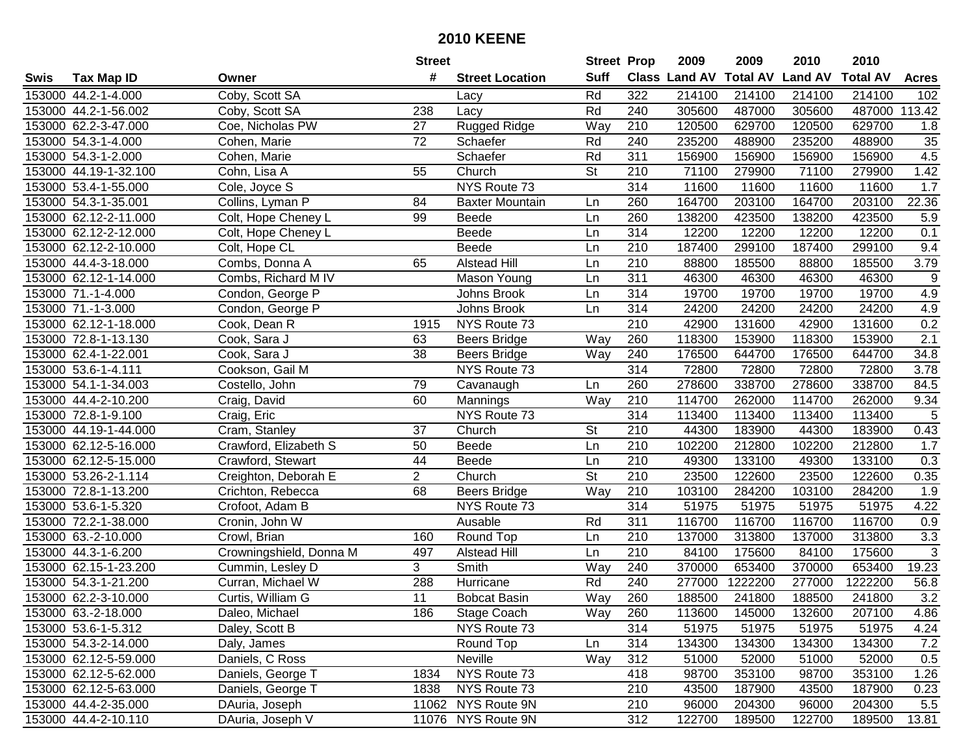|      |                       |                         | <b>Street</b>   |                        | <b>Street Prop</b>       |                  | 2009                 | 2009            | 2010           | 2010            |                  |
|------|-----------------------|-------------------------|-----------------|------------------------|--------------------------|------------------|----------------------|-----------------|----------------|-----------------|------------------|
| Swis | <b>Tax Map ID</b>     | Owner                   | #               | <b>Street Location</b> | <b>Suff</b>              |                  | <b>Class Land AV</b> | <b>Total AV</b> | <b>Land AV</b> | <b>Total AV</b> | <b>Acres</b>     |
|      | 153000 44.2-1-4.000   | Coby, Scott SA          |                 | Lacy                   | Rd                       | 322              | 214100               | 214100          | 214100         | 214100          | 102              |
|      | 153000 44.2-1-56.002  | Coby, Scott SA          | 238             | Lacy                   | Rd                       | 240              | 305600               | 487000          | 305600         | 487000          | 113.42           |
|      | 153000 62.2-3-47.000  | Coe, Nicholas PW        | 27              | Rugged Ridge           | Way                      | 210              | 120500               | 629700          | 120500         | 629700          | 1.8              |
|      | 153000 54.3-1-4.000   | Cohen, Marie            | 72              | Schaefer               | Rd                       | 240              | 235200               | 488900          | 235200         | 488900          | 35               |
|      | 153000 54.3-1-2.000   | Cohen, Marie            |                 | Schaefer               | Rd                       | 311              | 156900               | 156900          | 156900         | 156900          | 4.5              |
|      | 153000 44.19-1-32.100 | Cohn, Lisa A            | 55              | Church                 | $\overline{\mathsf{St}}$ | 210              | 71100                | 279900          | 71100          | 279900          | 1.42             |
|      | 153000 53.4-1-55.000  | Cole, Joyce S           |                 | NYS Route 73           |                          | 314              | 11600                | 11600           | 11600          | 11600           | 1.7              |
|      | 153000 54.3-1-35.001  | Collins, Lyman P        | 84              | <b>Baxter Mountain</b> | Ln                       | 260              | 164700               | 203100          | 164700         | 203100          | 22.36            |
|      | 153000 62.12-2-11.000 | Colt, Hope Cheney L     | 99              | Beede                  | Ln                       | 260              | 138200               | 423500          | 138200         | 423500          | 5.9              |
|      | 153000 62.12-2-12.000 | Colt, Hope Cheney L     |                 | Beede                  | Ln                       | 314              | 12200                | 12200           | 12200          | 12200           | 0.1              |
|      | 153000 62.12-2-10.000 | Colt, Hope CL           |                 | Beede                  | Ln                       | 210              | 187400               | 299100          | 187400         | 299100          | 9.4              |
|      | 153000 44.4-3-18.000  | Combs, Donna A          | 65              | <b>Alstead Hill</b>    | Ln                       | 210              | 88800                | 185500          | 88800          | 185500          | 3.79             |
|      | 153000 62.12-1-14.000 | Combs, Richard M IV     |                 | Mason Young            | Ln                       | 311              | 46300                | 46300           | 46300          | 46300           | $\boldsymbol{9}$ |
|      | 153000 71.-1-4.000    | Condon, George P        |                 | Johns Brook            | Ln                       | 314              | 19700                | 19700           | 19700          | 19700           | 4.9              |
|      | 153000 71.-1-3.000    | Condon, George P        |                 | Johns Brook            | Ln                       | 314              | 24200                | 24200           | 24200          | 24200           | 4.9              |
|      | 153000 62.12-1-18.000 | Cook, Dean R            | 1915            | NYS Route 73           |                          | 210              | 42900                | 131600          | 42900          | 131600          | 0.2              |
|      | 153000 72.8-1-13.130  | Cook, Sara J            | 63              | Beers Bridge           | Way                      | 260              | 118300               | 153900          | 118300         | 153900          | $\overline{2.1}$ |
|      | 153000 62.4-1-22.001  | Cook, Sara J            | 38              | <b>Beers Bridge</b>    | Way                      | 240              | 176500               | 644700          | 176500         | 644700          | 34.8             |
|      | 153000 53.6-1-4.111   | Cookson, Gail M         |                 | NYS Route 73           |                          | 314              | 72800                | 72800           | 72800          | 72800           | 3.78             |
|      | 153000 54.1-1-34.003  | Costello, John          | 79              | Cavanaugh              | Ln                       | 260              | 278600               | 338700          | 278600         | 338700          | 84.5             |
|      | 153000 44.4-2-10.200  | Craig, David            | 60              | Mannings               | Way                      | 210              | 114700               | 262000          | 114700         | 262000          | 9.34             |
|      | 153000 72.8-1-9.100   | Craig, Eric             |                 | NYS Route 73           |                          | 314              | 113400               | 113400          | 113400         | 113400          | $\sqrt{5}$       |
|      | 153000 44.19-1-44.000 | Cram, Stanley           | 37              | Church                 | <b>St</b>                | 210              | 44300                | 183900          | 44300          | 183900          | 0.43             |
|      | 153000 62.12-5-16.000 | Crawford, Elizabeth S   | 50              | Beede                  | Ln                       | 210              | 102200               | 212800          | 102200         | 212800          | 1.7              |
|      | 153000 62.12-5-15.000 | Crawford, Stewart       | 44              | Beede                  | Ln                       | $\overline{210}$ | 49300                | 133100          | 49300          | 133100          | 0.3              |
|      | 153000 53.26-2-1.114  | Creighton, Deborah E    | $\overline{2}$  | Church                 | $\overline{\mathsf{St}}$ | 210              | 23500                | 122600          | 23500          | 122600          | 0.35             |
|      | 153000 72.8-1-13.200  | Crichton, Rebecca       | 68              | <b>Beers Bridge</b>    | Way                      | 210              | 103100               | 284200          | 103100         | 284200          | 1.9              |
|      | 153000 53.6-1-5.320   | Crofoot, Adam B         |                 | NYS Route 73           |                          | 314              | 51975                | 51975           | 51975          | 51975           | 4.22             |
|      | 153000 72.2-1-38.000  | Cronin, John W          |                 | Ausable                | Rd                       | 311              | 116700               | 116700          | 116700         | 116700          | 0.9              |
|      | 153000 63.-2-10.000   | Crowl, Brian            | 160             | Round Top              | Ln                       | $\overline{210}$ | 137000               | 313800          | 137000         | 313800          | 3.3              |
|      | 153000 44.3-1-6.200   | Crowningshield, Donna M | 497             | <b>Alstead Hill</b>    | Ln                       | 210              | 84100                | 175600          | 84100          | 175600          | $\overline{3}$   |
|      | 153000 62.15-1-23.200 | Cummin, Lesley D        | 3               | Smith                  | Way                      | 240              | 370000               | 653400          | 370000         | 653400          | 19.23            |
|      | 153000 54.3-1-21.200  | Curran, Michael W       | 288             | Hurricane              | Rd                       | 240              | 277000               | 1222200         | 277000         | 1222200         | 56.8             |
|      | 153000 62.2-3-10.000  | Curtis, William G       | $\overline{11}$ | <b>Bobcat Basin</b>    | Way                      | 260              | 188500               | 241800          | 188500         | 241800          | 3.2              |
|      | 153000 63.-2-18.000   | Daleo, Michael          | 186             | Stage Coach            | Way                      | 260              | 113600               | 145000          | 132600         | 207100          | 4.86             |
|      | 153000 53.6-1-5.312   | Daley, Scott B          |                 | NYS Route 73           |                          | 314              | 51975                | 51975           | 51975          | 51975           | 4.24             |
|      | 153000 54.3-2-14.000  | Daly, James             |                 | Round Top              | Ln                       | 314              | 134300               | 134300          | 134300         | 134300          | 7.2              |
|      | 153000 62.12-5-59.000 | Daniels, C Ross         |                 | Neville                | Way                      | 312              | 51000                | 52000           | 51000          | 52000           | 0.5              |
|      | 153000 62.12-5-62.000 | Daniels, George T       | 1834            | NYS Route 73           |                          | 418              | 98700                | 353100          | 98700          | 353100          | 1.26             |
|      | 153000 62.12-5-63.000 | Daniels, George T       | 1838            | NYS Route 73           |                          | 210              | 43500                | 187900          | 43500          | 187900          | 0.23             |
|      | 153000 44.4-2-35.000  | DAuria, Joseph          |                 | 11062 NYS Route 9N     |                          | 210              | 96000                | 204300          | 96000          | 204300          | 5.5              |
|      | 153000 44.4-2-10.110  | DAuria, Joseph V        |                 | 11076 NYS Route 9N     |                          | 312              | 122700               | 189500          | 122700         | 189500          | 13.81            |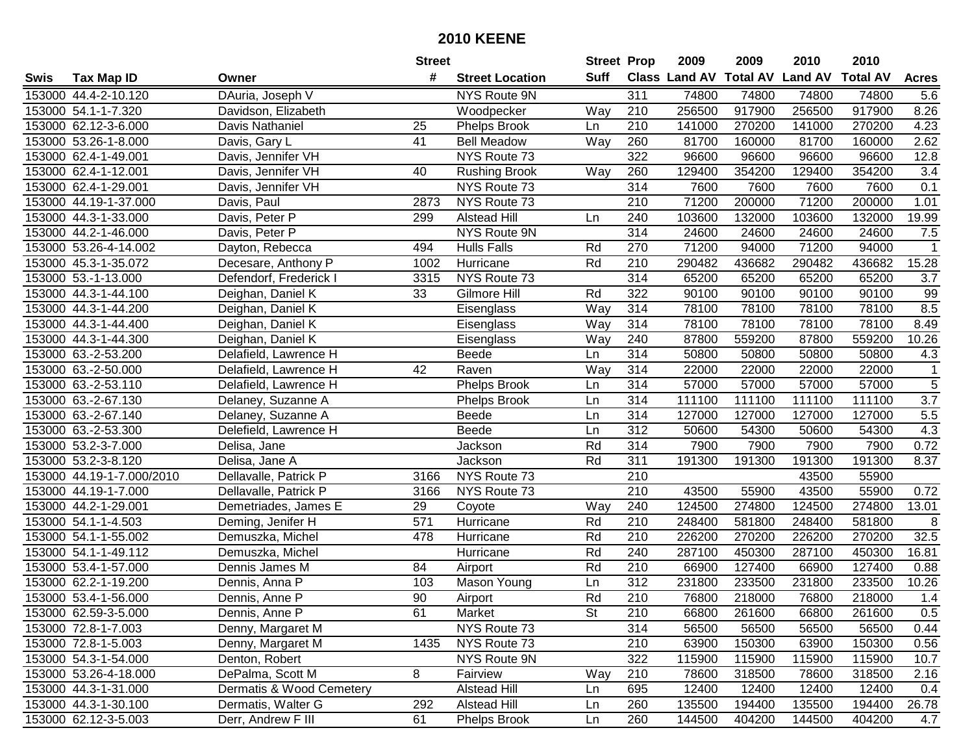|      |                           |                          | <b>Street</b> |                        | <b>Street Prop</b> |                  | 2009                 | 2009            | 2010           | 2010            |                  |
|------|---------------------------|--------------------------|---------------|------------------------|--------------------|------------------|----------------------|-----------------|----------------|-----------------|------------------|
| Swis | <b>Tax Map ID</b>         | Owner                    | #             | <b>Street Location</b> | <b>Suff</b>        |                  | <b>Class Land AV</b> | <b>Total AV</b> | <b>Land AV</b> | <b>Total AV</b> | <b>Acres</b>     |
|      | 153000 44.4-2-10.120      | DAuria, Joseph V         |               | NYS Route 9N           |                    | 311              | 74800                | 74800           | 74800          | 74800           | 5.6              |
|      | 153000 54.1-1-7.320       | Davidson, Elizabeth      |               | Woodpecker             | Way                | 210              | 256500               | 917900          | 256500         | 917900          | 8.26             |
|      | 153000 62.12-3-6.000      | Davis Nathaniel          | 25            | <b>Phelps Brook</b>    | Ln                 | 210              | 141000               | 270200          | 141000         | 270200          | 4.23             |
|      | 153000 53.26-1-8.000      | Davis, Gary L            | 41            | <b>Bell Meadow</b>     | Way                | 260              | 81700                | 160000          | 81700          | 160000          | 2.62             |
|      | 153000 62.4-1-49.001      | Davis, Jennifer VH       |               | NYS Route 73           |                    | 322              | 96600                | 96600           | 96600          | 96600           | 12.8             |
|      | 153000 62.4-1-12.001      | Davis, Jennifer VH       | 40            | <b>Rushing Brook</b>   | Way                | 260              | 129400               | 354200          | 129400         | 354200          | $\overline{3.4}$ |
|      | 153000 62.4-1-29.001      | Davis, Jennifer VH       |               | NYS Route 73           |                    | 314              | 7600                 | 7600            | 7600           | 7600            | 0.1              |
|      | 153000 44.19-1-37.000     | Davis, Paul              | 2873          | NYS Route 73           |                    | $\overline{210}$ | 71200                | 200000          | 71200          | 200000          | 1.01             |
|      | 153000 44.3-1-33.000      | Davis, Peter P           | 299           | <b>Alstead Hill</b>    | Ln                 | 240              | 103600               | 132000          | 103600         | 132000          | 19.99            |
|      | 153000 44.2-1-46.000      | Davis, Peter P           |               | NYS Route 9N           |                    | 314              | 24600                | 24600           | 24600          | 24600           | 7.5              |
|      | 153000 53.26-4-14.002     | Dayton, Rebecca          | 494           | <b>Hulls Falls</b>     | Rd                 | 270              | 71200                | 94000           | 71200          | 94000           | 1                |
|      | 153000 45.3-1-35.072      | Decesare, Anthony P      | 1002          | Hurricane              | Rd                 | 210              | 290482               | 436682          | 290482         | 436682          | 15.28            |
|      | 153000 53.-1-13.000       | Defendorf, Frederick I   | 3315          | NYS Route 73           |                    | 314              | 65200                | 65200           | 65200          | 65200           | 3.7              |
|      | 153000 44.3-1-44.100      | Deighan, Daniel K        | 33            | Gilmore Hill           | Rd                 | 322              | 90100                | 90100           | 90100          | 90100           | 99               |
|      | 153000 44.3-1-44.200      | Deighan, Daniel K        |               | Eisenglass             | Way                | 314              | 78100                | 78100           | 78100          | 78100           | 8.5              |
|      | 153000 44.3-1-44.400      | Deighan, Daniel K        |               | Eisenglass             | Way                | 314              | 78100                | 78100           | 78100          | 78100           | 8.49             |
|      | 153000 44.3-1-44.300      | Deighan, Daniel K        |               | Eisenglass             | Way                | 240              | 87800                | 559200          | 87800          | 559200          | 10.26            |
|      | 153000 63.-2-53.200       | Delafield, Lawrence H    |               | <b>Beede</b>           | Ln                 | 314              | 50800                | 50800           | 50800          | 50800           | 4.3              |
|      | 153000 63.-2-50.000       | Delafield, Lawrence H    | 42            | Raven                  | Way                | 314              | 22000                | 22000           | 22000          | 22000           | $\mathbf 1$      |
|      | 153000 63.-2-53.110       | Delafield, Lawrence H    |               | <b>Phelps Brook</b>    | Ln                 | 314              | 57000                | 57000           | 57000          | 57000           | $\mathbf 5$      |
|      | 153000 63.-2-67.130       | Delaney, Suzanne A       |               | <b>Phelps Brook</b>    | Ln                 | 314              | 111100               | 111100          | 111100         | 111100          | 3.7              |
|      | 153000 63.-2-67.140       | Delaney, Suzanne A       |               | Beede                  | Ln                 | 314              | 127000               | 127000          | 127000         | 127000          | $5.5$            |
|      | 153000 63.-2-53.300       | Delefield, Lawrence H    |               | Beede                  | Ln                 | 312              | 50600                | 54300           | 50600          | 54300           | 4.3              |
|      | 153000 53.2-3-7.000       | Delisa, Jane             |               | Jackson                | Rd                 | 314              | 7900                 | 7900            | 7900           | 7900            | 0.72             |
|      | 153000 53.2-3-8.120       | Delisa, Jane A           |               | Jackson                | Rd                 | 311              | 191300               | 191300          | 191300         | 191300          | 8.37             |
|      | 153000 44.19-1-7.000/2010 | Dellavalle, Patrick P    | 3166          | NYS Route 73           |                    | 210              |                      |                 | 43500          | 55900           |                  |
|      | 153000 44.19-1-7.000      | Dellavalle, Patrick P    | 3166          | NYS Route 73           |                    | 210              | 43500                | 55900           | 43500          | 55900           | 0.72             |
|      | 153000 44.2-1-29.001      | Demetriades, James E     | 29            | Coyote                 | Way                | 240              | 124500               | 274800          | 124500         | 274800          | 13.01            |
|      | 153000 54.1-1-4.503       | Deming, Jenifer H        | 571           | Hurricane              | Rd                 | 210              | 248400               | 581800          | 248400         | 581800          | 8                |
|      | 153000 54.1-1-55.002      | Demuszka, Michel         | 478           | Hurricane              | Rd                 | $\overline{210}$ | 226200               | 270200          | 226200         | 270200          | 32.5             |
|      | 153000 54.1-1-49.112      | Demuszka, Michel         |               | Hurricane              | Rd                 | 240              | 287100               | 450300          | 287100         | 450300          | 16.81            |
|      | 153000 53.4-1-57.000      | Dennis James M           | 84            | Airport                | Rd                 | 210              | 66900                | 127400          | 66900          | 127400          | 0.88             |
|      | 153000 62.2-1-19.200      | Dennis, Anna P           | 103           | <b>Mason Young</b>     | Ln                 | $\overline{312}$ | 231800               | 233500          | 231800         | 233500          | 10.26            |
|      | 153000 53.4-1-56.000      | Dennis, Anne P           | 90            | Airport                | Rd                 | $\overline{210}$ | 76800                | 218000          | 76800          | 218000          | 1.4              |
|      | 153000 62.59-3-5.000      | Dennis, Anne P           | 61            | Market                 | St                 | 210              | 66800                | 261600          | 66800          | 261600          | 0.5              |
|      | 153000 72.8-1-7.003       | Denny, Margaret M        |               | NYS Route 73           |                    | 314              | 56500                | 56500           | 56500          | 56500           | 0.44             |
|      | 153000 72.8-1-5.003       | Denny, Margaret M        | 1435          | NYS Route 73           |                    | 210              | 63900                | 150300          | 63900          | 150300          | 0.56             |
|      | 153000 54.3-1-54.000      | Denton, Robert           |               | NYS Route 9N           |                    | 322              | 115900               | 115900          | 115900         | 115900          | 10.7             |
|      | 153000 53.26-4-18.000     | DePalma, Scott M         | 8             | Fairview               | Way                | 210              | 78600                | 318500          | 78600          | 318500          | 2.16             |
|      | 153000 44.3-1-31.000      | Dermatis & Wood Cemetery |               | <b>Alstead Hill</b>    | Ln                 | 695              | 12400                | 12400           | 12400          | 12400           | 0.4              |
|      | 153000 44.3-1-30.100      | Dermatis, Walter G       | 292           | Alstead Hill           | Ln                 | 260              | 135500               | 194400          | 135500         | 194400          | 26.78            |
|      | 153000 62.12-3-5.003      | Derr, Andrew F III       | 61            | <b>Phelps Brook</b>    | Ln                 | 260              | 144500               | 404200          | 144500         | 404200          | 4.7              |
|      |                           |                          |               |                        |                    |                  |                      |                 |                |                 |                  |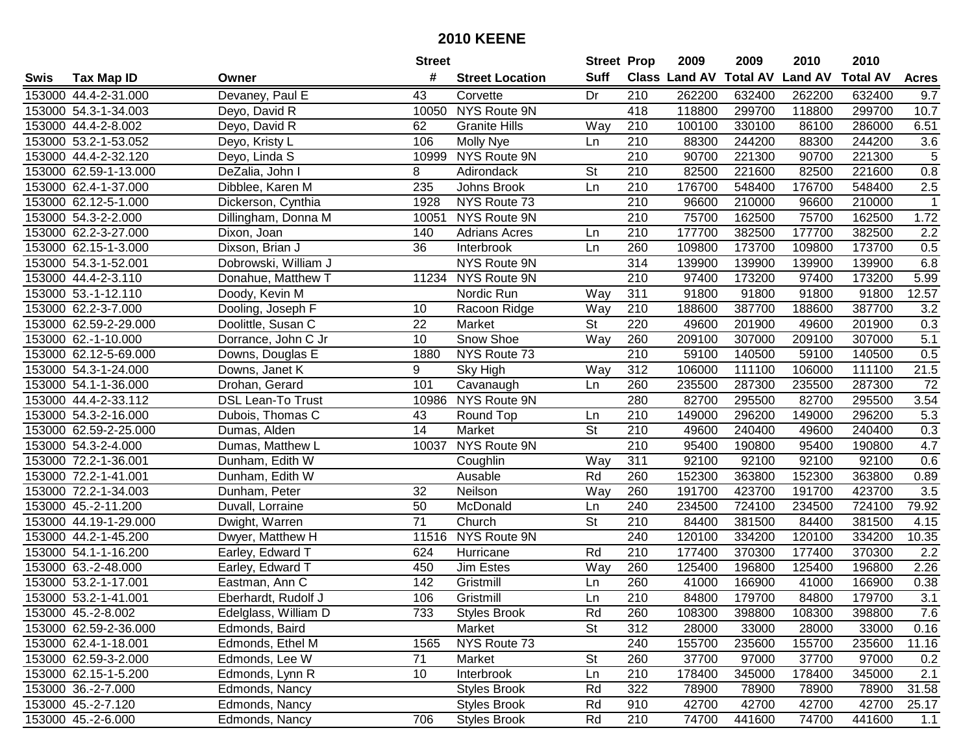|      |                       |                          | <b>Street</b>   |                        | <b>Street Prop</b>       |                  | 2009          | 2009            | 2010           | 2010            |                  |
|------|-----------------------|--------------------------|-----------------|------------------------|--------------------------|------------------|---------------|-----------------|----------------|-----------------|------------------|
| Swis | <b>Tax Map ID</b>     | Owner                    | #               | <b>Street Location</b> | <b>Suff</b>              |                  | Class Land AV | <b>Total AV</b> | <b>Land AV</b> | <b>Total AV</b> | <b>Acres</b>     |
|      | 153000 44.4-2-31.000  | Devaney, Paul E          | 43              | Corvette               | Dr                       | 210              | 262200        | 632400          | 262200         | 632400          | 9.7              |
|      | 153000 54.3-1-34.003  | Deyo, David R            |                 | 10050 NYS Route 9N     |                          | 418              | 118800        | 299700          | 118800         | 299700          | 10.7             |
|      | 153000 44.4-2-8.002   | Deyo, David R            | 62              | <b>Granite Hills</b>   | Way                      | 210              | 100100        | 330100          | 86100          | 286000          | 6.51             |
|      | 153000 53.2-1-53.052  | Deyo, Kristy L           | 106             | Molly Nye              | Ln                       | 210              | 88300         | 244200          | 88300          | 244200          | 3.6              |
|      | 153000 44.4-2-32.120  | Deyo, Linda S            |                 | 10999 NYS Route 9N     |                          | 210              | 90700         | 221300          | 90700          | 221300          | $\sqrt{5}$       |
|      | 153000 62.59-1-13.000 | DeZalia, John I          | 8               | Adirondack             | <b>St</b>                | 210              | 82500         | 221600          | 82500          | 221600          | $\overline{0.8}$ |
|      | 153000 62.4-1-37.000  | Dibblee, Karen M         | 235             | Johns Brook            | Ln                       | 210              | 176700        | 548400          | 176700         | 548400          | 2.5              |
|      | 153000 62.12-5-1.000  | Dickerson, Cynthia       | 1928            | NYS Route 73           |                          | 210              | 96600         | 210000          | 96600          | 210000          | $\mathbf{1}$     |
|      | 153000 54.3-2-2.000   | Dillingham, Donna M      | 10051           | NYS Route 9N           |                          | $\overline{210}$ | 75700         | 162500          | 75700          | 162500          | 1.72             |
|      | 153000 62.2-3-27.000  | Dixon, Joan              | 140             | <b>Adrians Acres</b>   | Ln                       | 210              | 177700        | 382500          | 177700         | 382500          | 2.2              |
|      | 153000 62.15-1-3.000  | Dixson, Brian J          | 36              | Interbrook             | Ln                       | 260              | 109800        | 173700          | 109800         | 173700          | 0.5              |
|      | 153000 54.3-1-52.001  | Dobrowski, William J     |                 | NYS Route 9N           |                          | 314              | 139900        | 139900          | 139900         | 139900          | 6.8              |
|      | 153000 44.4-2-3.110   | Donahue, Matthew T       | 11234           | NYS Route 9N           |                          | $\overline{210}$ | 97400         | 173200          | 97400          | 173200          | 5.99             |
|      | 153000 53.-1-12.110   | Doody, Kevin M           |                 | Nordic Run             | Way                      | 311              | 91800         | 91800           | 91800          | 91800           | 12.57            |
|      | 153000 62.2-3-7.000   | Dooling, Joseph F        | 10              | Racoon Ridge           | Way                      | 210              | 188600        | 387700          | 188600         | 387700          | 3.2              |
|      | 153000 62.59-2-29.000 | Doolittle, Susan C       | 22              | Market                 | <b>St</b>                | 220              | 49600         | 201900          | 49600          | 201900          | 0.3              |
|      | 153000 62.-1-10.000   | Dorrance, John C Jr      | 10              | Snow Shoe              | Way                      | 260              | 209100        | 307000          | 209100         | 307000          | 5.1              |
|      | 153000 62.12-5-69.000 | Downs, Douglas E         | 1880            | NYS Route 73           |                          | 210              | 59100         | 140500          | 59100          | 140500          | 0.5              |
|      | 153000 54.3-1-24.000  | Downs, Janet K           | 9               | Sky High               | Way                      | 312              | 106000        | 111100          | 106000         | 111100          | 21.5             |
|      | 153000 54.1-1-36.000  | Drohan, Gerard           | 101             | Cavanaugh              | Ln                       | 260              | 235500        | 287300          | 235500         | 287300          | 72               |
|      | 153000 44.4-2-33.112  | <b>DSL Lean-To Trust</b> | 10986           | NYS Route 9N           |                          | 280              | 82700         | 295500          | 82700          | 295500          | 3.54             |
|      | 153000 54.3-2-16.000  | Dubois, Thomas C         | 43              | Round Top              | Ln                       | 210              | 149000        | 296200          | 149000         | 296200          | 5.3              |
|      | 153000 62.59-2-25.000 | Dumas, Alden             | 14              | Market                 | St                       | 210              | 49600         | 240400          | 49600          | 240400          | 0.3              |
|      | 153000 54.3-2-4.000   | Dumas, Matthew L         | 10037           | NYS Route 9N           |                          | 210              | 95400         | 190800          | 95400          | 190800          | 4.7              |
|      | 153000 72.2-1-36.001  | Dunham, Edith W          |                 | Coughlin               | Way                      | 311              | 92100         | 92100           | 92100          | 92100           | 0.6              |
|      | 153000 72.2-1-41.001  | Dunham, Edith W          |                 | Ausable                | Rd                       | 260              | 152300        | 363800          | 152300         | 363800          | 0.89             |
|      | 153000 72.2-1-34.003  | Dunham, Peter            | 32              | Neilson                | Way                      | 260              | 191700        | 423700          | 191700         | 423700          | 3.5              |
|      | 153000 45.-2-11.200   | Duvall, Lorraine         | 50              | McDonald               | Ln                       | 240              | 234500        | 724100          | 234500         | 724100          | 79.92            |
|      | 153000 44.19-1-29.000 | Dwight, Warren           | $\overline{71}$ | Church                 | $\overline{\mathsf{St}}$ | 210              | 84400         | 381500          | 84400          | 381500          | 4.15             |
|      | 153000 44.2-1-45.200  | Dwyer, Matthew H         | 11516           | NYS Route 9N           |                          | 240              | 120100        | 334200          | 120100         | 334200          | 10.35            |
|      | 153000 54.1-1-16.200  | Earley, Edward T         | 624             | Hurricane              | Rd                       | $\overline{210}$ | 177400        | 370300          | 177400         | 370300          | $\overline{2.2}$ |
|      | 153000 63.-2-48.000   | Earley, Edward T         | 450             | Jim Estes              | Way                      | 260              | 125400        | 196800          | 125400         | 196800          | 2.26             |
|      | 153000 53.2-1-17.001  | Eastman, Ann C           | 142             | Gristmill              | Ln                       | 260              | 41000         | 166900          | 41000          | 166900          | 0.38             |
|      | 153000 53.2-1-41.001  | Eberhardt, Rudolf J      | 106             | Gristmill              | Ln                       | $\overline{210}$ | 84800         | 179700          | 84800          | 179700          | $\overline{3.1}$ |
|      | 153000 45.-2-8.002    | Edelglass, William D     | 733             | <b>Styles Brook</b>    | Rd                       | 260              | 108300        | 398800          | 108300         | 398800          | 7.6              |
|      | 153000 62.59-2-36.000 | Edmonds, Baird           |                 | Market                 | <b>St</b>                | 312              | 28000         | 33000           | 28000          | 33000           | 0.16             |
|      | 153000 62.4-1-18.001  | Edmonds, Ethel M         | 1565            | NYS Route 73           |                          | 240              | 155700        | 235600          | 155700         | 235600          | 11.16            |
|      | 153000 62.59-3-2.000  | Edmonds, Lee W           | 71              | Market                 | <b>St</b>                | 260              | 37700         | 97000           | 37700          | 97000           | 0.2              |
|      | 153000 62.15-1-5.200  | Edmonds, Lynn R          | 10              | Interbrook             | Ln                       | 210              | 178400        | 345000          | 178400         | 345000          | 2.1              |
|      | 153000 36.-2-7.000    | Edmonds, Nancy           |                 | <b>Styles Brook</b>    | Rd                       | 322              | 78900         | 78900           | 78900          | 78900           | 31.58            |
|      | 153000 45.-2-7.120    | Edmonds, Nancy           |                 | <b>Styles Brook</b>    | Rd                       | 910              | 42700         | 42700           | 42700          | 42700           | 25.17            |
|      | 153000 45.-2-6.000    | Edmonds, Nancy           | 706             | <b>Styles Brook</b>    | Rd                       | 210              | 74700         | 441600          | 74700          | 441600          | 1.1              |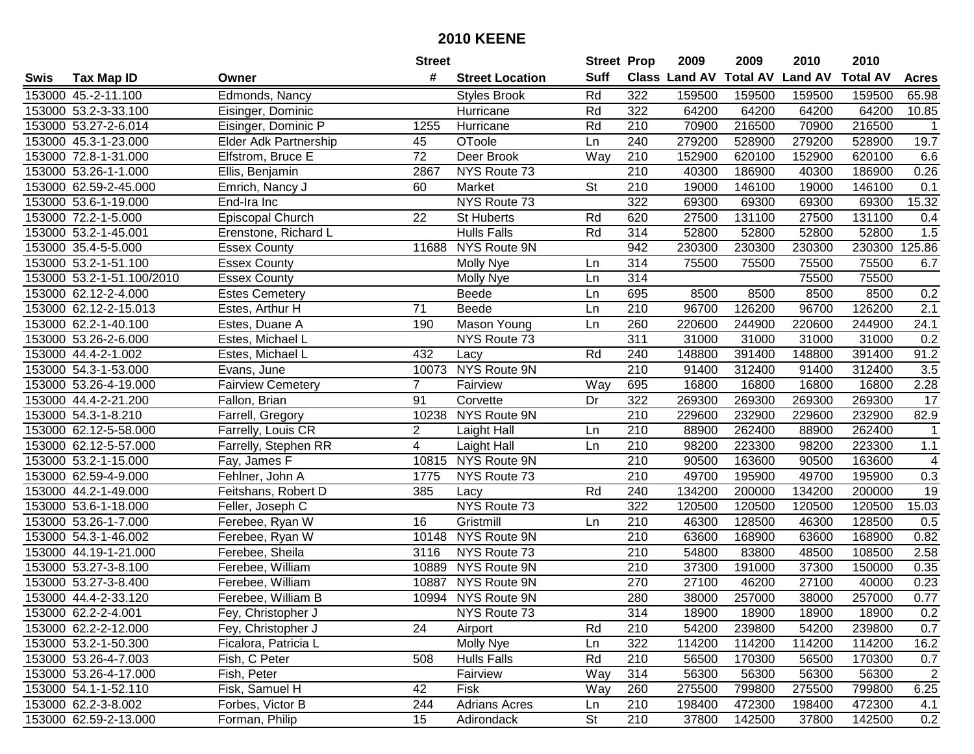|      |                           |                              | <b>Street</b>   |                        | <b>Street Prop</b> |                  | 2009                 | 2009            | 2010           | 2010            |                         |
|------|---------------------------|------------------------------|-----------------|------------------------|--------------------|------------------|----------------------|-----------------|----------------|-----------------|-------------------------|
| Swis | <b>Tax Map ID</b>         | Owner                        | #               | <b>Street Location</b> | <b>Suff</b>        |                  | <b>Class Land AV</b> | <b>Total AV</b> | <b>Land AV</b> | <b>Total AV</b> | <b>Acres</b>            |
|      | 153000 45.-2-11.100       | Edmonds, Nancy               |                 | <b>Styles Brook</b>    | Rd                 | 322              | 159500               | 159500          | 159500         | 159500          | 65.98                   |
|      | 153000 53.2-3-33.100      | Eisinger, Dominic            |                 | Hurricane              | Rd                 | 322              | 64200                | 64200           | 64200          | 64200           | 10.85                   |
|      | 153000 53.27-2-6.014      | Eisinger, Dominic P          | 1255            | Hurricane              | Rd                 | 210              | 70900                | 216500          | 70900          | 216500          | $\mathbf{1}$            |
|      | 153000 45.3-1-23.000      | <b>Elder Adk Partnership</b> | 45              | OToole                 | Ln                 | 240              | 279200               | 528900          | 279200         | 528900          | 19.7                    |
|      | 153000 72.8-1-31.000      | Elfstrom, Bruce E            | 72              | Deer Brook             | Way                | 210              | 152900               | 620100          | 152900         | 620100          | 6.6                     |
|      | 153000 53.26-1-1.000      | Ellis, Benjamin              | 2867            | NYS Route 73           |                    | $\overline{210}$ | 40300                | 186900          | 40300          | 186900          | 0.26                    |
|      | 153000 62.59-2-45.000     | Emrich, Nancy J              | 60              | Market                 | <b>St</b>          | 210              | 19000                | 146100          | 19000          | 146100          | 0.1                     |
|      | 153000 53.6-1-19.000      | End-Ira Inc                  |                 | NYS Route 73           |                    | 322              | 69300                | 69300           | 69300          | 69300           | 15.32                   |
|      | 153000 72.2-1-5.000       | Episcopal Church             | $\overline{22}$ | <b>St Huberts</b>      | Rd                 | 620              | 27500                | 131100          | 27500          | 131100          | 0.4                     |
|      | 153000 53.2-1-45.001      | Erenstone, Richard L         |                 | <b>Hulls Falls</b>     | Rd                 | 314              | 52800                | 52800           | 52800          | 52800           | 1.5                     |
|      | 153000 35.4-5-5.000       | <b>Essex County</b>          | 11688           | NYS Route 9N           |                    | 942              | 230300               | 230300          | 230300         | 230300          | 125.86                  |
|      | 153000 53.2-1-51.100      | <b>Essex County</b>          |                 | Molly Nye              | Ln                 | 314              | 75500                | 75500           | 75500          | 75500           | 6.7                     |
|      | 153000 53.2-1-51.100/2010 | Essex County                 |                 | Molly Nye              | Ln                 | 314              |                      |                 | 75500          | 75500           |                         |
|      | 153000 62.12-2-4.000      | <b>Estes Cemetery</b>        |                 | Beede                  | Ln                 | 695              | 8500                 | 8500            | 8500           | 8500            | 0.2                     |
|      | 153000 62.12-2-15.013     | Estes, Arthur H              | 71              | Beede                  | Ln                 | 210              | 96700                | 126200          | 96700          | 126200          | $\overline{2.1}$        |
|      | 153000 62.2-1-40.100      | Estes, Duane A               | 190             | Mason Young            | Ln                 | 260              | 220600               | 244900          | 220600         | 244900          | 24.1                    |
|      | 153000 53.26-2-6.000      | Estes, Michael L             |                 | NYS Route 73           |                    | $\overline{311}$ | 31000                | 31000           | 31000          | 31000           | 0.2                     |
|      | 153000 44.4-2-1.002       | Estes, Michael L             | 432             | Lacy                   | Rd                 | 240              | 148800               | 391400          | 148800         | 391400          | 91.2                    |
|      | 153000 54.3-1-53.000      | Evans, June                  | 10073           | NYS Route 9N           |                    | 210              | 91400                | 312400          | 91400          | 312400          | 3.5                     |
|      | 153000 53.26-4-19.000     | <b>Fairview Cemetery</b>     | $\overline{7}$  | Fairview               | Way                | 695              | 16800                | 16800           | 16800          | 16800           | 2.28                    |
|      | 153000 44.4-2-21.200      | Fallon, Brian                | 91              | Corvette               | Dr                 | 322              | 269300               | 269300          | 269300         | 269300          | 17                      |
|      | 153000 54.3-1-8.210       | Farrell, Gregory             | 10238           | NYS Route 9N           |                    | 210              | 229600               | 232900          | 229600         | 232900          | 82.9                    |
|      | 153000 62.12-5-58.000     | Farrelly, Louis CR           | $\overline{2}$  | Laight Hall            | Ln                 | 210              | 88900                | 262400          | 88900          | 262400          | $\mathbf{1}$            |
|      | 153000 62.12-5-57.000     | Farrelly, Stephen RR         | 4               | Laight Hall            | Ln                 | 210              | 98200                | 223300          | 98200          | 223300          | 1.1                     |
|      | 153000 53.2-1-15.000      | Fay, James F                 | 10815           | NYS Route 9N           |                    | $\overline{210}$ | 90500                | 163600          | 90500          | 163600          | $\overline{\mathbf{4}}$ |
|      | 153000 62.59-4-9.000      | Fehlner, John A              | 1775            | NYS Route 73           |                    | 210              | 49700                | 195900          | 49700          | 195900          | 0.3                     |
|      | 153000 44.2-1-49.000      | Feitshans, Robert D          | 385             | Lacy                   | Rd                 | 240              | 134200               | 200000          | 134200         | 200000          | 19                      |
|      | 153000 53.6-1-18.000      | Feller, Joseph C             |                 | NYS Route 73           |                    | 322              | 120500               | 120500          | 120500         | 120500          | 15.03                   |
|      | 153000 53.26-1-7.000      | Ferebee, Ryan W              | 16              | Gristmill              | Ln                 | 210              | 46300                | 128500          | 46300          | 128500          | 0.5                     |
|      | 153000 54.3-1-46.002      | Ferebee, Ryan W              |                 | 10148 NYS Route 9N     |                    | $\overline{210}$ | 63600                | 168900          | 63600          | 168900          | 0.82                    |
|      | 153000 44.19-1-21.000     | Ferebee, Sheila              | 3116            | NYS Route 73           |                    | $\overline{210}$ | 54800                | 83800           | 48500          | 108500          | 2.58                    |
|      | 153000 53.27-3-8.100      | Ferebee, William             | 10889           | NYS Route 9N           |                    | 210              | 37300                | 191000          | 37300          | 150000          | 0.35                    |
|      | 153000 53.27-3-8.400      | Ferebee, William             | 10887           | NYS Route 9N           |                    | 270              | 27100                | 46200           | 27100          | 40000           | 0.23                    |
|      | 153000 44.4-2-33.120      | Ferebee, William B           |                 | 10994 NYS Route 9N     |                    | 280              | 38000                | 257000          | 38000          | 257000          | 0.77                    |
|      | 153000 62.2-2-4.001       | Fey, Christopher J           |                 | NYS Route 73           |                    | 314              | 18900                | 18900           | 18900          | 18900           | 0.2                     |
|      | 153000 62.2-2-12.000      | Fey, Christopher J           | 24              | Airport                | Rd                 | 210              | 54200                | 239800          | 54200          | 239800          | 0.7                     |
|      | 153000 53.2-1-50.300      | Ficalora, Patricia L         |                 | Molly Nye              | Ln                 | 322              | 114200               | 114200          | 114200         | 114200          | 16.2                    |
|      | 153000 53.26-4-7.003      | Fish, C Peter                | 508             | <b>Hulls Falls</b>     | Rd                 | 210              | 56500                | 170300          | 56500          | 170300          | 0.7                     |
|      | 153000 53.26-4-17.000     | Fish, Peter                  |                 | Fairview               | Way                | 314              | 56300                | 56300           | 56300          | 56300           | $\overline{2}$          |
|      | 153000 54.1-1-52.110      | Fisk, Samuel H               | 42              | Fisk                   | Way                | 260              | 275500               | 799800          | 275500         | 799800          | 6.25                    |
|      | 153000 62.2-3-8.002       | Forbes, Victor B             | 244             | <b>Adrians Acres</b>   | Ln                 | 210              | 198400               | 472300          | 198400         | 472300          | 4.1                     |
|      | 153000 62.59-2-13.000     | Forman, Philip               | 15              | Adirondack             | <b>St</b>          | 210              | 37800                | 142500          | 37800          | 142500          | 0.2                     |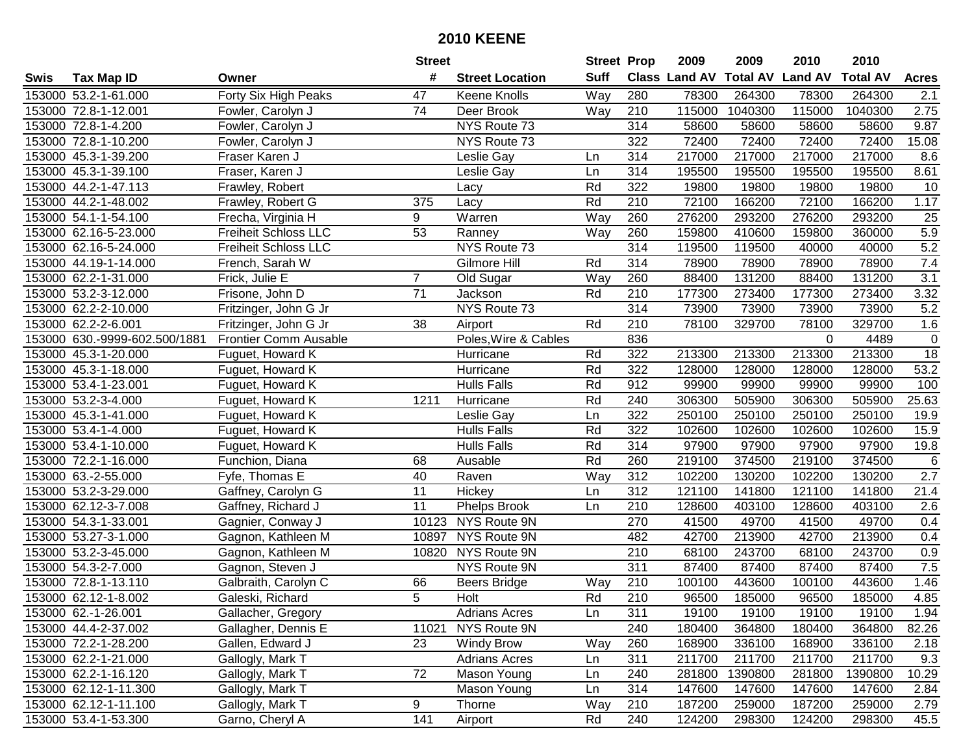|      |                               |                             | <b>Street</b>   |                        | <b>Street Prop</b> |                  | 2009                 | 2009            | 2010           | 2010            |                 |
|------|-------------------------------|-----------------------------|-----------------|------------------------|--------------------|------------------|----------------------|-----------------|----------------|-----------------|-----------------|
| Swis | <b>Tax Map ID</b>             | Owner                       | #               | <b>Street Location</b> | <b>Suff</b>        |                  | <b>Class Land AV</b> | <b>Total AV</b> | <b>Land AV</b> | <b>Total AV</b> | <b>Acres</b>    |
|      | 153000 53.2-1-61.000          | Forty Six High Peaks        | 47              | <b>Keene Knolls</b>    | Way                | 280              | 78300                | 264300          | 78300          | 264300          | 2.1             |
|      | 153000 72.8-1-12.001          | Fowler, Carolyn J           | 74              | Deer Brook             | Way                | 210              | 115000               | 1040300         | 115000         | 1040300         | 2.75            |
|      | 153000 72.8-1-4.200           | Fowler, Carolyn J           |                 | NYS Route 73           |                    | 314              | 58600                | 58600           | 58600          | 58600           | 9.87            |
|      | 153000 72.8-1-10.200          | Fowler, Carolyn J           |                 | NYS Route 73           |                    | 322              | 72400                | 72400           | 72400          | 72400           | 15.08           |
|      | 153000 45.3-1-39.200          | Fraser Karen J              |                 | Leslie Gay             | Ln                 | 314              | 217000               | 217000          | 217000         | 217000          | 8.6             |
|      | 153000 45.3-1-39.100          | Fraser, Karen J             |                 | Leslie Gay             | Ln                 | 314              | 195500               | 195500          | 195500         | 195500          | 8.61            |
|      | 153000 44.2-1-47.113          | Frawley, Robert             |                 | Lacy                   | Rd                 | 322              | 19800                | 19800           | 19800          | 19800           | 10              |
|      | 153000 44.2-1-48.002          | Frawley, Robert G           | 375             | Lacy                   | Rd                 | 210              | 72100                | 166200          | 72100          | 166200          | 1.17            |
|      | 153000 54.1-1-54.100          | Frecha, Virginia H          | 9               | Warren                 | Way                | 260              | 276200               | 293200          | 276200         | 293200          | 25              |
|      | 153000 62.16-5-23.000         | <b>Freiheit Schloss LLC</b> | 53              | Ranney                 | Way                | 260              | 159800               | 410600          | 159800         | 360000          | 5.9             |
|      | 153000 62.16-5-24.000         | <b>Freiheit Schloss LLC</b> |                 | NYS Route 73           |                    | 314              | 119500               | 119500          | 40000          | 40000           | 5.2             |
|      | 153000 44.19-1-14.000         | French, Sarah W             |                 | Gilmore Hill           | Rd                 | 314              | 78900                | 78900           | 78900          | 78900           | 7.4             |
|      | 153000 62.2-1-31.000          | Frick, Julie E              | $\overline{7}$  | Old Sugar              | Way                | 260              | 88400                | 131200          | 88400          | 131200          | 3.1             |
|      | 153000 53.2-3-12.000          | Frisone, John D             | 71              | Jackson                | Rd                 | 210              | 177300               | 273400          | 177300         | 273400          | 3.32            |
|      | 153000 62.2-2-10.000          | Fritzinger, John G Jr       |                 | NYS Route 73           |                    | 314              | 73900                | 73900           | 73900          | 73900           | 5.2             |
|      | 153000 62.2-2-6.001           | Fritzinger, John G Jr       | 38              | Airport                | Rd                 | 210              | 78100                | 329700          | 78100          | 329700          | 1.6             |
|      | 153000 630.-9999-602.500/1881 | Frontier Comm Ausable       |                 | Poles, Wire & Cables   |                    | 836              |                      |                 | 0              | 4489            | $\pmb{0}$       |
|      | 153000 45.3-1-20.000          | Fuguet, Howard K            |                 | Hurricane              | Rd                 | 322              | 213300               | 213300          | 213300         | 213300          | $\overline{18}$ |
|      | 153000 45.3-1-18.000          | Fuguet, Howard K            |                 | Hurricane              | Rd                 | 322              | 128000               | 128000          | 128000         | 128000          | 53.2            |
|      | 153000 53.4-1-23.001          | Fuguet, Howard K            |                 | <b>Hulls Falls</b>     | Rd                 | 912              | 99900                | 99900           | 99900          | 99900           | 100             |
|      | 153000 53.2-3-4.000           | Fuguet, Howard K            | 1211            | Hurricane              | Rd                 | 240              | 306300               | 505900          | 306300         | 505900          | 25.63           |
|      | 153000 45.3-1-41.000          | Fuguet, Howard K            |                 | Leslie Gay             | Ln                 | 322              | 250100               | 250100          | 250100         | 250100          | 19.9            |
|      | 153000 53.4-1-4.000           | Fuguet, Howard K            |                 | <b>Hulls Falls</b>     | Rd                 | 322              | 102600               | 102600          | 102600         | 102600          | 15.9            |
|      | 153000 53.4-1-10.000          | Fuguet, Howard K            |                 | <b>Hulls Falls</b>     | Rd                 | 314              | 97900                | 97900           | 97900          | 97900           | 19.8            |
|      | 153000 72.2-1-16.000          | Funchion, Diana             | 68              | Ausable                | Rd                 | 260              | 219100               | 374500          | 219100         | 374500          | $\,6$           |
|      | 153000 63.-2-55.000           | Fyfe, Thomas E              | 40              | Raven                  | Way                | 312              | 102200               | 130200          | 102200         | 130200          | 2.7             |
|      | 153000 53.2-3-29.000          | Gaffney, Carolyn G          | $\overline{11}$ | Hickey                 | Ln                 | 312              | 121100               | 141800          | 121100         | 141800          | 21.4            |
|      | 153000 62.12-3-7.008          | Gaffney, Richard J          | 11              | Phelps Brook           | Ln                 | 210              | 128600               | 403100          | 128600         | 403100          | 2.6             |
|      | 153000 54.3-1-33.001          | Gagnier, Conway J           | 10123           | NYS Route 9N           |                    | 270              | 41500                | 49700           | 41500          | 49700           | 0.4             |
|      | 153000 53.27-3-1.000          | Gagnon, Kathleen M          | 10897           | NYS Route 9N           |                    | 482              | 42700                | 213900          | 42700          | 213900          | 0.4             |
|      | 153000 53.2-3-45.000          | Gagnon, Kathleen M          | 10820           | NYS Route 9N           |                    | $\overline{210}$ | 68100                | 243700          | 68100          | 243700          | 0.9             |
|      | 153000 54.3-2-7.000           | Gagnon, Steven J            |                 | NYS Route 9N           |                    | 311              | 87400                | 87400           | 87400          | 87400           | 7.5             |
|      | 153000 72.8-1-13.110          | Galbraith, Carolyn C        | 66              | <b>Beers Bridge</b>    | Way                | 210              | 100100               | 443600          | 100100         | 443600          | 1.46            |
|      | 153000 62.12-1-8.002          | Galeski, Richard            | 5               | Holt                   | Rd                 | 210              | 96500                | 185000          | 96500          | 185000          | 4.85            |
|      | 153000 62.-1-26.001           | Gallacher, Gregory          |                 | <b>Adrians Acres</b>   | Ln                 | 311              | 19100                | 19100           | 19100          | 19100           | 1.94            |
|      | 153000 44.4-2-37.002          | Gallagher, Dennis E         | 11021           | NYS Route 9N           |                    | 240              | 180400               | 364800          | 180400         | 364800          | 82.26           |
|      | 153000 72.2-1-28.200          | Gallen, Edward J            | 23              | <b>Windy Brow</b>      | Way                | 260              | 168900               | 336100          | 168900         | 336100          | 2.18            |
|      | 153000 62.2-1-21.000          | Gallogly, Mark T            |                 | <b>Adrians Acres</b>   | Ln                 | 311              | 211700               | 211700          | 211700         | 211700          | 9.3             |
|      | 153000 62.2-1-16.120          | Gallogly, Mark T            | 72              | Mason Young            | Ln                 | 240              | 281800               | 1390800         | 281800         | 1390800         | 10.29           |
|      | 153000 62.12-1-11.300         | Gallogly, Mark T            |                 | Mason Young            | Ln                 | 314              | 147600               | 147600          | 147600         | 147600          | 2.84            |
|      | 153000 62.12-1-11.100         | Gallogly, Mark T            | 9               | Thorne                 | Way                | 210              | 187200               | 259000          | 187200         | 259000          | 2.79            |
|      | 153000 53.4-1-53.300          | Garno, Cheryl A             | 141             | Airport                | Rd                 | 240              | 124200               | 298300          | 124200         | 298300          | 45.5            |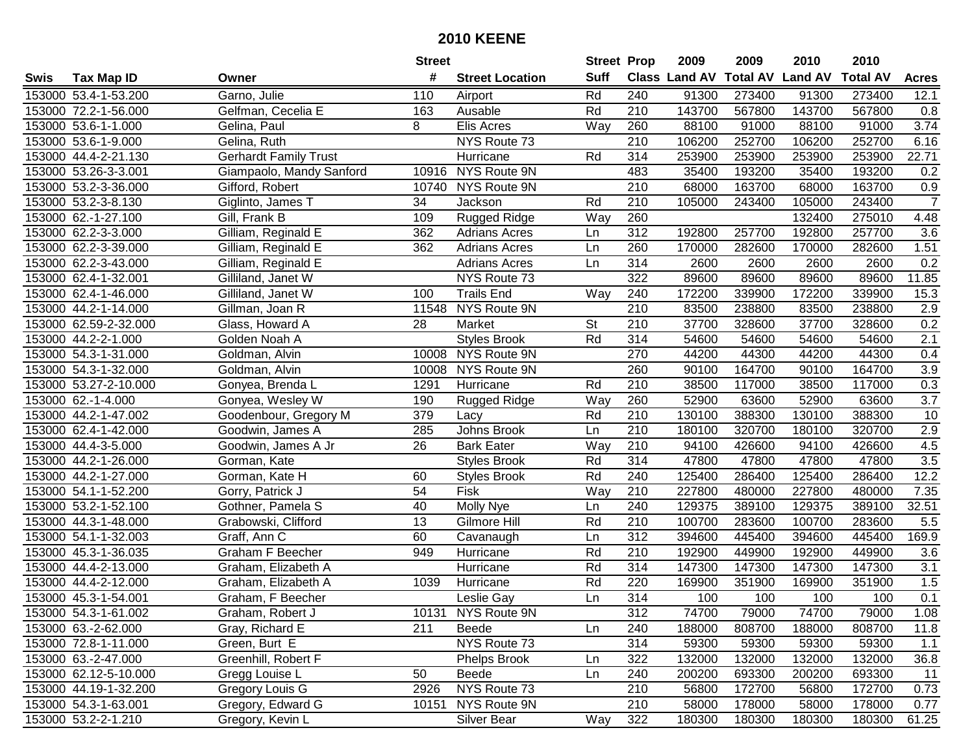|      |                       |                              | <b>Street</b>   |                        | <b>Street Prop</b> |                  | 2009                 | 2009            | 2010           | 2010            |                  |
|------|-----------------------|------------------------------|-----------------|------------------------|--------------------|------------------|----------------------|-----------------|----------------|-----------------|------------------|
| Swis | <b>Tax Map ID</b>     | Owner                        | #               | <b>Street Location</b> | <b>Suff</b>        |                  | <b>Class Land AV</b> | <b>Total AV</b> | <b>Land AV</b> | <b>Total AV</b> | <b>Acres</b>     |
|      | 153000 53.4-1-53.200  | Garno, Julie                 | 110             | Airport                | Rd                 | 240              | 91300                | 273400          | 91300          | 273400          | 12.1             |
|      | 153000 72.2-1-56.000  | Gelfman, Cecelia E           | 163             | Ausable                | Rd                 | 210              | 143700               | 567800          | 143700         | 567800          | 0.8              |
|      | 153000 53.6-1-1.000   | Gelina, Paul                 | 8               | Elis Acres             | Way                | 260              | 88100                | 91000           | 88100          | 91000           | 3.74             |
|      | 153000 53.6-1-9.000   | Gelina, Ruth                 |                 | NYS Route 73           |                    | 210              | 106200               | 252700          | 106200         | 252700          | 6.16             |
|      | 153000 44.4-2-21.130  | <b>Gerhardt Family Trust</b> |                 | Hurricane              | Rd                 | 314              | 253900               | 253900          | 253900         | 253900          | 22.71            |
|      | 153000 53.26-3-3.001  | Giampaolo, Mandy Sanford     |                 | 10916 NYS Route 9N     |                    | 483              | 35400                | 193200          | 35400          | 193200          | 0.2              |
|      | 153000 53.2-3-36.000  | Gifford, Robert              | 10740           | NYS Route 9N           |                    | 210              | 68000                | 163700          | 68000          | 163700          | 0.9              |
|      | 153000 53.2-3-8.130   | Giglinto, James T            | 34              | Jackson                | Rd                 | 210              | 105000               | 243400          | 105000         | 243400          | $\overline{7}$   |
|      | 153000 62.-1-27.100   | Gill, Frank B                | 109             | <b>Rugged Ridge</b>    | Way                | 260              |                      |                 | 132400         | 275010          | 4.48             |
|      | 153000 62.2-3-3.000   | Gilliam, Reginald E          | 362             | <b>Adrians Acres</b>   | Ln                 | 312              | 192800               | 257700          | 192800         | 257700          | 3.6              |
|      | 153000 62.2-3-39.000  | Gilliam, Reginald E          | 362             | <b>Adrians Acres</b>   | Ln                 | 260              | 170000               | 282600          | 170000         | 282600          | 1.51             |
|      | 153000 62.2-3-43.000  | Gilliam, Reginald E          |                 | <b>Adrians Acres</b>   | Ln                 | 314              | 2600                 | 2600            | 2600           | 2600            | 0.2              |
|      | 153000 62.4-1-32.001  | Gilliland, Janet W           |                 | NYS Route 73           |                    | 322              | 89600                | 89600           | 89600          | 89600           | 11.85            |
|      | 153000 62.4-1-46.000  | Gilliland, Janet W           | 100             | <b>Trails End</b>      | Way                | 240              | 172200               | 339900          | 172200         | 339900          | 15.3             |
|      | 153000 44.2-1-14.000  | Gillman, Joan R              | 11548           | NYS Route 9N           |                    | 210              | 83500                | 238800          | 83500          | 238800          | 2.9              |
|      | 153000 62.59-2-32.000 | Glass, Howard A              | 28              | Market                 | <b>St</b>          | 210              | 37700                | 328600          | 37700          | 328600          | 0.2              |
|      | 153000 44.2-2-1.000   | Golden Noah A                |                 | <b>Styles Brook</b>    | Rd                 | 314              | 54600                | 54600           | 54600          | 54600           | $\overline{2.1}$ |
|      | 153000 54.3-1-31.000  | Goldman, Alvin               | 10008           | NYS Route 9N           |                    | 270              | 44200                | 44300           | 44200          | 44300           | 0.4              |
|      | 153000 54.3-1-32.000  | Goldman, Alvin               | 10008           | <b>NYS Route 9N</b>    |                    | 260              | 90100                | 164700          | 90100          | 164700          | 3.9              |
|      | 153000 53.27-2-10.000 | Gonyea, Brenda L             | 1291            | Hurricane              | Rd                 | 210              | 38500                | 117000          | 38500          | 117000          | 0.3              |
|      | 153000 62.-1-4.000    | Gonyea, Wesley W             | 190             | Rugged Ridge           | Way                | 260              | 52900                | 63600           | 52900          | 63600           | $\overline{3.7}$ |
|      | 153000 44.2-1-47.002  | Goodenbour, Gregory M        | 379             | Lacy                   | Rd                 | 210              | 130100               | 388300          | 130100         | 388300          | 10               |
|      | 153000 62.4-1-42.000  | Goodwin, James A             | 285             | Johns Brook            | Ln                 | 210              | 180100               | 320700          | 180100         | 320700          | 2.9              |
|      | 153000 44.4-3-5.000   | Goodwin, James A Jr          | 26              | <b>Bark Eater</b>      | Way                | 210              | 94100                | 426600          | 94100          | 426600          | 4.5              |
|      | 153000 44.2-1-26.000  | Gorman, Kate                 |                 | <b>Styles Brook</b>    | Rd                 | 314              | 47800                | 47800           | 47800          | 47800           | 3.5              |
|      | 153000 44.2-1-27.000  | Gorman, Kate H               | 60              | <b>Styles Brook</b>    | Rd                 | 240              | 125400               | 286400          | 125400         | 286400          | 12.2             |
|      | 153000 54.1-1-52.200  | Gorry, Patrick J             | 54              | Fisk                   | Way                | 210              | 227800               | 480000          | 227800         | 480000          | 7.35             |
|      | 153000 53.2-1-52.100  | Gothner, Pamela S            | 40              | Molly Nye              | Ln                 | 240              | 129375               | 389100          | 129375         | 389100          | 32.51            |
|      | 153000 44.3-1-48.000  | Grabowski, Clifford          | $\overline{13}$ | Gilmore Hill           | Rd                 | 210              | 100700               | 283600          | 100700         | 283600          | 5.5              |
|      | 153000 54.1-1-32.003  | Graff, Ann C                 | 60              | Cavanaugh              | Ln                 | $\overline{312}$ | 394600               | 445400          | 394600         | 445400          | 169.9            |
|      | 153000 45.3-1-36.035  | <b>Graham F Beecher</b>      | 949             | Hurricane              | Rd                 | $\overline{210}$ | 192900               | 449900          | 192900         | 449900          | 3.6              |
|      | 153000 44.4-2-13.000  | Graham, Elizabeth A          |                 | Hurricane              | Rd                 | 314              | 147300               | 147300          | 147300         | 147300          | $\overline{3.1}$ |
|      | 153000 44.4-2-12.000  | Graham, Elizabeth A          | 1039            | Hurricane              | Rd                 | 220              | 169900               | 351900          | 169900         | 351900          | 1.5              |
|      | 153000 45.3-1-54.001  | Graham, F Beecher            |                 | Leslie Gay             | Ln                 | 314              | 100                  | 100             | 100            | 100             | 0.1              |
|      | 153000 54.3-1-61.002  | Graham, Robert J             |                 | 10131 NYS Route 9N     |                    | 312              | 74700                | 79000           | 74700          | 79000           | 1.08             |
|      | 153000 63.-2-62.000   | Gray, Richard E              | 211             | Beede                  | Ln                 | 240              | 188000               | 808700          | 188000         | 808700          | 11.8             |
|      | 153000 72.8-1-11.000  | Green, Burt E                |                 | NYS Route 73           |                    | 314              | 59300                | 59300           | 59300          | 59300           | 1.1              |
|      | 153000 63.-2-47.000   | Greenhill, Robert F          |                 | Phelps Brook           | Ln                 | 322              | 132000               | 132000          | 132000         | 132000          | 36.8             |
|      | 153000 62.12-5-10.000 | Gregg Louise L               | 50              | Beede                  | Ln                 | 240              | 200200               | 693300          | 200200         | 693300          | 11               |
|      | 153000 44.19-1-32.200 | Gregory Louis G              | 2926            | NYS Route 73           |                    | 210              | 56800                | 172700          | 56800          | 172700          | 0.73             |
|      | 153000 54.3-1-63.001  | Gregory, Edward G            | 10151           | NYS Route 9N           |                    | 210              | 58000                | 178000          | 58000          | 178000          | 0.77             |
|      | 153000 53.2-2-1.210   | Gregory, Kevin L             |                 | Silver Bear            | Way                | 322              | 180300               | 180300          | 180300         | 180300          | 61.25            |
|      |                       |                              |                 |                        |                    |                  |                      |                 |                |                 |                  |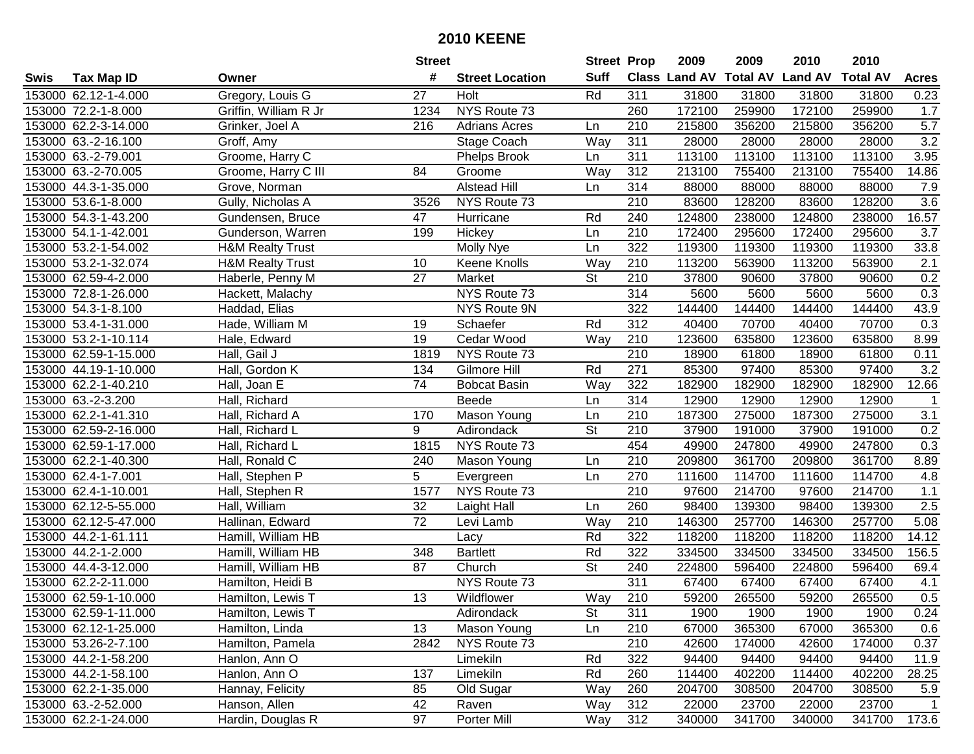|      |                       |                             | <b>Street</b> |                        | <b>Street Prop</b>       |     | 2009          | 2009                    | 2010   | 2010            |              |
|------|-----------------------|-----------------------------|---------------|------------------------|--------------------------|-----|---------------|-------------------------|--------|-----------------|--------------|
| Swis | <b>Tax Map ID</b>     | Owner                       | #             | <b>Street Location</b> | <b>Suff</b>              |     | Class Land AV | <b>Total AV Land AV</b> |        | <b>Total AV</b> | <b>Acres</b> |
|      | 153000 62.12-1-4.000  | Gregory, Louis G            | 27            | Holt                   | Rd                       | 311 | 31800         | 31800                   | 31800  | 31800           | 0.23         |
|      | 153000 72.2-1-8.000   | Griffin, William R Jr       | 1234          | NYS Route 73           |                          | 260 | 172100        | 259900                  | 172100 | 259900          | 1.7          |
|      | 153000 62.2-3-14.000  | Grinker, Joel A             | 216           | <b>Adrians Acres</b>   | Ln                       | 210 | 215800        | 356200                  | 215800 | 356200          | 5.7          |
|      | 153000 63.-2-16.100   | Groff, Amy                  |               | Stage Coach            | Way                      | 311 | 28000         | 28000                   | 28000  | 28000           | 3.2          |
|      | 153000 63.-2-79.001   | Groome, Harry C             |               | Phelps Brook           | Ln                       | 311 | 113100        | 113100                  | 113100 | 113100          | 3.95         |
|      | 153000 63.-2-70.005   | Groome, Harry C III         | 84            | Groome                 | Way                      | 312 | 213100        | 755400                  | 213100 | 755400          | 14.86        |
|      | 153000 44.3-1-35.000  | Grove, Norman               |               | <b>Alstead Hill</b>    | Ln                       | 314 | 88000         | 88000                   | 88000  | 88000           | 7.9          |
|      | 153000 53.6-1-8.000   | Gully, Nicholas A           | 3526          | NYS Route 73           |                          | 210 | 83600         | 128200                  | 83600  | 128200          | 3.6          |
|      | 153000 54.3-1-43.200  | Gundensen, Bruce            | 47            | Hurricane              | Rd                       | 240 | 124800        | 238000                  | 124800 | 238000          | 16.57        |
|      | 153000 54.1-1-42.001  | Gunderson, Warren           | 199           | Hickey                 | Ln                       | 210 | 172400        | 295600                  | 172400 | 295600          | 3.7          |
|      | 153000 53.2-1-54.002  | <b>H&amp;M Realty Trust</b> |               | Molly Nye              | Ln                       | 322 | 119300        | 119300                  | 119300 | 119300          | 33.8         |
|      | 153000 53.2-1-32.074  | <b>H&amp;M Realty Trust</b> | 10            | Keene Knolls           | Way                      | 210 | 113200        | 563900                  | 113200 | 563900          | 2.1          |
|      | 153000 62.59-4-2.000  | Haberle, Penny M            | 27            | Market                 | $\overline{\mathsf{St}}$ | 210 | 37800         | 90600                   | 37800  | 90600           | 0.2          |
|      | 153000 72.8-1-26.000  | Hackett, Malachy            |               | NYS Route 73           |                          | 314 | 5600          | 5600                    | 5600   | 5600            | 0.3          |
|      | 153000 54.3-1-8.100   | Haddad, Elias               |               | NYS Route 9N           |                          | 322 | 144400        | 144400                  | 144400 | 144400          | 43.9         |
|      | 153000 53.4-1-31.000  | Hade, William M             | 19            | Schaefer               | Rd                       | 312 | 40400         | 70700                   | 40400  | 70700           | 0.3          |
|      | 153000 53.2-1-10.114  | Hale, Edward                | 19            | Cedar Wood             | Way                      | 210 | 123600        | 635800                  | 123600 | 635800          | 8.99         |
|      | 153000 62.59-1-15.000 | Hall, Gail J                | 1819          | NYS Route 73           |                          | 210 | 18900         | 61800                   | 18900  | 61800           | 0.11         |
|      | 153000 44.19-1-10.000 | Hall, Gordon K              | 134           | Gilmore Hill           | Rd                       | 271 | 85300         | 97400                   | 85300  | 97400           | 3.2          |
|      | 153000 62.2-1-40.210  | Hall, Joan E                | 74            | <b>Bobcat Basin</b>    | Way                      | 322 | 182900        | 182900                  | 182900 | 182900          | 12.66        |
|      | 153000 63.-2-3.200    | Hall, Richard               |               | <b>Beede</b>           | Ln                       | 314 | 12900         | 12900                   | 12900  | 12900           | $\mathbf{1}$ |
|      | 153000 62.2-1-41.310  | Hall, Richard A             | 170           | Mason Young            | Ln                       | 210 | 187300        | 275000                  | 187300 | 275000          | 3.1          |
|      | 153000 62.59-2-16.000 | Hall, Richard L             | 9             | Adirondack             | <b>St</b>                | 210 | 37900         | 191000                  | 37900  | 191000          | 0.2          |
|      | 153000 62.59-1-17.000 | Hall, Richard L             | 1815          | NYS Route 73           |                          | 454 | 49900         | 247800                  | 49900  | 247800          | 0.3          |
|      | 153000 62.2-1-40.300  | Hall, Ronald C              | 240           | Mason Young            | Ln                       | 210 | 209800        | 361700                  | 209800 | 361700          | 8.89         |
|      | 153000 62.4-1-7.001   | Hall, Stephen P             | 5             | Evergreen              | Ln                       | 270 | 111600        | 114700                  | 111600 | 114700          | 4.8          |
|      | 153000 62.4-1-10.001  | Hall, Stephen R             | 1577          | NYS Route 73           |                          | 210 | 97600         | 214700                  | 97600  | 214700          | 1.1          |
|      | 153000 62.12-5-55.000 | Hall, William               | 32            | Laight Hall            | Ln                       | 260 | 98400         | 139300                  | 98400  | 139300          | 2.5          |
|      | 153000 62.12-5-47.000 | Hallinan, Edward            | 72            | Levi Lamb              | Way                      | 210 | 146300        | 257700                  | 146300 | 257700          | 5.08         |
|      | 153000 44.2-1-61.111  | Hamill, William HB          |               | Lacy                   | Rd                       | 322 | 118200        | 118200                  | 118200 | 118200          | 14.12        |
|      | 153000 44.2-1-2.000   | Hamill, William HB          | 348           | <b>Bartlett</b>        | Rd                       | 322 | 334500        | 334500                  | 334500 | 334500          | 156.5        |
|      | 153000 44.4-3-12.000  | Hamill, William HB          | 87            | Church                 | $\overline{\mathsf{St}}$ | 240 | 224800        | 596400                  | 224800 | 596400          | 69.4         |
|      | 153000 62.2-2-11.000  | Hamilton, Heidi B           |               | NYS Route 73           |                          | 311 | 67400         | 67400                   | 67400  | 67400           | 4.1          |
|      | 153000 62.59-1-10.000 | Hamilton, Lewis T           | 13            | Wildflower             | Way                      | 210 | 59200         | 265500                  | 59200  | 265500          | 0.5          |
|      | 153000 62.59-1-11.000 | Hamilton, Lewis T           |               | Adirondack             | St                       | 311 | 1900          | 1900                    | 1900   | 1900            | 0.24         |
|      | 153000 62.12-1-25.000 | Hamilton, Linda             | 13            | Mason Young            | Ln                       | 210 | 67000         | 365300                  | 67000  | 365300          | 0.6          |
|      | 153000 53.26-2-7.100  | Hamilton, Pamela            | 2842          | NYS Route 73           |                          | 210 | 42600         | 174000                  | 42600  | 174000          | 0.37         |
|      | 153000 44.2-1-58.200  | Hanlon, Ann O               |               | Limekiln               | Rd                       | 322 | 94400         | 94400                   | 94400  | 94400           | 11.9         |
|      | 153000 44.2-1-58.100  | Hanlon, Ann O               | 137           | Limekiln               | Rd                       | 260 | 114400        | 402200                  | 114400 | 402200          | 28.25        |
|      | 153000 62.2-1-35.000  | Hannay, Felicity            | 85            | Old Sugar              | Way                      | 260 | 204700        | 308500                  | 204700 | 308500          | 5.9          |
|      | 153000 63.-2-52.000   | Hanson, Allen               | 42            | Raven                  | Way                      | 312 | 22000         | 23700                   | 22000  | 23700           | $\mathbf{1}$ |
|      | 153000 62.2-1-24.000  | Hardin, Douglas R           | 97            | Porter Mill            | Way                      | 312 | 340000        | 341700                  | 340000 | 341700          | 173.6        |
|      |                       |                             |               |                        |                          |     |               |                         |        |                 |              |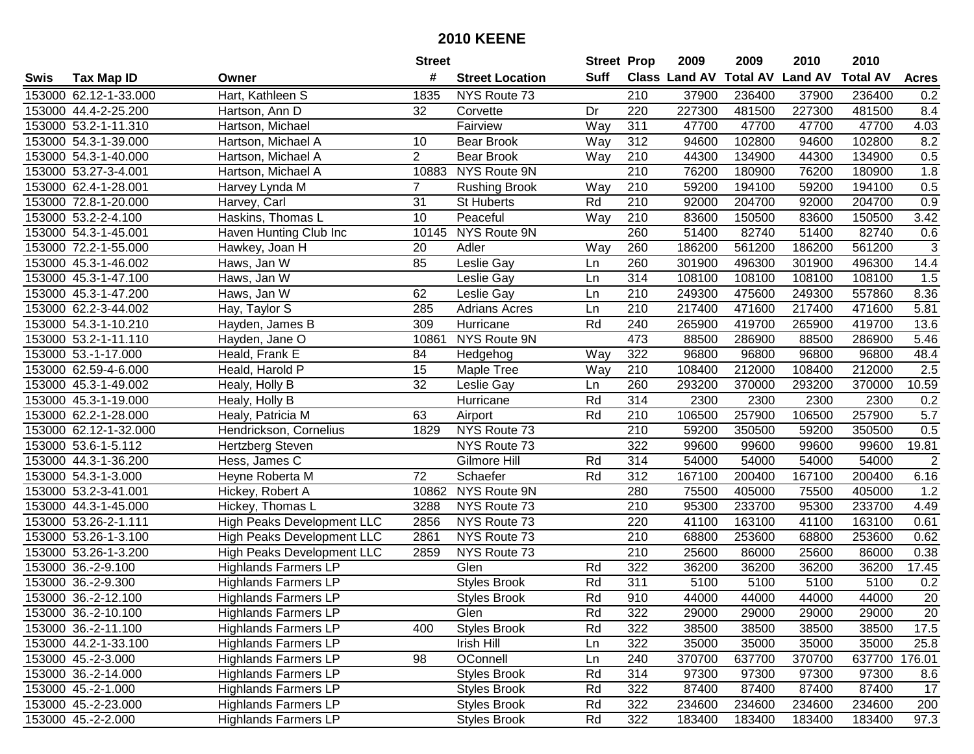|      |                       |                                   | <b>Street</b>  |                        | <b>Street Prop</b> |                  | 2009                 | 2009            | 2010           | 2010            |                 |
|------|-----------------------|-----------------------------------|----------------|------------------------|--------------------|------------------|----------------------|-----------------|----------------|-----------------|-----------------|
| Swis | <b>Tax Map ID</b>     | Owner                             | #              | <b>Street Location</b> | Suff               |                  | <b>Class Land AV</b> | <b>Total AV</b> | <b>Land AV</b> | <b>Total AV</b> | <b>Acres</b>    |
|      | 153000 62.12-1-33.000 | Hart, Kathleen S                  | 1835           | NYS Route 73           |                    | 210              | 37900                | 236400          | 37900          | 236400          | 0.2             |
|      | 153000 44.4-2-25.200  | Hartson, Ann D                    | 32             | Corvette               | Dr                 | 220              | 227300               | 481500          | 227300         | 481500          | 8.4             |
|      | 153000 53.2-1-11.310  | Hartson, Michael                  |                | Fairview               | Way                | 311              | 47700                | 47700           | 47700          | 47700           | 4.03            |
|      | 153000 54.3-1-39.000  | Hartson, Michael A                | 10             | Bear Brook             | Way                | 312              | 94600                | 102800          | 94600          | 102800          | 8.2             |
|      | 153000 54.3-1-40.000  | Hartson, Michael A                | $\overline{2}$ | Bear Brook             | Way                | 210              | 44300                | 134900          | 44300          | 134900          | 0.5             |
|      | 153000 53.27-3-4.001  | Hartson, Michael A                | 10883          | NYS Route 9N           |                    | $\overline{210}$ | 76200                | 180900          | 76200          | 180900          | 1.8             |
|      | 153000 62.4-1-28.001  | Harvey Lynda M                    | $\overline{7}$ | <b>Rushing Brook</b>   | Way                | 210              | 59200                | 194100          | 59200          | 194100          | 0.5             |
|      | 153000 72.8-1-20.000  | Harvey, Carl                      | 31             | St Huberts             | Rd                 | 210              | 92000                | 204700          | 92000          | 204700          | 0.9             |
|      | 153000 53.2-2-4.100   | Haskins, Thomas L                 | 10             | Peaceful               | Way                | 210              | 83600                | 150500          | 83600          | 150500          | 3.42            |
|      | 153000 54.3-1-45.001  | Haven Hunting Club Inc            |                | 10145 NYS Route 9N     |                    | 260              | 51400                | 82740           | 51400          | 82740           | 0.6             |
|      | 153000 72.2-1-55.000  | Hawkey, Joan H                    | 20             | Adler                  | Way                | 260              | 186200               | 561200          | 186200         | 561200          | $\sqrt{3}$      |
|      | 153000 45.3-1-46.002  | Haws, Jan W                       | 85             | Leslie Gay             | Ln                 | 260              | 301900               | 496300          | 301900         | 496300          | 14.4            |
|      | 153000 45.3-1-47.100  | Haws, Jan W                       |                | Leslie Gay             | Ln                 | 314              | 108100               | 108100          | 108100         | 108100          | 1.5             |
|      | 153000 45.3-1-47.200  | Haws, Jan W                       | 62             | Leslie Gay             | Ln                 | 210              | 249300               | 475600          | 249300         | 557860          | 8.36            |
|      | 153000 62.2-3-44.002  | Hay, Taylor S                     | 285            | <b>Adrians Acres</b>   | Ln                 | 210              | 217400               | 471600          | 217400         | 471600          | 5.81            |
|      | 153000 54.3-1-10.210  | Hayden, James B                   | 309            | Hurricane              | Rd                 | 240              | 265900               | 419700          | 265900         | 419700          | 13.6            |
|      | 153000 53.2-1-11.110  | Hayden, Jane O                    | 10861          | NYS Route 9N           |                    | 473              | 88500                | 286900          | 88500          | 286900          | 5.46            |
|      | 153000 53.-1-17.000   | Heald, Frank E                    | 84             | Hedgehog               | Way                | 322              | 96800                | 96800           | 96800          | 96800           | 48.4            |
|      | 153000 62.59-4-6.000  | Heald, Harold P                   | 15             | Maple Tree             | Way                | 210              | 108400               | 212000          | 108400         | 212000          | 2.5             |
|      | 153000 45.3-1-49.002  | Healy, Holly B                    | 32             | Leslie Gay             | Ln                 | 260              | 293200               | 370000          | 293200         | 370000          | 10.59           |
|      | 153000 45.3-1-19.000  | Healy, Holly B                    |                | Hurricane              | Rd                 | 314              | 2300                 | 2300            | 2300           | 2300            | 0.2             |
|      | 153000 62.2-1-28.000  | Healy, Patricia M                 | 63             | Airport                | Rd                 | 210              | 106500               | 257900          | 106500         | 257900          | 5.7             |
|      | 153000 62.12-1-32.000 | Hendrickson, Cornelius            | 1829           | NYS Route 73           |                    | 210              | 59200                | 350500          | 59200          | 350500          | 0.5             |
|      | 153000 53.6-1-5.112   | Hertzberg Steven                  |                | NYS Route 73           |                    | 322              | 99600                | 99600           | 99600          | 99600           | 19.81           |
|      | 153000 44.3-1-36.200  | Hess, James C                     |                | Gilmore Hill           | Rd                 | 314              | 54000                | 54000           | 54000          | 54000           | $\sqrt{2}$      |
|      | 153000 54.3-1-3.000   | Heyne Roberta M                   | 72             | Schaefer               | Rd                 | 312              | 167100               | 200400          | 167100         | 200400          | 6.16            |
|      | 153000 53.2-3-41.001  | Hickey, Robert A                  | 10862          | NYS Route 9N           |                    | 280              | 75500                | 405000          | 75500          | 405000          | 1.2             |
|      | 153000 44.3-1-45.000  | Hickey, Thomas L                  | 3288           | NYS Route 73           |                    | 210              | 95300                | 233700          | 95300          | 233700          | 4.49            |
|      | 153000 53.26-2-1.111  | High Peaks Development LLC        | 2856           | NYS Route 73           |                    | 220              | 41100                | 163100          | 41100          | 163100          | 0.61            |
|      | 153000 53.26-1-3.100  | High Peaks Development LLC        | 2861           | NYS Route 73           |                    | $\overline{210}$ | 68800                | 253600          | 68800          | 253600          | 0.62            |
|      | 153000 53.26-1-3.200  | <b>High Peaks Development LLC</b> | 2859           | NYS Route 73           |                    | $\overline{210}$ | 25600                | 86000           | 25600          | 86000           | 0.38            |
|      | 153000 36.-2-9.100    | <b>Highlands Farmers LP</b>       |                | Glen                   | Rd                 | 322              | 36200                | 36200           | 36200          | 36200           | 17.45           |
|      | 153000 36.-2-9.300    | <b>Highlands Farmers LP</b>       |                | <b>Styles Brook</b>    | Rd                 | $\overline{311}$ | 5100                 | 5100            | 5100           | 5100            | 0.2             |
|      | 153000 36.-2-12.100   | <b>Highlands Farmers LP</b>       |                | <b>Styles Brook</b>    | Rd                 | 910              | 44000                | 44000           | 44000          | 44000           | $\overline{20}$ |
|      | 153000 36.-2-10.100   | <b>Highlands Farmers LP</b>       |                | Glen                   | Rd                 | 322              | 29000                | 29000           | 29000          | 29000           | 20              |
|      | 153000 36.-2-11.100   | <b>Highlands Farmers LP</b>       | 400            | <b>Styles Brook</b>    | Rd                 | 322              | 38500                | 38500           | 38500          | 38500           | 17.5            |
|      | 153000 44.2-1-33.100  | <b>Highlands Farmers LP</b>       |                | Irish Hill             | Ln                 | 322              | 35000                | 35000           | 35000          | 35000           | 25.8            |
|      | 153000 45.-2-3.000    | <b>Highlands Farmers LP</b>       | 98             | OConnell               | Ln                 | 240              | 370700               | 637700          | 370700         | 637700 176.01   |                 |
|      | 153000 36.-2-14.000   | <b>Highlands Farmers LP</b>       |                | <b>Styles Brook</b>    | Rd                 | 314              | 97300                | 97300           | 97300          | 97300           | 8.6             |
|      | 153000 45.-2-1.000    | <b>Highlands Farmers LP</b>       |                | <b>Styles Brook</b>    | Rd                 | 322              | 87400                | 87400           | 87400          | 87400           | 17              |
|      | 153000 45.-2-23.000   | <b>Highlands Farmers LP</b>       |                | <b>Styles Brook</b>    | Rd                 | 322              | 234600               | 234600          | 234600         | 234600          | 200             |
|      | 153000 45.-2-2.000    | <b>Highlands Farmers LP</b>       |                | <b>Styles Brook</b>    | Rd                 | 322              | 183400               | 183400          | 183400         | 183400          | 97.3            |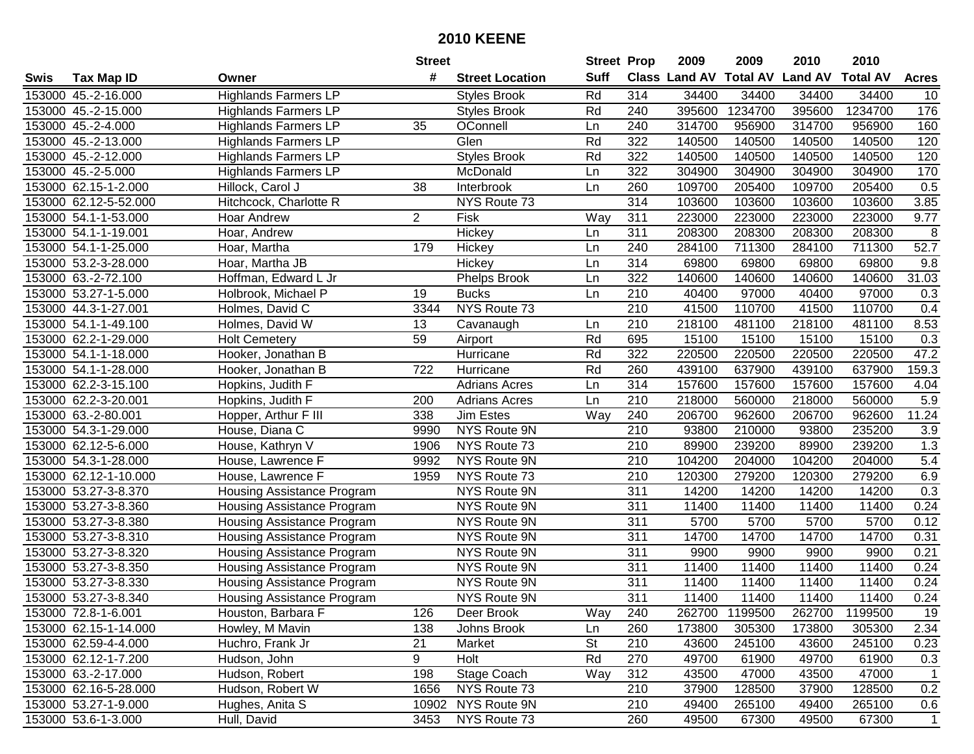|      |                       |                             | <b>Street</b>  |                        | <b>Street Prop</b> |                  | 2009                 | 2009            | 2010           | 2010            |                |
|------|-----------------------|-----------------------------|----------------|------------------------|--------------------|------------------|----------------------|-----------------|----------------|-----------------|----------------|
| Swis | <b>Tax Map ID</b>     | Owner                       | #              | <b>Street Location</b> | <b>Suff</b>        |                  | <b>Class Land AV</b> | <b>Total AV</b> | <b>Land AV</b> | <b>Total AV</b> | <b>Acres</b>   |
|      | 153000 45.-2-16.000   | <b>Highlands Farmers LP</b> |                | <b>Styles Brook</b>    | Rd                 | 314              | 34400                | 34400           | 34400          | 34400           | 10             |
|      | 153000 45.-2-15.000   | <b>Highlands Farmers LP</b> |                | <b>Styles Brook</b>    | Rd                 | 240              | 395600               | 1234700         | 395600         | 1234700         | 176            |
|      | 153000 45.-2-4.000    | <b>Highlands Farmers LP</b> | 35             | OConnell               | Ln                 | 240              | 314700               | 956900          | 314700         | 956900          | 160            |
|      | 153000 45.-2-13.000   | <b>Highlands Farmers LP</b> |                | Glen                   | Rd                 | 322              | 140500               | 140500          | 140500         | 140500          | 120            |
|      | 153000 45.-2-12.000   | <b>Highlands Farmers LP</b> |                | <b>Styles Brook</b>    | Rd                 | 322              | 140500               | 140500          | 140500         | 140500          | 120            |
|      | 153000 45.-2-5.000    | <b>Highlands Farmers LP</b> |                | McDonald               | Ln                 | 322              | 304900               | 304900          | 304900         | 304900          | 170            |
|      | 153000 62.15-1-2.000  | Hillock, Carol J            | 38             | Interbrook             | Ln                 | 260              | 109700               | 205400          | 109700         | 205400          | 0.5            |
|      | 153000 62.12-5-52.000 | Hitchcock, Charlotte R      |                | NYS Route 73           |                    | 314              | 103600               | 103600          | 103600         | 103600          | 3.85           |
|      | 153000 54.1-1-53.000  | Hoar Andrew                 | $\overline{2}$ | Fisk                   | Way                | 311              | 223000               | 223000          | 223000         | 223000          | 9.77           |
|      | 153000 54.1-1-19.001  | Hoar, Andrew                |                | Hickey                 | Ln                 | 311              | 208300               | 208300          | 208300         | 208300          | 8              |
|      | 153000 54.1-1-25.000  | Hoar, Martha                | 179            | Hickey                 | Ln                 | 240              | 284100               | 711300          | 284100         | 711300          | 52.7           |
|      | 153000 53.2-3-28.000  | Hoar, Martha JB             |                | Hickey                 | Ln                 | 314              | 69800                | 69800           | 69800          | 69800           | 9.8            |
|      | 153000 63.-2-72.100   | Hoffman, Edward L Jr        |                | <b>Phelps Brook</b>    | Ln                 | 322              | 140600               | 140600          | 140600         | 140600          | 31.03          |
|      | 153000 53.27-1-5.000  | Holbrook, Michael P         | 19             | <b>Bucks</b>           | Ln                 | 210              | 40400                | 97000           | 40400          | 97000           | 0.3            |
|      | 153000 44.3-1-27.001  | Holmes, David C             | 3344           | NYS Route 73           |                    | 210              | 41500                | 110700          | 41500          | 110700          | 0.4            |
|      | 153000 54.1-1-49.100  | Holmes, David W             | 13             | Cavanaugh              | Ln                 | 210              | 218100               | 481100          | 218100         | 481100          | 8.53           |
|      | 153000 62.2-1-29.000  | Holt Cemetery               | 59             | Airport                | Rd                 | 695              | 15100                | 15100           | 15100          | 15100           | 0.3            |
|      | 153000 54.1-1-18.000  | Hooker, Jonathan B          |                | Hurricane              | Rd                 | 322              | 220500               | 220500          | 220500         | 220500          | 47.2           |
|      | 153000 54.1-1-28.000  | Hooker, Jonathan B          | 722            | Hurricane              | Rd                 | 260              | 439100               | 637900          | 439100         | 637900          | 159.3          |
|      | 153000 62.2-3-15.100  | Hopkins, Judith F           |                | <b>Adrians Acres</b>   | Ln                 | 314              | 157600               | 157600          | 157600         | 157600          | 4.04           |
|      | 153000 62.2-3-20.001  | Hopkins, Judith F           | 200            | <b>Adrians Acres</b>   | Ln                 | 210              | 218000               | 560000          | 218000         | 560000          | 5.9            |
|      | 153000 63.-2-80.001   | Hopper, Arthur F III        | 338            | Jim Estes              | Way                | 240              | 206700               | 962600          | 206700         | 962600          | 11.24          |
|      | 153000 54.3-1-29.000  | House, Diana C              | 9990           | NYS Route 9N           |                    | 210              | 93800                | 210000          | 93800          | 235200          | 3.9            |
|      | 153000 62.12-5-6.000  | House, Kathryn V            | 1906           | NYS Route 73           |                    | 210              | 89900                | 239200          | 89900          | 239200          | 1.3            |
|      | 153000 54.3-1-28.000  | House, Lawrence F           | 9992           | NYS Route 9N           |                    | 210              | 104200               | 204000          | 104200         | 204000          | 5.4            |
|      | 153000 62.12-1-10.000 | House, Lawrence F           | 1959           | NYS Route 73           |                    | 210              | 120300               | 279200          | 120300         | 279200          | 6.9            |
|      | 153000 53.27-3-8.370  | Housing Assistance Program  |                | NYS Route 9N           |                    | 311              | 14200                | 14200           | 14200          | 14200           | 0.3            |
|      | 153000 53.27-3-8.360  | Housing Assistance Program  |                | NYS Route 9N           |                    | 311              | 11400                | 11400           | 11400          | 11400           | 0.24           |
|      | 153000 53.27-3-8.380  | Housing Assistance Program  |                | NYS Route 9N           |                    | 311              | 5700                 | 5700            | 5700           | 5700            | 0.12           |
|      | 153000 53.27-3-8.310  | Housing Assistance Program  |                | NYS Route 9N           |                    | $\overline{311}$ | 14700                | 14700           | 14700          | 14700           | 0.31           |
|      | 153000 53.27-3-8.320  | Housing Assistance Program  |                | NYS Route 9N           |                    | $\overline{311}$ | 9900                 | 9900            | 9900           | 9900            | 0.21           |
|      | 153000 53.27-3-8.350  | Housing Assistance Program  |                | NYS Route 9N           |                    | 311              | 11400                | 11400           | 11400          | 11400           | 0.24           |
|      | 153000 53.27-3-8.330  | Housing Assistance Program  |                | NYS Route 9N           |                    | 311              | 11400                | 11400           | 11400          | 11400           | 0.24           |
|      | 153000 53.27-3-8.340  | Housing Assistance Program  |                | NYS Route 9N           |                    | 311              | 11400                | 11400           | 11400          | 11400           | 0.24           |
|      | 153000 72.8-1-6.001   | Houston, Barbara F          | 126            | Deer Brook             | Way                | 240              | 262700               | 1199500         | 262700         | 1199500         | 19             |
|      | 153000 62.15-1-14.000 | Howley, M Mavin             | 138            | Johns Brook            | Ln                 | 260              | 173800               | 305300          | 173800         | 305300          | 2.34           |
|      | 153000 62.59-4-4.000  | Huchro, Frank Jr            | 21             | Market                 | <b>St</b>          | 210              | 43600                | 245100          | 43600          | 245100          | 0.23           |
|      | 153000 62.12-1-7.200  | Hudson, John                | 9              | Holt                   | Rd                 | 270              | 49700                | 61900           | 49700          | 61900           | 0.3            |
|      | 153000 63.-2-17.000   | Hudson, Robert              | 198            | Stage Coach            | Way                | 312              | 43500                | 47000           | 43500          | 47000           | $\overline{1}$ |
|      | 153000 62.16-5-28.000 | Hudson, Robert W            | 1656           | NYS Route 73           |                    | 210              | 37900                | 128500          | 37900          | 128500          | 0.2            |
|      | 153000 53.27-1-9.000  | Hughes, Anita S             |                | 10902 NYS Route 9N     |                    | 210              | 49400                | 265100          | 49400          | 265100          | 0.6            |
|      | 153000 53.6-1-3.000   | Hull, David                 | 3453           | NYS Route 73           |                    | 260              | 49500                | 67300           | 49500          | 67300           | $\overline{1}$ |
|      |                       |                             |                |                        |                    |                  |                      |                 |                |                 |                |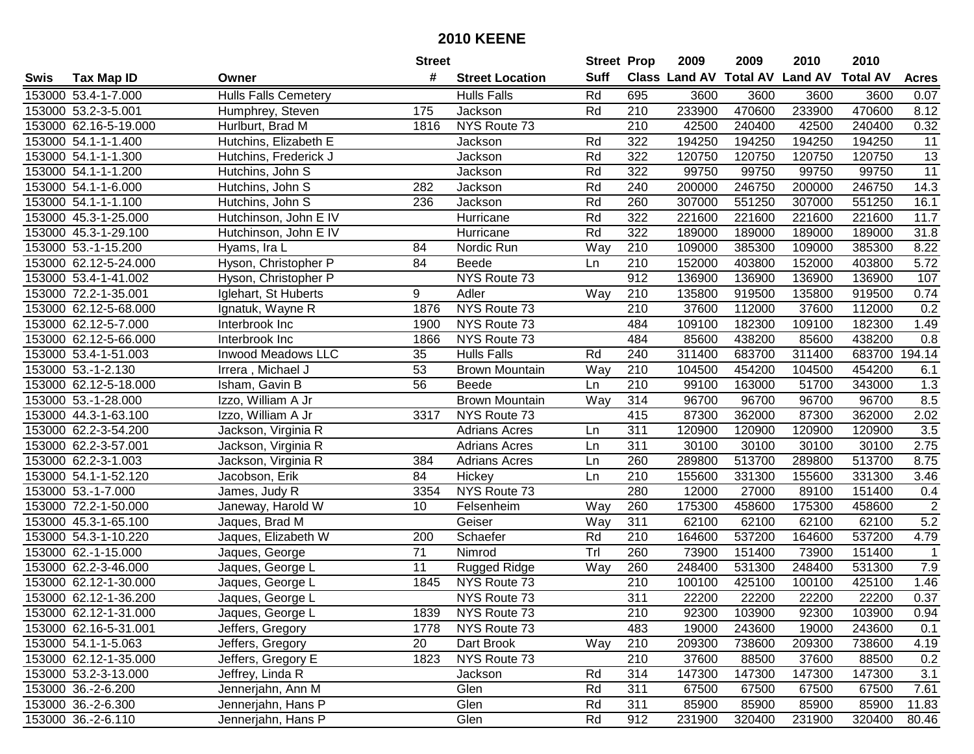|      |                       |                             | <b>Street</b>   |                        | <b>Street Prop</b> |                  | 2009   | 2009   | 2010                           | 2010            |                |
|------|-----------------------|-----------------------------|-----------------|------------------------|--------------------|------------------|--------|--------|--------------------------------|-----------------|----------------|
| Swis | <b>Tax Map ID</b>     | Owner                       | #               | <b>Street Location</b> | <b>Suff</b>        |                  |        |        | Class Land AV Total AV Land AV | <b>Total AV</b> | <b>Acres</b>   |
|      | 153000 53.4-1-7.000   | <b>Hulls Falls Cemetery</b> |                 | <b>Hulls Falls</b>     | Rd                 | 695              | 3600   | 3600   | 3600                           | 3600            | 0.07           |
|      | 153000 53.2-3-5.001   | Humphrey, Steven            | 175             | Jackson                | Rd                 | 210              | 233900 | 470600 | 233900                         | 470600          | 8.12           |
|      | 153000 62.16-5-19.000 | Hurlburt, Brad M            | 1816            | NYS Route 73           |                    | 210              | 42500  | 240400 | 42500                          | 240400          | 0.32           |
|      | 153000 54.1-1-1.400   | Hutchins, Elizabeth E       |                 | Jackson                | Rd                 | 322              | 194250 | 194250 | 194250                         | 194250          | 11             |
|      | 153000 54.1-1-1.300   | Hutchins, Frederick J       |                 | Jackson                | Rd                 | 322              | 120750 | 120750 | 120750                         | 120750          | 13             |
|      | 153000 54.1-1-1.200   | Hutchins, John S            |                 | Jackson                | Rd                 | 322              | 99750  | 99750  | 99750                          | 99750           | 11             |
|      | 153000 54.1-1-6.000   | Hutchins, John S            | 282             | Jackson                | Rd                 | 240              | 200000 | 246750 | 200000                         | 246750          | 14.3           |
|      | 153000 54.1-1-1.100   | Hutchins, John S            | 236             | Jackson                | Rd                 | 260              | 307000 | 551250 | 307000                         | 551250          | 16.1           |
|      | 153000 45.3-1-25.000  | Hutchinson, John E IV       |                 | Hurricane              | Rd                 | 322              | 221600 | 221600 | 221600                         | 221600          | 11.7           |
|      | 153000 45.3-1-29.100  | Hutchinson, John E IV       |                 | Hurricane              | Rd                 | 322              | 189000 | 189000 | 189000                         | 189000          | 31.8           |
|      | 153000 53.-1-15.200   | Hyams, Ira L                | 84              | Nordic Run             | Way                | 210              | 109000 | 385300 | 109000                         | 385300          | 8.22           |
|      | 153000 62.12-5-24.000 | Hyson, Christopher P        | 84              | <b>Beede</b>           | Ln                 | 210              | 152000 | 403800 | 152000                         | 403800          | 5.72           |
|      | 153000 53.4-1-41.002  | Hyson, Christopher P        |                 | NYS Route 73           |                    | 912              | 136900 | 136900 | 136900                         | 136900          | 107            |
|      | 153000 72.2-1-35.001  | Iglehart, St Huberts        | 9               | Adler                  | Way                | 210              | 135800 | 919500 | 135800                         | 919500          | 0.74           |
|      | 153000 62.12-5-68.000 | Ignatuk, Wayne R            | 1876            | NYS Route 73           |                    | 210              | 37600  | 112000 | 37600                          | 112000          | 0.2            |
|      | 153000 62.12-5-7.000  | Interbrook Inc              | 1900            | NYS Route 73           |                    | 484              | 109100 | 182300 | 109100                         | 182300          | 1.49           |
|      | 153000 62.12-5-66.000 | Interbrook Inc              | 1866            | NYS Route 73           |                    | 484              | 85600  | 438200 | 85600                          | 438200          | 0.8            |
|      | 153000 53.4-1-51.003  | Inwood Meadows LLC          | 35              | <b>Hulls Falls</b>     | Rd                 | 240              | 311400 | 683700 | 311400                         | 683700          | 194.14         |
|      | 153000 53.-1-2.130    | Irrera, Michael J           | 53              | <b>Brown Mountain</b>  | Way                | 210              | 104500 | 454200 | 104500                         | 454200          | 6.1            |
|      | 153000 62.12-5-18.000 | Isham, Gavin B              | 56              | <b>Beede</b>           | Ln                 | 210              | 99100  | 163000 | 51700                          | 343000          | 1.3            |
|      | 153000 53.-1-28.000   | Izzo, William A Jr          |                 | <b>Brown Mountain</b>  | Way                | 314              | 96700  | 96700  | 96700                          | 96700           | 8.5            |
|      | 153000 44.3-1-63.100  | Izzo, William A Jr          | 3317            | NYS Route 73           |                    | 415              | 87300  | 362000 | 87300                          | 362000          | 2.02           |
|      | 153000 62.2-3-54.200  | Jackson, Virginia R         |                 | <b>Adrians Acres</b>   | Ln                 | 311              | 120900 | 120900 | 120900                         | 120900          | 3.5            |
|      | 153000 62.2-3-57.001  | Jackson, Virginia R         |                 | <b>Adrians Acres</b>   | Ln                 | 311              | 30100  | 30100  | 30100                          | 30100           | 2.75           |
|      | 153000 62.2-3-1.003   | Jackson, Virginia R         | 384             | <b>Adrians Acres</b>   | Ln                 | 260              | 289800 | 513700 | 289800                         | 513700          | 8.75           |
|      | 153000 54.1-1-52.120  | Jacobson, Erik              | 84              | Hickey                 | Ln                 | 210              | 155600 | 331300 | 155600                         | 331300          | 3.46           |
|      | 153000 53.-1-7.000    | James, Judy R               | 3354            | NYS Route 73           |                    | 280              | 12000  | 27000  | 89100                          | 151400          | 0.4            |
|      | 153000 72.2-1-50.000  | Janeway, Harold W           | 10              | Felsenheim             | Way                | 260              | 175300 | 458600 | 175300                         | 458600          | $\sqrt{2}$     |
|      | 153000 45.3-1-65.100  | Jaques, Brad M              |                 | Geiser                 | Way                | 311              | 62100  | 62100  | 62100                          | 62100           | 5.2            |
|      | 153000 54.3-1-10.220  | Jaques, Elizabeth W         | 200             | Schaefer               | Rd                 | 210              | 164600 | 537200 | 164600                         | 537200          | 4.79           |
|      | 153000 62.-1-15.000   | Jaques, George              | $\overline{71}$ | Nimrod                 | TrI                | 260              | 73900  | 151400 | 73900                          | 151400          | $\overline{1}$ |
|      | 153000 62.2-3-46.000  | Jaques, George L            | 11              | <b>Rugged Ridge</b>    | Way                | 260              | 248400 | 531300 | 248400                         | 531300          | 7.9            |
|      | 153000 62.12-1-30.000 | Jaques, George L            | 1845            | NYS Route 73           |                    | $\overline{210}$ | 100100 | 425100 | 100100                         | 425100          | 1.46           |
|      | 153000 62.12-1-36.200 | Jaques, George L            |                 | NYS Route 73           |                    | 311              | 22200  | 22200  | 22200                          | 22200           | 0.37           |
|      | 153000 62.12-1-31.000 | Jaques, George L            | 1839            | NYS Route 73           |                    | 210              | 92300  | 103900 | 92300                          | 103900          | 0.94           |
|      | 153000 62.16-5-31.001 | Jeffers, Gregory            | 1778            | NYS Route 73           |                    | 483              | 19000  | 243600 | 19000                          | 243600          | 0.1            |
|      | 153000 54.1-1-5.063   | Jeffers, Gregory            | 20              | Dart Brook             | Way                | 210              | 209300 | 738600 | 209300                         | 738600          | 4.19           |
|      | 153000 62.12-1-35.000 | Jeffers, Gregory E          | 1823            | NYS Route 73           |                    | 210              | 37600  | 88500  | 37600                          | 88500           | 0.2            |
|      | 153000 53.2-3-13.000  | Jeffrey, Linda R            |                 | Jackson                | Rd                 | 314              | 147300 | 147300 | 147300                         | 147300          | 3.1            |
|      | 153000 36.-2-6.200    | Jennerjahn, Ann M           |                 | Glen                   | Rd                 | 311              | 67500  | 67500  | 67500                          | 67500           | 7.61           |
|      | 153000 36.-2-6.300    | Jennerjahn, Hans P          |                 | Glen                   | Rd                 | 311              | 85900  | 85900  | 85900                          | 85900           | 11.83          |
|      | 153000 36.-2-6.110    | Jennerjahn, Hans P          |                 | Glen                   | Rd                 | 912              | 231900 | 320400 | 231900                         | 320400          | 80.46          |
|      |                       |                             |                 |                        |                    |                  |        |        |                                |                 |                |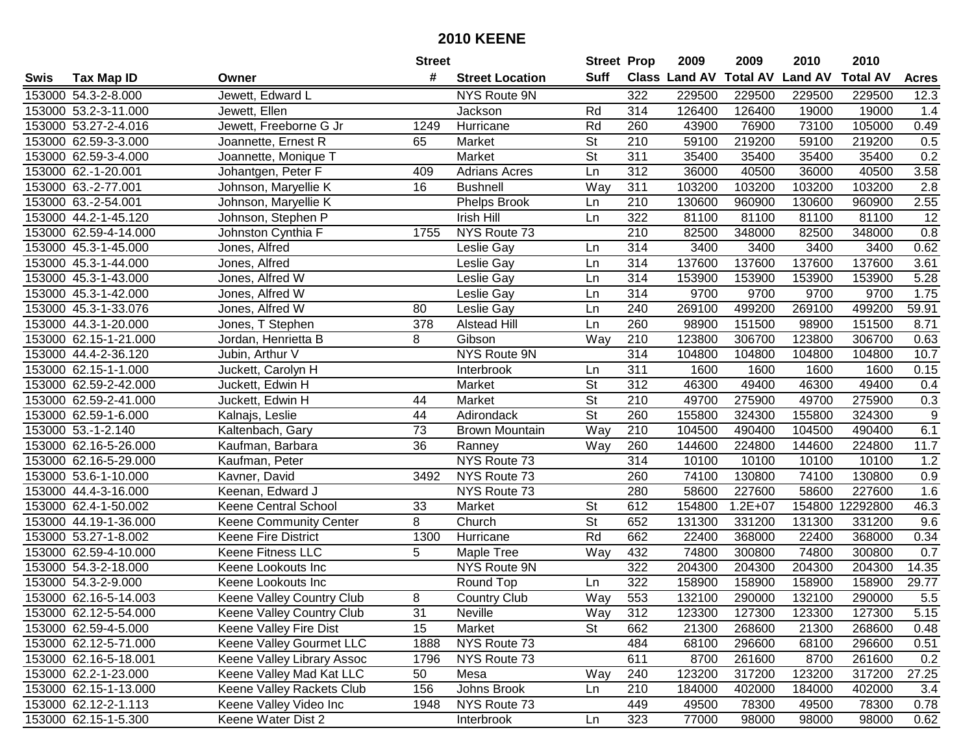|      |                       |                               | <b>Street</b> |                        | <b>Street Prop</b>       |     | 2009          | 2009            | 2010           | 2010            |                  |
|------|-----------------------|-------------------------------|---------------|------------------------|--------------------------|-----|---------------|-----------------|----------------|-----------------|------------------|
| Swis | <b>Tax Map ID</b>     | Owner                         | #             | <b>Street Location</b> | <b>Suff</b>              |     | Class Land AV | <b>Total AV</b> | <b>Land AV</b> | <b>Total AV</b> | <b>Acres</b>     |
|      | 153000 54.3-2-8.000   | Jewett, Edward L              |               | NYS Route 9N           |                          | 322 | 229500        | 229500          | 229500         | 229500          | 12.3             |
|      | 153000 53.2-3-11.000  | Jewett, Ellen                 |               | Jackson                | Rd                       | 314 | 126400        | 126400          | 19000          | 19000           | 1.4              |
|      | 153000 53.27-2-4.016  | Jewett, Freeborne G Jr        | 1249          | Hurricane              | Rd                       | 260 | 43900         | 76900           | 73100          | 105000          | 0.49             |
|      | 153000 62.59-3-3.000  | Joannette, Ernest R           | 65            | Market                 | <b>St</b>                | 210 | 59100         | 219200          | 59100          | 219200          | 0.5              |
|      | 153000 62.59-3-4.000  | Joannette, Monique T          |               | Market                 | <b>St</b>                | 311 | 35400         | 35400           | 35400          | 35400           | 0.2              |
|      | 153000 62.-1-20.001   | Johantgen, Peter F            | 409           | <b>Adrians Acres</b>   | Ln                       | 312 | 36000         | 40500           | 36000          | 40500           | 3.58             |
|      | 153000 63.-2-77.001   | Johnson, Maryellie K          | 16            | <b>Bushnell</b>        | Way                      | 311 | 103200        | 103200          | 103200         | 103200          | $\overline{2.8}$ |
|      | 153000 63.-2-54.001   | Johnson, Maryellie K          |               | Phelps Brook           | Ln                       | 210 | 130600        | 960900          | 130600         | 960900          | 2.55             |
|      | 153000 44.2-1-45.120  | Johnson, Stephen P            |               | Irish Hill             | Ln                       | 322 | 81100         | 81100           | 81100          | 81100           | $\overline{12}$  |
|      | 153000 62.59-4-14.000 | Johnston Cynthia F            | 1755          | NYS Route 73           |                          | 210 | 82500         | 348000          | 82500          | 348000          | 0.8              |
|      | 153000 45.3-1-45.000  | Jones, Alfred                 |               | Leslie Gay             | Ln                       | 314 | 3400          | 3400            | 3400           | 3400            | 0.62             |
|      | 153000 45.3-1-44.000  | Jones, Alfred                 |               | Leslie Gay             | Ln                       | 314 | 137600        | 137600          | 137600         | 137600          | 3.61             |
|      | 153000 45.3-1-43.000  | Jones, Alfred W               |               | Leslie Gay             | Ln                       | 314 | 153900        | 153900          | 153900         | 153900          | 5.28             |
|      | 153000 45.3-1-42.000  | Jones, Alfred W               |               | Leslie Gay             | Ln                       | 314 | 9700          | 9700            | 9700           | 9700            | 1.75             |
|      | 153000 45.3-1-33.076  | Jones, Alfred W               | 80            | Leslie Gay             | Ln                       | 240 | 269100        | 499200          | 269100         | 499200          | 59.91            |
|      | 153000 44.3-1-20.000  | Jones, T Stephen              | 378           | <b>Alstead Hill</b>    | Ln                       | 260 | 98900         | 151500          | 98900          | 151500          | 8.71             |
|      | 153000 62.15-1-21.000 | Jordan, Henrietta B           | 8             | Gibson                 | Way                      | 210 | 123800        | 306700          | 123800         | 306700          | 0.63             |
|      | 153000 44.4-2-36.120  | Jubin, Arthur V               |               | <b>NYS Route 9N</b>    |                          | 314 | 104800        | 104800          | 104800         | 104800          | 10.7             |
|      | 153000 62.15-1-1.000  | Juckett, Carolyn H            |               | Interbrook             | Ln                       | 311 | 1600          | 1600            | 1600           | 1600            | 0.15             |
|      | 153000 62.59-2-42.000 | Juckett, Edwin H              |               | Market                 | <b>St</b>                | 312 | 46300         | 49400           | 46300          | 49400           | 0.4              |
|      | 153000 62.59-2-41.000 | Juckett, Edwin H              | 44            | Market                 | St                       | 210 | 49700         | 275900          | 49700          | 275900          | 0.3              |
|      | 153000 62.59-1-6.000  | Kalnajs, Leslie               | 44            | Adirondack             | <b>St</b>                | 260 | 155800        | 324300          | 155800         | 324300          | $\boldsymbol{9}$ |
|      | 153000 53.-1-2.140    | Kaltenbach, Gary              | 73            | <b>Brown Mountain</b>  | Way                      | 210 | 104500        | 490400          | 104500         | 490400          | 6.1              |
|      | 153000 62.16-5-26.000 | Kaufman, Barbara              | 36            | Ranney                 | Way                      | 260 | 144600        | 224800          | 144600         | 224800          | 11.7             |
|      | 153000 62.16-5-29.000 | Kaufman, Peter                |               | NYS Route 73           |                          | 314 | 10100         | 10100           | 10100          | 10100           | 1.2              |
|      | 153000 53.6-1-10.000  | Kavner, David                 | 3492          | NYS Route 73           |                          | 260 | 74100         | 130800          | 74100          | 130800          | 0.9              |
|      | 153000 44.4-3-16.000  | Keenan, Edward J              |               | NYS Route 73           |                          | 280 | 58600         | 227600          | 58600          | 227600          | 1.6              |
|      | 153000 62.4-1-50.002  | Keene Central School          | 33            | Market                 | <b>St</b>                | 612 | 154800        | $1.2E + 07$     |                | 154800 12292800 | 46.3             |
|      | 153000 44.19-1-36.000 | <b>Keene Community Center</b> | 8             | Church                 | $\overline{\mathsf{St}}$ | 652 | 131300        | 331200          | 131300         | 331200          | 9.6              |
|      | 153000 53.27-1-8.002  | <b>Keene Fire District</b>    | 1300          | Hurricane              | Rd                       | 662 | 22400         | 368000          | 22400          | 368000          | 0.34             |
|      | 153000 62.59-4-10.000 | <b>Keene Fitness LLC</b>      | 5             | Maple Tree             | Way                      | 432 | 74800         | 300800          | 74800          | 300800          | 0.7              |
|      | 153000 54.3-2-18.000  | Keene Lookouts Inc            |               | NYS Route 9N           |                          | 322 | 204300        | 204300          | 204300         | 204300          | 14.35            |
|      | 153000 54.3-2-9.000   | Keene Lookouts Inc            |               | Round Top              | Ln                       | 322 | 158900        | 158900          | 158900         | 158900          | 29.77            |
|      | 153000 62.16-5-14.003 | Keene Valley Country Club     | 8             | <b>Country Club</b>    | Way                      | 553 | 132100        | 290000          | 132100         | 290000          | 5.5              |
|      | 153000 62.12-5-54.000 | Keene Valley Country Club     | 31            | Neville                | Way                      | 312 | 123300        | 127300          | 123300         | 127300          | 5.15             |
|      | 153000 62.59-4-5.000  | Keene Valley Fire Dist        | 15            | Market                 | <b>St</b>                | 662 | 21300         | 268600          | 21300          | 268600          | 0.48             |
|      | 153000 62.12-5-71.000 | Keene Valley Gourmet LLC      | 1888          | NYS Route 73           |                          | 484 | 68100         | 296600          | 68100          | 296600          | 0.51             |
|      | 153000 62.16-5-18.001 | Keene Valley Library Assoc    | 1796          | NYS Route 73           |                          | 611 | 8700          | 261600          | 8700           | 261600          | 0.2              |
|      | 153000 62.2-1-23.000  | Keene Valley Mad Kat LLC      | 50            | Mesa                   | Way                      | 240 | 123200        | 317200          | 123200         | 317200          | 27.25            |
|      | 153000 62.15-1-13.000 | Keene Valley Rackets Club     | 156           | Johns Brook            | Ln                       | 210 | 184000        | 402000          | 184000         | 402000          | 3.4              |
|      | 153000 62.12-2-1.113  | Keene Valley Video Inc        | 1948          | NYS Route 73           |                          | 449 | 49500         | 78300           | 49500          | 78300           | 0.78             |
|      | 153000 62.15-1-5.300  | Keene Water Dist 2            |               | Interbrook             | Ln                       | 323 | 77000         | 98000           | 98000          | 98000           | 0.62             |
|      |                       |                               |               |                        |                          |     |               |                 |                |                 |                  |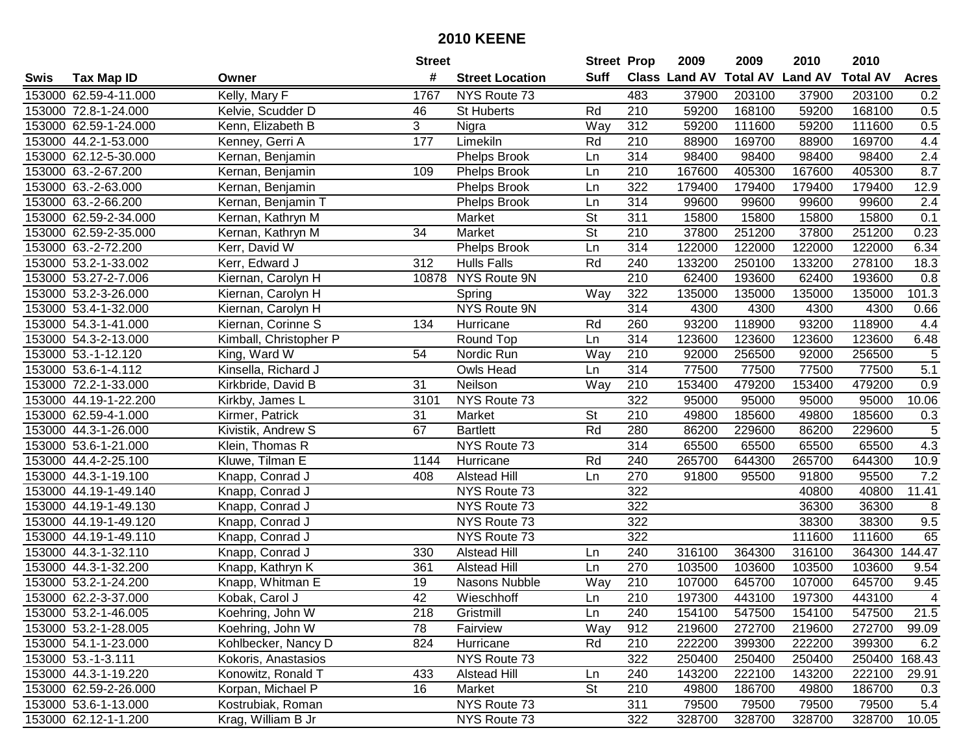|      |                       |                        | <b>Street</b>   |                        | <b>Street Prop</b>       |                  | 2009          | 2009            | 2010           | 2010            |              |
|------|-----------------------|------------------------|-----------------|------------------------|--------------------------|------------------|---------------|-----------------|----------------|-----------------|--------------|
| Swis | <b>Tax Map ID</b>     | Owner                  | #               | <b>Street Location</b> | <b>Suff</b>              |                  | Class Land AV | <b>Total AV</b> | <b>Land AV</b> | <b>Total AV</b> | <b>Acres</b> |
|      | 153000 62.59-4-11.000 | Kelly, Mary F          | 1767            | NYS Route 73           |                          | 483              | 37900         | 203100          | 37900          | 203100          | 0.2          |
|      | 153000 72.8-1-24.000  | Kelvie, Scudder D      | 46              | <b>St Huberts</b>      | Rd                       | 210              | 59200         | 168100          | 59200          | 168100          | 0.5          |
|      | 153000 62.59-1-24.000 | Kenn, Elizabeth B      | 3               | Nigra                  | Way                      | 312              | 59200         | 111600          | 59200          | 111600          | 0.5          |
|      | 153000 44.2-1-53.000  | Kenney, Gerri A        | 177             | Limekiln               | Rd                       | 210              | 88900         | 169700          | 88900          | 169700          | 4.4          |
|      | 153000 62.12-5-30.000 | Kernan, Benjamin       |                 | <b>Phelps Brook</b>    | Ln                       | 314              | 98400         | 98400           | 98400          | 98400           | 2.4          |
|      | 153000 63.-2-67.200   | Kernan, Benjamin       | 109             | <b>Phelps Brook</b>    | Ln                       | 210              | 167600        | 405300          | 167600         | 405300          | 8.7          |
|      | 153000 63.-2-63.000   | Kernan, Benjamin       |                 | <b>Phelps Brook</b>    | Ln                       | 322              | 179400        | 179400          | 179400         | 179400          | 12.9         |
|      | 153000 63.-2-66.200   | Kernan, Benjamin T     |                 | <b>Phelps Brook</b>    | Ln                       | 314              | 99600         | 99600           | 99600          | 99600           | 2.4          |
|      | 153000 62.59-2-34.000 | Kernan, Kathryn M      |                 | Market                 | $\overline{\mathsf{St}}$ | 311              | 15800         | 15800           | 15800          | 15800           | 0.1          |
|      | 153000 62.59-2-35.000 | Kernan, Kathryn M      | 34              | Market                 | $\overline{\mathsf{St}}$ | 210              | 37800         | 251200          | 37800          | 251200          | 0.23         |
|      | 153000 63.-2-72.200   | Kerr, David W          |                 | <b>Phelps Brook</b>    | Ln                       | 314              | 122000        | 122000          | 122000         | 122000          | 6.34         |
|      | 153000 53.2-1-33.002  | Kerr, Edward J         | 312             | <b>Hulls Falls</b>     | Rd                       | 240              | 133200        | 250100          | 133200         | 278100          | 18.3         |
|      | 153000 53.27-2-7.006  | Kiernan, Carolyn H     | 10878           | NYS Route 9N           |                          | $\overline{210}$ | 62400         | 193600          | 62400          | 193600          | 0.8          |
|      | 153000 53.2-3-26.000  | Kiernan, Carolyn H     |                 | Spring                 | Way                      | 322              | 135000        | 135000          | 135000         | 135000          | 101.3        |
|      | 153000 53.4-1-32.000  | Kiernan, Carolyn H     |                 | NYS Route 9N           |                          | 314              | 4300          | 4300            | 4300           | 4300            | 0.66         |
|      | 153000 54.3-1-41.000  | Kiernan, Corinne S     | 134             | Hurricane              | Rd                       | 260              | 93200         | 118900          | 93200          | 118900          | 4.4          |
|      | 153000 54.3-2-13.000  | Kimball, Christopher P |                 | Round Top              | Ln                       | 314              | 123600        | 123600          | 123600         | 123600          | 6.48         |
|      | 153000 53.-1-12.120   | King, Ward W           | 54              | Nordic Run             | Way                      | 210              | 92000         | 256500          | 92000          | 256500          | 5            |
|      | 153000 53.6-1-4.112   | Kinsella, Richard J    |                 | Owls Head              | Ln                       | 314              | 77500         | 77500           | 77500          | 77500           | 5.1          |
|      | 153000 72.2-1-33.000  | Kirkbride, David B     | 31              | Neilson                | Way                      | 210              | 153400        | 479200          | 153400         | 479200          | 0.9          |
|      | 153000 44.19-1-22.200 | Kirkby, James L        | 3101            | NYS Route 73           |                          | 322              | 95000         | 95000           | 95000          | 95000           | 10.06        |
|      | 153000 62.59-4-1.000  | Kirmer, Patrick        | 31              | Market                 | <b>St</b>                | 210              | 49800         | 185600          | 49800          | 185600          | 0.3          |
|      | 153000 44.3-1-26.000  | Kivistik, Andrew S     | 67              | <b>Bartlett</b>        | Rd                       | 280              | 86200         | 229600          | 86200          | 229600          | $\sqrt{5}$   |
|      | 153000 53.6-1-21.000  | Klein, Thomas R        |                 | NYS Route 73           |                          | 314              | 65500         | 65500           | 65500          | 65500           | 4.3          |
|      | 153000 44.4-2-25.100  | Kluwe, Tilman E        | 1144            | Hurricane              | Rd                       | 240              | 265700        | 644300          | 265700         | 644300          | 10.9         |
|      | 153000 44.3-1-19.100  | Knapp, Conrad J        | 408             | <b>Alstead Hill</b>    | Ln                       | 270              | 91800         | 95500           | 91800          | 95500           | 7.2          |
|      | 153000 44.19-1-49.140 | Knapp, Conrad J        |                 | NYS Route 73           |                          | 322              |               |                 | 40800          | 40800           | 11.41        |
|      | 153000 44.19-1-49.130 | Knapp, Conrad J        |                 | NYS Route 73           |                          | 322              |               |                 | 36300          | 36300           | 8            |
|      | 153000 44.19-1-49.120 | Knapp, Conrad J        |                 | NYS Route 73           |                          | 322              |               |                 | 38300          | 38300           | 9.5          |
|      | 153000 44.19-1-49.110 | Knapp, Conrad J        |                 | NYS Route 73           |                          | 322              |               |                 | 111600         | 111600          | 65           |
|      | 153000 44.3-1-32.110  | Knapp, Conrad J        | 330             | <b>Alstead Hill</b>    | Ln                       | 240              | 316100        | 364300          | 316100         | 364300          | 144.47       |
|      | 153000 44.3-1-32.200  | Knapp, Kathryn K       | 361             | <b>Alstead Hill</b>    | Ln                       | 270              | 103500        | 103600          | 103500         | 103600          | 9.54         |
|      | 153000 53.2-1-24.200  | Knapp, Whitman E       | 19              | Nasons Nubble          | Way                      | 210              | 107000        | 645700          | 107000         | 645700          | 9.45         |
|      | 153000 62.2-3-37.000  | Kobak, Carol J         | $\overline{42}$ | Wieschhoff             | Ln                       | 210              | 197300        | 443100          | 197300         | 443100          | 4            |
|      | 153000 53.2-1-46.005  | Koehring, John W       | 218             | Gristmill              | Ln                       | 240              | 154100        | 547500          | 154100         | 547500          | 21.5         |
|      | 153000 53.2-1-28.005  | Koehring, John W       | 78              | Fairview               | Way                      | 912              | 219600        | 272700          | 219600         | 272700          | 99.09        |
|      | 153000 54.1-1-23.000  | Kohlbecker, Nancy D    | 824             | Hurricane              | Rd                       | 210              | 222200        | 399300          | 222200         | 399300          | 6.2          |
|      | 153000 53.-1-3.111    | Kokoris, Anastasios    |                 | NYS Route 73           |                          | 322              | 250400        | 250400          | 250400         | 250400          | 168.43       |
|      | 153000 44.3-1-19.220  | Konowitz, Ronald T     | 433             | <b>Alstead Hill</b>    | Ln                       | 240              | 143200        | 222100          | 143200         | 222100          | 29.91        |
|      | 153000 62.59-2-26.000 | Korpan, Michael P      | 16              | Market                 | <b>St</b>                | 210              | 49800         | 186700          | 49800          | 186700          | 0.3          |
|      | 153000 53.6-1-13.000  | Kostrubiak, Roman      |                 | NYS Route 73           |                          | 311              | 79500         | 79500           | 79500          | 79500           | 5.4          |
|      | 153000 62.12-1-1.200  | Krag, William B Jr     |                 | NYS Route 73           |                          | 322              | 328700        | 328700          | 328700         | 328700          | 10.05        |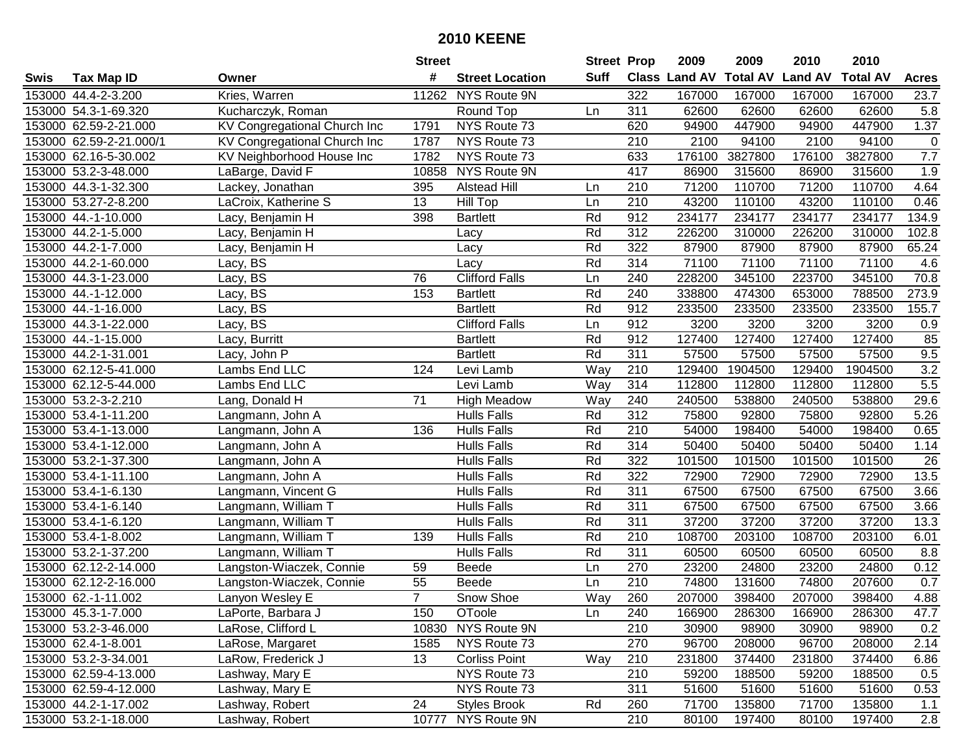|      |                         |                              | <b>Street</b>   |                        | <b>Street Prop</b> |                  | 2009                 | 2009            | 2010           | 2010            |              |
|------|-------------------------|------------------------------|-----------------|------------------------|--------------------|------------------|----------------------|-----------------|----------------|-----------------|--------------|
| Swis | <b>Tax Map ID</b>       | Owner                        | #               | <b>Street Location</b> | <b>Suff</b>        |                  | <b>Class Land AV</b> | <b>Total AV</b> | <b>Land AV</b> | <b>Total AV</b> | <b>Acres</b> |
|      | 153000 44.4-2-3.200     | Kries, Warren                | 11262           | NYS Route 9N           |                    | 322              | 167000               | 167000          | 167000         | 167000          | 23.7         |
|      | 153000 54.3-1-69.320    | Kucharczyk, Roman            |                 | Round Top              | Ln                 | 311              | 62600                | 62600           | 62600          | 62600           | 5.8          |
|      | 153000 62.59-2-21.000   | KV Congregational Church Inc | 1791            | NYS Route 73           |                    | 620              | 94900                | 447900          | 94900          | 447900          | 1.37         |
|      | 153000 62.59-2-21.000/1 | KV Congregational Church Inc | 1787            | NYS Route 73           |                    | 210              | 2100                 | 94100           | 2100           | 94100           | $\mathbf 0$  |
|      | 153000 62.16-5-30.002   | KV Neighborhood House Inc    | 1782            | NYS Route 73           |                    | 633              | 176100               | 3827800         | 176100         | 3827800         | 7.7          |
|      | 153000 53.2-3-48.000    | LaBarge, David F             | 10858           | NYS Route 9N           |                    | 417              | 86900                | 315600          | 86900          | 315600          | 1.9          |
|      | 153000 44.3-1-32.300    | Lackey, Jonathan             | 395             | <b>Alstead Hill</b>    | Ln                 | 210              | 71200                | 110700          | 71200          | 110700          | 4.64         |
|      | 153000 53.27-2-8.200    | LaCroix, Katherine S         | $\overline{13}$ | <b>Hill Top</b>        | Ln                 | 210              | 43200                | 110100          | 43200          | 110100          | 0.46         |
|      | 153000 44.-1-10.000     | Lacy, Benjamin H             | 398             | <b>Bartlett</b>        | Rd                 | 912              | 234177               | 234177          | 234177         | 234177          | 134.9        |
|      | 153000 44.2-1-5.000     | Lacy, Benjamin H             |                 | Lacy                   | Rd                 | 312              | 226200               | 310000          | 226200         | 310000          | 102.8        |
|      | 153000 44.2-1-7.000     | Lacy, Benjamin H             |                 | Lacy                   | Rd                 | 322              | 87900                | 87900           | 87900          | 87900           | 65.24        |
|      | 153000 44.2-1-60.000    | Lacy, BS                     |                 | Lacy                   | Rd                 | 314              | 71100                | 71100           | 71100          | 71100           | 4.6          |
|      | 153000 44.3-1-23.000    | Lacy, BS                     | 76              | <b>Clifford Falls</b>  | Ln                 | 240              | 228200               | 345100          | 223700         | 345100          | 70.8         |
|      | 153000 44.-1-12.000     | Lacy, BS                     | 153             | <b>Bartlett</b>        | Rd                 | 240              | 338800               | 474300          | 653000         | 788500          | 273.9        |
|      | 153000 44.-1-16.000     | Lacy, BS                     |                 | <b>Bartlett</b>        | Rd                 | 912              | 233500               | 233500          | 233500         | 233500          | 155.7        |
|      | 153000 44.3-1-22.000    | Lacy, BS                     |                 | <b>Clifford Falls</b>  | Ln                 | 912              | 3200                 | 3200            | 3200           | 3200            | 0.9          |
|      | 153000 44.-1-15.000     | Lacy, Burritt                |                 | <b>Bartlett</b>        | Rd                 | 912              | 127400               | 127400          | 127400         | 127400          | 85           |
|      | 153000 44.2-1-31.001    | Lacy, John P                 |                 | <b>Bartlett</b>        | Rd                 | 311              | 57500                | 57500           | 57500          | 57500           | 9.5          |
|      | 153000 62.12-5-41.000   | Lambs End LLC                | 124             | Levi Lamb              | Way                | 210              | 129400               | 1904500         | 129400         | 1904500         | 3.2          |
|      | 153000 62.12-5-44.000   | Lambs End LLC                |                 | Levi Lamb              | Way                | 314              | 112800               | 112800          | 112800         | 112800          | 5.5          |
|      | 153000 53.2-3-2.210     | Lang, Donald H               | 71              | <b>High Meadow</b>     | Way                | 240              | 240500               | 538800          | 240500         | 538800          | 29.6         |
|      | 153000 53.4-1-11.200    | Langmann, John A             |                 | <b>Hulls Falls</b>     | Rd                 | 312              | 75800                | 92800           | 75800          | 92800           | 5.26         |
|      | 153000 53.4-1-13.000    | Langmann, John A             | 136             | <b>Hulls Falls</b>     | Rd                 | 210              | 54000                | 198400          | 54000          | 198400          | 0.65         |
|      | 153000 53.4-1-12.000    | Langmann, John A             |                 | <b>Hulls Falls</b>     | Rd                 | 314              | 50400                | 50400           | 50400          | 50400           | 1.14         |
|      | 153000 53.2-1-37.300    | Langmann, John A             |                 | <b>Hulls Falls</b>     | Rd                 | $\overline{322}$ | 101500               | 101500          | 101500         | 101500          | 26           |
|      | 153000 53.4-1-11.100    | Langmann, John A             |                 | <b>Hulls Falls</b>     | Rd                 | 322              | 72900                | 72900           | 72900          | 72900           | 13.5         |
|      | 153000 53.4-1-6.130     | Langmann, Vincent G          |                 | <b>Hulls Falls</b>     | Rd                 | 311              | 67500                | 67500           | 67500          | 67500           | 3.66         |
|      | 153000 53.4-1-6.140     | Langmann, William T          |                 | <b>Hulls Falls</b>     | Rd                 | 311              | 67500                | 67500           | 67500          | 67500           | 3.66         |
|      | 153000 53.4-1-6.120     | Langmann, William T          |                 | <b>Hulls Falls</b>     | Rd                 | 311              | 37200                | 37200           | 37200          | 37200           | 13.3         |
|      | 153000 53.4-1-8.002     | Langmann, William T          | 139             | <b>Hulls Falls</b>     | Rd                 | $\overline{210}$ | 108700               | 203100          | 108700         | 203100          | 6.01         |
|      | 153000 53.2-1-37.200    | Langmann, William T          |                 | <b>Hulls Falls</b>     | Rd                 | $\overline{311}$ | 60500                | 60500           | 60500          | 60500           | 8.8          |
|      | 153000 62.12-2-14.000   | Langston-Wiaczek, Connie     | 59              | Beede                  | Ln                 | 270              | 23200                | 24800           | 23200          | 24800           | 0.12         |
|      | 153000 62.12-2-16.000   | Langston-Wiaczek, Connie     | $\overline{55}$ | <b>Beede</b>           | Ln                 | 210              | 74800                | 131600          | 74800          | 207600          | 0.7          |
|      | 153000 62.-1-11.002     | Lanyon Wesley E              | $\overline{7}$  | Snow Shoe              | Way                | 260              | 207000               | 398400          | 207000         | 398400          | 4.88         |
|      | 153000 45.3-1-7.000     | LaPorte, Barbara J           | 150             | OToole                 | Ln                 | 240              | 166900               | 286300          | 166900         | 286300          | 47.7         |
|      | 153000 53.2-3-46.000    | LaRose, Clifford L           | 10830           | NYS Route 9N           |                    | 210              | 30900                | 98900           | 30900          | 98900           | 0.2          |
|      | 153000 62.4-1-8.001     | LaRose, Margaret             | 1585            | NYS Route 73           |                    | 270              | 96700                | 208000          | 96700          | 208000          | 2.14         |
|      | 153000 53.2-3-34.001    | LaRow, Frederick J           | 13              | <b>Corliss Point</b>   | Way                | 210              | 231800               | 374400          | 231800         | 374400          | 6.86         |
|      | 153000 62.59-4-13.000   | Lashway, Mary E              |                 | NYS Route 73           |                    | 210              | 59200                | 188500          | 59200          | 188500          | 0.5          |
|      | 153000 62.59-4-12.000   | Lashway, Mary E              |                 | NYS Route 73           |                    | 311              | 51600                | 51600           | 51600          | 51600           | 0.53         |
|      | 153000 44.2-1-17.002    | Lashway, Robert              | 24              | <b>Styles Brook</b>    | Rd                 | 260              | 71700                | 135800          | 71700          | 135800          | 1.1          |
|      | 153000 53.2-1-18.000    | Lashway, Robert              |                 | 10777 NYS Route 9N     |                    | 210              | 80100                | 197400          | 80100          | 197400          | 2.8          |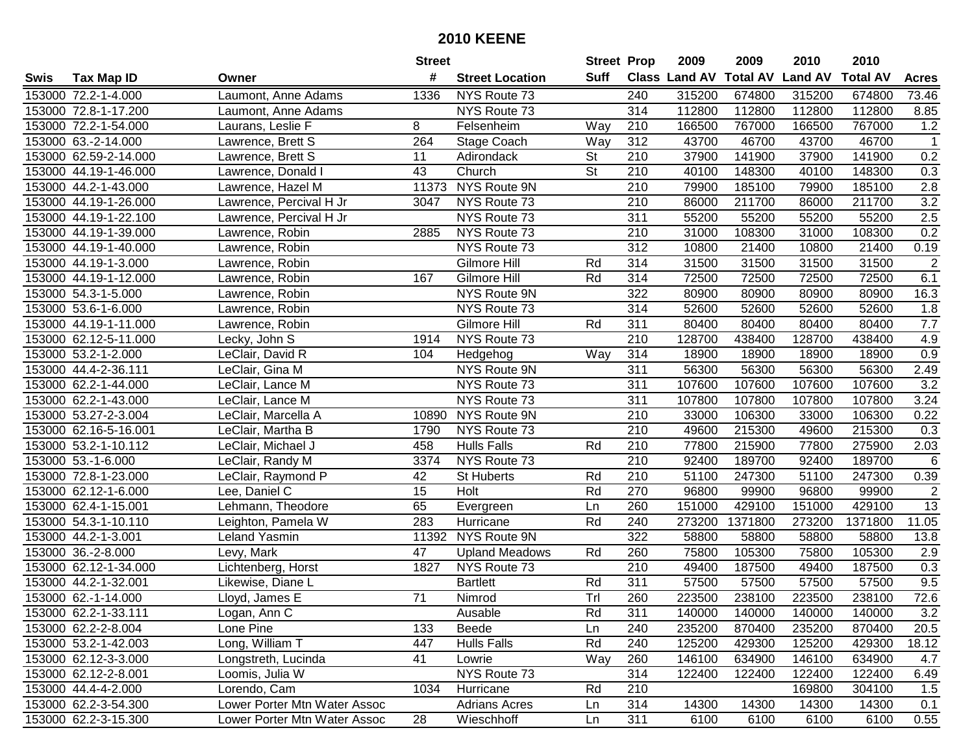| #<br>Suff<br><b>Total AV</b><br><b>Land AV</b><br>Class Land AV<br><b>Tax Map ID</b><br><b>Street Location</b><br>Swis<br>Owner<br>315200<br>153000 72.2-1-4.000<br>Laumont, Anne Adams<br>1336<br>NYS Route 73<br>240<br>315200<br>674800<br>153000 72.8-1-17.200<br>NYS Route 73<br>314<br>112800<br>112800<br>112800<br>Laumont, Anne Adams<br>153000 72.2-1-54.000<br>8<br>210<br>166500<br>767000<br>166500<br>Laurans, Leslie F<br>Felsenheim<br>Way | <b>Total AV</b><br><b>Acres</b><br>674800<br>73.46<br>112800<br>8.85<br>767000<br>1.2<br>46700<br>$\mathbf{1}$<br>0.2<br>141900 |
|------------------------------------------------------------------------------------------------------------------------------------------------------------------------------------------------------------------------------------------------------------------------------------------------------------------------------------------------------------------------------------------------------------------------------------------------------------|---------------------------------------------------------------------------------------------------------------------------------|
|                                                                                                                                                                                                                                                                                                                                                                                                                                                            |                                                                                                                                 |
|                                                                                                                                                                                                                                                                                                                                                                                                                                                            |                                                                                                                                 |
|                                                                                                                                                                                                                                                                                                                                                                                                                                                            |                                                                                                                                 |
|                                                                                                                                                                                                                                                                                                                                                                                                                                                            |                                                                                                                                 |
| 264<br>312<br>43700<br>46700<br>43700<br>153000 63.-2-14.000<br>Lawrence, Brett S<br>Stage Coach<br>Way                                                                                                                                                                                                                                                                                                                                                    |                                                                                                                                 |
| 153000 62.59-2-14.000<br>11<br><b>St</b><br>210<br>37900<br>141900<br>37900<br>Lawrence, Brett S<br>Adirondack                                                                                                                                                                                                                                                                                                                                             |                                                                                                                                 |
| $\overline{\mathsf{St}}$<br>153000 44.19-1-46.000<br>43<br>Church<br>210<br>40100<br>148300<br>40100<br>Lawrence, Donald I                                                                                                                                                                                                                                                                                                                                 | 148300<br>0.3                                                                                                                   |
| NYS Route 9N<br>210<br>79900<br>185100<br>153000 44.2-1-43.000<br>Lawrence, Hazel M<br>11373<br>79900                                                                                                                                                                                                                                                                                                                                                      | 2.8<br>185100                                                                                                                   |
| NYS Route 73<br>$\overline{210}$<br>86000<br>211700<br>86000<br>153000 44.19-1-26.000<br>Lawrence, Percival H Jr<br>3047                                                                                                                                                                                                                                                                                                                                   | 3.2<br>211700                                                                                                                   |
| NYS Route 73<br>311<br>55200<br>55200<br>153000 44.19-1-22.100<br>Lawrence, Percival H Jr<br>55200                                                                                                                                                                                                                                                                                                                                                         | 55200<br>$\overline{2.5}$                                                                                                       |
| NYS Route 73<br>210<br>31000<br>153000 44.19-1-39.000<br>108300<br>31000<br>Lawrence, Robin<br>2885                                                                                                                                                                                                                                                                                                                                                        | 0.2<br>108300                                                                                                                   |
| $\overline{312}$<br>NYS Route 73<br>153000 44.19-1-40.000<br>10800<br>21400<br>10800<br>Lawrence, Robin                                                                                                                                                                                                                                                                                                                                                    | 21400<br>0.19                                                                                                                   |
| 153000 44.19-1-3.000<br>Gilmore Hill<br>314<br>31500<br>31500<br>31500<br>Lawrence, Robin<br>Rd                                                                                                                                                                                                                                                                                                                                                            | $\overline{2}$<br>31500                                                                                                         |
| Rd<br>314<br>72500<br>72500<br>72500<br>153000 44.19-1-12.000<br>Lawrence, Robin<br>167<br>Gilmore Hill                                                                                                                                                                                                                                                                                                                                                    | 72500<br>6.1                                                                                                                    |
| 322<br>153000 54.3-1-5.000<br>Lawrence, Robin<br>NYS Route 9N<br>80900<br>80900<br>80900                                                                                                                                                                                                                                                                                                                                                                   | 80900<br>16.3                                                                                                                   |
| 314<br>153000 53.6-1-6.000<br>NYS Route 73<br>52600<br>52600<br>52600<br>Lawrence, Robin                                                                                                                                                                                                                                                                                                                                                                   | 52600<br>1.8                                                                                                                    |
| Gilmore Hill<br>311<br>80400<br>80400<br>80400<br>153000 44.19-1-11.000<br>Lawrence, Robin<br>Rd                                                                                                                                                                                                                                                                                                                                                           | 7.7<br>80400                                                                                                                    |
| $\overline{210}$<br>153000 62.12-5-11.000<br>NYS Route 73<br>128700<br>438400<br>128700<br>Lecky, John S<br>1914                                                                                                                                                                                                                                                                                                                                           | 4.9<br>438400                                                                                                                   |
| 153000 53.2-1-2.000<br>314<br>18900<br>LeClair, David R<br>104<br>Hedgehog<br>Way<br>18900<br>18900                                                                                                                                                                                                                                                                                                                                                        | 0.9<br>18900                                                                                                                    |
| 153000 44.4-2-36.111<br>NYS Route 9N<br>311<br>56300<br>56300<br>56300<br>LeClair, Gina M                                                                                                                                                                                                                                                                                                                                                                  | 56300<br>2.49                                                                                                                   |
| 153000 62.2-1-44.000<br>NYS Route 73<br>311<br>107600<br>107600<br>107600<br>LeClair, Lance M                                                                                                                                                                                                                                                                                                                                                              | 3.2<br>107600                                                                                                                   |
| NYS Route 73<br>311<br>107800<br>107800<br>153000 62.2-1-43.000<br>LeClair, Lance M<br>107800                                                                                                                                                                                                                                                                                                                                                              | 107800<br>3.24                                                                                                                  |
| NYS Route 9N<br>153000 53.27-2-3.004<br>210<br>33000<br>106300<br>33000<br>LeClair, Marcella A<br>10890                                                                                                                                                                                                                                                                                                                                                    | 106300<br>0.22                                                                                                                  |
| 210<br>153000 62.16-5-16.001<br>NYS Route 73<br>49600<br>215300<br>49600<br>LeClair, Martha B<br>1790                                                                                                                                                                                                                                                                                                                                                      | 0.3<br>215300                                                                                                                   |
| 153000 53.2-1-10.112<br>458<br><b>Hulls Falls</b><br>Rd<br>210<br>77800<br>215900<br>77800<br>LeClair, Michael J                                                                                                                                                                                                                                                                                                                                           | 275900<br>2.03                                                                                                                  |
| $\overline{210}$<br>153000 53.-1-6.000<br>3374<br>NYS Route 73<br>92400<br>189700<br>LeClair, Randy M<br>92400                                                                                                                                                                                                                                                                                                                                             | 189700<br>$\,6\,$                                                                                                               |
| 42<br>Rd<br>210<br>51100<br>247300<br>153000 72.8-1-23.000<br>LeClair, Raymond P<br>St Huberts<br>51100                                                                                                                                                                                                                                                                                                                                                    | 247300<br>0.39                                                                                                                  |
| 15<br>Rd<br>270<br>153000 62.12-1-6.000<br>Lee, Daniel C<br>Holt<br>96800<br>99900<br>96800                                                                                                                                                                                                                                                                                                                                                                | $\boldsymbol{2}$<br>99900                                                                                                       |
| 65<br>429100<br>153000 62.4-1-15.001<br>260<br>151000<br>151000<br>Lehmann, Theodore<br>Ln<br>Evergreen                                                                                                                                                                                                                                                                                                                                                    | 429100<br>13                                                                                                                    |
| 1371800<br>153000 54.3-1-10.110<br>Leighton, Pamela W<br>283<br>Rd<br>240<br>273200<br>273200<br>Hurricane                                                                                                                                                                                                                                                                                                                                                 | 1371800<br>11.05                                                                                                                |
| 322<br>58800<br>153000 44.2-1-3.001<br>Leland Yasmin<br>11392<br>NYS Route 9N<br>58800<br>58800                                                                                                                                                                                                                                                                                                                                                            | 58800<br>13.8                                                                                                                   |
| 153000 36.-2-8.000<br>$\overline{47}$<br>260<br>75800<br>105300<br>Levy, Mark<br><b>Upland Meadows</b><br>Rd<br>75800                                                                                                                                                                                                                                                                                                                                      | 105300<br>2.9                                                                                                                   |
| 153000 62.12-1-34.000<br>NYS Route 73<br>210<br>49400<br>187500<br>49400<br>Lichtenberg, Horst<br>1827                                                                                                                                                                                                                                                                                                                                                     | 187500<br>0.3                                                                                                                   |
| Rd<br>311<br>57500<br>57500<br>153000 44.2-1-32.001<br>Likewise, Diane L<br><b>Bartlett</b><br>57500                                                                                                                                                                                                                                                                                                                                                       | 9.5<br>57500                                                                                                                    |
| Trl<br>$\overline{71}$<br>153000 62.-1-14.000<br>260<br>223500<br>238100<br>223500<br>Lloyd, James E<br>Nimrod                                                                                                                                                                                                                                                                                                                                             | 72.6<br>238100                                                                                                                  |
| 153000 62.2-1-33.111<br>Logan, Ann C<br>Ausable<br>Rd<br>311<br>140000<br>140000<br>140000                                                                                                                                                                                                                                                                                                                                                                 | 140000<br>3.2                                                                                                                   |
| 153000 62.2-2-8.004<br>Lone Pine<br>133<br>Beede<br>240<br>235200<br>870400<br>235200<br>Ln                                                                                                                                                                                                                                                                                                                                                                | 870400<br>20.5                                                                                                                  |
| Rd<br>429300<br>153000 53.2-1-42.003<br>Long, William T<br>447<br><b>Hulls Falls</b><br>240<br>125200<br>125200                                                                                                                                                                                                                                                                                                                                            | 429300<br>18.12                                                                                                                 |
| 41<br>Way<br>146100<br>146100<br>153000 62.12-3-3.000<br>Longstreth, Lucinda<br>Lowrie<br>260<br>634900                                                                                                                                                                                                                                                                                                                                                    | 634900<br>4.7                                                                                                                   |
| Loomis, Julia W<br>NYS Route 73<br>314<br>153000 62.12-2-8.001<br>122400<br>122400<br>122400                                                                                                                                                                                                                                                                                                                                                               | 122400<br>6.49                                                                                                                  |
| Rd<br>153000 44.4-4-2.000<br>Lorendo, Cam<br>1034<br>Hurricane<br>210<br>169800                                                                                                                                                                                                                                                                                                                                                                            | 304100<br>1.5                                                                                                                   |
| Lower Porter Mtn Water Assoc<br>153000 62.2-3-54.300<br><b>Adrians Acres</b><br>314<br>14300<br>14300<br>14300<br>Ln                                                                                                                                                                                                                                                                                                                                       | 14300<br>0.1                                                                                                                    |
| 28<br>311<br>153000 62.2-3-15.300<br>Lower Porter Mtn Water Assoc<br>Wieschhoff<br>6100<br>6100<br>6100<br>Ln                                                                                                                                                                                                                                                                                                                                              | 6100<br>0.55                                                                                                                    |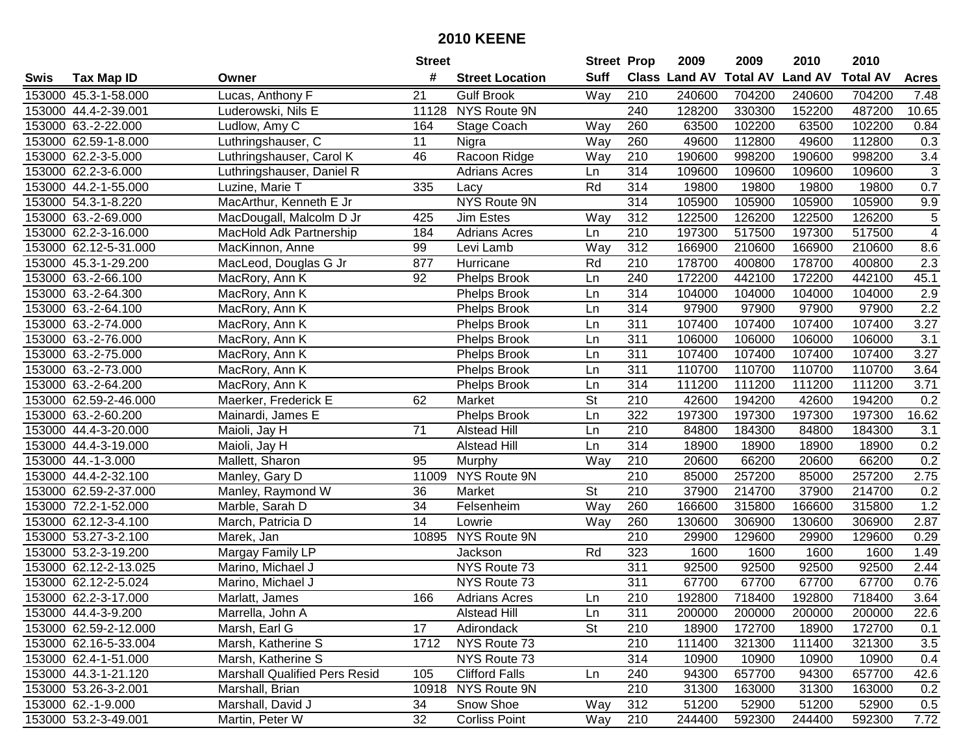|      |                       |                                      | <b>Street</b>   |                        | <b>Street Prop</b>       |                  | 2009                 | 2009            | 2010           | 2010            |                         |
|------|-----------------------|--------------------------------------|-----------------|------------------------|--------------------------|------------------|----------------------|-----------------|----------------|-----------------|-------------------------|
| Swis | <b>Tax Map ID</b>     | Owner                                | #               | <b>Street Location</b> | <b>Suff</b>              |                  | <b>Class Land AV</b> | <b>Total AV</b> | <b>Land AV</b> | <b>Total AV</b> | <b>Acres</b>            |
|      | 153000 45.3-1-58.000  | Lucas, Anthony F                     | 21              | <b>Gulf Brook</b>      | Way                      | 210              | 240600               | 704200          | 240600         | 704200          | 7.48                    |
|      | 153000 44.4-2-39.001  | Luderowski, Nils E                   | 11128           | NYS Route 9N           |                          | 240              | 128200               | 330300          | 152200         | 487200          | 10.65                   |
|      | 153000 63.-2-22.000   | Ludlow, Amy C                        | 164             | Stage Coach            | Way                      | 260              | 63500                | 102200          | 63500          | 102200          | 0.84                    |
|      | 153000 62.59-1-8.000  | Luthringshauser, C                   | 11              | Nigra                  | Way                      | 260              | 49600                | 112800          | 49600          | 112800          | 0.3                     |
|      | 153000 62.2-3-5.000   | Luthringshauser, Carol K             | 46              | Racoon Ridge           | Way                      | 210              | 190600               | 998200          | 190600         | 998200          | $\overline{3.4}$        |
|      | 153000 62.2-3-6.000   | Luthringshauser, Daniel R            |                 | <b>Adrians Acres</b>   | Ln                       | 314              | 109600               | 109600          | 109600         | 109600          | $\overline{3}$          |
|      | 153000 44.2-1-55.000  | Luzine, Marie T                      | 335             | Lacy                   | Rd                       | 314              | 19800                | 19800           | 19800          | 19800           | 0.7                     |
|      | 153000 54.3-1-8.220   | MacArthur, Kenneth E Jr              |                 | NYS Route 9N           |                          | 314              | 105900               | 105900          | 105900         | 105900          | 9.9                     |
|      | 153000 63.-2-69.000   | MacDougall, Malcolm D Jr             | 425             | Jim Estes              | Way                      | 312              | 122500               | 126200          | 122500         | 126200          | $\overline{5}$          |
|      | 153000 62.2-3-16.000  | MacHold Adk Partnership              | 184             | <b>Adrians Acres</b>   | Ln                       | 210              | 197300               | 517500          | 197300         | 517500          | $\overline{\mathbf{4}}$ |
|      | 153000 62.12-5-31.000 | MacKinnon, Anne                      | 99              | Levi Lamb              | Way                      | 312              | 166900               | 210600          | 166900         | 210600          | 8.6                     |
|      | 153000 45.3-1-29.200  | MacLeod, Douglas G Jr                | 877             | Hurricane              | Rd                       | 210              | 178700               | 400800          | 178700         | 400800          | 2.3                     |
|      | 153000 63.-2-66.100   | MacRory, Ann K                       | 92              | Phelps Brook           | Ln                       | 240              | 172200               | 442100          | 172200         | 442100          | 45.1                    |
|      | 153000 63.-2-64.300   | MacRory, Ann K                       |                 | Phelps Brook           | Ln                       | 314              | 104000               | 104000          | 104000         | 104000          | 2.9                     |
|      | 153000 63.-2-64.100   | MacRory, Ann K                       |                 | <b>Phelps Brook</b>    | Ln                       | 314              | 97900                | 97900           | 97900          | 97900           | $\overline{2.2}$        |
|      | 153000 63.-2-74.000   | MacRory, Ann K                       |                 | <b>Phelps Brook</b>    | Ln                       | 311              | 107400               | 107400          | 107400         | 107400          | 3.27                    |
|      | 153000 63.-2-76.000   | MacRory, Ann K                       |                 | <b>Phelps Brook</b>    | Ln                       | 311              | 106000               | 106000          | 106000         | 106000          | 3.1                     |
|      | 153000 63.-2-75.000   | MacRory, Ann K                       |                 | <b>Phelps Brook</b>    | Ln                       | 311              | 107400               | 107400          | 107400         | 107400          | 3.27                    |
|      | 153000 63.-2-73.000   | MacRory, Ann K                       |                 | <b>Phelps Brook</b>    | Ln                       | 311              | 110700               | 110700          | 110700         | 110700          | 3.64                    |
|      | 153000 63.-2-64.200   | MacRory, Ann K                       |                 | <b>Phelps Brook</b>    | Ln                       | 314              | 111200               | 111200          | 111200         | 111200          | 3.71                    |
|      | 153000 62.59-2-46.000 | Maerker, Frederick E                 | 62              | Market                 | $\overline{\mathsf{St}}$ | 210              | 42600                | 194200          | 42600          | 194200          | 0.2                     |
|      | 153000 63.-2-60.200   | Mainardi, James E                    |                 | <b>Phelps Brook</b>    | Ln                       | 322              | 197300               | 197300          | 197300         | 197300          | 16.62                   |
|      | 153000 44.4-3-20.000  | Maioli, Jay H                        | 71              | <b>Alstead Hill</b>    | Ln                       | 210              | 84800                | 184300          | 84800          | 184300          | 3.1                     |
|      | 153000 44.4-3-19.000  | Maioli, Jay H                        |                 | <b>Alstead Hill</b>    | Ln                       | 314              | 18900                | 18900           | 18900          | 18900           | 0.2                     |
|      | 153000 44.-1-3.000    | Mallett, Sharon                      | 95              | Murphy                 | Way                      | 210              | 20600                | 66200           | 20600          | 66200           | 0.2                     |
|      | 153000 44.4-2-32.100  | Manley, Gary D                       |                 | 11009 NYS Route 9N     |                          | 210              | 85000                | 257200          | 85000          | 257200          | 2.75                    |
|      | 153000 62.59-2-37.000 | Manley, Raymond W                    | 36              | <b>Market</b>          | <b>St</b>                | 210              | 37900                | 214700          | 37900          | 214700          | 0.2                     |
|      | 153000 72.2-1-52.000  | Marble, Sarah D                      | 34              | Felsenheim             | Way                      | 260              | 166600               | 315800          | 166600         | 315800          | 1.2                     |
|      | 153000 62.12-3-4.100  | March, Patricia D                    | $\overline{14}$ | Lowrie                 | Way                      | 260              | 130600               | 306900          | 130600         | 306900          | 2.87                    |
|      | 153000 53.27-3-2.100  | Marek, Jan                           |                 | 10895 NYS Route 9N     |                          | $\overline{210}$ | 29900                | 129600          | 29900          | 129600          | 0.29                    |
|      | 153000 53.2-3-19.200  | Margay Family LP                     |                 | Jackson                | Rd                       | 323              | 1600                 | 1600            | 1600           | 1600            | 1.49                    |
|      | 153000 62.12-2-13.025 | Marino, Michael J                    |                 | NYS Route 73           |                          | 311              | 92500                | 92500           | 92500          | 92500           | 2.44                    |
|      | 153000 62.12-2-5.024  | Marino, Michael J                    |                 | NYS Route 73           |                          | 311              | 67700                | 67700           | 67700          | 67700           | 0.76                    |
|      | 153000 62.2-3-17.000  | Marlatt, James                       | 166             | <b>Adrians Acres</b>   | Ln                       | 210              | 192800               | 718400          | 192800         | 718400          | 3.64                    |
|      | 153000 44.4-3-9.200   | Marrella, John A                     |                 | <b>Alstead Hill</b>    | Ln                       | 311              | 200000               | 200000          | 200000         | 200000          | 22.6                    |
|      | 153000 62.59-2-12.000 | Marsh, Earl G                        | 17              | Adirondack             | <b>St</b>                | 210              | 18900                | 172700          | 18900          | 172700          | 0.1                     |
|      | 153000 62.16-5-33.004 | Marsh, Katherine S                   | 1712            | NYS Route 73           |                          | 210              | 111400               | 321300          | 111400         | 321300          | 3.5                     |
|      | 153000 62.4-1-51.000  | Marsh, Katherine S                   |                 | NYS Route 73           |                          | 314              | 10900                | 10900           | 10900          | 10900           | 0.4                     |
|      | 153000 44.3-1-21.120  | <b>Marshall Qualified Pers Resid</b> | 105             | <b>Clifford Falls</b>  | Ln                       | 240              | 94300                | 657700          | 94300          | 657700          | 42.6                    |
|      | 153000 53.26-3-2.001  | Marshall, Brian                      |                 | 10918 NYS Route 9N     |                          | 210              | 31300                | 163000          | 31300          | 163000          | 0.2                     |
|      | 153000 62.-1-9.000    | Marshall, David J                    | 34              | Snow Shoe              | Way                      | 312              | 51200                | 52900           | 51200          | 52900           | 0.5                     |
|      | 153000 53.2-3-49.001  | Martin, Peter W                      | 32              | <b>Corliss Point</b>   | Way                      | 210              | 244400               | 592300          | 244400         | 592300          | 7.72                    |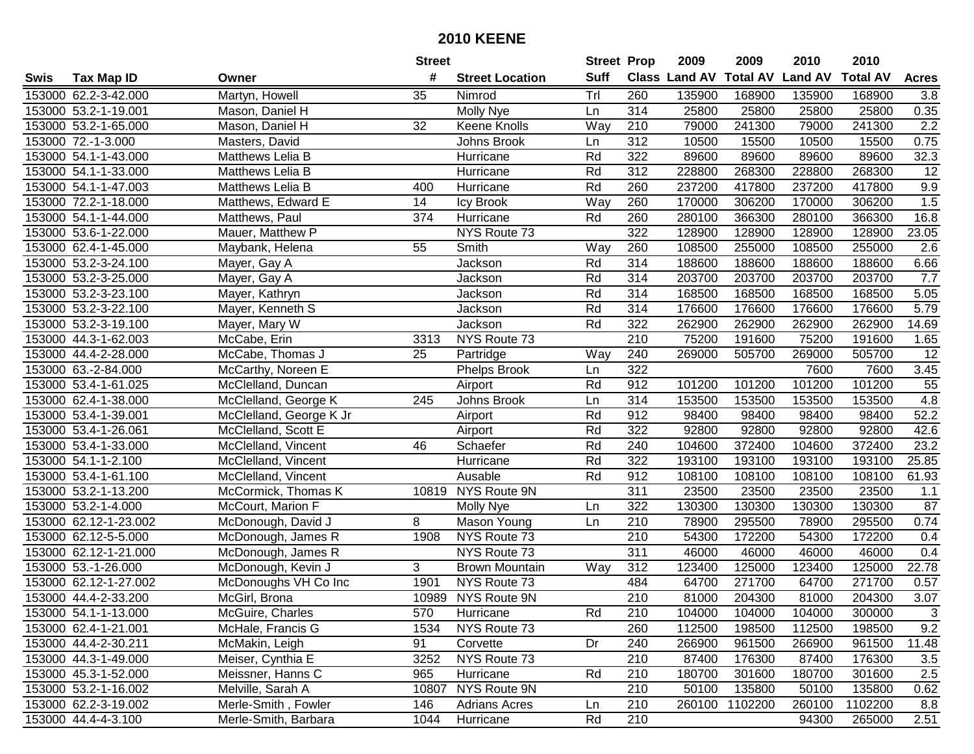|      |                       |                         | <b>Street</b> |                        | <b>Street Prop</b> |                  | 2009          | 2009            | 2010           | 2010            |                   |
|------|-----------------------|-------------------------|---------------|------------------------|--------------------|------------------|---------------|-----------------|----------------|-----------------|-------------------|
| Swis | <b>Tax Map ID</b>     | Owner                   | #             | <b>Street Location</b> | <b>Suff</b>        |                  | Class Land AV | <b>Total AV</b> | <b>Land AV</b> | <b>Total AV</b> | <b>Acres</b>      |
|      | 153000 62.2-3-42.000  | Martyn, Howell          | 35            | Nimrod                 | Trl                | 260              | 135900        | 168900          | 135900         | 168900          | 3.8               |
|      | 153000 53.2-1-19.001  | Mason, Daniel H         |               | Molly Nye              | Ln                 | 314              | 25800         | 25800           | 25800          | 25800           | 0.35              |
|      | 153000 53.2-1-65.000  | Mason, Daniel H         | 32            | Keene Knolls           | Way                | 210              | 79000         | 241300          | 79000          | 241300          | 2.2               |
|      | 153000 72.-1-3.000    | Masters, David          |               | Johns Brook            | Ln                 | 312              | 10500         | 15500           | 10500          | 15500           | 0.75              |
|      | 153000 54.1-1-43.000  | Matthews Lelia B        |               | Hurricane              | Rd                 | 322              | 89600         | 89600           | 89600          | 89600           | 32.3              |
|      | 153000 54.1-1-33.000  | Matthews Lelia B        |               | Hurricane              | Rd                 | $\overline{312}$ | 228800        | 268300          | 228800         | 268300          | $\overline{12}$   |
|      | 153000 54.1-1-47.003  | Matthews Lelia B        | 400           | Hurricane              | Rd                 | 260              | 237200        | 417800          | 237200         | 417800          | 9.9               |
|      | 153000 72.2-1-18.000  | Matthews, Edward E      | 14            | Icy Brook              | Way                | 260              | 170000        | 306200          | 170000         | 306200          | 1.5               |
|      | 153000 54.1-1-44.000  | Matthews, Paul          | 374           | Hurricane              | Rd                 | 260              | 280100        | 366300          | 280100         | 366300          | 16.8              |
|      | 153000 53.6-1-22.000  | Mauer, Matthew P        |               | NYS Route 73           |                    | 322              | 128900        | 128900          | 128900         | 128900          | 23.05             |
|      | 153000 62.4-1-45.000  | Maybank, Helena         | 55            | Smith                  | Way                | 260              | 108500        | 255000          | 108500         | 255000          | 2.6               |
|      | 153000 53.2-3-24.100  | Mayer, Gay A            |               | Jackson                | Rd                 | 314              | 188600        | 188600          | 188600         | 188600          | 6.66              |
|      | 153000 53.2-3-25.000  | Mayer, Gay A            |               | Jackson                | Rd                 | $\overline{314}$ | 203700        | 203700          | 203700         | 203700          | 7.7               |
|      | 153000 53.2-3-23.100  | Mayer, Kathryn          |               | Jackson                | Rd                 | 314              | 168500        | 168500          | 168500         | 168500          | 5.05              |
|      | 153000 53.2-3-22.100  | Mayer, Kenneth S        |               | Jackson                | Rd                 | 314              | 176600        | 176600          | 176600         | 176600          | 5.79              |
|      | 153000 53.2-3-19.100  | Mayer, Mary W           |               | Jackson                | Rd                 | 322              | 262900        | 262900          | 262900         | 262900          | 14.69             |
|      | 153000 44.3-1-62.003  | McCabe, Erin            | 3313          | NYS Route 73           |                    | $\overline{210}$ | 75200         | 191600          | 75200          | 191600          | 1.65              |
|      | 153000 44.4-2-28.000  | McCabe, Thomas J        | 25            | Partridge              | Way                | 240              | 269000        | 505700          | 269000         | 505700          | 12                |
|      | 153000 63.-2-84.000   | McCarthy, Noreen E      |               | <b>Phelps Brook</b>    | Ln                 | 322              |               |                 | 7600           | 7600            | 3.45              |
|      | 153000 53.4-1-61.025  | McClelland, Duncan      |               | Airport                | Rd                 | 912              | 101200        | 101200          | 101200         | 101200          | 55                |
|      | 153000 62.4-1-38.000  | McClelland, George K    | 245           | Johns Brook            | Ln                 | 314              | 153500        | 153500          | 153500         | 153500          | 4.8               |
|      | 153000 53.4-1-39.001  | McClelland, George K Jr |               | Airport                | Rd                 | 912              | 98400         | 98400           | 98400          | 98400           | 52.2              |
|      | 153000 53.4-1-26.061  | McClelland, Scott E     |               | Airport                | Rd                 | 322              | 92800         | 92800           | 92800          | 92800           | 42.6              |
|      | 153000 53.4-1-33.000  | McClelland, Vincent     | 46            | Schaefer               | Rd                 | 240              | 104600        | 372400          | 104600         | 372400          | 23.2              |
|      | 153000 54.1-1-2.100   | McClelland, Vincent     |               | Hurricane              | Rd                 | $\overline{322}$ | 193100        | 193100          | 193100         | 193100          | 25.85             |
|      | 153000 53.4-1-61.100  | McClelland, Vincent     |               | Ausable                | Rd                 | 912              | 108100        | 108100          | 108100         | 108100          | 61.93             |
|      | 153000 53.2-1-13.200  | McCormick, Thomas K     |               | 10819 NYS Route 9N     |                    | 311              | 23500         | 23500           | 23500          | 23500           | 1.1               |
|      | 153000 53.2-1-4.000   | McCourt, Marion F       |               | <b>Molly Nye</b>       | Ln                 | 322              | 130300        | 130300          | 130300         | 130300          | 87                |
|      | 153000 62.12-1-23.002 | McDonough, David J      | 8             | Mason Young            | Ln                 | 210              | 78900         | 295500          | 78900          | 295500          | 0.74              |
|      | 153000 62.12-5-5.000  | McDonough, James R      | 1908          | NYS Route 73           |                    | $\overline{210}$ | 54300         | 172200          | 54300          | 172200          | 0.4               |
|      | 153000 62.12-1-21.000 | McDonough, James R      |               | NYS Route 73           |                    | 311              | 46000         | 46000           | 46000          | 46000           | 0.4               |
|      | 153000 53.-1-26.000   | McDonough, Kevin J      | 3             | <b>Brown Mountain</b>  | Way                | 312              | 123400        | 125000          | 123400         | 125000          | 22.78             |
|      | 153000 62.12-1-27.002 | McDonoughs VH Co Inc    | 1901          | NYS Route 73           |                    | 484              | 64700         | 271700          | 64700          | 271700          | 0.57              |
|      | 153000 44.4-2-33.200  | McGirl, Brona           |               | 10989 NYS Route 9N     |                    | $\overline{210}$ | 81000         | 204300          | 81000          | 204300          | $\overline{3.07}$ |
|      | 153000 54.1-1-13.000  | McGuire, Charles        | 570           | Hurricane              | Rd                 | 210              | 104000        | 104000          | 104000         | 300000          | 3                 |
|      | 153000 62.4-1-21.001  | McHale, Francis G       | 1534          | NYS Route 73           |                    | 260              | 112500        | 198500          | 112500         | 198500          | 9.2               |
|      | 153000 44.4-2-30.211  | McMakin, Leigh          | 91            | Corvette               | Dr                 | 240              | 266900        | 961500          | 266900         | 961500          | 11.48             |
|      | 153000 44.3-1-49.000  | Meiser, Cynthia E       | 3252          | NYS Route 73           |                    | 210              | 87400         | 176300          | 87400          | 176300          | 3.5               |
|      | 153000 45.3-1-52.000  | Meissner, Hanns C       | 965           | Hurricane              | Rd                 | 210              | 180700        | 301600          | 180700         | 301600          | 2.5               |
|      | 153000 53.2-1-16.002  | Melville, Sarah A       | 10807         | NYS Route 9N           |                    | 210              | 50100         | 135800          | 50100          | 135800          | 0.62              |
|      | 153000 62.2-3-19.002  | Merle-Smith, Fowler     | 146           | <b>Adrians Acres</b>   | Ln                 | 210              | 260100        | 1102200         | 260100         | 1102200         | 8.8               |
|      | 153000 44.4-4-3.100   | Merle-Smith, Barbara    | 1044          | Hurricane              | Rd                 | 210              |               |                 | 94300          | 265000          | 2.51              |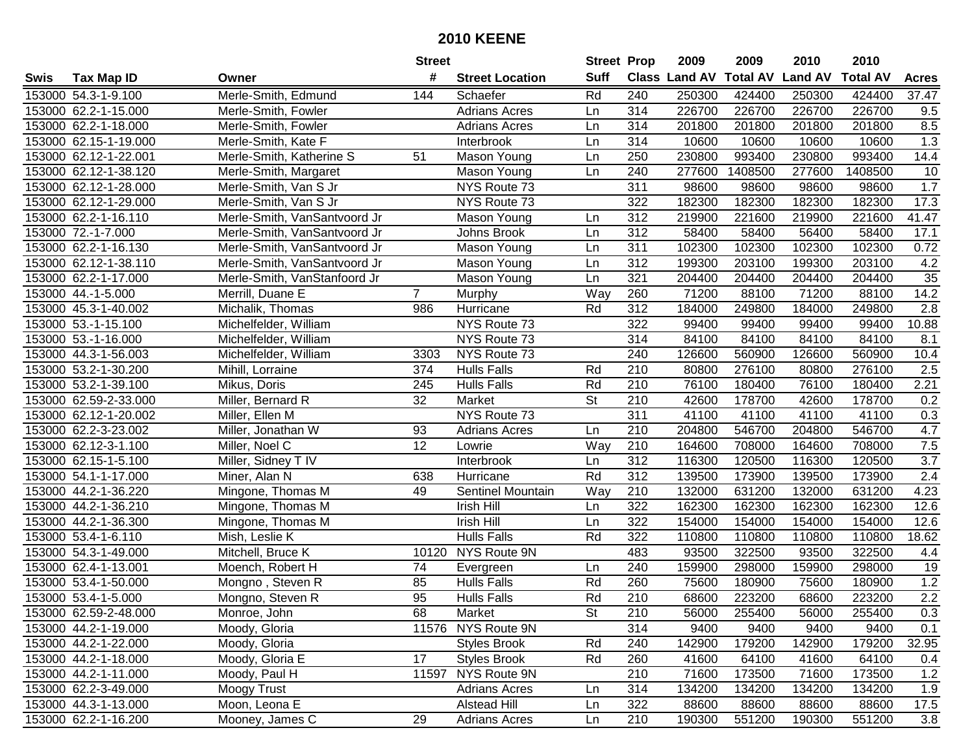|      |                       |                              | <b>Street</b>   |                        | <b>Street Prop</b> |                  | 2009          | 2009            | 2010           | 2010            |                  |
|------|-----------------------|------------------------------|-----------------|------------------------|--------------------|------------------|---------------|-----------------|----------------|-----------------|------------------|
| Swis | <b>Tax Map ID</b>     | Owner                        | #               | <b>Street Location</b> | <b>Suff</b>        |                  | Class Land AV | <b>Total AV</b> | <b>Land AV</b> | <b>Total AV</b> | <b>Acres</b>     |
|      | 153000 54.3-1-9.100   | Merle-Smith, Edmund          | 144             | Schaefer               | Rd                 | 240              | 250300        | 424400          | 250300         | 424400          | 37.47            |
|      | 153000 62.2-1-15.000  | Merle-Smith, Fowler          |                 | <b>Adrians Acres</b>   | Ln                 | 314              | 226700        | 226700          | 226700         | 226700          | 9.5              |
|      | 153000 62.2-1-18.000  | Merle-Smith, Fowler          |                 | <b>Adrians Acres</b>   | Ln                 | 314              | 201800        | 201800          | 201800         | 201800          | 8.5              |
|      | 153000 62.15-1-19.000 | Merle-Smith, Kate F          |                 | Interbrook             | Ln                 | 314              | 10600         | 10600           | 10600          | 10600           | 1.3              |
|      | 153000 62.12-1-22.001 | Merle-Smith, Katherine S     | 51              | Mason Young            | Ln                 | 250              | 230800        | 993400          | 230800         | 993400          | 14.4             |
|      | 153000 62.12-1-38.120 | Merle-Smith, Margaret        |                 | Mason Young            | Ln                 | 240              | 277600        | 1408500         | 277600         | 1408500         | 10               |
|      | 153000 62.12-1-28.000 | Merle-Smith, Van S Jr        |                 | NYS Route 73           |                    | 311              | 98600         | 98600           | 98600          | 98600           | 1.7              |
|      | 153000 62.12-1-29.000 | Merle-Smith, Van S Jr        |                 | NYS Route 73           |                    | 322              | 182300        | 182300          | 182300         | 182300          | 17.3             |
|      | 153000 62.2-1-16.110  | Merle-Smith, VanSantvoord Jr |                 | Mason Young            | Ln                 | 312              | 219900        | 221600          | 219900         | 221600          | 41.47            |
|      | 153000 72.-1-7.000    | Merle-Smith, VanSantvoord Jr |                 | Johns Brook            | Ln                 | 312              | 58400         | 58400           | 56400          | 58400           | 17.1             |
|      | 153000 62.2-1-16.130  | Merle-Smith, VanSantvoord Jr |                 | Mason Young            | Ln                 | 311              | 102300        | 102300          | 102300         | 102300          | 0.72             |
|      | 153000 62.12-1-38.110 | Merle-Smith, VanSantvoord Jr |                 | Mason Young            | Ln                 | 312              | 199300        | 203100          | 199300         | 203100          | 4.2              |
|      | 153000 62.2-1-17.000  | Merle-Smith, VanStanfoord Jr |                 | Mason Young            | Ln                 | 321              | 204400        | 204400          | 204400         | 204400          | $\overline{35}$  |
|      | 153000 44.-1-5.000    | Merrill, Duane E             | $\overline{7}$  | Murphy                 | Way                | 260              | 71200         | 88100           | 71200          | 88100           | 14.2             |
|      | 153000 45.3-1-40.002  | Michalik, Thomas             | 986             | Hurricane              | Rd                 | 312              | 184000        | 249800          | 184000         | 249800          | 2.8              |
|      | 153000 53.-1-15.100   | Michelfelder, William        |                 | NYS Route 73           |                    | 322              | 99400         | 99400           | 99400          | 99400           | 10.88            |
|      | 153000 53.-1-16.000   | Michelfelder, William        |                 | NYS Route 73           |                    | 314              | 84100         | 84100           | 84100          | 84100           | 8.1              |
|      | 153000 44.3-1-56.003  | Michelfelder, William        | 3303            | NYS Route 73           |                    | 240              | 126600        | 560900          | 126600         | 560900          | 10.4             |
|      | 153000 53.2-1-30.200  | Mihill, Lorraine             | 374             | <b>Hulls Falls</b>     | Rd                 | 210              | 80800         | 276100          | 80800          | 276100          | 2.5              |
|      | 153000 53.2-1-39.100  | Mikus, Doris                 | 245             | <b>Hulls Falls</b>     | Rd                 | 210              | 76100         | 180400          | 76100          | 180400          | 2.21             |
|      | 153000 62.59-2-33.000 | Miller, Bernard R            | 32              | Market                 | St                 | 210              | 42600         | 178700          | 42600          | 178700          | 0.2              |
|      | 153000 62.12-1-20.002 | Miller, Ellen M              |                 | NYS Route 73           |                    | 311              | 41100         | 41100           | 41100          | 41100           | 0.3              |
|      | 153000 62.2-3-23.002  | Miller, Jonathan W           | 93              | <b>Adrians Acres</b>   | Ln                 | 210              | 204800        | 546700          | 204800         | 546700          | 4.7              |
|      | 153000 62.12-3-1.100  | Miller, Noel C               | 12              | Lowrie                 | Way                | 210              | 164600        | 708000          | 164600         | 708000          | 7.5              |
|      | 153000 62.15-1-5.100  | Miller, Sidney T IV          |                 | Interbrook             | Ln                 | $\overline{312}$ | 116300        | 120500          | 116300         | 120500          | $\overline{3.7}$ |
|      | 153000 54.1-1-17.000  | Miner, Alan N                | 638             | Hurricane              | Rd                 | 312              | 139500        | 173900          | 139500         | 173900          | 2.4              |
|      | 153000 44.2-1-36.220  | Mingone, Thomas M            | 49              | Sentinel Mountain      | Way                | 210              | 132000        | 631200          | 132000         | 631200          | 4.23             |
|      | 153000 44.2-1-36.210  | Mingone, Thomas M            |                 | Irish Hill             | Ln                 | 322              | 162300        | 162300          | 162300         | 162300          | 12.6             |
|      | 153000 44.2-1-36.300  | Mingone, Thomas M            |                 | <b>Irish Hill</b>      | Ln                 | 322              | 154000        | 154000          | 154000         | 154000          | 12.6             |
|      | 153000 53.4-1-6.110   | Mish, Leslie K               |                 | <b>Hulls Falls</b>     | Rd                 | $\overline{322}$ | 110800        | 110800          | 110800         | 110800          | 18.62            |
|      | 153000 54.3-1-49.000  | Mitchell, Bruce K            | 10120           | NYS Route 9N           |                    | 483              | 93500         | 322500          | 93500          | 322500          | 4.4              |
|      | 153000 62.4-1-13.001  | Moench, Robert H             | $\overline{74}$ | Evergreen              | Ln                 | 240              | 159900        | 298000          | 159900         | 298000          | 19               |
|      | 153000 53.4-1-50.000  | Mongno, Steven R             | 85              | <b>Hulls Falls</b>     | Rd                 | 260              | 75600         | 180900          | 75600          | 180900          | 1.2              |
|      | 153000 53.4-1-5.000   | Mongno, Steven R             | 95              | <b>Hulls Falls</b>     | Rd                 | 210              | 68600         | 223200          | 68600          | 223200          | $\overline{2.2}$ |
|      | 153000 62.59-2-48.000 | Monroe, John                 | 68              | Market                 | St                 | 210              | 56000         | 255400          | 56000          | 255400          | 0.3              |
|      | 153000 44.2-1-19.000  | Moody, Gloria                |                 | 11576 NYS Route 9N     |                    | 314              | 9400          | 9400            | 9400           | 9400            | 0.1              |
|      | 153000 44.2-1-22.000  | Moody, Gloria                |                 | <b>Styles Brook</b>    | Rd                 | 240              | 142900        | 179200          | 142900         | 179200          | 32.95            |
|      | 153000 44.2-1-18.000  | Moody, Gloria E              | 17              | <b>Styles Brook</b>    | Rd                 | 260              | 41600         | 64100           | 41600          | 64100           | 0.4              |
|      | 153000 44.2-1-11.000  | Moody, Paul H                |                 | 11597 NYS Route 9N     |                    | 210              | 71600         | 173500          | 71600          | 173500          | 1.2              |
|      | 153000 62.2-3-49.000  | Moogy Trust                  |                 | <b>Adrians Acres</b>   | Ln                 | 314              | 134200        | 134200          | 134200         | 134200          | 1.9              |
|      | 153000 44.3-1-13.000  | Moon, Leona E                |                 | Alstead Hill           | Ln                 | 322              | 88600         | 88600           | 88600          | 88600           | 17.5             |
|      | 153000 62.2-1-16.200  | Mooney, James C              | 29              | <b>Adrians Acres</b>   | Ln                 | 210              | 190300        | 551200          | 190300         | 551200          | 3.8              |
|      |                       |                              |                 |                        |                    |                  |               |                 |                |                 |                  |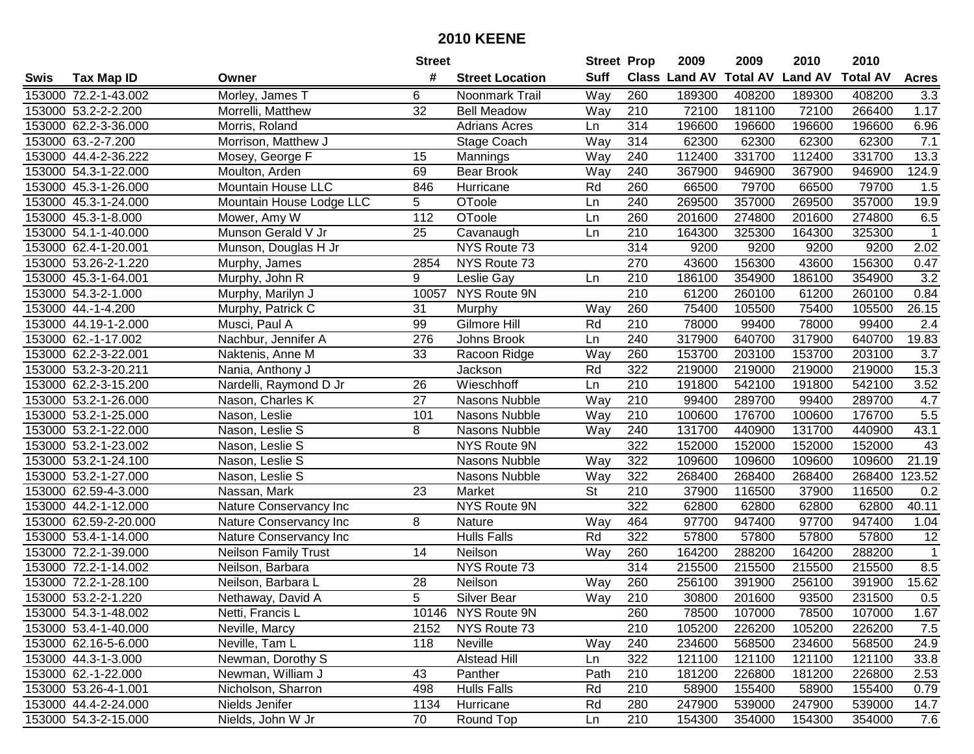|      |                       |                             | <b>Street</b>   |                        | <b>Street Prop</b> |     | 2009          | 2009            | 2010           | 2010            |              |
|------|-----------------------|-----------------------------|-----------------|------------------------|--------------------|-----|---------------|-----------------|----------------|-----------------|--------------|
| Swis | <b>Tax Map ID</b>     | Owner                       | #               | <b>Street Location</b> | <b>Suff</b>        |     | Class Land AV | <b>Total AV</b> | <b>Land AV</b> | <b>Total AV</b> | <b>Acres</b> |
|      | 153000 72.2-1-43.002  | Morley, James T             | 6               | Noonmark Trail         | Way                | 260 | 189300        | 408200          | 189300         | 408200          | 3.3          |
|      | 153000 53.2-2-2.200   | Morrelli, Matthew           | 32              | <b>Bell Meadow</b>     | Way                | 210 | 72100         | 181100          | 72100          | 266400          | 1.17         |
|      | 153000 62.2-3-36.000  | Morris, Roland              |                 | <b>Adrians Acres</b>   | Ln                 | 314 | 196600        | 196600          | 196600         | 196600          | 6.96         |
|      | 153000 63.-2-7.200    | Morrison, Matthew J         |                 | Stage Coach            | Way                | 314 | 62300         | 62300           | 62300          | 62300           | 7.1          |
|      | 153000 44.4-2-36.222  | Mosey, George F             | 15              | Mannings               | Way                | 240 | 112400        | 331700          | 112400         | 331700          | 13.3         |
|      | 153000 54.3-1-22.000  | Moulton, Arden              | 69              | <b>Bear Brook</b>      | Way                | 240 | 367900        | 946900          | 367900         | 946900          | 124.9        |
|      | 153000 45.3-1-26.000  | <b>Mountain House LLC</b>   | 846             | Hurricane              | Rd                 | 260 | 66500         | 79700           | 66500          | 79700           | 1.5          |
|      | 153000 45.3-1-24.000  | Mountain House Lodge LLC    | $\overline{5}$  | OToole                 | Ln                 | 240 | 269500        | 357000          | 269500         | 357000          | 19.9         |
|      | 153000 45.3-1-8.000   | Mower, Amy W                | 112             | OToole                 | Ln                 | 260 | 201600        | 274800          | 201600         | 274800          | 6.5          |
|      | 153000 54.1-1-40.000  | Munson Gerald V Jr          | 25              | Cavanaugh              | Ln                 | 210 | 164300        | 325300          | 164300         | 325300          | $\mathbf 1$  |
|      | 153000 62.4-1-20.001  | Munson, Douglas H Jr        |                 | NYS Route 73           |                    | 314 | 9200          | 9200            | 9200           | 9200            | 2.02         |
|      | 153000 53.26-2-1.220  | Murphy, James               | 2854            | NYS Route 73           |                    | 270 | 43600         | 156300          | 43600          | 156300          | 0.47         |
|      | 153000 45.3-1-64.001  | Murphy, John R              | 9               | Leslie Gay             | Ln                 | 210 | 186100        | 354900          | 186100         | 354900          | 3.2          |
|      | 153000 54.3-2-1.000   | Murphy, Marilyn J           | 10057           | NYS Route 9N           |                    | 210 | 61200         | 260100          | 61200          | 260100          | 0.84         |
|      | 153000 44.-1-4.200    | Murphy, Patrick C           | 31              | Murphy                 | Way                | 260 | 75400         | 105500          | 75400          | 105500          | 26.15        |
|      | 153000 44.19-1-2.000  | Musci, Paul A               | 99              | Gilmore Hill           | Rd                 | 210 | 78000         | 99400           | 78000          | 99400           | 2.4          |
|      | 153000 62.-1-17.002   | Nachbur, Jennifer A         | 276             | Johns Brook            | Ln                 | 240 | 317900        | 640700          | 317900         | 640700          | 19.83        |
|      | 153000 62.2-3-22.001  | Naktenis, Anne M            | 33              | Racoon Ridge           | Way                | 260 | 153700        | 203100          | 153700         | 203100          | 3.7          |
|      | 153000 53.2-3-20.211  | Nania, Anthony J            |                 | Jackson                | Rd                 | 322 | 219000        | 219000          | 219000         | 219000          | 15.3         |
|      | 153000 62.2-3-15.200  | Nardelli, Raymond D Jr      | 26              | Wieschhoff             | Ln                 | 210 | 191800        | 542100          | 191800         | 542100          | 3.52         |
|      | 153000 53.2-1-26.000  | Nason, Charles K            | 27              | Nasons Nubble          | Way                | 210 | 99400         | 289700          | 99400          | 289700          | 4.7          |
|      | 153000 53.2-1-25.000  | Nason, Leslie               | 101             | Nasons Nubble          | Way                | 210 | 100600        | 176700          | 100600         | 176700          | $5.5\,$      |
|      | 153000 53.2-1-22.000  | Nason, Leslie S             | 8               | Nasons Nubble          | Way                | 240 | 131700        | 440900          | 131700         | 440900          | 43.1         |
|      | 153000 53.2-1-23.002  | Nason, Leslie S             |                 | <b>NYS Route 9N</b>    |                    | 322 | 152000        | 152000          | 152000         | 152000          | 43           |
|      | 153000 53.2-1-24.100  | Nason, Leslie S             |                 | Nasons Nubble          | Way                | 322 | 109600        | 109600          | 109600         | 109600          | 21.19        |
|      | 153000 53.2-1-27.000  | Nason, Leslie S             |                 | Nasons Nubble          | Way                | 322 | 268400        | 268400          | 268400         | 268400          | 123.52       |
|      | 153000 62.59-4-3.000  | Nassan, Mark                | 23              | Market                 | <b>St</b>          | 210 | 37900         | 116500          | 37900          | 116500          | 0.2          |
|      | 153000 44.2-1-12.000  | Nature Conservancy Inc      |                 | NYS Route 9N           |                    | 322 | 62800         | 62800           | 62800          | 62800           | 40.11        |
|      | 153000 62.59-2-20.000 | Nature Conservancy Inc      | 8               | Nature                 | Way                | 464 | 97700         | 947400          | 97700          | 947400          | 1.04         |
|      | 153000 53.4-1-14.000  | Nature Conservancy Inc      |                 | <b>Hulls Falls</b>     | Rd                 | 322 | 57800         | 57800           | 57800          | 57800           | 12           |
|      | 153000 72.2-1-39.000  | <b>Neilson Family Trust</b> | $\overline{14}$ | Neilson                | Way                | 260 | 164200        | 288200          | 164200         | 288200          | $\mathbf{1}$ |
|      | 153000 72.2-1-14.002  | Neilson, Barbara            |                 | NYS Route 73           |                    | 314 | 215500        | 215500          | 215500         | 215500          | 8.5          |
|      | 153000 72.2-1-28.100  | Neilson, Barbara L          | 28              | Neilson                | Way                | 260 | 256100        | 391900          | 256100         | 391900          | 15.62        |
|      | 153000 53.2-2-1.220   | Nethaway, David A           | 5               | Silver Bear            | Way                | 210 | 30800         | 201600          | 93500          | 231500          | 0.5          |
|      | 153000 54.3-1-48.002  | Netti, Francis L            |                 | 10146 NYS Route 9N     |                    | 260 | 78500         | 107000          | 78500          | 107000          | 1.67         |
|      | 153000 53.4-1-40.000  | Neville, Marcy              | 2152            | NYS Route 73           |                    | 210 | 105200        | 226200          | 105200         | 226200          | 7.5          |
|      | 153000 62.16-5-6.000  | Neville, Tam L              | 118             | Neville                | Way                | 240 | 234600        | 568500          | 234600         | 568500          | 24.9         |
|      | 153000 44.3-1-3.000   | Newman, Dorothy S           |                 | Alstead Hill           | Ln                 | 322 | 121100        | 121100          | 121100         | 121100          | 33.8         |
|      | 153000 62.-1-22.000   | Newman, William J           | 43              | Panther                | Path               | 210 | 181200        | 226800          | 181200         | 226800          | 2.53         |
|      | 153000 53.26-4-1.001  | Nicholson, Sharron          | 498             | <b>Hulls Falls</b>     | Rd                 | 210 | 58900         | 155400          | 58900          | 155400          | 0.79         |
|      | 153000 44.4-2-24.000  | Nields Jenifer              | 1134            | Hurricane              | Rd                 | 280 | 247900        | 539000          | 247900         | 539000          | 14.7         |
|      | 153000 54.3-2-15.000  | Nields, John W Jr           | 70              | Round Top              | Ln                 | 210 | 154300        | 354000          | 154300         | 354000          | 7.6          |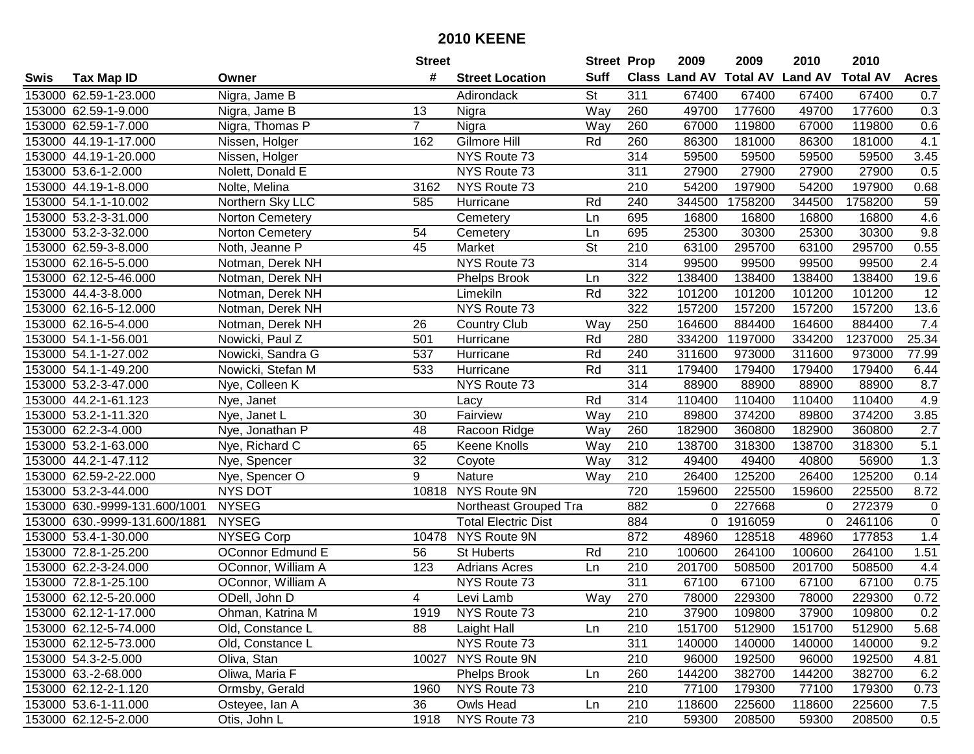|      |                               |                         | <b>Street</b>  |                            | <b>Street Prop</b>       |     | 2009          | 2009            | 2010           | 2010            |                     |
|------|-------------------------------|-------------------------|----------------|----------------------------|--------------------------|-----|---------------|-----------------|----------------|-----------------|---------------------|
| Swis | <b>Tax Map ID</b>             | Owner                   | #              | <b>Street Location</b>     | <b>Suff</b>              |     | Class Land AV | <b>Total AV</b> | <b>Land AV</b> | <b>Total AV</b> | <b>Acres</b>        |
|      | 153000 62.59-1-23.000         | Nigra, Jame B           |                | Adirondack                 | <b>St</b>                | 311 | 67400         | 67400           | 67400          | 67400           | 0.7                 |
|      | 153000 62.59-1-9.000          | Nigra, Jame B           | 13             | Nigra                      | Way                      | 260 | 49700         | 177600          | 49700          | 177600          | 0.3                 |
|      | 153000 62.59-1-7.000          | Nigra, Thomas P         | $\overline{7}$ | Nigra                      | Way                      | 260 | 67000         | 119800          | 67000          | 119800          | 0.6                 |
|      | 153000 44.19-1-17.000         | Nissen, Holger          | 162            | <b>Gilmore Hill</b>        | Rd                       | 260 | 86300         | 181000          | 86300          | 181000          | 4.1                 |
|      | 153000 44.19-1-20.000         | Nissen, Holger          |                | NYS Route 73               |                          | 314 | 59500         | 59500           | 59500          | 59500           | 3.45                |
|      | 153000 53.6-1-2.000           | Nolett, Donald E        |                | NYS Route 73               |                          | 311 | 27900         | 27900           | 27900          | 27900           | 0.5                 |
|      | 153000 44.19-1-8.000          | Nolte, Melina           | 3162           | NYS Route 73               |                          | 210 | 54200         | 197900          | 54200          | 197900          | 0.68                |
|      | 153000 54.1-1-10.002          | Northern Sky LLC        | 585            | Hurricane                  | Rd                       | 240 | 344500        | 1758200         | 344500         | 1758200         | 59                  |
|      | 153000 53.2-3-31.000          | <b>Norton Cemetery</b>  |                | Cemetery                   | Ln                       | 695 | 16800         | 16800           | 16800          | 16800           | 4.6                 |
|      | 153000 53.2-3-32.000          | Norton Cemetery         | 54             | Cemetery                   | Ln                       | 695 | 25300         | 30300           | 25300          | 30300           | 9.8                 |
|      | 153000 62.59-3-8.000          | Noth, Jeanne P          | 45             | Market                     | $\overline{\mathsf{St}}$ | 210 | 63100         | 295700          | 63100          | 295700          | 0.55                |
|      | 153000 62.16-5-5.000          | Notman, Derek NH        |                | NYS Route 73               |                          | 314 | 99500         | 99500           | 99500          | 99500           | 2.4                 |
|      | 153000 62.12-5-46.000         | Notman, Derek NH        |                | Phelps Brook               | Ln                       | 322 | 138400        | 138400          | 138400         | 138400          | 19.6                |
|      | 153000 44.4-3-8.000           | Notman, Derek NH        |                | Limekiln                   | Rd                       | 322 | 101200        | 101200          | 101200         | 101200          | 12                  |
|      | 153000 62.16-5-12.000         | Notman, Derek NH        |                | NYS Route 73               |                          | 322 | 157200        | 157200          | 157200         | 157200          | 13.6                |
|      | 153000 62.16-5-4.000          | Notman, Derek NH        | 26             | <b>Country Club</b>        | Way                      | 250 | 164600        | 884400          | 164600         | 884400          | 7.4                 |
|      | 153000 54.1-1-56.001          | Nowicki, Paul Z         | 501            | Hurricane                  | Rd                       | 280 | 334200        | 1197000         | 334200         | 1237000         | 25.34               |
|      | 153000 54.1-1-27.002          | Nowicki, Sandra G       | 537            | Hurricane                  | Rd                       | 240 | 311600        | 973000          | 311600         | 973000          | 77.99               |
|      | 153000 54.1-1-49.200          | Nowicki, Stefan M       | 533            | Hurricane                  | Rd                       | 311 | 179400        | 179400          | 179400         | 179400          | 6.44                |
|      | 153000 53.2-3-47.000          | Nye, Colleen K          |                | NYS Route 73               |                          | 314 | 88900         | 88900           | 88900          | 88900           | 8.7                 |
|      | 153000 44.2-1-61.123          | Nye, Janet              |                | Lacy                       | Rd                       | 314 | 110400        | 110400          | 110400         | 110400          | 4.9                 |
|      | 153000 53.2-1-11.320          | Nye, Janet L            | 30             | Fairview                   | Way                      | 210 | 89800         | 374200          | 89800          | 374200          | 3.85                |
|      | 153000 62.2-3-4.000           | Nye, Jonathan P         | 48             | Racoon Ridge               | Way                      | 260 | 182900        | 360800          | 182900         | 360800          | 2.7                 |
|      | 153000 53.2-1-63.000          | Nye, Richard C          | 65             | Keene Knolls               | Way                      | 210 | 138700        | 318300          | 138700         | 318300          | 5.1                 |
|      | 153000 44.2-1-47.112          | Nye, Spencer            | 32             | Coyote                     | Way                      | 312 | 49400         | 49400           | 40800          | 56900           | 1.3                 |
|      | 153000 62.59-2-22.000         | Nye, Spencer O          | $\overline{9}$ | Nature                     | Way                      | 210 | 26400         | 125200          | 26400          | 125200          | 0.14                |
|      | 153000 53.2-3-44.000          | <b>NYS DOT</b>          | 10818          | NYS Route 9N               |                          | 720 | 159600        | 225500          | 159600         | 225500          | 8.72                |
|      | 153000 630.-9999-131.600/1001 | <b>NYSEG</b>            |                | Northeast Grouped Tra      |                          | 882 | 0             | 227668          | $\Omega$       | 272379          | 0                   |
|      | 153000 630.-9999-131.600/1881 | <b>NYSEG</b>            |                | <b>Total Electric Dist</b> |                          | 884 | 0             | 1916059         | $\Omega$       | 2461106         | $\mathsf{O}\xspace$ |
|      | 153000 53.4-1-30.000          | <b>NYSEG Corp</b>       |                | 10478 NYS Route 9N         |                          | 872 | 48960         | 128518          | 48960          | 177853          | 1.4                 |
|      | 153000 72.8-1-25.200          | <b>OConnor Edmund E</b> | 56             | <b>St Huberts</b>          | Rd                       | 210 | 100600        | 264100          | 100600         | 264100          | 1.51                |
|      | 153000 62.2-3-24.000          | OConnor, William A      | 123            | <b>Adrians Acres</b>       | Ln                       | 210 | 201700        | 508500          | 201700         | 508500          | 4.4                 |
|      | 153000 72.8-1-25.100          | OConnor, William A      |                | NYS Route 73               |                          | 311 | 67100         | 67100           | 67100          | 67100           | 0.75                |
|      | 153000 62.12-5-20.000         | ODell, John D           | 4              | Levi Lamb                  | Way                      | 270 | 78000         | 229300          | 78000          | 229300          | 0.72                |
|      | 153000 62.12-1-17.000         | Ohman, Katrina M        | 1919           | NYS Route 73               |                          | 210 | 37900         | 109800          | 37900          | 109800          | 0.2                 |
|      | 153000 62.12-5-74.000         | Old, Constance L        | 88             | Laight Hall                | Ln                       | 210 | 151700        | 512900          | 151700         | 512900          | 5.68                |
|      | 153000 62.12-5-73.000         | Old, Constance L        |                | NYS Route 73               |                          | 311 | 140000        | 140000          | 140000         | 140000          | 9.2                 |
|      | 153000 54.3-2-5.000           | Oliva, Stan             |                | 10027 NYS Route 9N         |                          | 210 | 96000         | 192500          | 96000          | 192500          | 4.81                |
|      | 153000 63.-2-68.000           | Oliwa, Maria F          |                | <b>Phelps Brook</b>        | Ln                       | 260 | 144200        | 382700          | 144200         | 382700          | 6.2                 |
|      | 153000 62.12-2-1.120          | Ormsby, Gerald          | 1960           | NYS Route 73               |                          | 210 | 77100         | 179300          | 77100          | 179300          | 0.73                |
|      | 153000 53.6-1-11.000          | Osteyee, lan A          | 36             | Owls Head                  | Ln                       | 210 | 118600        | 225600          | 118600         | 225600          | 7.5                 |
|      | 153000 62.12-5-2.000          | Otis, John L            | 1918           | NYS Route 73               |                          | 210 | 59300         | 208500          | 59300          | 208500          | 0.5                 |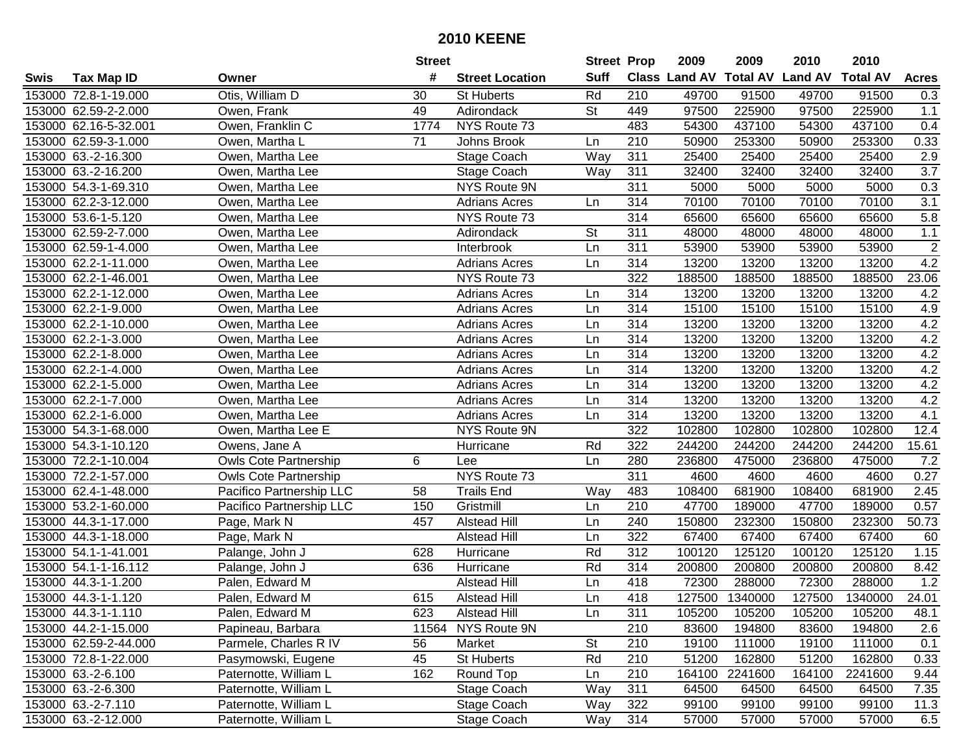|      |                       |                              | <b>Street</b> |                        | <b>Street Prop</b> |                  | 2009                          | 2009    | 2010           | 2010            |                  |
|------|-----------------------|------------------------------|---------------|------------------------|--------------------|------------------|-------------------------------|---------|----------------|-----------------|------------------|
| Swis | <b>Tax Map ID</b>     | Owner                        | #             | <b>Street Location</b> | <b>Suff</b>        |                  | <b>Class Land AV Total AV</b> |         | <b>Land AV</b> | <b>Total AV</b> | <b>Acres</b>     |
|      | 153000 72.8-1-19.000  | Otis, William D              | 30            | <b>St Huberts</b>      | Rd                 | 210              | 49700                         | 91500   | 49700          | 91500           | 0.3              |
|      | 153000 62.59-2-2.000  | Owen, Frank                  | 49            | Adirondack             | <b>St</b>          | 449              | 97500                         | 225900  | 97500          | 225900          | 1.1              |
|      | 153000 62.16-5-32.001 | Owen, Franklin C             | 1774          | NYS Route 73           |                    | 483              | 54300                         | 437100  | 54300          | 437100          | 0.4              |
|      | 153000 62.59-3-1.000  | Owen, Martha L               | 71            | Johns Brook            | Ln                 | 210              | 50900                         | 253300  | 50900          | 253300          | 0.33             |
|      | 153000 63.-2-16.300   | Owen, Martha Lee             |               | Stage Coach            | Way                | 311              | 25400                         | 25400   | 25400          | 25400           | 2.9              |
|      | 153000 63.-2-16.200   | Owen, Martha Lee             |               | Stage Coach            | Way                | 311              | 32400                         | 32400   | 32400          | 32400           | $\overline{3.7}$ |
|      | 153000 54.3-1-69.310  | Owen, Martha Lee             |               | NYS Route 9N           |                    | 311              | 5000                          | 5000    | 5000           | 5000            | 0.3              |
|      | 153000 62.2-3-12.000  | Owen, Martha Lee             |               | <b>Adrians Acres</b>   | Ln                 | 314              | 70100                         | 70100   | 70100          | 70100           | $\overline{3.1}$ |
|      | 153000 53.6-1-5.120   | Owen, Martha Lee             |               | NYS Route 73           |                    | 314              | 65600                         | 65600   | 65600          | 65600           | 5.8              |
|      | 153000 62.59-2-7.000  | Owen, Martha Lee             |               | Adirondack             | St                 | 311              | 48000                         | 48000   | 48000          | 48000           | $1.1$            |
|      | 153000 62.59-1-4.000  | Owen, Martha Lee             |               | Interbrook             | Ln                 | 311              | 53900                         | 53900   | 53900          | 53900           | $\sqrt{2}$       |
|      | 153000 62.2-1-11.000  | Owen, Martha Lee             |               | <b>Adrians Acres</b>   | Ln                 | 314              | 13200                         | 13200   | 13200          | 13200           | 4.2              |
|      | 153000 62.2-1-46.001  | Owen, Martha Lee             |               | NYS Route 73           |                    | 322              | 188500                        | 188500  | 188500         | 188500          | 23.06            |
|      | 153000 62.2-1-12.000  | Owen, Martha Lee             |               | <b>Adrians Acres</b>   | Ln                 | 314              | 13200                         | 13200   | 13200          | 13200           | 4.2              |
|      | 153000 62.2-1-9.000   | Owen, Martha Lee             |               | <b>Adrians Acres</b>   | Ln                 | 314              | 15100                         | 15100   | 15100          | 15100           | 4.9              |
|      | 153000 62.2-1-10.000  | Owen, Martha Lee             |               | <b>Adrians Acres</b>   | Ln                 | 314              | 13200                         | 13200   | 13200          | 13200           | 4.2              |
|      | 153000 62.2-1-3.000   | Owen, Martha Lee             |               | <b>Adrians Acres</b>   | Ln                 | 314              | 13200                         | 13200   | 13200          | 13200           | 4.2              |
|      | 153000 62.2-1-8.000   | Owen, Martha Lee             |               | <b>Adrians Acres</b>   | Ln                 | 314              | 13200                         | 13200   | 13200          | 13200           | 4.2              |
|      | 153000 62.2-1-4.000   | Owen, Martha Lee             |               | <b>Adrians Acres</b>   | Ln                 | 314              | 13200                         | 13200   | 13200          | 13200           | 4.2              |
|      | 153000 62.2-1-5.000   | Owen, Martha Lee             |               | <b>Adrians Acres</b>   | Ln                 | 314              | 13200                         | 13200   | 13200          | 13200           | 4.2              |
|      | 153000 62.2-1-7.000   | Owen, Martha Lee             |               | <b>Adrians Acres</b>   | Ln                 | 314              | 13200                         | 13200   | 13200          | 13200           | 4.2              |
|      | 153000 62.2-1-6.000   | Owen, Martha Lee             |               | <b>Adrians Acres</b>   | Ln                 | 314              | 13200                         | 13200   | 13200          | 13200           | 4.1              |
|      | 153000 54.3-1-68.000  | Owen, Martha Lee E           |               | NYS Route 9N           |                    | 322              | 102800                        | 102800  | 102800         | 102800          | 12.4             |
|      | 153000 54.3-1-10.120  | Owens, Jane A                |               | Hurricane              | Rd                 | 322              | 244200                        | 244200  | 244200         | 244200          | 15.61            |
|      | 153000 72.2-1-10.004  | <b>Owls Cote Partnership</b> | 6             | Lee                    | Ln                 | 280              | 236800                        | 475000  | 236800         | 475000          | 7.2              |
|      | 153000 72.2-1-57.000  | <b>Owls Cote Partnership</b> |               | NYS Route 73           |                    | 311              | 4600                          | 4600    | 4600           | 4600            | 0.27             |
|      | 153000 62.4-1-48.000  | Pacifico Partnership LLC     | 58            | <b>Trails End</b>      | Way                | 483              | 108400                        | 681900  | 108400         | 681900          | 2.45             |
|      | 153000 53.2-1-60.000  | Pacifico Partnership LLC     | 150           | Gristmill              | Ln                 | 210              | 47700                         | 189000  | 47700          | 189000          | 0.57             |
|      | 153000 44.3-1-17.000  | Page, Mark N                 | 457           | <b>Alstead Hill</b>    | Ln                 | 240              | 150800                        | 232300  | 150800         | 232300          | 50.73            |
|      | 153000 44.3-1-18.000  | Page, Mark N                 |               | <b>Alstead Hill</b>    | Ln                 | 322              | 67400                         | 67400   | 67400          | 67400           | 60               |
|      | 153000 54.1-1-41.001  | Palange, John J              | 628           | Hurricane              | Rd                 | $\overline{312}$ | 100120                        | 125120  | 100120         | 125120          | 1.15             |
|      | 153000 54.1-1-16.112  | Palange, John J              | 636           | Hurricane              | Rd                 | 314              | 200800                        | 200800  | 200800         | 200800          | 8.42             |
|      | 153000 44.3-1-1.200   | Palen, Edward M              |               | <b>Alstead Hill</b>    | Ln                 | 418              | 72300                         | 288000  | 72300          | 288000          | 1.2              |
|      | 153000 44.3-1-1.120   | Palen, Edward M              | 615           | <b>Alstead Hill</b>    | Ln                 | 418              | 127500                        | 1340000 | 127500         | 1340000         | 24.01            |
|      | 153000 44.3-1-1.110   | Palen, Edward M              | 623           | <b>Alstead Hill</b>    | Ln                 | 311              | 105200                        | 105200  | 105200         | 105200          | 48.1             |
|      | 153000 44.2-1-15.000  | Papineau, Barbara            |               | 11564 NYS Route 9N     |                    | 210              | 83600                         | 194800  | 83600          | 194800          | 2.6              |
|      | 153000 62.59-2-44.000 | Parmele, Charles R IV        | 56            | Market                 | <b>St</b>          | 210              | 19100                         | 111000  | 19100          | 111000          | 0.1              |
|      | 153000 72.8-1-22.000  | Pasymowski, Eugene           | 45            | St Huberts             | Rd                 | 210              | 51200                         | 162800  | 51200          | 162800          | 0.33             |
|      | 153000 63.-2-6.100    | Paternotte, William L        | 162           | Round Top              | Ln                 | 210              | 164100                        | 2241600 | 164100         | 2241600         | 9.44             |
|      | 153000 63.-2-6.300    | Paternotte, William L        |               | Stage Coach            | Way                | 311              | 64500                         | 64500   | 64500          | 64500           | 7.35             |
|      | 153000 63.-2-7.110    | Paternotte, William L        |               | Stage Coach            | Way                | 322              | 99100                         | 99100   | 99100          | 99100           | 11.3             |
|      | 153000 63.-2-12.000   | Paternotte, William L        |               | Stage Coach            | Way                | 314              | 57000                         | 57000   | 57000          | 57000           | 6.5              |
|      |                       |                              |               |                        |                    |                  |                               |         |                |                 |                  |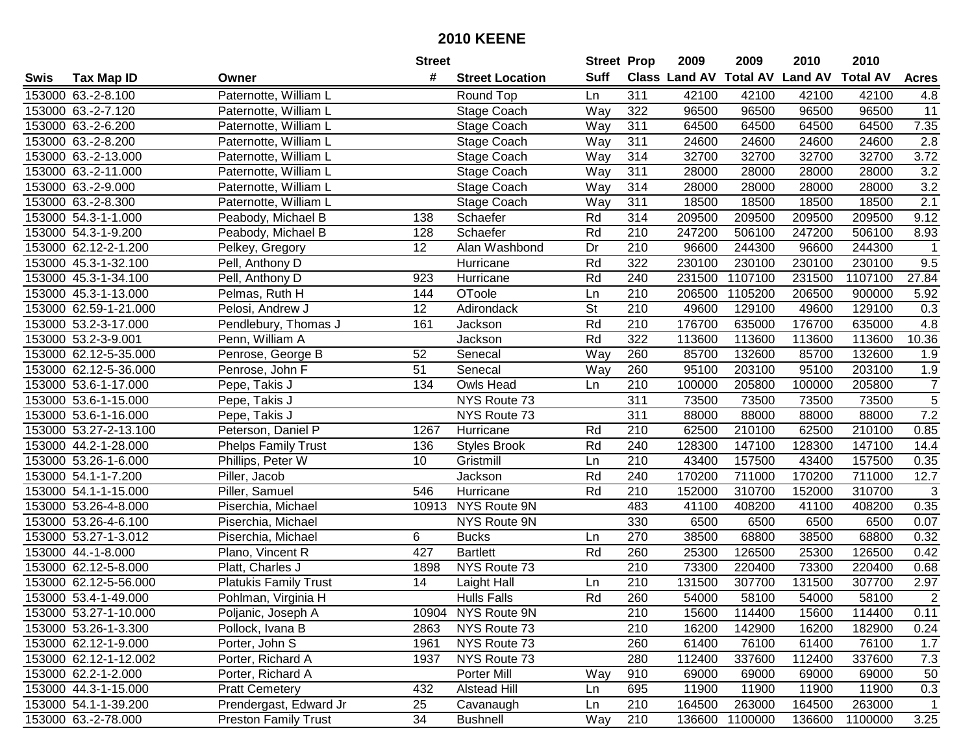|      |                       |                              | <b>Street</b> |                        | <b>Street Prop</b> |     | 2009   | 2009    | 2010                           | 2010            |                |
|------|-----------------------|------------------------------|---------------|------------------------|--------------------|-----|--------|---------|--------------------------------|-----------------|----------------|
| Swis | <b>Tax Map ID</b>     | Owner                        | #             | <b>Street Location</b> | <b>Suff</b>        |     |        |         | Class Land AV Total AV Land AV | <b>Total AV</b> | <b>Acres</b>   |
|      | 153000 63.-2-8.100    | Paternotte, William L        |               | Round Top              | Ln                 | 311 | 42100  | 42100   | 42100                          | 42100           | 4.8            |
|      | 153000 63.-2-7.120    | Paternotte, William L        |               | Stage Coach            | Way                | 322 | 96500  | 96500   | 96500                          | 96500           | 11             |
|      | 153000 63.-2-6.200    | Paternotte, William L        |               | Stage Coach            | Way                | 311 | 64500  | 64500   | 64500                          | 64500           | 7.35           |
|      | 153000 63.-2-8.200    | Paternotte, William L        |               | Stage Coach            | Way                | 311 | 24600  | 24600   | 24600                          | 24600           | 2.8            |
|      | 153000 63.-2-13.000   | Paternotte, William L        |               | Stage Coach            | Way                | 314 | 32700  | 32700   | 32700                          | 32700           | 3.72           |
|      | 153000 63.-2-11.000   | Paternotte, William L        |               | Stage Coach            | Way                | 311 | 28000  | 28000   | 28000                          | 28000           | 3.2            |
|      | 153000 63.-2-9.000    | Paternotte, William L        |               | Stage Coach            | Way                | 314 | 28000  | 28000   | 28000                          | 28000           | 3.2            |
|      | 153000 63.-2-8.300    | Paternotte, William L        |               | Stage Coach            | Way                | 311 | 18500  | 18500   | 18500                          | 18500           | 2.1            |
|      | 153000 54.3-1-1.000   | Peabody, Michael B           | 138           | Schaefer               | Rd                 | 314 | 209500 | 209500  | 209500                         | 209500          | 9.12           |
|      | 153000 54.3-1-9.200   | Peabody, Michael B           | 128           | Schaefer               | Rd                 | 210 | 247200 | 506100  | 247200                         | 506100          | 8.93           |
|      | 153000 62.12-2-1.200  | Pelkey, Gregory              | 12            | Alan Washbond          | Dr                 | 210 | 96600  | 244300  | 96600                          | 244300          |                |
|      | 153000 45.3-1-32.100  | Pell, Anthony D              |               | Hurricane              | Rd                 | 322 | 230100 | 230100  | 230100                         | 230100          | 9.5            |
|      | 153000 45.3-1-34.100  | Pell, Anthony D              | 923           | Hurricane              | Rd                 | 240 | 231500 | 1107100 | 231500                         | 1107100         | 27.84          |
|      | 153000 45.3-1-13.000  | Pelmas, Ruth H               | 144           | OToole                 | Ln                 | 210 | 206500 | 1105200 | 206500                         | 900000          | 5.92           |
|      | 153000 62.59-1-21.000 | Pelosi, Andrew J             | 12            | Adirondack             | <b>St</b>          | 210 | 49600  | 129100  | 49600                          | 129100          | 0.3            |
|      | 153000 53.2-3-17.000  | Pendlebury, Thomas J         | 161           | Jackson                | Rd                 | 210 | 176700 | 635000  | 176700                         | 635000          | 4.8            |
|      | 153000 53.2-3-9.001   | Penn, William A              |               | Jackson                | Rd                 | 322 | 113600 | 113600  | 113600                         | 113600          | 10.36          |
|      | 153000 62.12-5-35.000 | Penrose, George B            | 52            | Senecal                | Way                | 260 | 85700  | 132600  | 85700                          | 132600          | 1.9            |
|      | 153000 62.12-5-36.000 | Penrose, John F              | 51            | Senecal                | Way                | 260 | 95100  | 203100  | 95100                          | 203100          | 1.9            |
|      | 153000 53.6-1-17.000  | Pepe, Takis J                | 134           | Owls Head              | Ln                 | 210 | 100000 | 205800  | 100000                         | 205800          | $\overline{7}$ |
|      | 153000 53.6-1-15.000  | Pepe, Takis J                |               | NYS Route 73           |                    | 311 | 73500  | 73500   | 73500                          | 73500           | $\overline{5}$ |
|      | 153000 53.6-1-16.000  | Pepe, Takis J                |               | NYS Route 73           |                    | 311 | 88000  | 88000   | 88000                          | 88000           | 7.2            |
|      | 153000 53.27-2-13.100 | Peterson, Daniel P           | 1267          | Hurricane              | Rd                 | 210 | 62500  | 210100  | 62500                          | 210100          | 0.85           |
|      | 153000 44.2-1-28.000  | <b>Phelps Family Trust</b>   | 136           | <b>Styles Brook</b>    | Rd                 | 240 | 128300 | 147100  | 128300                         | 147100          | 14.4           |
|      | 153000 53.26-1-6.000  | Phillips, Peter W            | 10            | Gristmill              | Ln                 | 210 | 43400  | 157500  | 43400                          | 157500          | 0.35           |
|      | 153000 54.1-1-7.200   | Piller, Jacob                |               | Jackson                | Rd                 | 240 | 170200 | 711000  | 170200                         | 711000          | 12.7           |
|      | 153000 54.1-1-15.000  | Piller, Samuel               | 546           | Hurricane              | Rd                 | 210 | 152000 | 310700  | 152000                         | 310700          | $\sqrt{3}$     |
|      | 153000 53.26-4-8.000  | Piserchia, Michael           | 10913         | NYS Route 9N           |                    | 483 | 41100  | 408200  | 41100                          | 408200          | 0.35           |
|      | 153000 53.26-4-6.100  | Piserchia, Michael           |               | NYS Route 9N           |                    | 330 | 6500   | 6500    | 6500                           | 6500            | 0.07           |
|      | 153000 53.27-1-3.012  | Piserchia, Michael           | 6             | <b>Bucks</b>           | Ln                 | 270 | 38500  | 68800   | 38500                          | 68800           | 0.32           |
|      | 153000 44.-1-8.000    | Plano, Vincent R             | 427           | <b>Bartlett</b>        | Rd                 | 260 | 25300  | 126500  | 25300                          | 126500          | 0.42           |
|      | 153000 62.12-5-8.000  | Platt, Charles J             | 1898          | NYS Route 73           |                    | 210 | 73300  | 220400  | 73300                          | 220400          | 0.68           |
|      | 153000 62.12-5-56.000 | <b>Platukis Family Trust</b> | 14            | Laight Hall            | Ln                 | 210 | 131500 | 307700  | 131500                         | 307700          | 2.97           |
|      | 153000 53.4-1-49.000  | Pohlman, Virginia H          |               | <b>Hulls Falls</b>     | Rd                 | 260 | 54000  | 58100   | 54000                          | 58100           | $\overline{2}$ |
|      | 153000 53.27-1-10.000 | Poljanic, Joseph A           |               | 10904 NYS Route 9N     |                    | 210 | 15600  | 114400  | 15600                          | 114400          | 0.11           |
|      | 153000 53.26-1-3.300  | Pollock, Ivana B             | 2863          | NYS Route 73           |                    | 210 | 16200  | 142900  | 16200                          | 182900          | 0.24           |
|      | 153000 62.12-1-9.000  | Porter, John S               | 1961          | NYS Route 73           |                    | 260 | 61400  | 76100   | 61400                          | 76100           | 1.7            |
|      | 153000 62.12-1-12.002 | Porter, Richard A            | 1937          | NYS Route 73           |                    | 280 | 112400 | 337600  | 112400                         | 337600          | 7.3            |
|      | 153000 62.2-1-2.000   | Porter, Richard A            |               | Porter Mill            | Way                | 910 | 69000  | 69000   | 69000                          | 69000           | 50             |
|      | 153000 44.3-1-15.000  | <b>Pratt Cemetery</b>        | 432           | <b>Alstead Hill</b>    | Ln                 | 695 | 11900  | 11900   | 11900                          | 11900           | 0.3            |
|      | 153000 54.1-1-39.200  | Prendergast, Edward Jr       | 25            | Cavanaugh              | Ln                 | 210 | 164500 | 263000  | 164500                         | 263000          | 1              |
|      | 153000 63.-2-78.000   | <b>Preston Family Trust</b>  | 34            | <b>Bushnell</b>        | Way                | 210 | 136600 | 1100000 | 136600                         | 1100000         | 3.25           |
|      |                       |                              |               |                        |                    |     |        |         |                                |                 |                |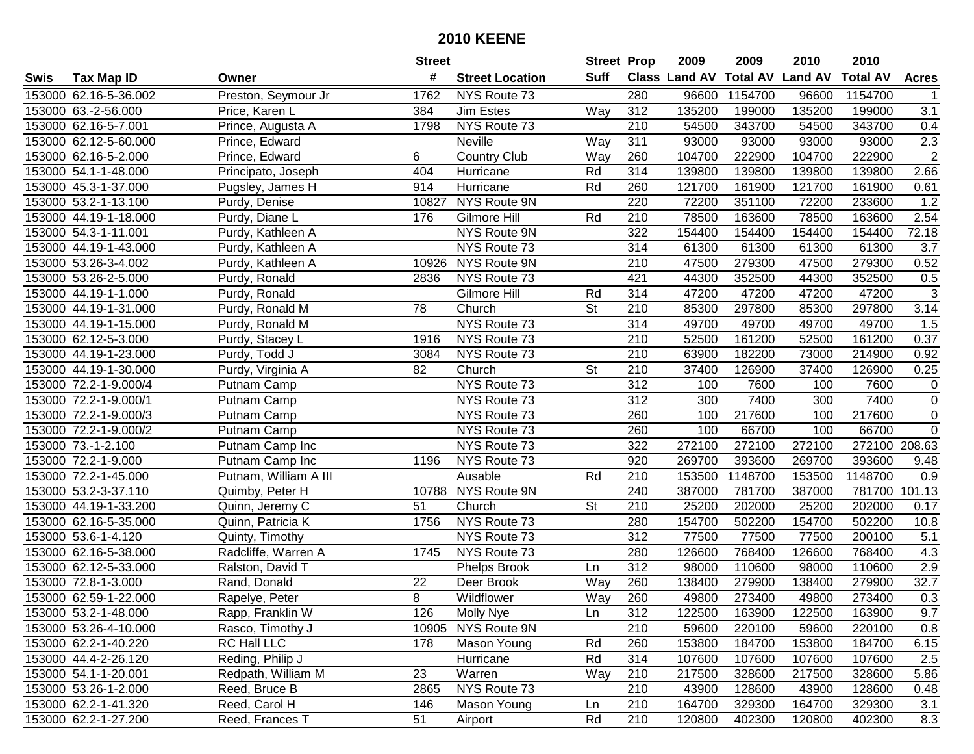| #<br><b>Suff</b><br>Class Land AV Total AV Land AV<br><b>Total AV</b><br><b>Tax Map ID</b><br><b>Street Location</b><br>Swis<br>Owner<br>153000 62.16-5-36.002<br>Preston, Seymour Jr<br>1762<br>NYS Route 73<br>280<br>96600<br>1154700<br>96600<br>1154700<br>153000 63.-2-56.000<br>Jim Estes<br>Way<br>312<br>135200<br>199000<br>135200<br>199000<br>Price, Karen L<br>384<br>NYS Route 73<br>343700<br>153000 62.16-5-7.001<br>Prince, Augusta A<br>210<br>54500<br>343700<br>54500<br>1798<br>311<br>93000<br>93000<br>153000 62.12-5-60.000<br>Prince, Edward<br>Neville<br>Way<br>93000<br>93000<br>153000 62.16-5-2.000<br>Prince, Edward<br>6<br><b>Country Club</b><br>260<br>104700<br>222900<br>104700<br>222900<br>Way<br>314<br>153000 54.1-1-48.000<br>404<br>Rd<br>139800<br>139800<br>139800<br>139800<br>Principato, Joseph<br>Hurricane<br>Pugsley, James H<br>Hurricane<br>Rd<br>121700<br>161900<br>121700<br>161900<br>153000 45.3-1-37.000<br>914<br>260<br>220<br>153000 53.2-1-13.100<br>NYS Route 9N<br>72200<br>351100<br>72200<br>233600<br>10827<br>Purdy, Denise<br>Rd<br>78500<br>78500<br>153000 44.19-1-18.000<br>176<br>Gilmore Hill<br>210<br>163600<br>163600<br>Purdy, Diane L<br>322<br>154400<br>154400<br>153000 54.3-1-11.001<br>Purdy, Kathleen A<br>NYS Route 9N<br>154400<br>154400<br>61300<br>61300<br>153000 44.19-1-43.000<br>NYS Route 73<br>314<br>61300<br>61300<br>Purdy, Kathleen A<br>153000 53.26-3-4.002<br>NYS Route 9N<br>210<br>47500<br>279300<br>47500<br>279300<br>Purdy, Kathleen A<br>10926<br>153000 53.26-2-5.000<br>NYS Route 73<br>421<br>44300<br>352500<br>44300<br>352500<br>2836<br>Purdy, Ronald<br>314<br>47200<br>153000 44.19-1-1.000<br>Gilmore Hill<br>Rd<br>47200<br>47200<br>47200<br>Purdy, Ronald<br><b>St</b><br>153000 44.19-1-31.000<br>78<br>210<br>85300<br>297800<br>85300<br>297800<br>Purdy, Ronald M<br>Church<br>NYS Route 73<br>314<br>49700<br>49700<br>49700<br>49700<br>153000 44.19-1-15.000<br>Purdy, Ronald M<br>210<br>161200<br>161200<br>153000 62.12-5-3.000<br>NYS Route 73<br>52500<br>52500<br>Purdy, Stacey L<br>1916<br>153000 44.19-1-23.000<br>NYS Route 73<br>210<br>63900<br>182200<br>73000<br>Purdy, Todd J<br>3084<br>214900<br>82<br>Church<br><b>St</b><br>210<br>37400<br>126900<br>37400<br>126900<br>153000 44.19-1-30.000<br>Purdy, Virginia A<br>153000 72.2-1-9.000/4<br>NYS Route 73<br>312<br>100<br>7600<br>7600<br>Putnam Camp<br>100 |  |             | <b>Street</b> |              | <b>Street Prop</b> |     | 2009 | 2009 | 2010 | 2010 |                |
|------------------------------------------------------------------------------------------------------------------------------------------------------------------------------------------------------------------------------------------------------------------------------------------------------------------------------------------------------------------------------------------------------------------------------------------------------------------------------------------------------------------------------------------------------------------------------------------------------------------------------------------------------------------------------------------------------------------------------------------------------------------------------------------------------------------------------------------------------------------------------------------------------------------------------------------------------------------------------------------------------------------------------------------------------------------------------------------------------------------------------------------------------------------------------------------------------------------------------------------------------------------------------------------------------------------------------------------------------------------------------------------------------------------------------------------------------------------------------------------------------------------------------------------------------------------------------------------------------------------------------------------------------------------------------------------------------------------------------------------------------------------------------------------------------------------------------------------------------------------------------------------------------------------------------------------------------------------------------------------------------------------------------------------------------------------------------------------------------------------------------------------------------------------------------------------------------------------------------------------------------------------------------------------------------------------------------------------------------------------------------------------------------------------------------------------------------------------------|--|-------------|---------------|--------------|--------------------|-----|------|------|------|------|----------------|
|                                                                                                                                                                                                                                                                                                                                                                                                                                                                                                                                                                                                                                                                                                                                                                                                                                                                                                                                                                                                                                                                                                                                                                                                                                                                                                                                                                                                                                                                                                                                                                                                                                                                                                                                                                                                                                                                                                                                                                                                                                                                                                                                                                                                                                                                                                                                                                                                                                                                        |  |             |               |              |                    |     |      |      |      |      | <b>Acres</b>   |
|                                                                                                                                                                                                                                                                                                                                                                                                                                                                                                                                                                                                                                                                                                                                                                                                                                                                                                                                                                                                                                                                                                                                                                                                                                                                                                                                                                                                                                                                                                                                                                                                                                                                                                                                                                                                                                                                                                                                                                                                                                                                                                                                                                                                                                                                                                                                                                                                                                                                        |  |             |               |              |                    |     |      |      |      |      |                |
|                                                                                                                                                                                                                                                                                                                                                                                                                                                                                                                                                                                                                                                                                                                                                                                                                                                                                                                                                                                                                                                                                                                                                                                                                                                                                                                                                                                                                                                                                                                                                                                                                                                                                                                                                                                                                                                                                                                                                                                                                                                                                                                                                                                                                                                                                                                                                                                                                                                                        |  |             |               |              |                    |     |      |      |      |      | 3.1            |
|                                                                                                                                                                                                                                                                                                                                                                                                                                                                                                                                                                                                                                                                                                                                                                                                                                                                                                                                                                                                                                                                                                                                                                                                                                                                                                                                                                                                                                                                                                                                                                                                                                                                                                                                                                                                                                                                                                                                                                                                                                                                                                                                                                                                                                                                                                                                                                                                                                                                        |  |             |               |              |                    |     |      |      |      |      | 0.4            |
|                                                                                                                                                                                                                                                                                                                                                                                                                                                                                                                                                                                                                                                                                                                                                                                                                                                                                                                                                                                                                                                                                                                                                                                                                                                                                                                                                                                                                                                                                                                                                                                                                                                                                                                                                                                                                                                                                                                                                                                                                                                                                                                                                                                                                                                                                                                                                                                                                                                                        |  |             |               |              |                    |     |      |      |      |      | 2.3            |
|                                                                                                                                                                                                                                                                                                                                                                                                                                                                                                                                                                                                                                                                                                                                                                                                                                                                                                                                                                                                                                                                                                                                                                                                                                                                                                                                                                                                                                                                                                                                                                                                                                                                                                                                                                                                                                                                                                                                                                                                                                                                                                                                                                                                                                                                                                                                                                                                                                                                        |  |             |               |              |                    |     |      |      |      |      | $\overline{2}$ |
|                                                                                                                                                                                                                                                                                                                                                                                                                                                                                                                                                                                                                                                                                                                                                                                                                                                                                                                                                                                                                                                                                                                                                                                                                                                                                                                                                                                                                                                                                                                                                                                                                                                                                                                                                                                                                                                                                                                                                                                                                                                                                                                                                                                                                                                                                                                                                                                                                                                                        |  |             |               |              |                    |     |      |      |      |      | 2.66           |
|                                                                                                                                                                                                                                                                                                                                                                                                                                                                                                                                                                                                                                                                                                                                                                                                                                                                                                                                                                                                                                                                                                                                                                                                                                                                                                                                                                                                                                                                                                                                                                                                                                                                                                                                                                                                                                                                                                                                                                                                                                                                                                                                                                                                                                                                                                                                                                                                                                                                        |  |             |               |              |                    |     |      |      |      |      | 0.61           |
|                                                                                                                                                                                                                                                                                                                                                                                                                                                                                                                                                                                                                                                                                                                                                                                                                                                                                                                                                                                                                                                                                                                                                                                                                                                                                                                                                                                                                                                                                                                                                                                                                                                                                                                                                                                                                                                                                                                                                                                                                                                                                                                                                                                                                                                                                                                                                                                                                                                                        |  |             |               |              |                    |     |      |      |      |      | 1.2            |
|                                                                                                                                                                                                                                                                                                                                                                                                                                                                                                                                                                                                                                                                                                                                                                                                                                                                                                                                                                                                                                                                                                                                                                                                                                                                                                                                                                                                                                                                                                                                                                                                                                                                                                                                                                                                                                                                                                                                                                                                                                                                                                                                                                                                                                                                                                                                                                                                                                                                        |  |             |               |              |                    |     |      |      |      |      | 2.54           |
|                                                                                                                                                                                                                                                                                                                                                                                                                                                                                                                                                                                                                                                                                                                                                                                                                                                                                                                                                                                                                                                                                                                                                                                                                                                                                                                                                                                                                                                                                                                                                                                                                                                                                                                                                                                                                                                                                                                                                                                                                                                                                                                                                                                                                                                                                                                                                                                                                                                                        |  |             |               |              |                    |     |      |      |      |      | 72.18          |
|                                                                                                                                                                                                                                                                                                                                                                                                                                                                                                                                                                                                                                                                                                                                                                                                                                                                                                                                                                                                                                                                                                                                                                                                                                                                                                                                                                                                                                                                                                                                                                                                                                                                                                                                                                                                                                                                                                                                                                                                                                                                                                                                                                                                                                                                                                                                                                                                                                                                        |  |             |               |              |                    |     |      |      |      |      | 3.7            |
|                                                                                                                                                                                                                                                                                                                                                                                                                                                                                                                                                                                                                                                                                                                                                                                                                                                                                                                                                                                                                                                                                                                                                                                                                                                                                                                                                                                                                                                                                                                                                                                                                                                                                                                                                                                                                                                                                                                                                                                                                                                                                                                                                                                                                                                                                                                                                                                                                                                                        |  |             |               |              |                    |     |      |      |      |      | 0.52           |
|                                                                                                                                                                                                                                                                                                                                                                                                                                                                                                                                                                                                                                                                                                                                                                                                                                                                                                                                                                                                                                                                                                                                                                                                                                                                                                                                                                                                                                                                                                                                                                                                                                                                                                                                                                                                                                                                                                                                                                                                                                                                                                                                                                                                                                                                                                                                                                                                                                                                        |  |             |               |              |                    |     |      |      |      |      | 0.5            |
|                                                                                                                                                                                                                                                                                                                                                                                                                                                                                                                                                                                                                                                                                                                                                                                                                                                                                                                                                                                                                                                                                                                                                                                                                                                                                                                                                                                                                                                                                                                                                                                                                                                                                                                                                                                                                                                                                                                                                                                                                                                                                                                                                                                                                                                                                                                                                                                                                                                                        |  |             |               |              |                    |     |      |      |      |      | $\sqrt{3}$     |
|                                                                                                                                                                                                                                                                                                                                                                                                                                                                                                                                                                                                                                                                                                                                                                                                                                                                                                                                                                                                                                                                                                                                                                                                                                                                                                                                                                                                                                                                                                                                                                                                                                                                                                                                                                                                                                                                                                                                                                                                                                                                                                                                                                                                                                                                                                                                                                                                                                                                        |  |             |               |              |                    |     |      |      |      |      | 3.14           |
|                                                                                                                                                                                                                                                                                                                                                                                                                                                                                                                                                                                                                                                                                                                                                                                                                                                                                                                                                                                                                                                                                                                                                                                                                                                                                                                                                                                                                                                                                                                                                                                                                                                                                                                                                                                                                                                                                                                                                                                                                                                                                                                                                                                                                                                                                                                                                                                                                                                                        |  |             |               |              |                    |     |      |      |      |      | 1.5            |
|                                                                                                                                                                                                                                                                                                                                                                                                                                                                                                                                                                                                                                                                                                                                                                                                                                                                                                                                                                                                                                                                                                                                                                                                                                                                                                                                                                                                                                                                                                                                                                                                                                                                                                                                                                                                                                                                                                                                                                                                                                                                                                                                                                                                                                                                                                                                                                                                                                                                        |  |             |               |              |                    |     |      |      |      |      | 0.37           |
|                                                                                                                                                                                                                                                                                                                                                                                                                                                                                                                                                                                                                                                                                                                                                                                                                                                                                                                                                                                                                                                                                                                                                                                                                                                                                                                                                                                                                                                                                                                                                                                                                                                                                                                                                                                                                                                                                                                                                                                                                                                                                                                                                                                                                                                                                                                                                                                                                                                                        |  |             |               |              |                    |     |      |      |      |      | 0.92           |
|                                                                                                                                                                                                                                                                                                                                                                                                                                                                                                                                                                                                                                                                                                                                                                                                                                                                                                                                                                                                                                                                                                                                                                                                                                                                                                                                                                                                                                                                                                                                                                                                                                                                                                                                                                                                                                                                                                                                                                                                                                                                                                                                                                                                                                                                                                                                                                                                                                                                        |  |             |               |              |                    |     |      |      |      |      | 0.25           |
|                                                                                                                                                                                                                                                                                                                                                                                                                                                                                                                                                                                                                                                                                                                                                                                                                                                                                                                                                                                                                                                                                                                                                                                                                                                                                                                                                                                                                                                                                                                                                                                                                                                                                                                                                                                                                                                                                                                                                                                                                                                                                                                                                                                                                                                                                                                                                                                                                                                                        |  |             |               |              |                    |     |      |      |      |      | $\mathbf 0$    |
| 153000 72.2-1-9.000/1                                                                                                                                                                                                                                                                                                                                                                                                                                                                                                                                                                                                                                                                                                                                                                                                                                                                                                                                                                                                                                                                                                                                                                                                                                                                                                                                                                                                                                                                                                                                                                                                                                                                                                                                                                                                                                                                                                                                                                                                                                                                                                                                                                                                                                                                                                                                                                                                                                                  |  | Putnam Camp |               | NYS Route 73 |                    | 312 | 300  | 7400 | 300  | 7400 | $\overline{0}$ |
| 153000 72.2-1-9.000/3<br>NYS Route 73<br>260<br>100<br>217600<br>100<br>217600<br>Putnam Camp                                                                                                                                                                                                                                                                                                                                                                                                                                                                                                                                                                                                                                                                                                                                                                                                                                                                                                                                                                                                                                                                                                                                                                                                                                                                                                                                                                                                                                                                                                                                                                                                                                                                                                                                                                                                                                                                                                                                                                                                                                                                                                                                                                                                                                                                                                                                                                          |  |             |               |              |                    |     |      |      |      |      | $\overline{0}$ |
| 100<br>66700<br>153000 72.2-1-9.000/2<br>NYS Route 73<br>260<br>66700<br>100<br>Putnam Camp                                                                                                                                                                                                                                                                                                                                                                                                                                                                                                                                                                                                                                                                                                                                                                                                                                                                                                                                                                                                                                                                                                                                                                                                                                                                                                                                                                                                                                                                                                                                                                                                                                                                                                                                                                                                                                                                                                                                                                                                                                                                                                                                                                                                                                                                                                                                                                            |  |             |               |              |                    |     |      |      |      |      | $\overline{0}$ |
| 272100<br>272100<br>272100<br>153000 73.-1-2.100<br>NYS Route 73<br>322<br>272100<br>Putnam Camp Inc                                                                                                                                                                                                                                                                                                                                                                                                                                                                                                                                                                                                                                                                                                                                                                                                                                                                                                                                                                                                                                                                                                                                                                                                                                                                                                                                                                                                                                                                                                                                                                                                                                                                                                                                                                                                                                                                                                                                                                                                                                                                                                                                                                                                                                                                                                                                                                   |  |             |               |              |                    |     |      |      |      |      | 208.63         |
| 153000 72.2-1-9.000<br>NYS Route 73<br>920<br>269700<br>393600<br>269700<br>393600<br>1196<br>Putnam Camp Inc                                                                                                                                                                                                                                                                                                                                                                                                                                                                                                                                                                                                                                                                                                                                                                                                                                                                                                                                                                                                                                                                                                                                                                                                                                                                                                                                                                                                                                                                                                                                                                                                                                                                                                                                                                                                                                                                                                                                                                                                                                                                                                                                                                                                                                                                                                                                                          |  |             |               |              |                    |     |      |      |      |      | 9.48           |
| Rd<br>153500<br>1148700<br>153000 72.2-1-45.000<br>Ausable<br>210<br>153500<br>1148700<br>Putnam, William A III                                                                                                                                                                                                                                                                                                                                                                                                                                                                                                                                                                                                                                                                                                                                                                                                                                                                                                                                                                                                                                                                                                                                                                                                                                                                                                                                                                                                                                                                                                                                                                                                                                                                                                                                                                                                                                                                                                                                                                                                                                                                                                                                                                                                                                                                                                                                                        |  |             |               |              |                    |     |      |      |      |      | 0.9            |
| 153000 53.2-3-37.110<br>10788<br>NYS Route 9N<br>240<br>781700<br>387000<br>Quimby, Peter H<br>387000<br>781700                                                                                                                                                                                                                                                                                                                                                                                                                                                                                                                                                                                                                                                                                                                                                                                                                                                                                                                                                                                                                                                                                                                                                                                                                                                                                                                                                                                                                                                                                                                                                                                                                                                                                                                                                                                                                                                                                                                                                                                                                                                                                                                                                                                                                                                                                                                                                        |  |             |               |              |                    |     |      |      |      |      | 101.13         |
| <b>St</b><br>25200<br>202000<br>153000 44.19-1-33.200<br>Quinn, Jeremy C<br>51<br>210<br>25200<br>202000<br>Church                                                                                                                                                                                                                                                                                                                                                                                                                                                                                                                                                                                                                                                                                                                                                                                                                                                                                                                                                                                                                                                                                                                                                                                                                                                                                                                                                                                                                                                                                                                                                                                                                                                                                                                                                                                                                                                                                                                                                                                                                                                                                                                                                                                                                                                                                                                                                     |  |             |               |              |                    |     |      |      |      |      | 0.17           |
| 153000 62.16-5-35.000<br>NYS Route 73<br>280<br>154700<br>502200<br>154700<br>502200<br>Quinn, Patricia K<br>1756                                                                                                                                                                                                                                                                                                                                                                                                                                                                                                                                                                                                                                                                                                                                                                                                                                                                                                                                                                                                                                                                                                                                                                                                                                                                                                                                                                                                                                                                                                                                                                                                                                                                                                                                                                                                                                                                                                                                                                                                                                                                                                                                                                                                                                                                                                                                                      |  |             |               |              |                    |     |      |      |      |      | 10.8           |
| NYS Route 73<br>312<br>77500<br>153000 53.6-1-4.120<br>77500<br>77500<br>200100<br>Quinty, Timothy                                                                                                                                                                                                                                                                                                                                                                                                                                                                                                                                                                                                                                                                                                                                                                                                                                                                                                                                                                                                                                                                                                                                                                                                                                                                                                                                                                                                                                                                                                                                                                                                                                                                                                                                                                                                                                                                                                                                                                                                                                                                                                                                                                                                                                                                                                                                                                     |  |             |               |              |                    |     |      |      |      |      | 5.1            |
| NYS Route 73<br>280<br>768400<br>153000 62.16-5-38.000<br>Radcliffe, Warren A<br>1745<br>126600<br>126600<br>768400                                                                                                                                                                                                                                                                                                                                                                                                                                                                                                                                                                                                                                                                                                                                                                                                                                                                                                                                                                                                                                                                                                                                                                                                                                                                                                                                                                                                                                                                                                                                                                                                                                                                                                                                                                                                                                                                                                                                                                                                                                                                                                                                                                                                                                                                                                                                                    |  |             |               |              |                    |     |      |      |      |      | 4.3            |
| 153000 62.12-5-33.000<br>312<br>98000<br>110600<br>Ralston, David T<br><b>Phelps Brook</b><br>98000<br>110600<br>Ln                                                                                                                                                                                                                                                                                                                                                                                                                                                                                                                                                                                                                                                                                                                                                                                                                                                                                                                                                                                                                                                                                                                                                                                                                                                                                                                                                                                                                                                                                                                                                                                                                                                                                                                                                                                                                                                                                                                                                                                                                                                                                                                                                                                                                                                                                                                                                    |  |             |               |              |                    |     |      |      |      |      | 2.9            |
| 153000 72.8-1-3.000<br>22<br>Deer Brook<br>Way<br>260<br>138400<br>279900<br>138400<br>279900<br>Rand, Donald                                                                                                                                                                                                                                                                                                                                                                                                                                                                                                                                                                                                                                                                                                                                                                                                                                                                                                                                                                                                                                                                                                                                                                                                                                                                                                                                                                                                                                                                                                                                                                                                                                                                                                                                                                                                                                                                                                                                                                                                                                                                                                                                                                                                                                                                                                                                                          |  |             |               |              |                    |     |      |      |      |      | 32.7           |
| 8<br>153000 62.59-1-22.000<br>Wildflower<br>Way<br>260<br>49800<br>273400<br>49800<br>273400<br>Rapelye, Peter                                                                                                                                                                                                                                                                                                                                                                                                                                                                                                                                                                                                                                                                                                                                                                                                                                                                                                                                                                                                                                                                                                                                                                                                                                                                                                                                                                                                                                                                                                                                                                                                                                                                                                                                                                                                                                                                                                                                                                                                                                                                                                                                                                                                                                                                                                                                                         |  |             |               |              |                    |     |      |      |      |      | 0.3            |
| 153000 53.2-1-48.000<br>Rapp, Franklin W<br>126<br>Molly Nye<br>Ln<br>312<br>122500<br>163900<br>122500<br>163900                                                                                                                                                                                                                                                                                                                                                                                                                                                                                                                                                                                                                                                                                                                                                                                                                                                                                                                                                                                                                                                                                                                                                                                                                                                                                                                                                                                                                                                                                                                                                                                                                                                                                                                                                                                                                                                                                                                                                                                                                                                                                                                                                                                                                                                                                                                                                      |  |             |               |              |                    |     |      |      |      |      | 9.7            |
| 153000 53.26-4-10.000<br>NYS Route 9N<br>210<br>59600<br>220100<br>59600<br>220100<br>Rasco, Timothy J<br>10905                                                                                                                                                                                                                                                                                                                                                                                                                                                                                                                                                                                                                                                                                                                                                                                                                                                                                                                                                                                                                                                                                                                                                                                                                                                                                                                                                                                                                                                                                                                                                                                                                                                                                                                                                                                                                                                                                                                                                                                                                                                                                                                                                                                                                                                                                                                                                        |  |             |               |              |                    |     |      |      |      |      | 0.8            |
| RC Hall LLC<br>153800<br>184700<br>153000 62.2-1-40.220<br>178<br>Mason Young<br>Rd<br>260<br>153800<br>184700                                                                                                                                                                                                                                                                                                                                                                                                                                                                                                                                                                                                                                                                                                                                                                                                                                                                                                                                                                                                                                                                                                                                                                                                                                                                                                                                                                                                                                                                                                                                                                                                                                                                                                                                                                                                                                                                                                                                                                                                                                                                                                                                                                                                                                                                                                                                                         |  |             |               |              |                    |     |      |      |      |      | 6.15           |
| Rd<br>314<br>153000 44.4-2-26.120<br>107600<br>107600<br>107600<br>107600<br>Reding, Philip J<br>Hurricane                                                                                                                                                                                                                                                                                                                                                                                                                                                                                                                                                                                                                                                                                                                                                                                                                                                                                                                                                                                                                                                                                                                                                                                                                                                                                                                                                                                                                                                                                                                                                                                                                                                                                                                                                                                                                                                                                                                                                                                                                                                                                                                                                                                                                                                                                                                                                             |  |             |               |              |                    |     |      |      |      |      | 2.5            |
| Redpath, William M<br>153000 54.1-1-20.001<br>23<br>Warren<br>Way<br>210<br>217500<br>328600<br>217500<br>328600                                                                                                                                                                                                                                                                                                                                                                                                                                                                                                                                                                                                                                                                                                                                                                                                                                                                                                                                                                                                                                                                                                                                                                                                                                                                                                                                                                                                                                                                                                                                                                                                                                                                                                                                                                                                                                                                                                                                                                                                                                                                                                                                                                                                                                                                                                                                                       |  |             |               |              |                    |     |      |      |      |      | 5.86           |
| NYS Route 73<br>210<br>153000 53.26-1-2.000<br>Reed, Bruce B<br>2865<br>43900<br>128600<br>43900<br>128600                                                                                                                                                                                                                                                                                                                                                                                                                                                                                                                                                                                                                                                                                                                                                                                                                                                                                                                                                                                                                                                                                                                                                                                                                                                                                                                                                                                                                                                                                                                                                                                                                                                                                                                                                                                                                                                                                                                                                                                                                                                                                                                                                                                                                                                                                                                                                             |  |             |               |              |                    |     |      |      |      |      | 0.48           |
| 153000 62.2-1-41.320<br>Reed, Carol H<br>Mason Young<br>210<br>164700<br>329300<br>164700<br>329300<br>146<br>Ln                                                                                                                                                                                                                                                                                                                                                                                                                                                                                                                                                                                                                                                                                                                                                                                                                                                                                                                                                                                                                                                                                                                                                                                                                                                                                                                                                                                                                                                                                                                                                                                                                                                                                                                                                                                                                                                                                                                                                                                                                                                                                                                                                                                                                                                                                                                                                       |  |             |               |              |                    |     |      |      |      |      | 3.1            |
| 153000 62.2-1-27.200<br>Rd<br>210<br>51<br>120800<br>402300<br>402300<br>Reed, Frances T<br>120800<br>Airport                                                                                                                                                                                                                                                                                                                                                                                                                                                                                                                                                                                                                                                                                                                                                                                                                                                                                                                                                                                                                                                                                                                                                                                                                                                                                                                                                                                                                                                                                                                                                                                                                                                                                                                                                                                                                                                                                                                                                                                                                                                                                                                                                                                                                                                                                                                                                          |  |             |               |              |                    |     |      |      |      |      | 8.3            |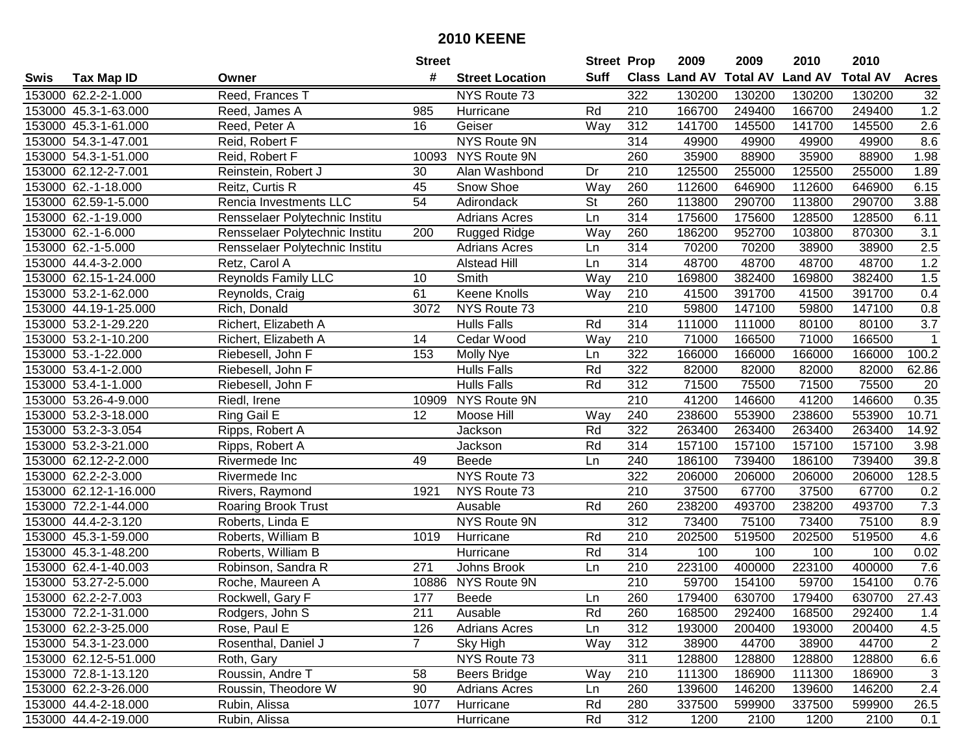|      |                       |                                | <b>Street</b>   |                        | <b>Street Prop</b>       |                  | 2009          | 2009            | 2010           | 2010            |                |
|------|-----------------------|--------------------------------|-----------------|------------------------|--------------------------|------------------|---------------|-----------------|----------------|-----------------|----------------|
| Swis | <b>Tax Map ID</b>     | Owner                          | #               | <b>Street Location</b> | <b>Suff</b>              |                  | Class Land AV | <b>Total AV</b> | <b>Land AV</b> | <b>Total AV</b> | <b>Acres</b>   |
|      | 153000 62.2-2-1.000   | Reed, Frances T                |                 | NYS Route 73           |                          | 322              | 130200        | 130200          | 130200         | 130200          | 32             |
|      | 153000 45.3-1-63.000  | Reed, James A                  | 985             | Hurricane              | Rd                       | 210              | 166700        | 249400          | 166700         | 249400          | 1.2            |
|      | 153000 45.3-1-61.000  | Reed, Peter A                  | 16              | Geiser                 | Way                      | 312              | 141700        | 145500          | 141700         | 145500          | 2.6            |
|      | 153000 54.3-1-47.001  | Reid, Robert F                 |                 | <b>NYS Route 9N</b>    |                          | 314              | 49900         | 49900           | 49900          | 49900           | 8.6            |
|      | 153000 54.3-1-51.000  | Reid, Robert F                 | 10093           | NYS Route 9N           |                          | 260              | 35900         | 88900           | 35900          | 88900           | 1.98           |
|      | 153000 62.12-2-7.001  | Reinstein, Robert J            | 30              | Alan Washbond          | Dr                       | 210              | 125500        | 255000          | 125500         | 255000          | 1.89           |
|      | 153000 62.-1-18.000   | Reitz, Curtis R                | 45              | Snow Shoe              | Way                      | 260              | 112600        | 646900          | 112600         | 646900          | 6.15           |
|      | 153000 62.59-1-5.000  | Rencia Investments LLC         | $\overline{54}$ | Adirondack             | $\overline{\mathsf{St}}$ | 260              | 113800        | 290700          | 113800         | 290700          | 3.88           |
|      | 153000 62.-1-19.000   | Rensselaer Polytechnic Institu |                 | <b>Adrians Acres</b>   | Ln                       | 314              | 175600        | 175600          | 128500         | 128500          | 6.11           |
|      | 153000 62.-1-6.000    | Rensselaer Polytechnic Institu | 200             | <b>Rugged Ridge</b>    | Way                      | 260              | 186200        | 952700          | 103800         | 870300          | 3.1            |
|      | 153000 62.-1-5.000    | Rensselaer Polytechnic Institu |                 | <b>Adrians Acres</b>   | Ln                       | 314              | 70200         | 70200           | 38900          | 38900           | 2.5            |
|      | 153000 44.4-3-2.000   | Retz, Carol A                  |                 | <b>Alstead Hill</b>    | Ln                       | 314              | 48700         | 48700           | 48700          | 48700           | 1.2            |
|      | 153000 62.15-1-24.000 | <b>Reynolds Family LLC</b>     | 10              | Smith                  | Way                      | 210              | 169800        | 382400          | 169800         | 382400          | 1.5            |
|      | 153000 53.2-1-62.000  | Reynolds, Craig                | 61              | Keene Knolls           | Way                      | 210              | 41500         | 391700          | 41500          | 391700          | 0.4            |
|      | 153000 44.19-1-25.000 | Rich, Donald                   | 3072            | NYS Route 73           |                          | 210              | 59800         | 147100          | 59800          | 147100          | 0.8            |
|      | 153000 53.2-1-29.220  | Richert, Elizabeth A           |                 | <b>Hulls Falls</b>     | Rd                       | 314              | 111000        | 111000          | 80100          | 80100           | 3.7            |
|      | 153000 53.2-1-10.200  | Richert, Elizabeth A           | 14              | Cedar Wood             | Way                      | 210              | 71000         | 166500          | 71000          | 166500          | $\mathbf 1$    |
|      | 153000 53.-1-22.000   | Riebesell, John F              | 153             | Molly Nye              | Ln                       | 322              | 166000        | 166000          | 166000         | 166000          | 100.2          |
|      | 153000 53.4-1-2.000   | Riebesell, John F              |                 | <b>Hulls Falls</b>     | Rd                       | 322              | 82000         | 82000           | 82000          | 82000           | 62.86          |
|      | 153000 53.4-1-1.000   | Riebesell, John F              |                 | <b>Hulls Falls</b>     | Rd                       | 312              | 71500         | 75500           | 71500          | 75500           | 20             |
|      | 153000 53.26-4-9.000  | Riedl, Irene                   | 10909           | NYS Route 9N           |                          | 210              | 41200         | 146600          | 41200          | 146600          | 0.35           |
|      | 153000 53.2-3-18.000  | Ring Gail E                    | 12              | Moose Hill             | Way                      | 240              | 238600        | 553900          | 238600         | 553900          | 10.71          |
|      | 153000 53.2-3-3.054   | Ripps, Robert A                |                 | Jackson                | Rd                       | 322              | 263400        | 263400          | 263400         | 263400          | 14.92          |
|      | 153000 53.2-3-21.000  | Ripps, Robert A                |                 | Jackson                | Rd                       | 314              | 157100        | 157100          | 157100         | 157100          | 3.98           |
|      | 153000 62.12-2-2.000  | Rivermede Inc                  | 49              | Beede                  | Ln                       | 240              | 186100        | 739400          | 186100         | 739400          | 39.8           |
|      | 153000 62.2-2-3.000   | Rivermede Inc                  |                 | NYS Route 73           |                          | 322              | 206000        | 206000          | 206000         | 206000          | 128.5          |
|      | 153000 62.12-1-16.000 | Rivers, Raymond                | 1921            | NYS Route 73           |                          | 210              | 37500         | 67700           | 37500          | 67700           | 0.2            |
|      | 153000 72.2-1-44.000  | <b>Roaring Brook Trust</b>     |                 | Ausable                | Rd                       | 260              | 238200        | 493700          | 238200         | 493700          | 7.3            |
|      | 153000 44.4-2-3.120   | Roberts, Linda E               |                 | NYS Route 9N           |                          | $\overline{312}$ | 73400         | 75100           | 73400          | 75100           | 8.9            |
|      | 153000 45.3-1-59.000  | Roberts, William B             | 1019            | Hurricane              | Rd                       | $\overline{210}$ | 202500        | 519500          | 202500         | 519500          | 4.6            |
|      | 153000 45.3-1-48.200  | Roberts, William B             |                 | Hurricane              | Rd                       | 314              | 100           | 100             | 100            | 100             | 0.02           |
|      | 153000 62.4-1-40.003  | Robinson, Sandra R             | 271             | Johns Brook            | Ln                       | 210              | 223100        | 400000          | 223100         | 400000          | 7.6            |
|      | 153000 53.27-2-5.000  | Roche, Maureen A               | 10886           | <b>NYS Route 9N</b>    |                          | $\overline{210}$ | 59700         | 154100          | 59700          | 154100          | 0.76           |
|      | 153000 62.2-2-7.003   | Rockwell, Gary F               | 177             | <b>Beede</b>           | Ln                       | 260              | 179400        | 630700          | 179400         | 630700          | 27.43          |
|      | 153000 72.2-1-31.000  | Rodgers, John S                | 211             | Ausable                | Rd                       | 260              | 168500        | 292400          | 168500         | 292400          | 1.4            |
|      | 153000 62.2-3-25.000  | Rose, Paul E                   | 126             | <b>Adrians Acres</b>   | Ln                       | 312              | 193000        | 200400          | 193000         | 200400          | 4.5            |
|      | 153000 54.3-1-23.000  | Rosenthal, Daniel J            | $7^{\circ}$     | Sky High               | Way                      | 312              | 38900         | 44700           | 38900          | 44700           | $\overline{2}$ |
|      | 153000 62.12-5-51.000 | Roth, Gary                     |                 | NYS Route 73           |                          | 311              | 128800        | 128800          | 128800         | 128800          | 6.6            |
|      | 153000 72.8-1-13.120  | Roussin, Andre T               | 58              | <b>Beers Bridge</b>    | Way                      | 210              | 111300        | 186900          | 111300         | 186900          | 3              |
|      | 153000 62.2-3-26.000  | Roussin, Theodore W            | 90              | <b>Adrians Acres</b>   | Ln                       | 260              | 139600        | 146200          | 139600         | 146200          | 2.4            |
|      | 153000 44.4-2-18.000  | Rubin, Alissa                  | 1077            | Hurricane              | Rd                       | 280              | 337500        | 599900          | 337500         | 599900          | 26.5           |
|      | 153000 44.4-2-19.000  | Rubin, Alissa                  |                 | Hurricane              | Rd                       | 312              | 1200          | 2100            | 1200           | 2100            | 0.1            |
|      |                       |                                |                 |                        |                          |                  |               |                 |                |                 |                |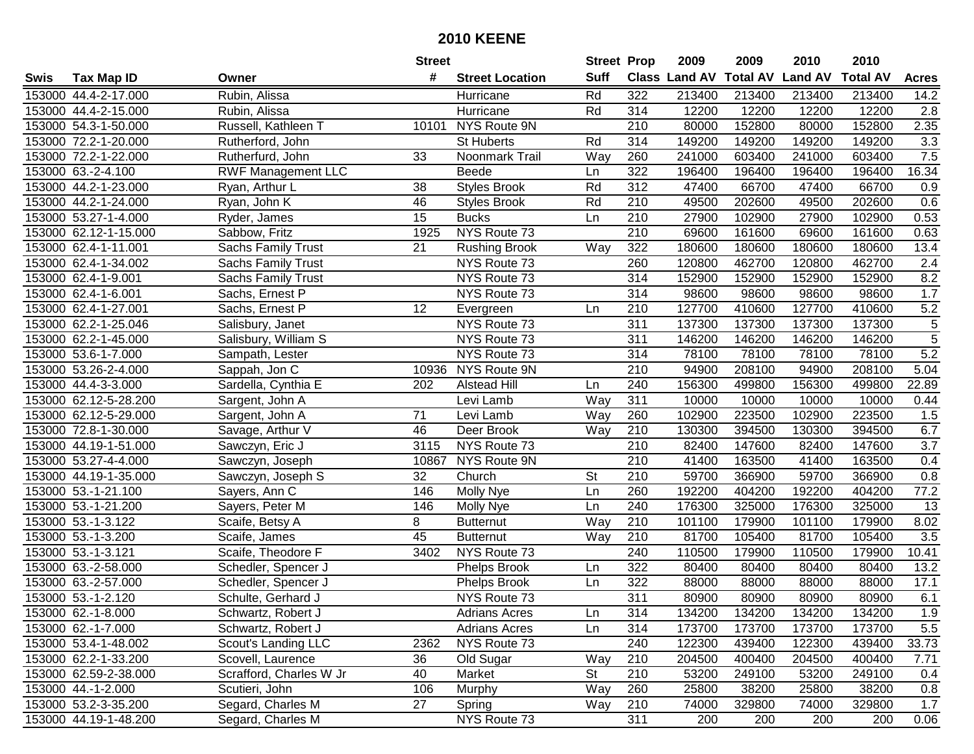|      |                       |                           | <b>Street</b> |                        | <b>Street Prop</b>       |                  | 2009                 | 2009            | 2010           | 2010            |                |
|------|-----------------------|---------------------------|---------------|------------------------|--------------------------|------------------|----------------------|-----------------|----------------|-----------------|----------------|
| Swis | <b>Tax Map ID</b>     | Owner                     | #             | <b>Street Location</b> | <b>Suff</b>              |                  | <b>Class Land AV</b> | <b>Total AV</b> | <b>Land AV</b> | <b>Total AV</b> | <b>Acres</b>   |
|      | 153000 44.4-2-17.000  | Rubin, Alissa             |               | Hurricane              | Rd                       | 322              | 213400               | 213400          | 213400         | 213400          | 14.2           |
|      | 153000 44.4-2-15.000  | Rubin, Alissa             |               | Hurricane              | Rd                       | 314              | 12200                | 12200           | 12200          | 12200           | 2.8            |
|      | 153000 54.3-1-50.000  | Russell, Kathleen T       | 10101         | NYS Route 9N           |                          | 210              | 80000                | 152800          | 80000          | 152800          | 2.35           |
|      | 153000 72.2-1-20.000  | Rutherford, John          |               | <b>St Huberts</b>      | Rd                       | 314              | 149200               | 149200          | 149200         | 149200          | 3.3            |
|      | 153000 72.2-1-22.000  | Rutherfurd, John          | 33            | Noonmark Trail         | Way                      | 260              | 241000               | 603400          | 241000         | 603400          | 7.5            |
|      | 153000 63.-2-4.100    | <b>RWF Management LLC</b> |               | <b>Beede</b>           | Ln                       | 322              | 196400               | 196400          | 196400         | 196400          | 16.34          |
|      | 153000 44.2-1-23.000  | Ryan, Arthur L            | 38            | <b>Styles Brook</b>    | Rd                       | 312              | 47400                | 66700           | 47400          | 66700           | 0.9            |
|      | 153000 44.2-1-24.000  | Ryan, John K              | 46            | Styles Brook           | Rd                       | $\overline{210}$ | 49500                | 202600          | 49500          | 202600          | 0.6            |
|      | 153000 53.27-1-4.000  | Ryder, James              | 15            | <b>Bucks</b>           | Ln                       | $\overline{210}$ | 27900                | 102900          | 27900          | 102900          | 0.53           |
|      | 153000 62.12-1-15.000 | Sabbow, Fritz             | 1925          | NYS Route 73           |                          | 210              | 69600                | 161600          | 69600          | 161600          | 0.63           |
|      | 153000 62.4-1-11.001  | <b>Sachs Family Trust</b> | 21            | <b>Rushing Brook</b>   | Way                      | 322              | 180600               | 180600          | 180600         | 180600          | 13.4           |
|      | 153000 62.4-1-34.002  | <b>Sachs Family Trust</b> |               | NYS Route 73           |                          | 260              | 120800               | 462700          | 120800         | 462700          | 2.4            |
|      | 153000 62.4-1-9.001   | <b>Sachs Family Trust</b> |               | NYS Route 73           |                          | 314              | 152900               | 152900          | 152900         | 152900          | 8.2            |
|      | 153000 62.4-1-6.001   | Sachs, Ernest P           |               | NYS Route 73           |                          | 314              | 98600                | 98600           | 98600          | 98600           | 1.7            |
|      | 153000 62.4-1-27.001  | Sachs, Ernest P           | 12            | Evergreen              | Ln                       | 210              | 127700               | 410600          | 127700         | 410600          | 5.2            |
|      | 153000 62.2-1-25.046  | Salisbury, Janet          |               | NYS Route 73           |                          | 311              | 137300               | 137300          | 137300         | 137300          | $\sqrt{5}$     |
|      | 153000 62.2-1-45.000  | Salisbury, William S      |               | NYS Route 73           |                          | 311              | 146200               | 146200          | 146200         | 146200          | $\overline{5}$ |
|      | 153000 53.6-1-7.000   | Sampath, Lester           |               | NYS Route 73           |                          | 314              | 78100                | 78100           | 78100          | 78100           | 5.2            |
|      | 153000 53.26-2-4.000  | Sappah, Jon C             | 10936         | NYS Route 9N           |                          | 210              | 94900                | 208100          | 94900          | 208100          | 5.04           |
|      | 153000 44.4-3-3.000   | Sardella, Cynthia E       | 202           | <b>Alstead Hill</b>    | Ln                       | 240              | 156300               | 499800          | 156300         | 499800          | 22.89          |
|      | 153000 62.12-5-28.200 | Sargent, John A           |               | Levi Lamb              | Way                      | 311              | 10000                | 10000           | 10000          | 10000           | 0.44           |
|      | 153000 62.12-5-29.000 | Sargent, John A           | 71            | Levi Lamb              | Way                      | 260              | 102900               | 223500          | 102900         | 223500          | 1.5            |
|      | 153000 72.8-1-30.000  | Savage, Arthur V          | 46            | Deer Brook             | Way                      | 210              | 130300               | 394500          | 130300         | 394500          | 6.7            |
|      | 153000 44.19-1-51.000 | Sawczyn, Eric J           | 3115          | NYS Route 73           |                          | 210              | 82400                | 147600          | 82400          | 147600          | 3.7            |
|      | 153000 53.27-4-4.000  | Sawczyn, Joseph           | 10867         | NYS Route 9N           |                          | 210              | 41400                | 163500          | 41400          | 163500          | 0.4            |
|      | 153000 44.19-1-35.000 | Sawczyn, Joseph S         | 32            | Church                 | $\overline{\mathsf{St}}$ | 210              | 59700                | 366900          | 59700          | 366900          | 0.8            |
|      | 153000 53.-1-21.100   | Sayers, Ann C             | 146           | Molly Nye              | Ln                       | 260              | 192200               | 404200          | 192200         | 404200          | 77.2           |
|      | 153000 53.-1-21.200   | Sayers, Peter M           | 146           | Molly Nye              | Ln                       | 240              | 176300               | 325000          | 176300         | 325000          | 13             |
|      | 153000 53.-1-3.122    | Scaife, Betsy A           | 8             | <b>Butternut</b>       | Way                      | 210              | 101100               | 179900          | 101100         | 179900          | 8.02           |
|      | 153000 53.-1-3.200    | Scaife, James             | 45            | <b>Butternut</b>       | Way                      | 210              | 81700                | 105400          | 81700          | 105400          | 3.5            |
|      | 153000 53.-1-3.121    | Scaife, Theodore F        | 3402          | NYS Route 73           |                          | 240              | 110500               | 179900          | 110500         | 179900          | 10.41          |
|      | 153000 63.-2-58.000   | Schedler, Spencer J       |               | <b>Phelps Brook</b>    | Ln                       | 322              | 80400                | 80400           | 80400          | 80400           | 13.2           |
|      | 153000 63.-2-57.000   | Schedler, Spencer J       |               | <b>Phelps Brook</b>    | Ln                       | 322              | 88000                | 88000           | 88000          | 88000           | 17.1           |
|      | 153000 53.-1-2.120    | Schulte, Gerhard J        |               | NYS Route 73           |                          | 311              | 80900                | 80900           | 80900          | 80900           | 6.1            |
|      | 153000 62.-1-8.000    | Schwartz, Robert J        |               | <b>Adrians Acres</b>   | Ln                       | 314              | 134200               | 134200          | 134200         | 134200          | 1.9            |
|      | 153000 62.-1-7.000    | Schwartz, Robert J        |               | <b>Adrians Acres</b>   | Ln                       | 314              | 173700               | 173700          | 173700         | 173700          | 5.5            |
|      | 153000 53.4-1-48.002  | Scout's Landing LLC       | 2362          | NYS Route 73           |                          | 240              | 122300               | 439400          | 122300         | 439400          | 33.73          |
|      | 153000 62.2-1-33.200  | Scovell, Laurence         | 36            | Old Sugar              | Way                      | 210              | 204500               | 400400          | 204500         | 400400          | 7.71           |
|      | 153000 62.59-2-38.000 | Scrafford, Charles W Jr   | 40            | Market                 | St                       | 210              | 53200                | 249100          | 53200          | 249100          | 0.4            |
|      | 153000 44.-1-2.000    | Scutieri, John            | 106           | Murphy                 | Way                      | 260              | 25800                | 38200           | 25800          | 38200           | 0.8            |
|      | 153000 53.2-3-35.200  | Segard, Charles M         | 27            | Spring                 | Way                      | 210              | 74000                | 329800          | 74000          | 329800          | 1.7            |
|      | 153000 44.19-1-48.200 | Segard, Charles M         |               | NYS Route 73           |                          | 311              | 200                  | 200             | 200            | 200             | 0.06           |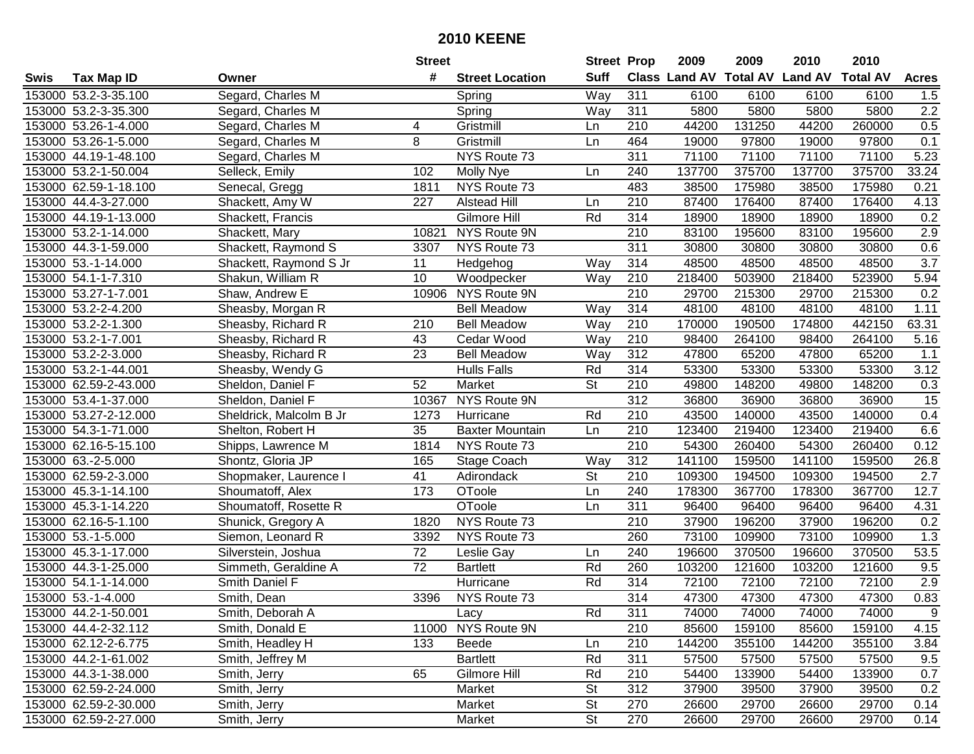|      |                       |                         | <b>Street</b>    |                        | <b>Street Prop</b>       |                  | 2009   | 2009   | 2010                                    | 2010   |              |
|------|-----------------------|-------------------------|------------------|------------------------|--------------------------|------------------|--------|--------|-----------------------------------------|--------|--------------|
| Swis | <b>Tax Map ID</b>     | Owner                   | #                | <b>Street Location</b> | <b>Suff</b>              |                  |        |        | Class Land AV Total AV Land AV Total AV |        | <b>Acres</b> |
|      | 153000 53.2-3-35.100  | Segard, Charles M       |                  | Spring                 | Way                      | 311              | 6100   | 6100   | 6100                                    | 6100   | 1.5          |
|      | 153000 53.2-3-35.300  | Segard, Charles M       |                  | Spring                 | Way                      | 311              | 5800   | 5800   | 5800                                    | 5800   | 2.2          |
|      | 153000 53.26-1-4.000  | Segard, Charles M       | 4                | Gristmill              | Ln                       | 210              | 44200  | 131250 | 44200                                   | 260000 | 0.5          |
|      | 153000 53.26-1-5.000  | Segard, Charles M       | 8                | Gristmill              | Ln                       | 464              | 19000  | 97800  | 19000                                   | 97800  | 0.1          |
|      | 153000 44.19-1-48.100 | Segard, Charles M       |                  | NYS Route 73           |                          | 311              | 71100  | 71100  | 71100                                   | 71100  | 5.23         |
|      | 153000 53.2-1-50.004  | Selleck, Emily          | 102              | Molly Nye              | Ln                       | 240              | 137700 | 375700 | 137700                                  | 375700 | 33.24        |
|      | 153000 62.59-1-18.100 | Senecal, Gregg          | 1811             | NYS Route 73           |                          | 483              | 38500  | 175980 | 38500                                   | 175980 | 0.21         |
|      | 153000 44.4-3-27.000  | Shackett, Amy W         | $\overline{227}$ | <b>Alstead Hill</b>    | Ln                       | $\overline{210}$ | 87400  | 176400 | 87400                                   | 176400 | 4.13         |
|      | 153000 44.19-1-13.000 | Shackett, Francis       |                  | Gilmore Hill           | Rd                       | 314              | 18900  | 18900  | 18900                                   | 18900  | 0.2          |
|      | 153000 53.2-1-14.000  | Shackett, Mary          | 10821            | NYS Route 9N           |                          | 210              | 83100  | 195600 | 83100                                   | 195600 | 2.9          |
|      | 153000 44.3-1-59.000  | Shackett, Raymond S     | 3307             | NYS Route 73           |                          | 311              | 30800  | 30800  | 30800                                   | 30800  | 0.6          |
|      | 153000 53.-1-14.000   | Shackett, Raymond S Jr  | 11               | Hedgehog               | Way                      | 314              | 48500  | 48500  | 48500                                   | 48500  | 3.7          |
|      | 153000 54.1-1-7.310   | Shakun, William R       | 10               | Woodpecker             | Way                      | 210              | 218400 | 503900 | 218400                                  | 523900 | 5.94         |
|      | 153000 53.27-1-7.001  | Shaw, Andrew E          | 10906            | NYS Route 9N           |                          | 210              | 29700  | 215300 | 29700                                   | 215300 | 0.2          |
|      | 153000 53.2-2-4.200   | Sheasby, Morgan R       |                  | <b>Bell Meadow</b>     | Way                      | 314              | 48100  | 48100  | 48100                                   | 48100  | 1.11         |
|      | 153000 53.2-2-1.300   | Sheasby, Richard R      | 210              | <b>Bell Meadow</b>     | Way                      | 210              | 170000 | 190500 | 174800                                  | 442150 | 63.31        |
|      | 153000 53.2-1-7.001   | Sheasby, Richard R      | 43               | Cedar Wood             | Way                      | 210              | 98400  | 264100 | 98400                                   | 264100 | 5.16         |
|      | 153000 53.2-2-3.000   | Sheasby, Richard R      | 23               | <b>Bell Meadow</b>     | Way                      | 312              | 47800  | 65200  | 47800                                   | 65200  | 1.1          |
|      | 153000 53.2-1-44.001  | Sheasby, Wendy G        |                  | <b>Hulls Falls</b>     | Rd                       | 314              | 53300  | 53300  | 53300                                   | 53300  | 3.12         |
|      | 153000 62.59-2-43.000 | Sheldon, Daniel F       | 52               | Market                 | <b>St</b>                | 210              | 49800  | 148200 | 49800                                   | 148200 | 0.3          |
|      | 153000 53.4-1-37.000  | Sheldon, Daniel F       | 10367            | NYS Route 9N           |                          | 312              | 36800  | 36900  | 36800                                   | 36900  | 15           |
|      | 153000 53.27-2-12.000 | Sheldrick, Malcolm B Jr | 1273             | Hurricane              | Rd                       | 210              | 43500  | 140000 | 43500                                   | 140000 | 0.4          |
|      | 153000 54.3-1-71.000  | Shelton, Robert H       | 35               | <b>Baxter Mountain</b> | Ln                       | 210              | 123400 | 219400 | 123400                                  | 219400 | 6.6          |
|      | 153000 62.16-5-15.100 | Shipps, Lawrence M      | 1814             | NYS Route 73           |                          | 210              | 54300  | 260400 | 54300                                   | 260400 | 0.12         |
|      | 153000 63.-2-5.000    | Shontz, Gloria JP       | 165              | Stage Coach            | Way                      | 312              | 141100 | 159500 | 141100                                  | 159500 | 26.8         |
|      | 153000 62.59-2-3.000  | Shopmaker, Laurence I   | 41               | Adirondack             | $\overline{\mathsf{St}}$ | 210              | 109300 | 194500 | 109300                                  | 194500 | 2.7          |
|      | 153000 45.3-1-14.100  | Shoumatoff, Alex        | 173              | OToole                 | Ln                       | 240              | 178300 | 367700 | 178300                                  | 367700 | 12.7         |
|      | 153000 45.3-1-14.220  | Shoumatoff, Rosette R   |                  | OToole                 | Ln                       | 311              | 96400  | 96400  | 96400                                   | 96400  | 4.31         |
|      | 153000 62.16-5-1.100  | Shunick, Gregory A      | 1820             | NYS Route 73           |                          | $\overline{210}$ | 37900  | 196200 | 37900                                   | 196200 | 0.2          |
|      | 153000 53.-1-5.000    | Siemon, Leonard R       | 3392             | NYS Route 73           |                          | 260              | 73100  | 109900 | 73100                                   | 109900 | 1.3          |
|      | 153000 45.3-1-17.000  | Silverstein, Joshua     | $\overline{72}$  | Leslie Gay             | Ln                       | 240              | 196600 | 370500 | 196600                                  | 370500 | 53.5         |
|      | 153000 44.3-1-25.000  | Simmeth, Geraldine A    | $\overline{72}$  | <b>Bartlett</b>        | Rd                       | 260              | 103200 | 121600 | 103200                                  | 121600 | 9.5          |
|      | 153000 54.1-1-14.000  | Smith Daniel F          |                  | Hurricane              | Rd                       | $\overline{314}$ | 72100  | 72100  | 72100                                   | 72100  | 2.9          |
|      | 153000 53.-1-4.000    | Smith, Dean             | 3396             | NYS Route 73           |                          | 314              | 47300  | 47300  | 47300                                   | 47300  | 0.83         |
|      | 153000 44.2-1-50.001  | Smith, Deborah A        |                  | Lacy                   | Rd                       | 311              | 74000  | 74000  | 74000                                   | 74000  | 9            |
|      | 153000 44.4-2-32.112  | Smith, Donald E         |                  | 11000 NYS Route 9N     |                          | 210              | 85600  | 159100 | 85600                                   | 159100 | 4.15         |
|      | 153000 62.12-2-6.775  | Smith, Headley H        | 133              | Beede                  | Ln                       | 210              | 144200 | 355100 | 144200                                  | 355100 | 3.84         |
|      | 153000 44.2-1-61.002  | Smith, Jeffrey M        |                  | <b>Bartlett</b>        | Rd                       | 311              | 57500  | 57500  | 57500                                   | 57500  | 9.5          |
|      | 153000 44.3-1-38.000  | Smith, Jerry            | 65               | Gilmore Hill           | Rd                       | 210              | 54400  | 133900 | 54400                                   | 133900 | 0.7          |
|      | 153000 62.59-2-24.000 | Smith, Jerry            |                  | Market                 | <b>St</b>                | 312              | 37900  | 39500  | 37900                                   | 39500  | 0.2          |
|      | 153000 62.59-2-30.000 | Smith, Jerry            |                  | Market                 | <b>St</b>                | 270              | 26600  | 29700  | 26600                                   | 29700  | 0.14         |
|      | 153000 62.59-2-27.000 | Smith, Jerry            |                  | Market                 | <b>St</b>                | 270              | 26600  | 29700  | 26600                                   | 29700  | 0.14         |
|      |                       |                         |                  |                        |                          |                  |        |        |                                         |        |              |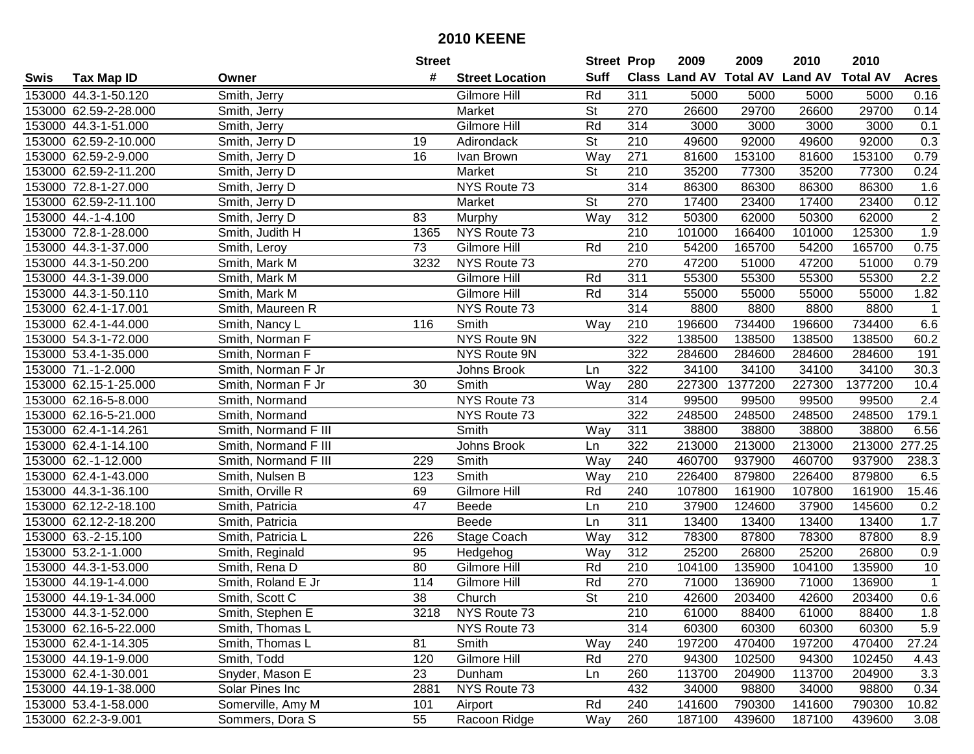|      |                       |                      | <b>Street</b>   |                        | <b>Street Prop</b>       |                  | 2009   | 2009    | 2010                           | 2010            |                |
|------|-----------------------|----------------------|-----------------|------------------------|--------------------------|------------------|--------|---------|--------------------------------|-----------------|----------------|
| Swis | <b>Tax Map ID</b>     | Owner                | #               | <b>Street Location</b> | <b>Suff</b>              |                  |        |         | Class Land AV Total AV Land AV | <b>Total AV</b> | <b>Acres</b>   |
|      | 153000 44.3-1-50.120  | Smith, Jerry         |                 | Gilmore Hill           | Rd                       | 311              | 5000   | 5000    | 5000                           | 5000            | 0.16           |
|      | 153000 62.59-2-28.000 | Smith, Jerry         |                 | Market                 | <b>St</b>                | 270              | 26600  | 29700   | 26600                          | 29700           | 0.14           |
|      | 153000 44.3-1-51.000  | Smith, Jerry         |                 | Gilmore Hill           | Rd                       | 314              | 3000   | 3000    | 3000                           | 3000            | 0.1            |
|      | 153000 62.59-2-10.000 | Smith, Jerry D       | 19              | Adirondack             | <b>St</b>                | 210              | 49600  | 92000   | 49600                          | 92000           | 0.3            |
|      | 153000 62.59-2-9.000  | Smith, Jerry D       | 16              | Ivan Brown             | Way                      | 271              | 81600  | 153100  | 81600                          | 153100          | 0.79           |
|      | 153000 62.59-2-11.200 | Smith, Jerry D       |                 | Market                 | <b>St</b>                | 210              | 35200  | 77300   | 35200                          | 77300           | 0.24           |
|      | 153000 72.8-1-27.000  | Smith, Jerry D       |                 | NYS Route 73           |                          | 314              | 86300  | 86300   | 86300                          | 86300           | 1.6            |
|      | 153000 62.59-2-11.100 | Smith, Jerry D       |                 | Market                 | $\overline{\mathsf{St}}$ | 270              | 17400  | 23400   | 17400                          | 23400           | 0.12           |
|      | 153000 44.-1-4.100    | Smith, Jerry D       | 83              | Murphy                 | Way                      | 312              | 50300  | 62000   | 50300                          | 62000           | $\overline{2}$ |
|      | 153000 72.8-1-28.000  | Smith, Judith H      | 1365            | NYS Route 73           |                          | 210              | 101000 | 166400  | 101000                         | 125300          | 1.9            |
|      | 153000 44.3-1-37.000  | Smith, Leroy         | 73              | Gilmore Hill           | Rd                       | 210              | 54200  | 165700  | 54200                          | 165700          | 0.75           |
|      | 153000 44.3-1-50.200  | Smith, Mark M        | 3232            | NYS Route 73           |                          | 270              | 47200  | 51000   | 47200                          | 51000           | 0.79           |
|      | 153000 44.3-1-39.000  | Smith, Mark M        |                 | Gilmore Hill           | Rd                       | 311              | 55300  | 55300   | 55300                          | 55300           | 2.2            |
|      | 153000 44.3-1-50.110  | Smith, Mark M        |                 | Gilmore Hill           | Rd                       | 314              | 55000  | 55000   | 55000                          | 55000           | 1.82           |
|      | 153000 62.4-1-17.001  | Smith, Maureen R     |                 | NYS Route 73           |                          | 314              | 8800   | 8800    | 8800                           | 8800            | $\mathbf 1$    |
|      | 153000 62.4-1-44.000  | Smith, Nancy L       | 116             | Smith                  | Way                      | 210              | 196600 | 734400  | 196600                         | 734400          | 6.6            |
|      | 153000 54.3-1-72.000  | Smith, Norman F      |                 | NYS Route 9N           |                          | 322              | 138500 | 138500  | 138500                         | 138500          | 60.2           |
|      | 153000 53.4-1-35.000  | Smith, Norman F      |                 | NYS Route 9N           |                          | 322              | 284600 | 284600  | 284600                         | 284600          | 191            |
|      | 153000 71.-1-2.000    | Smith, Norman F Jr   |                 | Johns Brook            | Ln                       | 322              | 34100  | 34100   | 34100                          | 34100           | 30.3           |
|      | 153000 62.15-1-25.000 | Smith, Norman F Jr   | 30              | Smith                  | Way                      | 280              | 227300 | 1377200 | 227300                         | 1377200         | 10.4           |
|      | 153000 62.16-5-8.000  | Smith, Normand       |                 | NYS Route 73           |                          | 314              | 99500  | 99500   | 99500                          | 99500           | 2.4            |
|      | 153000 62.16-5-21.000 | Smith, Normand       |                 | NYS Route 73           |                          | 322              | 248500 | 248500  | 248500                         | 248500          | 179.1          |
|      | 153000 62.4-1-14.261  | Smith, Normand F III |                 | Smith                  | Way                      | 311              | 38800  | 38800   | 38800                          | 38800           | 6.56           |
|      | 153000 62.4-1-14.100  | Smith, Normand F III |                 | Johns Brook            | Ln                       | 322              | 213000 | 213000  | 213000                         | 213000          | 277.25         |
|      | 153000 62.-1-12.000   | Smith, Normand F III | 229             | Smith                  | Way                      | 240              | 460700 | 937900  | 460700                         | 937900          | 238.3          |
|      | 153000 62.4-1-43.000  | Smith, Nulsen B      | 123             | Smith                  | Way                      | 210              | 226400 | 879800  | 226400                         | 879800          | 6.5            |
|      | 153000 44.3-1-36.100  | Smith, Orville R     | 69              | Gilmore Hill           | Rd                       | 240              | 107800 | 161900  | 107800                         | 161900          | 15.46          |
|      | 153000 62.12-2-18.100 | Smith, Patricia      | 47              | Beede                  | Ln                       | 210              | 37900  | 124600  | 37900                          | 145600          | 0.2            |
|      | 153000 62.12-2-18.200 | Smith, Patricia      |                 | Beede                  | Ln                       | 311              | 13400  | 13400   | 13400                          | 13400           | 1.7            |
|      | 153000 63.-2-15.100   | Smith, Patricia L    | 226             | Stage Coach            | Way                      | 312              | 78300  | 87800   | 78300                          | 87800           | 8.9            |
|      | 153000 53.2-1-1.000   | Smith, Reginald      | 95              | Hedgehog               | Way                      | $\overline{312}$ | 25200  | 26800   | 25200                          | 26800           | 0.9            |
|      | 153000 44.3-1-53.000  | Smith, Rena D        | 80              | Gilmore Hill           | Rd                       | 210              | 104100 | 135900  | 104100                         | 135900          | 10             |
|      | 153000 44.19-1-4.000  | Smith, Roland E Jr   | 114             | Gilmore Hill           | Rd                       | 270              | 71000  | 136900  | 71000                          | 136900          | $\overline{1}$ |
|      | 153000 44.19-1-34.000 | Smith, Scott C       | $\overline{38}$ | Church                 | $\overline{\mathsf{St}}$ | $\overline{210}$ | 42600  | 203400  | 42600                          | 203400          | 0.6            |
|      | 153000 44.3-1-52.000  | Smith, Stephen E     | 3218            | NYS Route 73           |                          | 210              | 61000  | 88400   | 61000                          | 88400           | 1.8            |
|      | 153000 62.16-5-22.000 | Smith, Thomas L      |                 | NYS Route 73           |                          | 314              | 60300  | 60300   | 60300                          | 60300           | 5.9            |
|      | 153000 62.4-1-14.305  | Smith, Thomas L      | 81              | Smith                  | Way                      | 240              | 197200 | 470400  | 197200                         | 470400          | 27.24          |
|      | 153000 44.19-1-9.000  | Smith, Todd          | 120             | Gilmore Hill           | Rd                       | 270              | 94300  | 102500  | 94300                          | 102450          | 4.43           |
|      | 153000 62.4-1-30.001  | Snyder, Mason E      | 23              | Dunham                 | Ln                       | 260              | 113700 | 204900  | 113700                         | 204900          | 3.3            |
|      | 153000 44.19-1-38.000 | Solar Pines Inc      | 2881            | NYS Route 73           |                          | 432              | 34000  | 98800   | 34000                          | 98800           | 0.34           |
|      | 153000 53.4-1-58.000  | Somerville, Amy M    | 101             | Airport                | Rd                       | 240              | 141600 | 790300  | 141600                         | 790300          | 10.82          |
|      | 153000 62.2-3-9.001   | Sommers, Dora S      | 55              | Racoon Ridge           | Way                      | 260              | 187100 | 439600  | 187100                         | 439600          | 3.08           |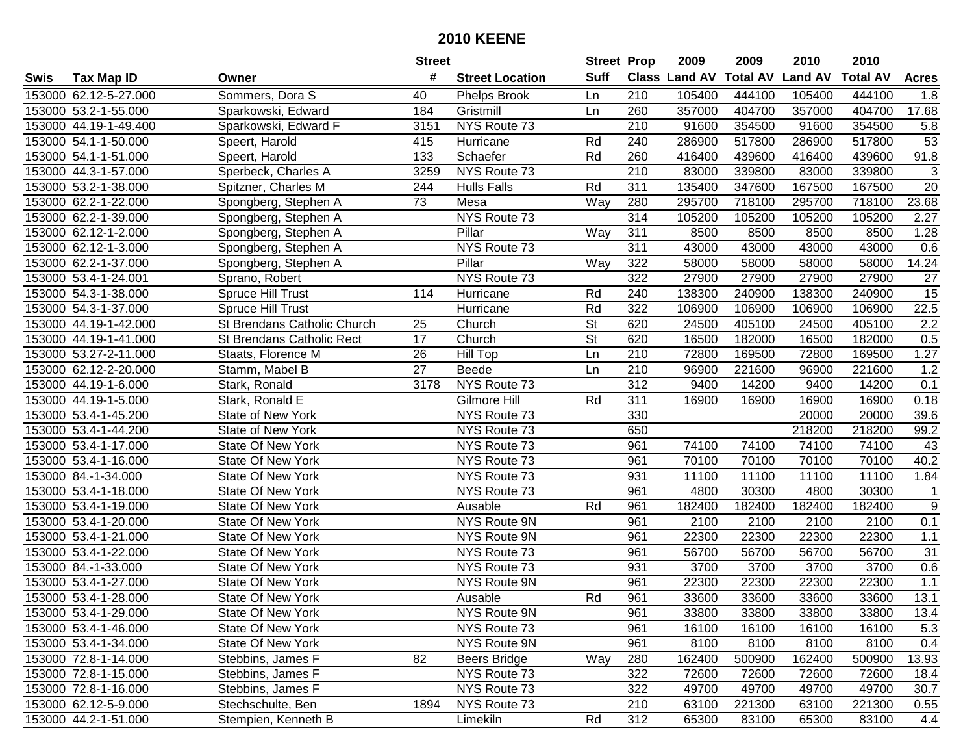|      |                       |                                  | <b>Street</b>   |                        | <b>Street Prop</b>       |     | 2009                 | 2009            | 2010           | 2010            |                |
|------|-----------------------|----------------------------------|-----------------|------------------------|--------------------------|-----|----------------------|-----------------|----------------|-----------------|----------------|
| Swis | <b>Tax Map ID</b>     | Owner                            | #               | <b>Street Location</b> | <b>Suff</b>              |     | <b>Class Land AV</b> | <b>Total AV</b> | <b>Land AV</b> | <b>Total AV</b> | <b>Acres</b>   |
|      | 153000 62.12-5-27.000 | Sommers, Dora S                  | 40              | <b>Phelps Brook</b>    | Ln                       | 210 | 105400               | 444100          | 105400         | 444100          | 1.8            |
|      | 153000 53.2-1-55.000  | Sparkowski, Edward               | 184             | Gristmill              | Ln                       | 260 | 357000               | 404700          | 357000         | 404700          | 17.68          |
|      | 153000 44.19-1-49.400 | Sparkowski, Edward F             | 3151            | NYS Route 73           |                          | 210 | 91600                | 354500          | 91600          | 354500          | 5.8            |
|      | 153000 54.1-1-50.000  | Speert, Harold                   | 415             | Hurricane              | Rd                       | 240 | 286900               | 517800          | 286900         | 517800          | 53             |
|      | 153000 54.1-1-51.000  | Speert, Harold                   | 133             | Schaefer               | Rd                       | 260 | 416400               | 439600          | 416400         | 439600          | 91.8           |
|      | 153000 44.3-1-57.000  | Sperbeck, Charles A              | 3259            | NYS Route 73           |                          | 210 | 83000                | 339800          | 83000          | 339800          | $\overline{3}$ |
|      | 153000 53.2-1-38.000  | Spitzner, Charles M              | 244             | <b>Hulls Falls</b>     | Rd                       | 311 | 135400               | 347600          | 167500         | 167500          | 20             |
|      | 153000 62.2-1-22.000  | Spongberg, Stephen A             | $\overline{73}$ | Mesa                   | Way                      | 280 | 295700               | 718100          | 295700         | 718100          | 23.68          |
|      | 153000 62.2-1-39.000  | Spongberg, Stephen A             |                 | NYS Route 73           |                          | 314 | 105200               | 105200          | 105200         | 105200          | 2.27           |
|      | 153000 62.12-1-2.000  | Spongberg, Stephen A             |                 | Pillar                 | Way                      | 311 | 8500                 | 8500            | 8500           | 8500            | 1.28           |
|      | 153000 62.12-1-3.000  | Spongberg, Stephen A             |                 | NYS Route 73           |                          | 311 | 43000                | 43000           | 43000          | 43000           | 0.6            |
|      | 153000 62.2-1-37.000  | Spongberg, Stephen A             |                 | Pillar                 | Way                      | 322 | 58000                | 58000           | 58000          | 58000           | 14.24          |
|      | 153000 53.4-1-24.001  | Sprano, Robert                   |                 | NYS Route 73           |                          | 322 | 27900                | 27900           | 27900          | 27900           | 27             |
|      | 153000 54.3-1-38.000  | Spruce Hill Trust                | 114             | Hurricane              | Rd                       | 240 | 138300               | 240900          | 138300         | 240900          | 15             |
|      | 153000 54.3-1-37.000  | Spruce Hill Trust                |                 | Hurricane              | Rd                       | 322 | 106900               | 106900          | 106900         | 106900          | 22.5           |
|      | 153000 44.19-1-42.000 | St Brendans Catholic Church      | 25              | Church                 | $\overline{\mathsf{St}}$ | 620 | 24500                | 405100          | 24500          | 405100          | 2.2            |
|      | 153000 44.19-1-41.000 | <b>St Brendans Catholic Rect</b> | 17              | Church                 | $\overline{\mathsf{St}}$ | 620 | 16500                | 182000          | 16500          | 182000          | 0.5            |
|      | 153000 53.27-2-11.000 | Staats, Florence M               | 26              | <b>Hill Top</b>        | Ln                       | 210 | 72800                | 169500          | 72800          | 169500          | 1.27           |
|      | 153000 62.12-2-20.000 | Stamm, Mabel B                   | 27              | Beede                  | Ln                       | 210 | 96900                | 221600          | 96900          | 221600          | 1.2            |
|      | 153000 44.19-1-6.000  | Stark, Ronald                    | 3178            | NYS Route 73           |                          | 312 | 9400                 | 14200           | 9400           | 14200           | 0.1            |
|      | 153000 44.19-1-5.000  | Stark, Ronald E                  |                 | Gilmore Hill           | Rd                       | 311 | 16900                | 16900           | 16900          | 16900           | 0.18           |
|      | 153000 53.4-1-45.200  | State of New York                |                 | NYS Route 73           |                          | 330 |                      |                 | 20000          | 20000           | 39.6           |
|      | 153000 53.4-1-44.200  | <b>State of New York</b>         |                 | NYS Route 73           |                          | 650 |                      |                 | 218200         | 218200          | 99.2           |
|      | 153000 53.4-1-17.000  | <b>State Of New York</b>         |                 | NYS Route 73           |                          | 961 | 74100                | 74100           | 74100          | 74100           | 43             |
|      | 153000 53.4-1-16.000  | <b>State Of New York</b>         |                 | NYS Route 73           |                          | 961 | 70100                | 70100           | 70100          | 70100           | 40.2           |
|      | 153000 84.-1-34.000   | <b>State Of New York</b>         |                 | NYS Route 73           |                          | 931 | 11100                | 11100           | 11100          | 11100           | 1.84           |
|      | 153000 53.4-1-18.000  | <b>State Of New York</b>         |                 | NYS Route 73           |                          | 961 | 4800                 | 30300           | 4800           | 30300           | $\mathbf{1}$   |
|      | 153000 53.4-1-19.000  | <b>State Of New York</b>         |                 | Ausable                | Rd                       | 961 | 182400               | 182400          | 182400         | 182400          | $9\,$          |
|      | 153000 53.4-1-20.000  | <b>State Of New York</b>         |                 | NYS Route 9N           |                          | 961 | 2100                 | 2100            | 2100           | 2100            | 0.1            |
|      | 153000 53.4-1-21.000  | <b>State Of New York</b>         |                 | NYS Route 9N           |                          | 961 | 22300                | 22300           | 22300          | 22300           | 1.1            |
|      | 153000 53.4-1-22.000  | <b>State Of New York</b>         |                 | NYS Route 73           |                          | 961 | 56700                | 56700           | 56700          | 56700           | 31             |
|      | 153000 84.-1-33.000   | <b>State Of New York</b>         |                 | NYS Route 73           |                          | 931 | 3700                 | 3700            | 3700           | 3700            | 0.6            |
|      | 153000 53.4-1-27.000  | <b>State Of New York</b>         |                 | <b>NYS Route 9N</b>    |                          | 961 | 22300                | 22300           | 22300          | 22300           | 1.1            |
|      | 153000 53.4-1-28.000  | <b>State Of New York</b>         |                 | Ausable                | Rd                       | 961 | 33600                | 33600           | 33600          | 33600           | 13.1           |
|      | 153000 53.4-1-29.000  | State Of New York                |                 | NYS Route 9N           |                          | 961 | 33800                | 33800           | 33800          | 33800           | 13.4           |
|      | 153000 53.4-1-46.000  | State Of New York                |                 | NYS Route 73           |                          | 961 | 16100                | 16100           | 16100          | 16100           | 5.3            |
|      | 153000 53.4-1-34.000  | State Of New York                |                 | NYS Route 9N           |                          | 961 | 8100                 | 8100            | 8100           | 8100            | 0.4            |
|      | 153000 72.8-1-14.000  | Stebbins, James F                | 82              | <b>Beers Bridge</b>    | Way                      | 280 | 162400               | 500900          | 162400         | 500900          | 13.93          |
|      | 153000 72.8-1-15.000  | Stebbins, James F                |                 | NYS Route 73           |                          | 322 | 72600                | 72600           | 72600          | 72600           | 18.4           |
|      | 153000 72.8-1-16.000  | Stebbins, James F                |                 | NYS Route 73           |                          | 322 | 49700                | 49700           | 49700          | 49700           | 30.7           |
|      | 153000 62.12-5-9.000  | Stechschulte, Ben                | 1894            | NYS Route 73           |                          | 210 | 63100                | 221300          | 63100          | 221300          | 0.55           |
|      | 153000 44.2-1-51.000  | Stempien, Kenneth B              |                 | Limekiln               | Rd                       | 312 | 65300                | 83100           | 65300          | 83100           | 4.4            |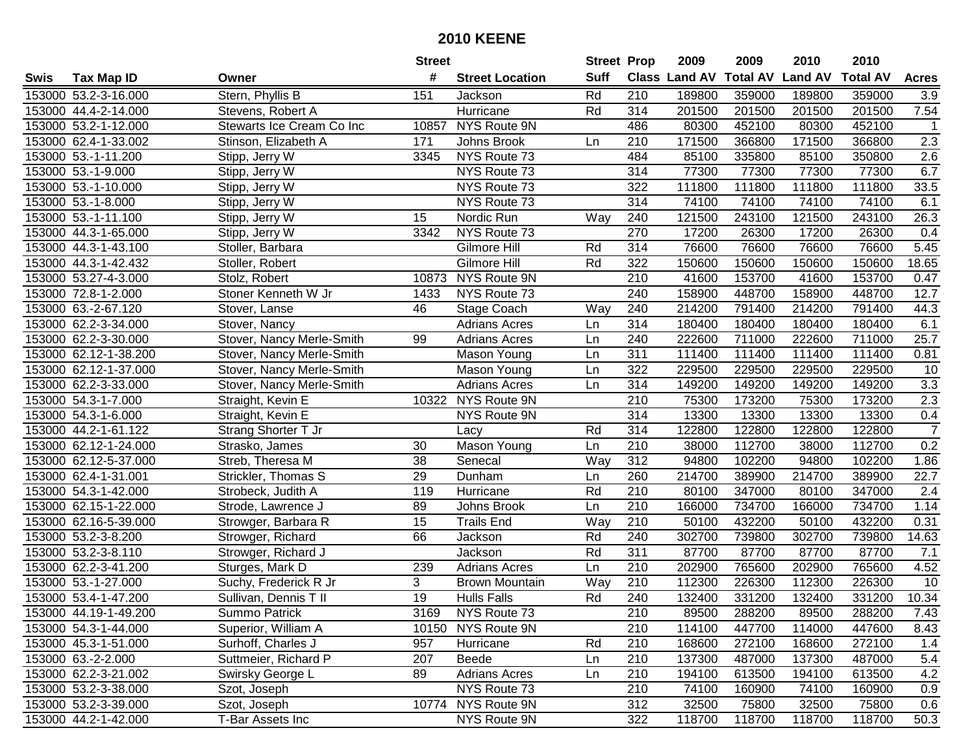|      |                       |                             | <b>Street</b>   |                        | <b>Street Prop</b> |                  | 2009                 | 2009            | 2010           | 2010            |                |
|------|-----------------------|-----------------------------|-----------------|------------------------|--------------------|------------------|----------------------|-----------------|----------------|-----------------|----------------|
| Swis | <b>Tax Map ID</b>     | Owner                       | #               | <b>Street Location</b> | <b>Suff</b>        |                  | <b>Class Land AV</b> | <b>Total AV</b> | <b>Land AV</b> | <b>Total AV</b> | <b>Acres</b>   |
|      | 153000 53.2-3-16.000  | Stern, Phyllis B            | 151             | Jackson                | Rd                 | 210              | 189800               | 359000          | 189800         | 359000          | 3.9            |
|      | 153000 44.4-2-14.000  | Stevens, Robert A           |                 | Hurricane              | Rd                 | 314              | 201500               | 201500          | 201500         | 201500          | 7.54           |
|      | 153000 53.2-1-12.000  | Stewarts Ice Cream Co Inc   | 10857           | NYS Route 9N           |                    | 486              | 80300                | 452100          | 80300          | 452100          | $\mathbf{1}$   |
|      | 153000 62.4-1-33.002  | Stinson, Elizabeth A        | 171             | Johns Brook            | Ln                 | 210              | 171500               | 366800          | 171500         | 366800          | 2.3            |
|      | 153000 53.-1-11.200   | Stipp, Jerry W              | 3345            | NYS Route 73           |                    | 484              | 85100                | 335800          | 85100          | 350800          | 2.6            |
|      | 153000 53.-1-9.000    | Stipp, Jerry W              |                 | NYS Route 73           |                    | 314              | 77300                | 77300           | 77300          | 77300           | 6.7            |
|      | 153000 53.-1-10.000   | Stipp, Jerry $\overline{W}$ |                 | NYS Route 73           |                    | 322              | 111800               | 111800          | 111800         | 111800          | 33.5           |
|      | 153000 53.-1-8.000    | Stipp, Jerry W              |                 | NYS Route 73           |                    | 314              | 74100                | 74100           | 74100          | 74100           | 6.1            |
|      | 153000 53.-1-11.100   | Stipp, Jerry W              | 15              | Nordic Run             | Way                | 240              | 121500               | 243100          | 121500         | 243100          | 26.3           |
|      | 153000 44.3-1-65.000  | Stipp, Jerry W              | 3342            | NYS Route 73           |                    | 270              | 17200                | 26300           | 17200          | 26300           | 0.4            |
|      | 153000 44.3-1-43.100  | Stoller, Barbara            |                 | Gilmore Hill           | Rd                 | 314              | 76600                | 76600           | 76600          | 76600           | 5.45           |
|      | 153000 44.3-1-42.432  | Stoller, Robert             |                 | Gilmore Hill           | Rd                 | 322              | 150600               | 150600          | 150600         | 150600          | 18.65          |
|      | 153000 53.27-4-3.000  | Stolz, Robert               | 10873           | NYS Route 9N           |                    | $\overline{210}$ | 41600                | 153700          | 41600          | 153700          | 0.47           |
|      | 153000 72.8-1-2.000   | Stoner Kenneth W Jr         | 1433            | NYS Route 73           |                    | 240              | 158900               | 448700          | 158900         | 448700          | 12.7           |
|      | 153000 63.-2-67.120   | Stover, Lanse               | 46              | Stage Coach            | Way                | 240              | 214200               | 791400          | 214200         | 791400          | 44.3           |
|      | 153000 62.2-3-34.000  | Stover, Nancy               |                 | <b>Adrians Acres</b>   | Ln                 | 314              | 180400               | 180400          | 180400         | 180400          | 6.1            |
|      | 153000 62.2-3-30.000  | Stover, Nancy Merle-Smith   | 99              | <b>Adrians Acres</b>   | Ln                 | 240              | 222600               | 711000          | 222600         | 711000          | 25.7           |
|      | 153000 62.12-1-38.200 | Stover, Nancy Merle-Smith   |                 | Mason Young            | Ln                 | 311              | 111400               | 111400          | 111400         | 111400          | 0.81           |
|      | 153000 62.12-1-37.000 | Stover, Nancy Merle-Smith   |                 | Mason Young            | Ln                 | 322              | 229500               | 229500          | 229500         | 229500          | 10             |
|      | 153000 62.2-3-33.000  | Stover, Nancy Merle-Smith   |                 | <b>Adrians Acres</b>   | Ln                 | 314              | 149200               | 149200          | 149200         | 149200          | 3.3            |
|      | 153000 54.3-1-7.000   | Straight, Kevin E           | 10322           | NYS Route 9N           |                    | 210              | 75300                | 173200          | 75300          | 173200          | 2.3            |
|      | 153000 54.3-1-6.000   | Straight, Kevin E           |                 | NYS Route 9N           |                    | 314              | 13300                | 13300           | 13300          | 13300           | 0.4            |
|      | 153000 44.2-1-61.122  | Strang Shorter T Jr         |                 | Lacy                   | Rd                 | 314              | 122800               | 122800          | 122800         | 122800          | $\overline{7}$ |
|      | 153000 62.12-1-24.000 | Strasko, James              | 30              | Mason Young            | Ln                 | 210              | 38000                | 112700          | 38000          | 112700          | 0.2            |
|      | 153000 62.12-5-37.000 | Streb, Theresa M            | 38              | Senecal                | Way                | 312              | 94800                | 102200          | 94800          | 102200          | 1.86           |
|      | 153000 62.4-1-31.001  | Strickler, Thomas S         | 29              | Dunham                 | Ln                 | 260              | 214700               | 389900          | 214700         | 389900          | 22.7           |
|      | 153000 54.3-1-42.000  | Strobeck, Judith A          | 119             | Hurricane              | Rd                 | 210              | 80100                | 347000          | 80100          | 347000          | 2.4            |
|      | 153000 62.15-1-22.000 | Strode, Lawrence J          | 89              | Johns Brook            | Ln                 | 210              | 166000               | 734700          | 166000         | 734700          | 1.14           |
|      | 153000 62.16-5-39.000 | Strowger, Barbara R         | 15              | <b>Trails End</b>      | Way                | 210              | 50100                | 432200          | 50100          | 432200          | 0.31           |
|      | 153000 53.2-3-8.200   | Strowger, Richard           | 66              | Jackson                | Rd                 | 240              | 302700               | 739800          | 302700         | 739800          | 14.63          |
|      | 153000 53.2-3-8.110   | Strowger, Richard J         |                 | Jackson                | Rd                 | 311              | 87700                | 87700           | 87700          | 87700           | 7.1            |
|      | 153000 62.2-3-41.200  | Sturges, Mark D             | 239             | <b>Adrians Acres</b>   | Ln                 | 210              | 202900               | 765600          | 202900         | 765600          | 4.52           |
|      | 153000 53.-1-27.000   | Suchy, Frederick R Jr       | 3               | <b>Brown Mountain</b>  | Way                | $\overline{210}$ | 112300               | 226300          | 112300         | 226300          | 10             |
|      | 153000 53.4-1-47.200  | Sullivan, Dennis T II       | $\overline{19}$ | <b>Hulls Falls</b>     | Rd                 | 240              | 132400               | 331200          | 132400         | 331200          | 10.34          |
|      | 153000 44.19-1-49.200 | Summo Patrick               | 3169            | NYS Route 73           |                    | 210              | 89500                | 288200          | 89500          | 288200          | 7.43           |
|      | 153000 54.3-1-44.000  | Superior, William A         |                 | 10150 NYS Route 9N     |                    | 210              | 114100               | 447700          | 114000         | 447600          | 8.43           |
|      | 153000 45.3-1-51.000  | Surhoff, Charles J          | 957             | Hurricane              | Rd                 | 210              | 168600               | 272100          | 168600         | 272100          | 1.4            |
|      | 153000 63.-2-2.000    | Suttmeier, Richard P        | 207             | Beede                  | Ln                 | 210              | 137300               | 487000          | 137300         | 487000          | 5.4            |
|      | 153000 62.2-3-21.002  | Swirsky George L            | 89              | <b>Adrians Acres</b>   | Ln                 | 210              | 194100               | 613500          | 194100         | 613500          | 4.2            |
|      | 153000 53.2-3-38.000  | Szot, Joseph                |                 | NYS Route 73           |                    | 210              | 74100                | 160900          | 74100          | 160900          | 0.9            |
|      | 153000 53.2-3-39.000  | Szot, Joseph                |                 | 10774 NYS Route 9N     |                    | 312              | 32500                | 75800           | 32500          | 75800           | 0.6            |
|      | 153000 44.2-1-42.000  | T-Bar Assets Inc            |                 | NYS Route 9N           |                    | 322              | 118700               | 118700          | 118700         | 118700          | 50.3           |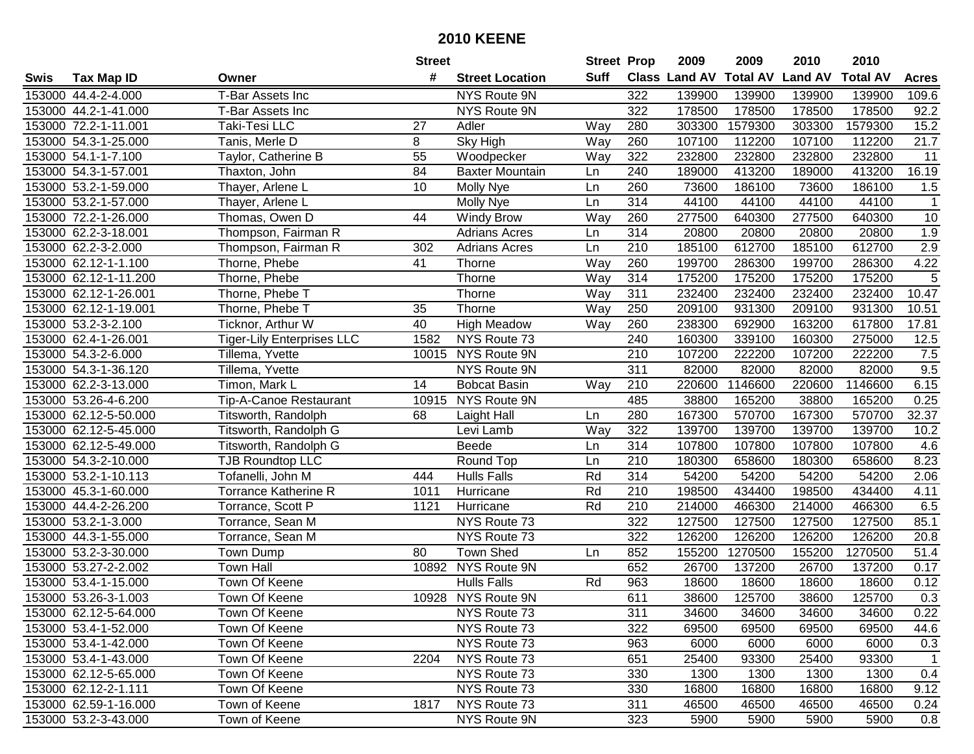|      |                       |                                   | <b>Street</b> |                        | <b>Street Prop</b> |                  | 2009          | 2009            | 2010           | 2010            |                |
|------|-----------------------|-----------------------------------|---------------|------------------------|--------------------|------------------|---------------|-----------------|----------------|-----------------|----------------|
| Swis | <b>Tax Map ID</b>     | Owner                             | #             | <b>Street Location</b> | Suff               |                  | Class Land AV | <b>Total AV</b> | <b>Land AV</b> | <b>Total AV</b> | <b>Acres</b>   |
|      | 153000 44.4-2-4.000   | T-Bar Assets Inc                  |               | NYS Route 9N           |                    | 322              | 139900        | 139900          | 139900         | 139900          | 109.6          |
|      | 153000 44.2-1-41.000  | T-Bar Assets Inc                  |               | NYS Route 9N           |                    | 322              | 178500        | 178500          | 178500         | 178500          | 92.2           |
|      | 153000 72.2-1-11.001  | Taki-Tesi LLC                     | 27            | Adler                  | Way                | 280              | 303300        | 1579300         | 303300         | 1579300         | 15.2           |
|      | 153000 54.3-1-25.000  | Tanis, Merle D                    | 8             | Sky High               | Way                | 260              | 107100        | 112200          | 107100         | 112200          | 21.7           |
|      | 153000 54.1-1-7.100   | Taylor, Catherine B               | 55            | Woodpecker             | Way                | 322              | 232800        | 232800          | 232800         | 232800          | 11             |
|      | 153000 54.3-1-57.001  | Thaxton, John                     | 84            | <b>Baxter Mountain</b> | Ln                 | 240              | 189000        | 413200          | 189000         | 413200          | 16.19          |
|      | 153000 53.2-1-59.000  | Thayer, Arlene L                  | 10            | Molly Nye              | Ln                 | 260              | 73600         | 186100          | 73600          | 186100          | 1.5            |
|      | 153000 53.2-1-57.000  | Thayer, Arlene L                  |               | Molly Nye              | Ln                 | 314              | 44100         | 44100           | 44100          | 44100           | $\overline{1}$ |
|      | 153000 72.2-1-26.000  | Thomas, Owen D                    | 44            | <b>Windy Brow</b>      | Way                | 260              | 277500        | 640300          | 277500         | 640300          | 10             |
|      | 153000 62.2-3-18.001  | Thompson, Fairman R               |               | <b>Adrians Acres</b>   | Ln                 | 314              | 20800         | 20800           | 20800          | 20800           | 1.9            |
|      | 153000 62.2-3-2.000   | Thompson, Fairman R               | 302           | <b>Adrians Acres</b>   | Ln                 | 210              | 185100        | 612700          | 185100         | 612700          | 2.9            |
|      | 153000 62.12-1-1.100  | Thorne, Phebe                     | 41            | Thorne                 | Way                | 260              | 199700        | 286300          | 199700         | 286300          | 4.22           |
|      | 153000 62.12-1-11.200 | Thorne, Phebe                     |               | Thorne                 | Way                | 314              | 175200        | 175200          | 175200         | 175200          | 5              |
|      | 153000 62.12-1-26.001 | Thorne, Phebe T                   |               | Thorne                 | Way                | 311              | 232400        | 232400          | 232400         | 232400          | 10.47          |
|      | 153000 62.12-1-19.001 | Thorne, Phebe T                   | 35            | Thorne                 | Way                | 250              | 209100        | 931300          | 209100         | 931300          | 10.51          |
|      | 153000 53.2-3-2.100   | Ticknor, Arthur W                 | 40            | <b>High Meadow</b>     | Way                | 260              | 238300        | 692900          | 163200         | 617800          | 17.81          |
|      | 153000 62.4-1-26.001  | <b>Tiger-Lily Enterprises LLC</b> | 1582          | NYS Route 73           |                    | 240              | 160300        | 339100          | 160300         | 275000          | 12.5           |
|      | 153000 54.3-2-6.000   | Tillema, Yvette                   | 10015         | NYS Route 9N           |                    | 210              | 107200        | 222200          | 107200         | 222200          | 7.5            |
|      | 153000 54.3-1-36.120  | Tillema, Yvette                   |               | NYS Route 9N           |                    | 311              | 82000         | 82000           | 82000          | 82000           | 9.5            |
|      | 153000 62.2-3-13.000  | Timon, Mark L                     | 14            | <b>Bobcat Basin</b>    | Way                | 210              | 220600        | 1146600         | 220600         | 1146600         | 6.15           |
|      | 153000 53.26-4-6.200  | <b>Tip-A-Canoe Restaurant</b>     | 10915         | NYS Route 9N           |                    | 485              | 38800         | 165200          | 38800          | 165200          | 0.25           |
|      | 153000 62.12-5-50.000 | Titsworth, Randolph               | 68            | Laight Hall            | Ln                 | 280              | 167300        | 570700          | 167300         | 570700          | 32.37          |
|      | 153000 62.12-5-45.000 | Titsworth, Randolph G             |               | Levi Lamb              | Way                | 322              | 139700        | 139700          | 139700         | 139700          | 10.2           |
|      | 153000 62.12-5-49.000 | Titsworth, Randolph G             |               | <b>Beede</b>           | Ln                 | 314              | 107800        | 107800          | 107800         | 107800          | 4.6            |
|      | 153000 54.3-2-10.000  | <b>TJB Roundtop LLC</b>           |               | Round Top              | Ln                 | 210              | 180300        | 658600          | 180300         | 658600          | 8.23           |
|      | 153000 53.2-1-10.113  | Tofanelli, John M                 | 444           | <b>Hulls Falls</b>     | Rd                 | 314              | 54200         | 54200           | 54200          | 54200           | 2.06           |
|      | 153000 45.3-1-60.000  | <b>Torrance Katherine R</b>       | 1011          | Hurricane              | Rd                 | 210              | 198500        | 434400          | 198500         | 434400          | 4.11           |
|      | 153000 44.4-2-26.200  | Torrance, Scott P                 | 1121          | Hurricane              | Rd                 | 210              | 214000        | 466300          | 214000         | 466300          | 6.5            |
|      | 153000 53.2-1-3.000   | Torrance, Sean M                  |               | NYS Route 73           |                    | $\overline{322}$ | 127500        | 127500          | 127500         | 127500          | 85.1           |
|      | 153000 44.3-1-55.000  | Torrance, Sean M                  |               | NYS Route 73           |                    | $\overline{322}$ | 126200        | 126200          | 126200         | 126200          | 20.8           |
|      | 153000 53.2-3-30.000  | Town Dump                         | 80            | <b>Town Shed</b>       | Ln                 | 852              | 155200        | 1270500         | 155200         | 1270500         | 51.4           |
|      | 153000 53.27-2-2.002  | <b>Town Hall</b>                  |               | 10892 NYS Route 9N     |                    | 652              | 26700         | 137200          | 26700          | 137200          | 0.17           |
|      | 153000 53.4-1-15.000  | Town Of Keene                     |               | <b>Hulls Falls</b>     | Rd                 | 963              | 18600         | 18600           | 18600          | 18600           | 0.12           |
|      | 153000 53.26-3-1.003  | Town Of Keene                     |               | 10928 NYS Route 9N     |                    | 611              | 38600         | 125700          | 38600          | 125700          | 0.3            |
|      | 153000 62.12-5-64.000 | Town Of Keene                     |               | NYS Route 73           |                    | 311              | 34600         | 34600           | 34600          | 34600           | 0.22           |
|      | 153000 53.4-1-52.000  | Town Of Keene                     |               | NYS Route 73           |                    | 322              | 69500         | 69500           | 69500          | 69500           | 44.6           |
|      | 153000 53.4-1-42.000  | Town Of Keene                     |               | NYS Route 73           |                    | 963              | 6000          | 6000            | 6000           | 6000            | 0.3            |
|      | 153000 53.4-1-43.000  | Town Of Keene                     | 2204          | NYS Route 73           |                    | 651              | 25400         | 93300           | 25400          | 93300           | $\overline{1}$ |
|      | 153000 62.12-5-65.000 | Town Of Keene                     |               | NYS Route 73           |                    | 330              | 1300          | 1300            | 1300           | 1300            | 0.4            |
|      | 153000 62.12-2-1.111  | Town Of Keene                     |               | NYS Route 73           |                    | 330              | 16800         | 16800           | 16800          | 16800           | 9.12           |
|      | 153000 62.59-1-16.000 | Town of Keene                     | 1817          | NYS Route 73           |                    | 311              | 46500         | 46500           | 46500          | 46500           | 0.24           |
|      | 153000 53.2-3-43.000  | Town of Keene                     |               | NYS Route 9N           |                    | 323              | 5900          | 5900            | 5900           | 5900            | 0.8            |
|      |                       |                                   |               |                        |                    |                  |               |                 |                |                 |                |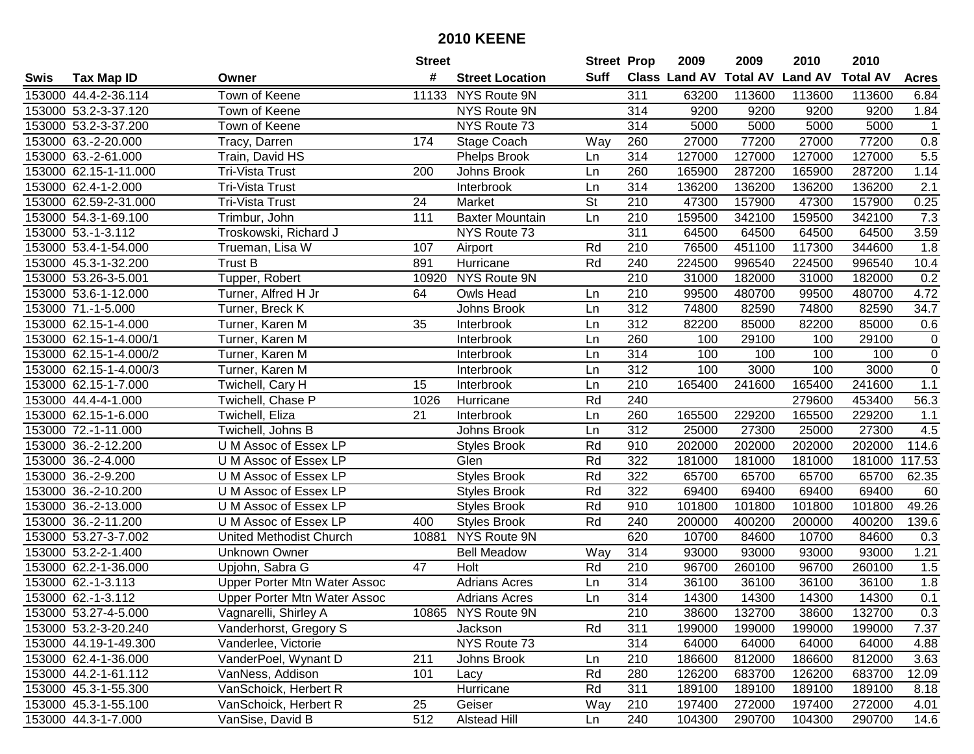|      |                        |                                     | <b>Street</b>   |                        | <b>Street Prop</b>       |                  | 2009                          | 2009   | 2010           | 2010            |                  |
|------|------------------------|-------------------------------------|-----------------|------------------------|--------------------------|------------------|-------------------------------|--------|----------------|-----------------|------------------|
| Swis | <b>Tax Map ID</b>      | Owner                               | #               | <b>Street Location</b> | Suff                     |                  | <b>Class Land AV Total AV</b> |        | <b>Land AV</b> | <b>Total AV</b> | <b>Acres</b>     |
|      | 153000 44.4-2-36.114   | Town of Keene                       |                 | 11133 NYS Route 9N     |                          | 311              | 63200                         | 113600 | 113600         | 113600          | 6.84             |
|      | 153000 53.2-3-37.120   | Town of Keene                       |                 | NYS Route 9N           |                          | 314              | 9200                          | 9200   | 9200           | 9200            | 1.84             |
|      | 153000 53.2-3-37.200   | Town of Keene                       |                 | NYS Route 73           |                          | 314              | 5000                          | 5000   | 5000           | 5000            | $\overline{1}$   |
|      | 153000 63.-2-20.000    | Tracy, Darren                       | 174             | Stage Coach            | Way                      | 260              | 27000                         | 77200  | 27000          | 77200           | 0.8              |
|      | 153000 63.-2-61.000    | Train, David HS                     |                 | <b>Phelps Brook</b>    | Ln                       | 314              | 127000                        | 127000 | 127000         | 127000          | 5.5              |
|      | 153000 62.15-1-11.000  | Tri-Vista Trust                     | 200             | Johns Brook            | Ln                       | 260              | 165900                        | 287200 | 165900         | 287200          | 1.14             |
|      | 153000 62.4-1-2.000    | <b>Tri-Vista Trust</b>              |                 | Interbrook             | Ln                       | 314              | 136200                        | 136200 | 136200         | 136200          | $\overline{2.1}$ |
|      | 153000 62.59-2-31.000  | <b>Tri-Vista Trust</b>              | $\overline{24}$ | Market                 | $\overline{\mathsf{St}}$ | 210              | 47300                         | 157900 | 47300          | 157900          | 0.25             |
|      | 153000 54.3-1-69.100   | Trimbur, John                       | 111             | <b>Baxter Mountain</b> | Ln                       | 210              | 159500                        | 342100 | 159500         | 342100          | 7.3              |
|      | 153000 53.-1-3.112     | Troskowski, Richard J               |                 | NYS Route 73           |                          | 311              | 64500                         | 64500  | 64500          | 64500           | 3.59             |
|      | 153000 53.4-1-54.000   | Trueman, Lisa W                     | 107             | Airport                | Rd                       | 210              | 76500                         | 451100 | 117300         | 344600          | 1.8              |
|      | 153000 45.3-1-32.200   | <b>Trust B</b>                      | 891             | Hurricane              | Rd                       | 240              | 224500                        | 996540 | 224500         | 996540          | 10.4             |
|      | 153000 53.26-3-5.001   | Tupper, Robert                      | 10920           | NYS Route 9N           |                          | 210              | 31000                         | 182000 | 31000          | 182000          | 0.2              |
|      | 153000 53.6-1-12.000   | Turner, Alfred H Jr                 | 64              | Owls Head              | Ln                       | 210              | 99500                         | 480700 | 99500          | 480700          | 4.72             |
|      | 153000 71.-1-5.000     | Turner, Breck K                     |                 | Johns Brook            | Ln                       | 312              | 74800                         | 82590  | 74800          | 82590           | 34.7             |
|      | 153000 62.15-1-4.000   | Turner, Karen M                     | 35              | Interbrook             | Ln                       | 312              | 82200                         | 85000  | 82200          | 85000           | 0.6              |
|      | 153000 62.15-1-4.000/1 | Turner, Karen M                     |                 | Interbrook             | Ln                       | 260              | 100                           | 29100  | 100            | 29100           | $\pmb{0}$        |
|      | 153000 62.15-1-4.000/2 | Turner, Karen M                     |                 | Interbrook             | Ln                       | 314              | 100                           | 100    | 100            | 100             | $\mathbf 0$      |
|      | 153000 62.15-1-4.000/3 | Turner, Karen M                     |                 | Interbrook             | Ln                       | 312              | 100                           | 3000   | 100            | 3000            | $\overline{0}$   |
|      | 153000 62.15-1-7.000   | Twichell, Cary H                    | 15              | Interbrook             | Ln                       | 210              | 165400                        | 241600 | 165400         | 241600          | 1.1              |
|      | 153000 44.4-4-1.000    | Twichell, Chase P                   | 1026            | Hurricane              | Rd                       | 240              |                               |        | 279600         | 453400          | 56.3             |
|      | 153000 62.15-1-6.000   | Twichell, Eliza                     | 21              | Interbrook             | Ln                       | 260              | 165500                        | 229200 | 165500         | 229200          | 1.1              |
|      | 153000 72.-1-11.000    | Twichell, Johns B                   |                 | Johns Brook            | Ln                       | 312              | 25000                         | 27300  | 25000          | 27300           | 4.5              |
|      | 153000 36.-2-12.200    | U M Assoc of Essex LP               |                 | <b>Styles Brook</b>    | Rd                       | 910              | 202000                        | 202000 | 202000         | 202000          | 114.6            |
|      | 153000 36.-2-4.000     | U M Assoc of Essex LP               |                 | Glen                   | Rd                       | 322              | 181000                        | 181000 | 181000         | 181000          | 117.53           |
|      | 153000 36.-2-9.200     | U M Assoc of Essex LP               |                 | <b>Styles Brook</b>    | Rd                       | 322              | 65700                         | 65700  | 65700          | 65700           | 62.35            |
|      | 153000 36.-2-10.200    | U M Assoc of Essex LP               |                 | <b>Styles Brook</b>    | Rd                       | 322              | 69400                         | 69400  | 69400          | 69400           | 60               |
|      | 153000 36.-2-13.000    | <b>UMAssoc of Essex LP</b>          |                 | <b>Styles Brook</b>    | Rd                       | 910              | 101800                        | 101800 | 101800         | 101800          | 49.26            |
|      | 153000 36.-2-11.200    | U M Assoc of Essex LP               | 400             | <b>Styles Brook</b>    | Rd                       | 240              | 200000                        | 400200 | 200000         | 400200          | 139.6            |
|      | 153000 53.27-3-7.002   | <b>United Methodist Church</b>      | 10881           | NYS Route 9N           |                          | 620              | 10700                         | 84600  | 10700          | 84600           | 0.3              |
|      | 153000 53.2-2-1.400    | <b>Unknown Owner</b>                |                 | <b>Bell Meadow</b>     | Way                      | 314              | 93000                         | 93000  | 93000          | 93000           | 1.21             |
|      | 153000 62.2-1-36.000   | Upjohn, Sabra G                     | 47              | Holt                   | Rd                       | 210              | 96700                         | 260100 | 96700          | 260100          | 1.5              |
|      | 153000 62.-1-3.113     | <b>Upper Porter Mtn Water Assoc</b> |                 | <b>Adrians Acres</b>   | Ln                       | $\overline{314}$ | 36100                         | 36100  | 36100          | 36100           | 1.8              |
|      | 153000 62.-1-3.112     | <b>Upper Porter Mtn Water Assoc</b> |                 | <b>Adrians Acres</b>   | Ln                       | 314              | 14300                         | 14300  | 14300          | 14300           | 0.1              |
|      | 153000 53.27-4-5.000   | Vagnarelli, Shirley A               |                 | 10865 NYS Route 9N     |                          | 210              | 38600                         | 132700 | 38600          | 132700          | 0.3              |
|      | 153000 53.2-3-20.240   | Vanderhorst, Gregory S              |                 | Jackson                | Rd                       | 311              | 199000                        | 199000 | 199000         | 199000          | 7.37             |
|      | 153000 44.19-1-49.300  | Vanderlee, Victorie                 |                 | NYS Route 73           |                          | 314              | 64000                         | 64000  | 64000          | 64000           | 4.88             |
|      | 153000 62.4-1-36.000   | VanderPoel, Wynant D                | 211             | Johns Brook            | Ln                       | 210              | 186600                        | 812000 | 186600         | 812000          | 3.63             |
|      | 153000 44.2-1-61.112   | VanNess, Addison                    | 101             | Lacy                   | Rd                       | 280              | 126200                        | 683700 | 126200         | 683700          | 12.09            |
|      | 153000 45.3-1-55.300   | VanSchoick, Herbert R               |                 | Hurricane              | Rd                       | 311              | 189100                        | 189100 | 189100         | 189100          | 8.18             |
|      | 153000 45.3-1-55.100   | VanSchoick, Herbert R               | 25              | Geiser                 | Way                      | 210              | 197400                        | 272000 | 197400         | 272000          | 4.01             |
|      | 153000 44.3-1-7.000    | VanSise, David B                    | 512             | <b>Alstead Hill</b>    | Ln                       | 240              | 104300                        | 290700 | 104300         | 290700          | 14.6             |
|      |                        |                                     |                 |                        |                          |                  |                               |        |                |                 |                  |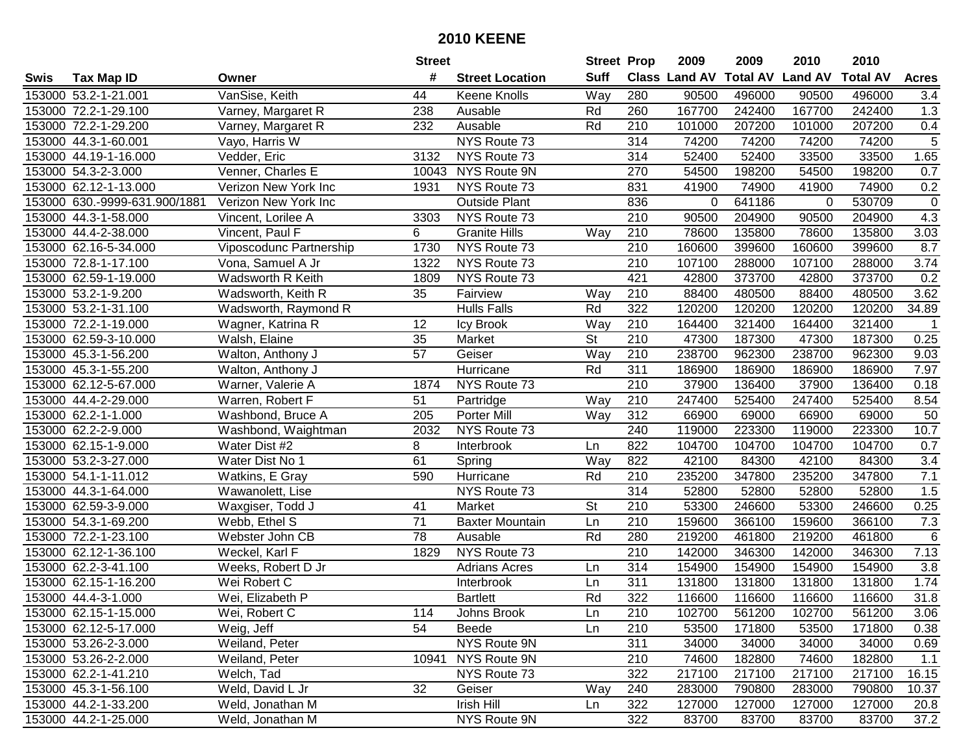|      |                               |                         | <b>Street</b>   |                        | <b>Street Prop</b>       |                  | 2009                 | 2009            | 2010           | 2010            |              |
|------|-------------------------------|-------------------------|-----------------|------------------------|--------------------------|------------------|----------------------|-----------------|----------------|-----------------|--------------|
| Swis | <b>Tax Map ID</b>             | Owner                   | #               | <b>Street Location</b> | <b>Suff</b>              |                  | <b>Class Land AV</b> | <b>Total AV</b> | <b>Land AV</b> | <b>Total AV</b> | <b>Acres</b> |
|      | 153000 53.2-1-21.001          | VanSise, Keith          | 44              | Keene Knolls           | Way                      | 280              | 90500                | 496000          | 90500          | 496000          | 3.4          |
|      | 153000 72.2-1-29.100          | Varney, Margaret R      | 238             | Ausable                | Rd                       | 260              | 167700               | 242400          | 167700         | 242400          | 1.3          |
|      | 153000 72.2-1-29.200          | Varney, Margaret R      | 232             | Ausable                | Rd                       | 210              | 101000               | 207200          | 101000         | 207200          | 0.4          |
|      | 153000 44.3-1-60.001          | Vayo, Harris W          |                 | NYS Route 73           |                          | 314              | 74200                | 74200           | 74200          | 74200           | 5            |
|      | 153000 44.19-1-16.000         | Vedder, Eric            | 3132            | NYS Route 73           |                          | 314              | 52400                | 52400           | 33500          | 33500           | 1.65         |
|      | 153000 54.3-2-3.000           | Venner, Charles E       | 10043           | NYS Route 9N           |                          | 270              | 54500                | 198200          | 54500          | 198200          | 0.7          |
|      | 153000 62.12-1-13.000         | Verizon New York Inc    | 1931            | NYS Route 73           |                          | 831              | 41900                | 74900           | 41900          | 74900           | 0.2          |
|      | 153000 630.-9999-631.900/1881 | Verizon New York Inc    |                 | <b>Outside Plant</b>   |                          | 836              | 0                    | 641186          | 0              | 530709          | $\mathbf 0$  |
|      | 153000 44.3-1-58.000          | Vincent, Lorilee A      | 3303            | NYS Route 73           |                          | $\overline{210}$ | 90500                | 204900          | 90500          | 204900          | 4.3          |
|      | 153000 44.4-2-38.000          | Vincent, Paul F         | 6               | <b>Granite Hills</b>   | Way                      | 210              | 78600                | 135800          | 78600          | 135800          | 3.03         |
|      | 153000 62.16-5-34.000         | Viposcodunc Partnership | 1730            | NYS Route 73           |                          | 210              | 160600               | 399600          | 160600         | 399600          | 8.7          |
|      | 153000 72.8-1-17.100          | Vona, Samuel A Jr       | 1322            | NYS Route 73           |                          | 210              | 107100               | 288000          | 107100         | 288000          | 3.74         |
|      | 153000 62.59-1-19.000         | Wadsworth R Keith       | 1809            | NYS Route 73           |                          | 421              | 42800                | 373700          | 42800          | 373700          | 0.2          |
|      | 153000 53.2-1-9.200           | Wadsworth, Keith R      | 35              | Fairview               | Way                      | 210              | 88400                | 480500          | 88400          | 480500          | 3.62         |
|      | 153000 53.2-1-31.100          | Wadsworth, Raymond R    |                 | <b>Hulls Falls</b>     | Rd                       | 322              | 120200               | 120200          | 120200         | 120200          | 34.89        |
|      | 153000 72.2-1-19.000          | Wagner, Katrina R       | 12              | Icy Brook              | Way                      | 210              | 164400               | 321400          | 164400         | 321400          | $\mathbf 1$  |
|      | 153000 62.59-3-10.000         | Walsh, Elaine           | 35              | Market                 | $\overline{\mathsf{St}}$ | 210              | 47300                | 187300          | 47300          | 187300          | 0.25         |
|      | 153000 45.3-1-56.200          | Walton, Anthony J       | $\overline{57}$ | Geiser                 | Way                      | 210              | 238700               | 962300          | 238700         | 962300          | 9.03         |
|      | 153000 45.3-1-55.200          | Walton, Anthony J       |                 | Hurricane              | Rd                       | 311              | 186900               | 186900          | 186900         | 186900          | 7.97         |
|      | 153000 62.12-5-67.000         | Warner, Valerie A       | 1874            | NYS Route 73           |                          | 210              | 37900                | 136400          | 37900          | 136400          | 0.18         |
|      | 153000 44.4-2-29.000          | Warren, Robert F        | 51              | Partridge              | Way                      | 210              | 247400               | 525400          | 247400         | 525400          | 8.54         |
|      | 153000 62.2-1-1.000           | Washbond, Bruce A       | 205             | Porter Mill            | Way                      | 312              | 66900                | 69000           | 66900          | 69000           | 50           |
|      | 153000 62.2-2-9.000           | Washbond, Waightman     | 2032            | NYS Route 73           |                          | 240              | 119000               | 223300          | 119000         | 223300          | 10.7         |
|      | 153000 62.15-1-9.000          | Water Dist #2           | 8               | Interbrook             | Ln                       | 822              | 104700               | 104700          | 104700         | 104700          | 0.7          |
|      | 153000 53.2-3-27.000          | Water Dist No 1         | 61              | Spring                 | Way                      | 822              | 42100                | 84300           | 42100          | 84300           | 3.4          |
|      | 153000 54.1-1-11.012          | Watkins, E Gray         | 590             | Hurricane              | Rd                       | 210              | 235200               | 347800          | 235200         | 347800          | 7.1          |
|      | 153000 44.3-1-64.000          | Wawanolett, Lise        |                 | NYS Route 73           |                          | 314              | 52800                | 52800           | 52800          | 52800           | 1.5          |
|      | 153000 62.59-3-9.000          | Waxgiser, Todd J        | 41              | Market                 | <b>St</b>                | 210              | 53300                | 246600          | 53300          | 246600          | 0.25         |
|      | 153000 54.3-1-69.200          | Webb, Ethel S           | $\overline{71}$ | <b>Baxter Mountain</b> | Ln                       | 210              | 159600               | 366100          | 159600         | 366100          | 7.3          |
|      | 153000 72.2-1-23.100          | Webster John CB         | 78              | Ausable                | Rd                       | 280              | 219200               | 461800          | 219200         | 461800          | 6            |
|      | 153000 62.12-1-36.100         | Weckel, Karl F          | 1829            | NYS Route 73           |                          | $\overline{210}$ | 142000               | 346300          | 142000         | 346300          | 7.13         |
|      | 153000 62.2-3-41.100          | Weeks, Robert D Jr      |                 | <b>Adrians Acres</b>   | Ln                       | 314              | 154900               | 154900          | 154900         | 154900          | 3.8          |
|      | 153000 62.15-1-16.200         | Wei Robert C            |                 | Interbrook             | Ln                       | 311              | 131800               | 131800          | 131800         | 131800          | 1.74         |
|      | 153000 44.4-3-1.000           | Wei, Elizabeth P        |                 | <b>Bartlett</b>        | Rd                       | 322              | 116600               | 116600          | 116600         | 116600          | 31.8         |
|      | 153000 62.15-1-15.000         | Wei, Robert C           | 114             | Johns Brook            | Ln                       | 210              | 102700               | 561200          | 102700         | 561200          | 3.06         |
|      | 153000 62.12-5-17.000         | Weig, Jeff              | 54              | Beede                  | Ln                       | 210              | 53500                | 171800          | 53500          | 171800          | 0.38         |
|      | 153000 53.26-2-3.000          | Weiland, Peter          |                 | NYS Route 9N           |                          | 311              | 34000                | 34000           | 34000          | 34000           | 0.69         |
|      | 153000 53.26-2-2.000          | Weiland, Peter          | 10941           | NYS Route 9N           |                          | 210              | 74600                | 182800          | 74600          | 182800          | 1.1          |
|      | 153000 62.2-1-41.210          | Welch, Tad              |                 | NYS Route 73           |                          | 322              | 217100               | 217100          | 217100         | 217100          | 16.15        |
|      | 153000 45.3-1-56.100          | Weld, David L Jr        | 32              | Geiser                 | Way                      | 240              | 283000               | 790800          | 283000         | 790800          | 10.37        |
|      | 153000 44.2-1-33.200          | Weld, Jonathan M        |                 | Irish Hill             | Ln                       | 322              | 127000               | 127000          | 127000         | 127000          | 20.8         |
|      | 153000 44.2-1-25.000          | Weld, Jonathan M        |                 | NYS Route 9N           |                          | 322              | 83700                | 83700           | 83700          | 83700           | 37.2         |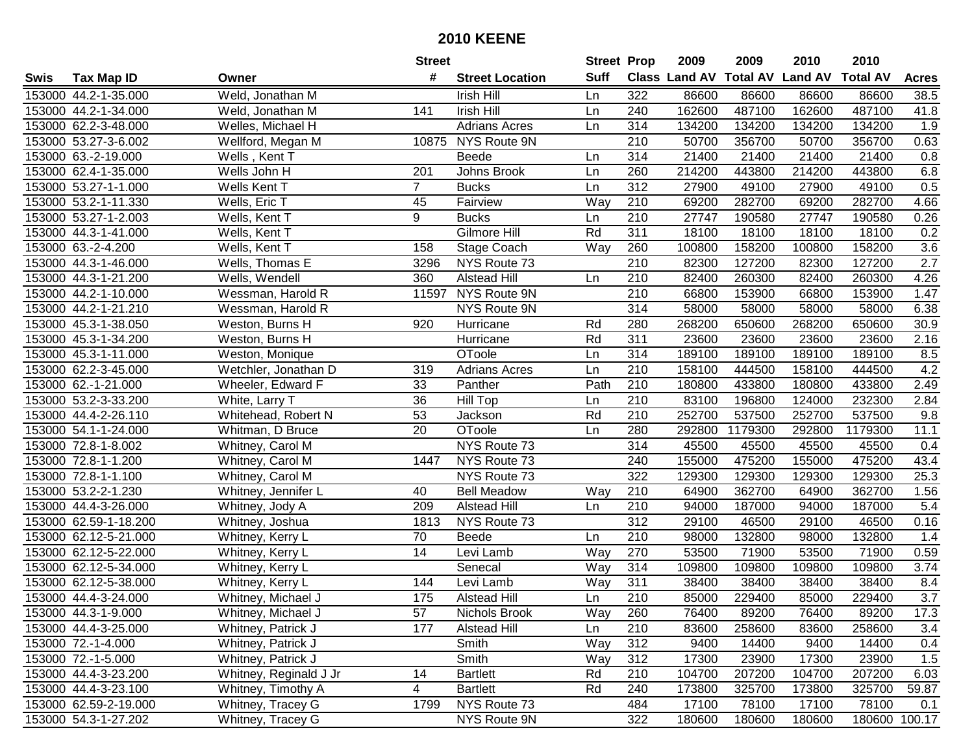|      |                       |                        | <b>Street</b>  |                        | <b>Street Prop</b> |                  | 2009                 | 2009            | 2010           | 2010            |                  |
|------|-----------------------|------------------------|----------------|------------------------|--------------------|------------------|----------------------|-----------------|----------------|-----------------|------------------|
| Swis | <b>Tax Map ID</b>     | Owner                  | #              | <b>Street Location</b> | <b>Suff</b>        |                  | <b>Class Land AV</b> | <b>Total AV</b> | <b>Land AV</b> | <b>Total AV</b> | <b>Acres</b>     |
|      | 153000 44.2-1-35.000  | Weld, Jonathan M       |                | Irish Hill             | Ln                 | 322              | 86600                | 86600           | 86600          | 86600           | 38.5             |
|      | 153000 44.2-1-34.000  | Weld, Jonathan M       | 141            | Irish Hill             | Ln                 | 240              | 162600               | 487100          | 162600         | 487100          | 41.8             |
|      | 153000 62.2-3-48.000  | Welles, Michael H      |                | <b>Adrians Acres</b>   | Ln                 | 314              | 134200               | 134200          | 134200         | 134200          | 1.9              |
|      | 153000 53.27-3-6.002  | Wellford, Megan M      | 10875          | NYS Route 9N           |                    | 210              | 50700                | 356700          | 50700          | 356700          | 0.63             |
|      | 153000 63.-2-19.000   | Wells, Kent T          |                | <b>Beede</b>           | Ln.                | 314              | 21400                | 21400           | 21400          | 21400           | 0.8              |
|      | 153000 62.4-1-35.000  | Wells John H           | 201            | Johns Brook            | Ln                 | 260              | 214200               | 443800          | 214200         | 443800          | 6.8              |
|      | 153000 53.27-1-1.000  | Wells Kent T           | $\overline{7}$ | <b>Bucks</b>           | Ln                 | 312              | 27900                | 49100           | 27900          | 49100           | 0.5              |
|      | 153000 53.2-1-11.330  | Wells, Eric T          | 45             | Fairview               | Way                | $\overline{210}$ | 69200                | 282700          | 69200          | 282700          | 4.66             |
|      | 153000 53.27-1-2.003  | Wells, Kent T          | 9              | <b>Bucks</b>           | Ln                 | $\overline{210}$ | 27747                | 190580          | 27747          | 190580          | 0.26             |
|      | 153000 44.3-1-41.000  | Wells, Kent T          |                | Gilmore Hill           | Rd                 | 311              | 18100                | 18100           | 18100          | 18100           | 0.2              |
|      | 153000 63.-2-4.200    | Wells, Kent T          | 158            | Stage Coach            | Way                | 260              | 100800               | 158200          | 100800         | 158200          | 3.6              |
|      | 153000 44.3-1-46.000  | Wells, Thomas E        | 3296           | NYS Route 73           |                    | 210              | 82300                | 127200          | 82300          | 127200          | 2.7              |
|      | 153000 44.3-1-21.200  | Wells, Wendell         | 360            | <b>Alstead Hill</b>    | Ln                 | 210              | 82400                | 260300          | 82400          | 260300          | 4.26             |
|      | 153000 44.2-1-10.000  | Wessman, Harold R      | 11597          | NYS Route 9N           |                    | 210              | 66800                | 153900          | 66800          | 153900          | 1.47             |
|      | 153000 44.2-1-21.210  | Wessman, Harold R      |                | NYS Route 9N           |                    | 314              | 58000                | 58000           | 58000          | 58000           | 6.38             |
|      | 153000 45.3-1-38.050  | Weston, Burns H        | 920            | Hurricane              | Rd                 | 280              | 268200               | 650600          | 268200         | 650600          | 30.9             |
|      | 153000 45.3-1-34.200  | Weston, Burns H        |                | Hurricane              | Rd                 | 311              | 23600                | 23600           | 23600          | 23600           | 2.16             |
|      | 153000 45.3-1-11.000  | Weston, Monique        |                | OToole                 | Ln                 | 314              | 189100               | 189100          | 189100         | 189100          | 8.5              |
|      | 153000 62.2-3-45.000  | Wetchler, Jonathan D   | 319            | <b>Adrians Acres</b>   | Ln                 | 210              | 158100               | 444500          | 158100         | 444500          | 4.2              |
|      | 153000 62.-1-21.000   | Wheeler, Edward F      | 33             | Panther                | Path               | 210              | 180800               | 433800          | 180800         | 433800          | 2.49             |
|      | 153000 53.2-3-33.200  | White, Larry T         | 36             | <b>Hill Top</b>        | Ln                 | 210              | 83100                | 196800          | 124000         | 232300          | 2.84             |
|      | 153000 44.4-2-26.110  | Whitehead, Robert N    | 53             | Jackson                | Rd                 | 210              | 252700               | 537500          | 252700         | 537500          | 9.8              |
|      | 153000 54.1-1-24.000  | Whitman, D Bruce       | 20             | OToole                 | Ln                 | 280              | 292800               | 1179300         | 292800         | 1179300         | 11.1             |
|      | 153000 72.8-1-8.002   | Whitney, Carol M       |                | NYS Route 73           |                    | 314              | 45500                | 45500           | 45500          | 45500           | 0.4              |
|      | 153000 72.8-1-1.200   | Whitney, Carol M       | 1447           | NYS Route 73           |                    | 240              | 155000               | 475200          | 155000         | 475200          | 43.4             |
|      | 153000 72.8-1-1.100   | Whitney, Carol M       |                | NYS Route 73           |                    | 322              | 129300               | 129300          | 129300         | 129300          | 25.3             |
|      | 153000 53.2-2-1.230   | Whitney, Jennifer L    | 40             | <b>Bell Meadow</b>     | Way                | 210              | 64900                | 362700          | 64900          | 362700          | 1.56             |
|      | 153000 44.4-3-26.000  | Whitney, Jody A        | 209            | <b>Alstead Hill</b>    | Ln                 | 210              | 94000                | 187000          | 94000          | 187000          | 5.4              |
|      | 153000 62.59-1-18.200 | Whitney, Joshua        | 1813           | NYS Route 73           |                    | $\overline{312}$ | 29100                | 46500           | 29100          | 46500           | 0.16             |
|      | 153000 62.12-5-21.000 | Whitney, Kerry L       | 70             | Beede                  | Ln                 | 210              | 98000                | 132800          | 98000          | 132800          | 1.4              |
|      | 153000 62.12-5-22.000 | Whitney, Kerry L       | 14             | Levi Lamb              | Way                | 270              | 53500                | 71900           | 53500          | 71900           | 0.59             |
|      | 153000 62.12-5-34.000 | Whitney, Kerry L       |                | Senecal                | Way                | 314              | 109800               | 109800          | 109800         | 109800          | 3.74             |
|      | 153000 62.12-5-38.000 | Whitney, Kerry L       | 144            | Levi Lamb              | Way                | 311              | 38400                | 38400           | 38400          | 38400           | 8.4              |
|      | 153000 44.4-3-24.000  | Whitney, Michael J     | 175            | <b>Alstead Hill</b>    | Ln                 | 210              | 85000                | 229400          | 85000          | 229400          | $\overline{3.7}$ |
|      | 153000 44.3-1-9.000   | Whitney, Michael J     | 57             | Nichols Brook          | Way                | 260              | 76400                | 89200           | 76400          | 89200           | 17.3             |
|      | 153000 44.4-3-25.000  | Whitney, Patrick J     | 177            | Alstead Hill           | Ln                 | 210              | 83600                | 258600          | 83600          | 258600          | 3.4              |
|      | 153000 72.-1-4.000    | Whitney, Patrick J     |                | Smith                  | Way                | 312              | 9400                 | 14400           | 9400           | 14400           | 0.4              |
|      | 153000 72.-1-5.000    | Whitney, Patrick J     |                | Smith                  | Way                | 312              | 17300                | 23900           | 17300          | 23900           | 1.5              |
|      | 153000 44.4-3-23.200  | Whitney, Reginald J Jr | 14             | <b>Bartlett</b>        | Rd                 | 210              | 104700               | 207200          | 104700         | 207200          | 6.03             |
|      | 153000 44.4-3-23.100  | Whitney, Timothy A     | 4              | <b>Bartlett</b>        | Rd                 | 240              | 173800               | 325700          | 173800         | 325700          | 59.87            |
|      | 153000 62.59-2-19.000 | Whitney, Tracey G      | 1799           | NYS Route 73           |                    | 484              | 17100                | 78100           | 17100          | 78100           | 0.1              |
|      | 153000 54.3-1-27.202  | Whitney, Tracey G      |                | NYS Route 9N           |                    | 322              | 180600               | 180600          | 180600         |                 | 180600 100.17    |
|      |                       |                        |                |                        |                    |                  |                      |                 |                |                 |                  |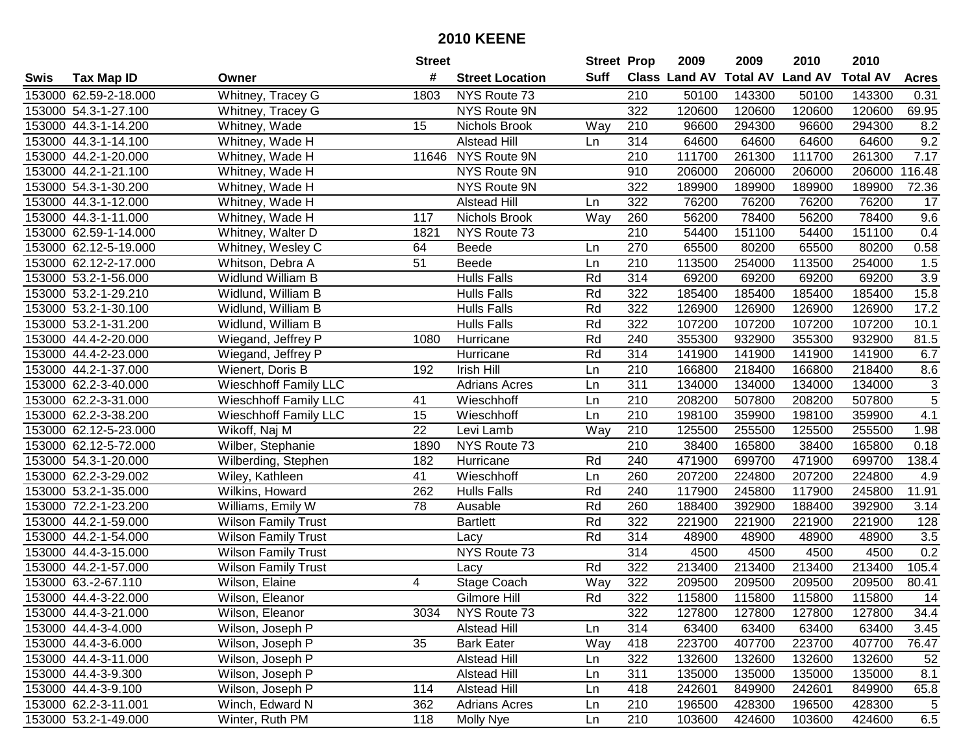|      |                       |                              | <b>Street</b> |                        | <b>Street Prop</b> |                  | 2009   | 2009   | 2010                           | 2010            |                |
|------|-----------------------|------------------------------|---------------|------------------------|--------------------|------------------|--------|--------|--------------------------------|-----------------|----------------|
| Swis | <b>Tax Map ID</b>     | Owner                        | #             | <b>Street Location</b> | Suff               |                  |        |        | Class Land AV Total AV Land AV | <b>Total AV</b> | <b>Acres</b>   |
|      | 153000 62.59-2-18.000 | Whitney, Tracey G            | 1803          | NYS Route 73           |                    | 210              | 50100  | 143300 | 50100                          | 143300          | 0.31           |
|      | 153000 54.3-1-27.100  | Whitney, Tracey G            |               | NYS Route 9N           |                    | 322              | 120600 | 120600 | 120600                         | 120600          | 69.95          |
|      | 153000 44.3-1-14.200  | Whitney, Wade                | 15            | Nichols Brook          | Way                | 210              | 96600  | 294300 | 96600                          | 294300          | 8.2            |
|      | 153000 44.3-1-14.100  | Whitney, Wade H              |               | <b>Alstead Hill</b>    | Ln                 | 314              | 64600  | 64600  | 64600                          | 64600           | 9.2            |
|      | 153000 44.2-1-20.000  | Whitney, Wade H              | 11646         | NYS Route 9N           |                    | 210              | 111700 | 261300 | 111700                         | 261300          | 7.17           |
|      | 153000 44.2-1-21.100  | Whitney, Wade H              |               | NYS Route 9N           |                    | 910              | 206000 | 206000 | 206000                         | 206000          | 116.48         |
|      | 153000 54.3-1-30.200  | Whitney, Wade H              |               | NYS Route 9N           |                    | 322              | 189900 | 189900 | 189900                         | 189900          | 72.36          |
|      | 153000 44.3-1-12.000  | Whitney, Wade H              |               | <b>Alstead Hill</b>    | Ln                 | 322              | 76200  | 76200  | 76200                          | 76200           | 17             |
|      | 153000 44.3-1-11.000  | Whitney, Wade H              | 117           | Nichols Brook          | Way                | 260              | 56200  | 78400  | 56200                          | 78400           | 9.6            |
|      | 153000 62.59-1-14.000 | Whitney, Walter D            | 1821          | NYS Route 73           |                    | 210              | 54400  | 151100 | 54400                          | 151100          | 0.4            |
|      | 153000 62.12-5-19.000 | Whitney, Wesley C            | 64            | Beede                  | Ln                 | 270              | 65500  | 80200  | 65500                          | 80200           | 0.58           |
|      | 153000 62.12-2-17.000 | Whitson, Debra A             | 51            | Beede                  | Ln                 | 210              | 113500 | 254000 | 113500                         | 254000          | 1.5            |
|      | 153000 53.2-1-56.000  | Widlund William B            |               | <b>Hulls Falls</b>     | Rd                 | 314              | 69200  | 69200  | 69200                          | 69200           | 3.9            |
|      | 153000 53.2-1-29.210  | Widlund, William B           |               | <b>Hulls Falls</b>     | Rd                 | 322              | 185400 | 185400 | 185400                         | 185400          | 15.8           |
|      | 153000 53.2-1-30.100  | Widlund, William B           |               | <b>Hulls Falls</b>     | Rd                 | 322              | 126900 | 126900 | 126900                         | 126900          | 17.2           |
|      | 153000 53.2-1-31.200  | Widlund, William B           |               | <b>Hulls Falls</b>     | Rd                 | 322              | 107200 | 107200 | 107200                         | 107200          | 10.1           |
|      | 153000 44.4-2-20.000  | Wiegand, Jeffrey P           | 1080          | Hurricane              | Rd                 | 240              | 355300 | 932900 | 355300                         | 932900          | 81.5           |
|      | 153000 44.4-2-23.000  | Wiegand, Jeffrey P           |               | Hurricane              | Rd                 | 314              | 141900 | 141900 | 141900                         | 141900          | 6.7            |
|      | 153000 44.2-1-37.000  | Wienert, Doris B             | 192           | Irish Hill             | Ln                 | 210              | 166800 | 218400 | 166800                         | 218400          | 8.6            |
|      | 153000 62.2-3-40.000  | Wieschhoff Family LLC        |               | <b>Adrians Acres</b>   | Ln                 | 311              | 134000 | 134000 | 134000                         | 134000          | 3              |
|      | 153000 62.2-3-31.000  | <b>Wieschhoff Family LLC</b> | 41            | Wieschhoff             | Ln                 | 210              | 208200 | 507800 | 208200                         | 507800          | $\overline{5}$ |
|      | 153000 62.2-3-38.200  | <b>Wieschhoff Family LLC</b> | 15            | Wieschhoff             | Ln                 | 210              | 198100 | 359900 | 198100                         | 359900          | 4.1            |
|      | 153000 62.12-5-23.000 | Wikoff, Naj M                | 22            | Levi Lamb              | Way                | 210              | 125500 | 255500 | 125500                         | 255500          | 1.98           |
|      | 153000 62.12-5-72.000 | Wilber, Stephanie            | 1890          | NYS Route 73           |                    | 210              | 38400  | 165800 | 38400                          | 165800          | 0.18           |
|      | 153000 54.3-1-20.000  | Wilberding, Stephen          | 182           | Hurricane              | Rd                 | 240              | 471900 | 699700 | 471900                         | 699700          | 138.4          |
|      | 153000 62.2-3-29.002  | Wiley, Kathleen              | 41            | Wieschhoff             | Ln                 | 260              | 207200 | 224800 | 207200                         | 224800          | 4.9            |
|      | 153000 53.2-1-35.000  | Wilkins, Howard              | 262           | <b>Hulls Falls</b>     | Rd                 | 240              | 117900 | 245800 | 117900                         | 245800          | 11.91          |
|      | 153000 72.2-1-23.200  | Williams, Emily W            | 78            | Ausable                | Rd                 | 260              | 188400 | 392900 | 188400                         | 392900          | 3.14           |
|      | 153000 44.2-1-59.000  | <b>Wilson Family Trust</b>   |               | <b>Bartlett</b>        | Rd                 | 322              | 221900 | 221900 | 221900                         | 221900          | 128            |
|      | 153000 44.2-1-54.000  | <b>Wilson Family Trust</b>   |               | Lacy                   | Rd                 | 314              | 48900  | 48900  | 48900                          | 48900           | 3.5            |
|      | 153000 44.4-3-15.000  | <b>Wilson Family Trust</b>   |               | NYS Route 73           |                    | $\overline{314}$ | 4500   | 4500   | 4500                           | 4500            | 0.2            |
|      | 153000 44.2-1-57.000  | <b>Wilson Family Trust</b>   |               | Lacy                   | Rd                 | 322              | 213400 | 213400 | 213400                         | 213400          | 105.4          |
|      | 153000 63.-2-67.110   | Wilson, Elaine               | 4             | Stage Coach            | Way                | 322              | 209500 | 209500 | 209500                         | 209500          | 80.41          |
|      | 153000 44.4-3-22.000  | Wilson, Eleanor              |               | Gilmore Hill           | Rd                 | 322              | 115800 | 115800 | 115800                         | 115800          | 14             |
|      | 153000 44.4-3-21.000  | Wilson, Eleanor              | 3034          | NYS Route 73           |                    | 322              | 127800 | 127800 | 127800                         | 127800          | 34.4           |
|      | 153000 44.4-3-4.000   | Wilson, Joseph P             |               | Alstead Hill           | Ln                 | 314              | 63400  | 63400  | 63400                          | 63400           | 3.45           |
|      | 153000 44.4-3-6.000   | Wilson, Joseph P             | 35            | <b>Bark Eater</b>      | Way                | 418              | 223700 | 407700 | 223700                         | 407700          | 76.47          |
|      | 153000 44.4-3-11.000  | Wilson, Joseph P             |               | Alstead Hill           | Ln                 | 322              | 132600 | 132600 | 132600                         | 132600          | 52             |
|      | 153000 44.4-3-9.300   | Wilson, Joseph P             |               | <b>Alstead Hill</b>    | Ln                 | 311              | 135000 | 135000 | 135000                         | 135000          | 8.1            |
|      | 153000 44.4-3-9.100   | Wilson, Joseph P             | 114           | <b>Alstead Hill</b>    | Ln                 | 418              | 242601 | 849900 | 242601                         | 849900          | 65.8           |
|      | 153000 62.2-3-11.001  | Winch, Edward N              | 362           | <b>Adrians Acres</b>   | Ln                 | 210              | 196500 | 428300 | 196500                         | 428300          | 5              |
|      | 153000 53.2-1-49.000  | Winter, Ruth PM              | 118           | Molly Nye              | Ln                 | 210              | 103600 | 424600 | 103600                         | 424600          | 6.5            |
|      |                       |                              |               |                        |                    |                  |        |        |                                |                 |                |